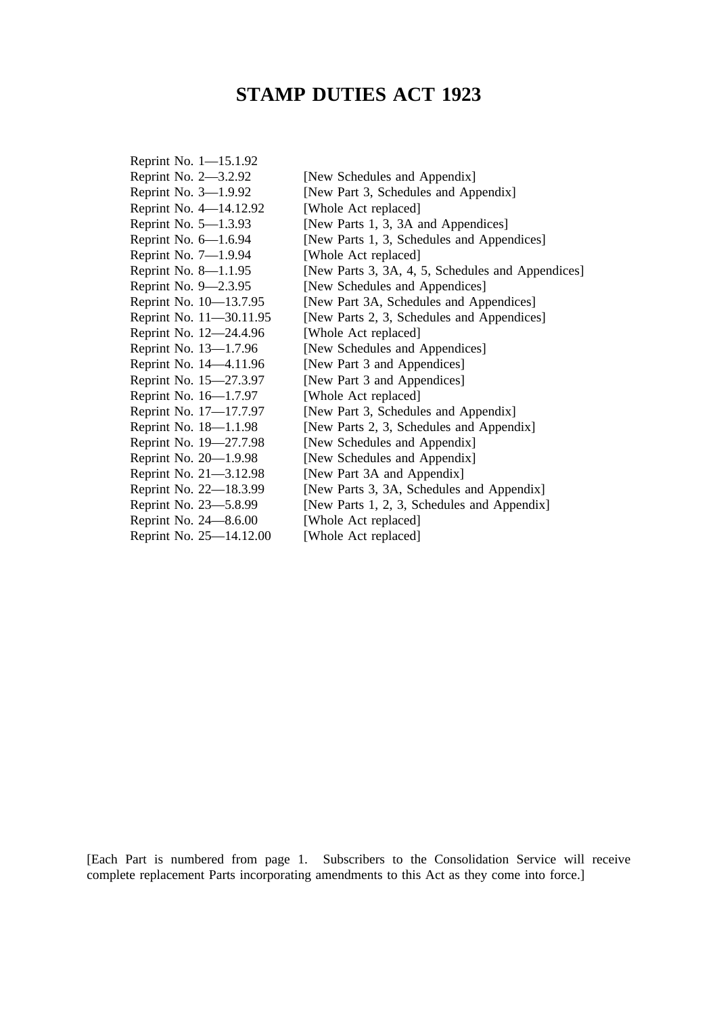# **STAMP DUTIES ACT 1923**

| [New Schedules and Appendix]                      |
|---------------------------------------------------|
| [New Part 3, Schedules and Appendix]              |
| [Whole Act replaced]                              |
| [New Parts 1, 3, 3A and Appendices]               |
| [New Parts 1, 3, Schedules and Appendices]        |
| [Whole Act replaced]                              |
| [New Parts 3, 3A, 4, 5, Schedules and Appendices] |
| [New Schedules and Appendices]                    |
| [New Part 3A, Schedules and Appendices]           |
| [New Parts 2, 3, Schedules and Appendices]        |
| [Whole Act replaced]                              |
| [New Schedules and Appendices]                    |
| [New Part 3 and Appendices]                       |
| [New Part 3 and Appendices]                       |
| [Whole Act replaced]                              |
| [New Part 3, Schedules and Appendix]              |
| [New Parts 2, 3, Schedules and Appendix]          |
| [New Schedules and Appendix]                      |
| [New Schedules and Appendix]                      |
| [New Part 3A and Appendix]                        |
| [New Parts 3, 3A, Schedules and Appendix]         |
| [New Parts 1, 2, 3, Schedules and Appendix]       |
| [Whole Act replaced]                              |
| [Whole Act replaced]                              |
|                                                   |

[Each Part is numbered from page 1. Subscribers to the Consolidation Service will receive complete replacement Parts incorporating amendments to this Act as they come into force.]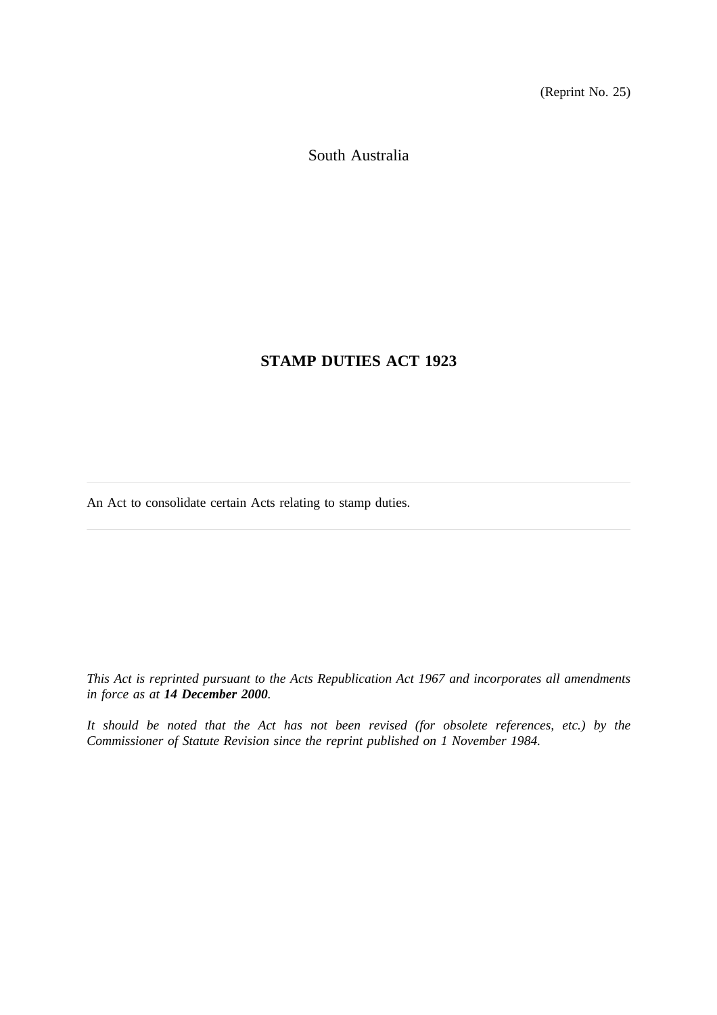(Reprint No. 25)

South Australia

# **STAMP DUTIES ACT 1923**

An Act to consolidate certain Acts relating to stamp duties.

*This Act is reprinted pursuant to the Acts Republication Act 1967 and incorporates all amendments in force as at 14 December 2000.*

*It should be noted that the Act has not been revised (for obsolete references, etc.) by the Commissioner of Statute Revision since the reprint published on 1 November 1984.*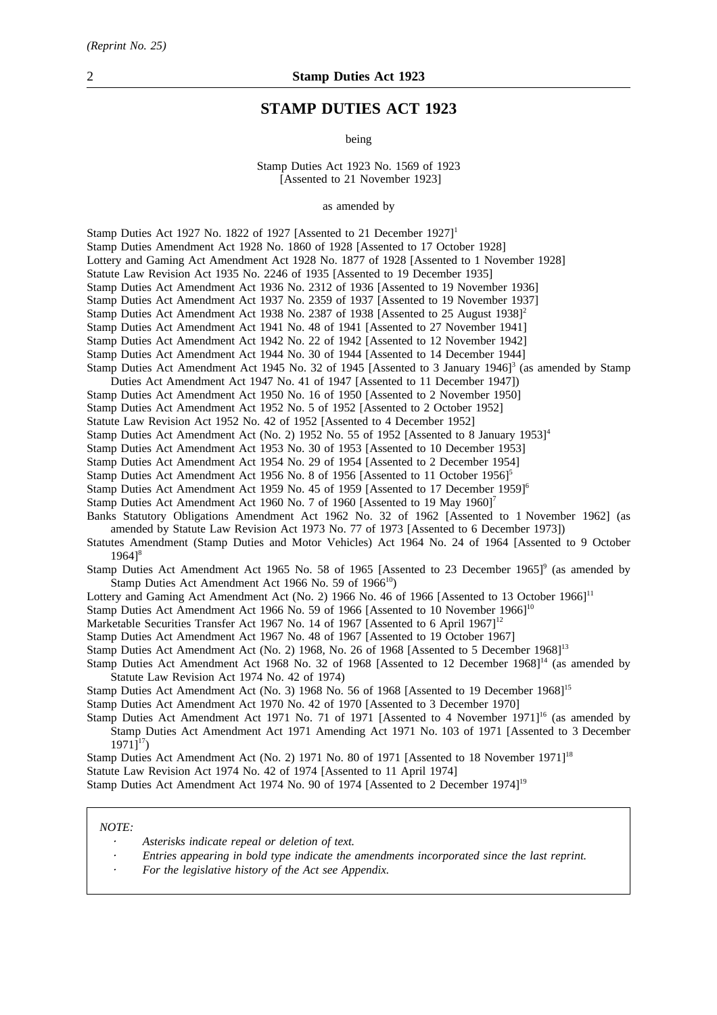# **STAMP DUTIES ACT 1923**

being

Stamp Duties Act 1923 No. 1569 of 1923 [Assented to 21 November 1923]

as amended by

Stamp Duties Act 1927 No. 1822 of 1927 [Assented to 21 December 1927]<sup>1</sup> Stamp Duties Amendment Act 1928 No. 1860 of 1928 [Assented to 17 October 1928] Lottery and Gaming Act Amendment Act 1928 No. 1877 of 1928 [Assented to 1 November 1928] Statute Law Revision Act 1935 No. 2246 of 1935 [Assented to 19 December 1935] Stamp Duties Act Amendment Act 1936 No. 2312 of 1936 [Assented to 19 November 1936] Stamp Duties Act Amendment Act 1937 No. 2359 of 1937 [Assented to 19 November 1937] Stamp Duties Act Amendment Act 1938 No. 2387 of 1938 [Assented to 25 August 1938]<sup>2</sup> Stamp Duties Act Amendment Act 1941 No. 48 of 1941 [Assented to 27 November 1941] Stamp Duties Act Amendment Act 1942 No. 22 of 1942 [Assented to 12 November 1942] Stamp Duties Act Amendment Act 1944 No. 30 of 1944 [Assented to 14 December 1944] Stamp Duties Act Amendment Act 1945 No. 32 of 1945 [Assented to 3 January 1946]<sup>3</sup> (as amended by Stamp Duties Act Amendment Act 1947 No. 41 of 1947 [Assented to 11 December 1947]) Stamp Duties Act Amendment Act 1950 No. 16 of 1950 [Assented to 2 November 1950] Stamp Duties Act Amendment Act 1952 No. 5 of 1952 [Assented to 2 October 1952] Statute Law Revision Act 1952 No. 42 of 1952 [Assented to 4 December 1952] Stamp Duties Act Amendment Act (No. 2) 1952 No. 55 of 1952 [Assented to 8 January 1953]<sup>4</sup> Stamp Duties Act Amendment Act 1953 No. 30 of 1953 [Assented to 10 December 1953] Stamp Duties Act Amendment Act 1954 No. 29 of 1954 [Assented to 2 December 1954] Stamp Duties Act Amendment Act 1956 No. 8 of 1956 [Assented to 11 October 1956]<sup>5</sup> Stamp Duties Act Amendment Act 1959 No. 45 of 1959 [Assented to 17 December 1959]6 Stamp Duties Act Amendment Act 1960 No. 7 of 1960 [Assented to 19 May 1960]<sup>7</sup> Banks Statutory Obligations Amendment Act 1962 No. 32 of 1962 [Assented to 1 November 1962] (as amended by Statute Law Revision Act 1973 No. 77 of 1973 [Assented to 6 December 1973]) Statutes Amendment (Stamp Duties and Motor Vehicles) Act 1964 No. 24 of 1964 [Assented to 9 October  $1964$ <sup>8</sup> Stamp Duties Act Amendment Act 1965 No. 58 of 1965 [Assented to 23 December 1965]<sup>9</sup> (as amended by Stamp Duties Act Amendment Act 1966 No. 59 of  $1966<sup>10</sup>$ ) Lottery and Gaming Act Amendment Act (No. 2) 1966 No. 46 of 1966 [Assented to 13 October 1966]<sup>11</sup> Stamp Duties Act Amendment Act 1966 No. 59 of 1966 [Assented to 10 November 1966]<sup>10</sup> Marketable Securities Transfer Act 1967 No. 14 of 1967 [Assented to 6 April 1967]<sup>12</sup> Stamp Duties Act Amendment Act 1967 No. 48 of 1967 [Assented to 19 October 1967] Stamp Duties Act Amendment Act (No. 2) 1968, No. 26 of 1968 [Assented to 5 December 1968]<sup>13</sup> Stamp Duties Act Amendment Act 1968 No. 32 of 1968 [Assented to 12 December 1968]<sup>14</sup> (as amended by Statute Law Revision Act 1974 No. 42 of 1974) Stamp Duties Act Amendment Act (No. 3) 1968 No. 56 of 1968 [Assented to 19 December 1968]<sup>15</sup> Stamp Duties Act Amendment Act 1970 No. 42 of 1970 [Assented to 3 December 1970] Stamp Duties Act Amendment Act 1971 No. 71 of 1971 [Assented to 4 November 1971]<sup>16</sup> (as amended by Stamp Duties Act Amendment Act 1971 Amending Act 1971 No. 103 of 1971 [Assented to 3 December  $1971$ <sup>17</sup>) Stamp Duties Act Amendment Act (No. 2) 1971 No. 80 of 1971 [Assented to 18 November 1971]<sup>18</sup> Statute Law Revision Act 1974 No. 42 of 1974 [Assented to 11 April 1974] Stamp Duties Act Amendment Act 1974 No. 90 of 1974 [Assented to 2 December 1974]19

#### *NOTE:*

- *Asterisks indicate repeal or deletion of text.*
- *Entries appearing in bold type indicate the amendments incorporated since the last reprint.*
- *For the legislative history of the Act see Appendix.*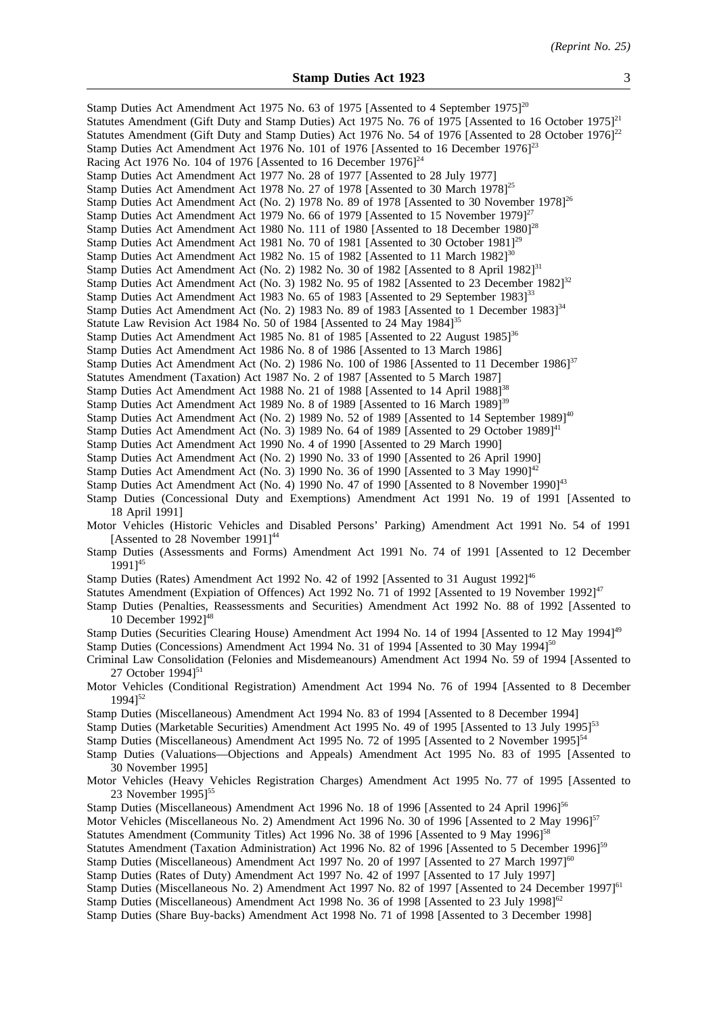| Stamp Duties Act Amendment Act 1975 No. 63 of 1975 [Assented to 4 September 1975] <sup>20</sup><br>Statutes Amendment (Gift Duty and Stamp Duties) Act 1975 No. 76 of 1975 [Assented to 16 October 1975] $^{21}$<br>Statutes Amendment (Gift Duty and Stamp Duties) Act 1976 No. 54 of 1976 [Assented to 28 October 1976] <sup>22</sup><br>Stamp Duties Act Amendment Act 1976 No. 101 of 1976 [Assented to 16 December 1976] <sup>23</sup><br>Racing Act 1976 No. 104 of 1976 [Assented to 16 December $1976$ ] <sup>24</sup> |
|--------------------------------------------------------------------------------------------------------------------------------------------------------------------------------------------------------------------------------------------------------------------------------------------------------------------------------------------------------------------------------------------------------------------------------------------------------------------------------------------------------------------------------|
| Stamp Duties Act Amendment Act 1977 No. 28 of 1977 [Assented to 28 July 1977]                                                                                                                                                                                                                                                                                                                                                                                                                                                  |
| Stamp Duties Act Amendment Act 1978 No. 27 of 1978 [Assented to 30 March 1978] <sup>25</sup>                                                                                                                                                                                                                                                                                                                                                                                                                                   |
| Stamp Duties Act Amendment Act (No. 2) 1978 No. 89 of 1978 [Assented to 30 November 1978] <sup>26</sup>                                                                                                                                                                                                                                                                                                                                                                                                                        |
| Stamp Duties Act Amendment Act 1979 No. 66 of 1979 [Assented to 15 November 1979] $^{27}$                                                                                                                                                                                                                                                                                                                                                                                                                                      |
| Stamp Duties Act Amendment Act 1980 No. 111 of 1980 [Assented to 18 December 1980] <sup>28</sup>                                                                                                                                                                                                                                                                                                                                                                                                                               |
| Stamp Duties Act Amendment Act 1981 No. 70 of 1981 [Assented to 30 October 1981] <sup>29</sup>                                                                                                                                                                                                                                                                                                                                                                                                                                 |
| Stamp Duties Act Amendment Act 1982 No. 15 of 1982 [Assented to 11 March 1982] <sup>30</sup>                                                                                                                                                                                                                                                                                                                                                                                                                                   |
| Stamp Duties Act Amendment Act (No. 2) 1982 No. 30 of 1982 [Assented to 8 April 1982] <sup>31</sup>                                                                                                                                                                                                                                                                                                                                                                                                                            |
| Stamp Duties Act Amendment Act (No. 3) 1982 No. 95 of 1982 [Assented to 23 December 1982] <sup>32</sup>                                                                                                                                                                                                                                                                                                                                                                                                                        |
| Stamp Duties Act Amendment Act 1983 No. 65 of 1983 [Assented to 29 September 1983] <sup>33</sup>                                                                                                                                                                                                                                                                                                                                                                                                                               |
| Stamp Duties Act Amendment Act (No. 2) 1983 No. 89 of 1983 [Assented to 1 December 1983] <sup>34</sup>                                                                                                                                                                                                                                                                                                                                                                                                                         |
| Statute Law Revision Act 1984 No. 50 of 1984 [Assented to 24 May 1984] <sup>35</sup>                                                                                                                                                                                                                                                                                                                                                                                                                                           |
| Stamp Duties Act Amendment Act 1985 No. 81 of 1985 [Assented to 22 August 1985] <sup>36</sup>                                                                                                                                                                                                                                                                                                                                                                                                                                  |
| Stamp Duties Act Amendment Act 1986 No. 8 of 1986 [Assented to 13 March 1986]                                                                                                                                                                                                                                                                                                                                                                                                                                                  |
| Stamp Duties Act Amendment Act (No. 2) 1986 No. 100 of 1986 [Assented to 11 December 1986] <sup>37</sup>                                                                                                                                                                                                                                                                                                                                                                                                                       |
| Statutes Amendment (Taxation) Act 1987 No. 2 of 1987 [Assented to 5 March 1987]                                                                                                                                                                                                                                                                                                                                                                                                                                                |
| Stamp Duties Act Amendment Act 1988 No. 21 of 1988 [Assented to 14 April 1988] <sup>38</sup><br>Stamp Duties Act Amendment Act 1989 No. 8 of 1989 [Assented to 16 March 1989] <sup>39</sup>                                                                                                                                                                                                                                                                                                                                    |
| Stamp Duties Act Amendment Act (No. 2) 1989 No. 52 of 1989 [Assented to 14 September 1989] <sup>40</sup>                                                                                                                                                                                                                                                                                                                                                                                                                       |
| Stamp Duties Act Amendment Act (No. 3) 1989 No. 64 of 1989 [Assented to 29 October 1989] <sup>41</sup>                                                                                                                                                                                                                                                                                                                                                                                                                         |
| Stamp Duties Act Amendment Act 1990 No. 4 of 1990 [Assented to 29 March 1990]                                                                                                                                                                                                                                                                                                                                                                                                                                                  |
| Stamp Duties Act Amendment Act (No. 2) 1990 No. 33 of 1990 [Assented to 26 April 1990]                                                                                                                                                                                                                                                                                                                                                                                                                                         |
| Stamp Duties Act Amendment Act (No. 3) 1990 No. 36 of 1990 [Assented to 3 May 1990] <sup>42</sup>                                                                                                                                                                                                                                                                                                                                                                                                                              |
| Stamp Duties Act Amendment Act (No. 4) 1990 No. 47 of 1990 [Assented to 8 November 1990] <sup>43</sup>                                                                                                                                                                                                                                                                                                                                                                                                                         |
| Stamp Duties (Concessional Duty and Exemptions) Amendment Act 1991 No. 19 of 1991 [Assented to<br>18 April 1991]                                                                                                                                                                                                                                                                                                                                                                                                               |
| Motor Vehicles (Historic Vehicles and Disabled Persons' Parking) Amendment Act 1991 No. 54 of 1991<br>[Assented to 28 November 1991] <sup>44</sup>                                                                                                                                                                                                                                                                                                                                                                             |
| Stamp Duties (Assessments and Forms) Amendment Act 1991 No. 74 of 1991 [Assented to 12 December<br>$19911^{45}$                                                                                                                                                                                                                                                                                                                                                                                                                |
| Stamp Duties (Rates) Amendment Act 1992 No. 42 of 1992 [Assented to 31 August 1992] <sup>46</sup>                                                                                                                                                                                                                                                                                                                                                                                                                              |
| Statutes Amendment (Expiation of Offences) Act 1992 No. 71 of 1992 [Assented to 19 November 1992] <sup>47</sup><br>Stamp Duties (Penalties, Reassessments and Securities) Amendment Act 1992 No. 88 of 1992 [Assented to<br>10 December $1992]^{48}$                                                                                                                                                                                                                                                                           |
| Stamp Duties (Securities Clearing House) Amendment Act 1994 No. 14 of 1994 [Assented to 12 May 1994] <sup>49</sup>                                                                                                                                                                                                                                                                                                                                                                                                             |
| Stamp Duties (Concessions) Amendment Act 1994 No. 31 of 1994 [Assented to 30 May 1994] <sup>50</sup><br>Criminal Law Consolidation (Felonies and Misdemeanours) Amendment Act 1994 No. 59 of 1994 [Assented to                                                                                                                                                                                                                                                                                                                 |
| 27 October $1994$ <sup>51</sup><br>Motor Vehicles (Conditional Registration) Amendment Act 1994 No. 76 of 1994 [Assented to 8 December                                                                                                                                                                                                                                                                                                                                                                                         |
| $1994$ <sup>52</sup>                                                                                                                                                                                                                                                                                                                                                                                                                                                                                                           |
| Stamp Duties (Miscellaneous) Amendment Act 1994 No. 83 of 1994 [Assented to 8 December 1994]                                                                                                                                                                                                                                                                                                                                                                                                                                   |
| Stamp Duties (Marketable Securities) Amendment Act 1995 No. 49 of 1995 [Assented to 13 July 1995] <sup>53</sup>                                                                                                                                                                                                                                                                                                                                                                                                                |
| Stamp Duties (Miscellaneous) Amendment Act 1995 No. 72 of 1995 [Assented to 2 November 1995] <sup>54</sup>                                                                                                                                                                                                                                                                                                                                                                                                                     |
| Stamp Duties (Valuations—Objections and Appeals) Amendment Act 1995 No. 83 of 1995 [Assented to                                                                                                                                                                                                                                                                                                                                                                                                                                |
| 30 November 1995]                                                                                                                                                                                                                                                                                                                                                                                                                                                                                                              |
| Motor Vehicles (Heavy Vehicles Registration Charges) Amendment Act 1995 No. 77 of 1995 [Assented to<br>23 November $1995$ <sup>55</sup>                                                                                                                                                                                                                                                                                                                                                                                        |
| Stamp Duties (Miscellaneous) Amendment Act 1996 No. 18 of 1996 [Assented to 24 April 1996] <sup>56</sup>                                                                                                                                                                                                                                                                                                                                                                                                                       |
| Motor Vehicles (Miscellaneous No. 2) Amendment Act 1996 No. 30 of 1996 [Assented to 2 May 1996] <sup>57</sup>                                                                                                                                                                                                                                                                                                                                                                                                                  |
| Statutes Amendment (Community Titles) Act 1996 No. 38 of 1996 [Assented to 9 May 1996] <sup>58</sup>                                                                                                                                                                                                                                                                                                                                                                                                                           |
| Statutes Amendment (Taxation Administration) Act 1996 No. 82 of 1996 [Assented to 5 December 1996] <sup>59</sup>                                                                                                                                                                                                                                                                                                                                                                                                               |
| Stamp Duties (Miscellaneous) Amendment Act 1997 No. 20 of 1997 [Assented to 27 March 1997] <sup>60</sup>                                                                                                                                                                                                                                                                                                                                                                                                                       |
| Stamp Duties (Rates of Duty) Amendment Act 1997 No. 42 of 1997 [Assented to 17 July 1997]                                                                                                                                                                                                                                                                                                                                                                                                                                      |
| Stamp Duties (Miscellaneous No. 2) Amendment Act 1997 No. 82 of 1997 [Assented to 24 December 1997] <sup>61</sup><br>Stamp Duties (Miscellaneous) Amendment Act 1998 No. 36 of 1998 [Assented to 23 July 1998] $^{62}$<br>Stamp Duties (Share Buy-backs) Amendment Act 1998 No. 71 of 1998 [Assented to 3 December 1998]                                                                                                                                                                                                       |
|                                                                                                                                                                                                                                                                                                                                                                                                                                                                                                                                |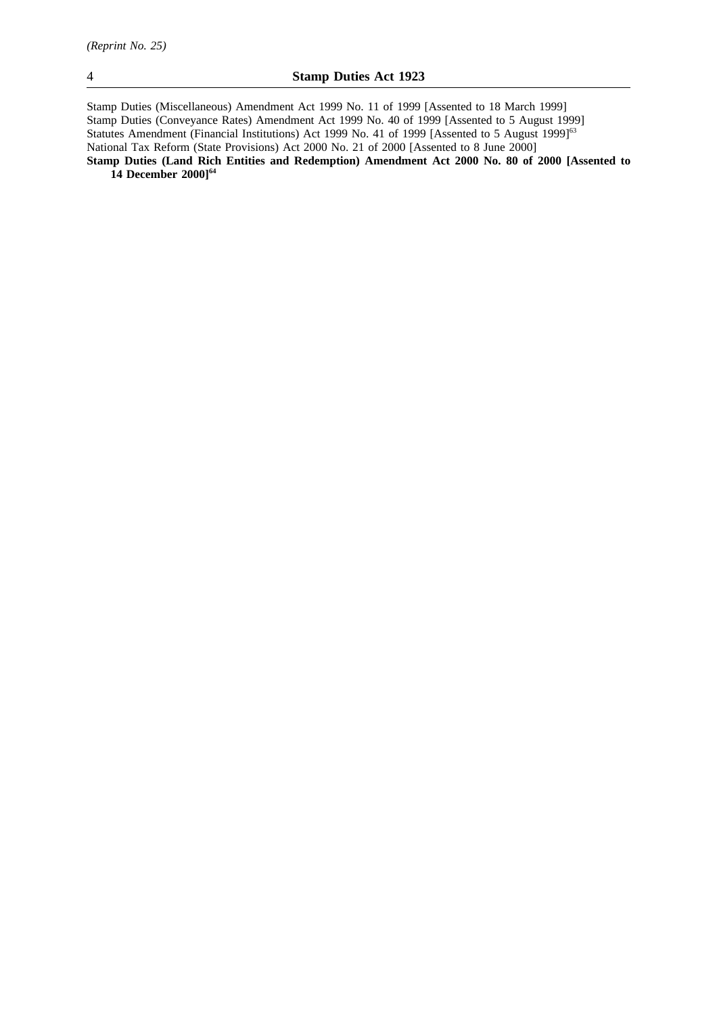Stamp Duties (Miscellaneous) Amendment Act 1999 No. 11 of 1999 [Assented to 18 March 1999] Stamp Duties (Conveyance Rates) Amendment Act 1999 No. 40 of 1999 [Assented to 5 August 1999] Statutes Amendment (Financial Institutions) Act 1999 No. 41 of 1999 [Assented to 5 August 1999]<sup>63</sup> National Tax Reform (State Provisions) Act 2000 No. 21 of 2000 [Assented to 8 June 2000] **Stamp Duties (Land Rich Entities and Redemption) Amendment Act 2000 No. 80 of 2000 [Assented to**

**14 December 2000]64**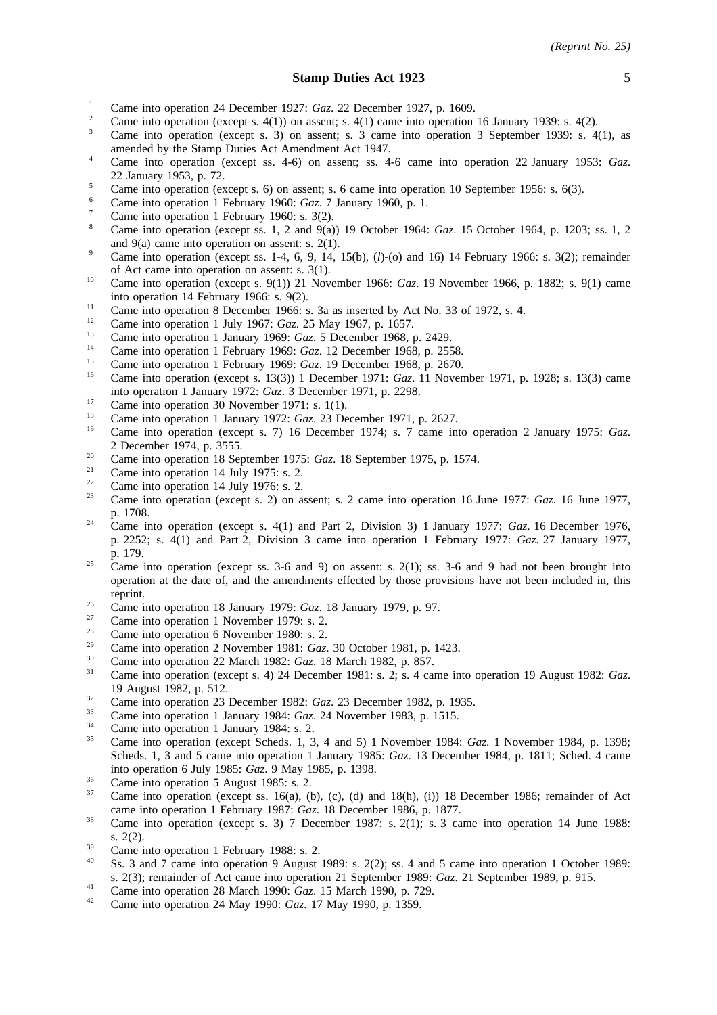- <sup>1</sup> Came into operation 24 December 1927: *Gaz.* 22 December 1927, p. 1609.
- <sup>2</sup> Came into operation (except s. 4(1)) on assent; s. 4(1) came into operation 16 January 1939: s. 4(2).
- <sup>3</sup> Came into operation (except s. 3) on assent; s. 3 came into operation 3 September 1939: s. 4(1), as amended by the Stamp Duties Act Amendment Act 1947.
- <sup>4</sup> Came into operation (except ss. 4-6) on assent; ss. 4-6 came into operation 22 January 1953: *Gaz*. 22 January 1953, p. 72.
- <sup>5</sup> Came into operation (except s. 6) on assent; s. 6 came into operation 10 September 1956: s. 6(3).
- <sup>6</sup> Came into operation 1 February 1960: *Gaz*. 7 January 1960, p. 1.
- Came into operation 1 February 1960: s. 3(2).
- <sup>8</sup> Came into operation (except ss. 1, 2 and 9(a)) 19 October 1964: *Gaz*. 15 October 1964, p. 1203; ss. 1, 2 and 9(a) came into operation on assent: s. 2(1).
- <sup>9</sup> Came into operation (except ss. 1-4, 6, 9, 14, 15(b),  $(l)$ -(o) and 16) 14 February 1966: s. 3(2); remainder of Act came into operation on assent: s. 3(1).
- <sup>10</sup> Came into operation (except s. 9(1)) 21 November 1966: *Gaz*. 19 November 1966, p. 1882; s. 9(1) came into operation 14 February 1966: s. 9(2).
- <sup>11</sup> Came into operation 8 December 1966: s. 3a as inserted by Act No. 33 of 1972, s. 4.
- <sup>12</sup> Came into operation 1 July 1967: *Gaz*. 25 May 1967, p. 1657.
- <sup>13</sup> Came into operation 1 January 1969: *Gaz*. 5 December 1968, p. 2429.
- <sup>14</sup> Came into operation 1 February 1969: *Gaz.* 12 December 1968, p. 2558.<br><sup>15</sup> Came into apartice 1 February 1969: *Gaz.* 19 December 1968, p. 2579.
- <sup>15</sup> Came into operation 1 February 1969: *Gaz*. 19 December 1968, p. 2670.
- <sup>16</sup> Came into operation (except s. 13(3)) 1 December 1971: *Gaz*. 11 November 1971, p. 1928; s. 13(3) came into operation 1 January 1972: *Gaz*. 3 December 1971, p. 2298.
- <sup>17</sup> Came into operation 30 November 1971: s. 1(1).
- <sup>18</sup> Came into operation 1 January 1972: *Gaz*. 23 December 1971, p. 2627.
- <sup>19</sup> Came into operation (except s. 7) 16 December 1974; s. 7 came into operation 2 January 1975: *Gaz*. 2 December 1974, p. 3555.
- <sup>20</sup> Came into operation 18 September 1975: *Gaz*. 18 September 1975, p. 1574.
- <sup>21</sup> Came into operation 14 July 1975: s. 2.<br>
<sup>22</sup> Came into operation 14 July 1976: s. 2.
- <sup>22</sup> Came into operation 14 July 1976: s. 2.<br><sup>23</sup> Came into operation (execute 2) on a
- <sup>23</sup> Came into operation (except s. 2) on assent; s. 2 came into operation 16 June 1977: *Gaz*. 16 June 1977, p. 1708.
- <sup>24</sup> Came into operation (except s. 4(1) and Part 2, Division 3) 1 January 1977: *Gaz*. 16 December 1976, p. 2252; s. 4(1) and Part 2, Division 3 came into operation 1 February 1977: *Gaz*. 27 January 1977, p. 179.
- <sup>25</sup> Came into operation (except ss. 3-6 and 9) on assent: s. 2(1); ss. 3-6 and 9 had not been brought into operation at the date of, and the amendments effected by those provisions have not been included in, this reprint.
- <sup>26</sup> Came into operation 18 January 1979: *Gaz*. 18 January 1979, p. 97.
- $\frac{27}{28}$  Came into operation 1 November 1979: s. 2.
- <sup>28</sup> Came into operation 6 November 1980: s. 2.
- <sup>29</sup> Came into operation 2 November 1981: *Gaz*. 30 October 1981, p. 1423.
- <sup>30</sup> Came into operation 22 March 1982: *Gaz*. 18 March 1982, p. 857.
- <sup>31</sup> Came into operation (except s. 4) 24 December 1981: s. 2; s. 4 came into operation 19 August 1982: *Gaz*. 19 August 1982, p. 512.
- <sup>32</sup> Came into operation 23 December 1982: *Gaz.* 23 December 1982, p. 1935.
- <sup>33</sup> Came into operation 1 January 1984: *Gaz*. 24 November 1983, p. 1515.
- $\frac{34}{35}$  Came into operation 1 January 1984: s. 2.
- <sup>35</sup> Came into operation (except Scheds. 1, 3, 4 and 5) 1 November 1984: *Gaz*. 1 November 1984, p. 1398; Scheds. 1, 3 and 5 came into operation 1 January 1985: *Gaz*. 13 December 1984, p. 1811; Sched. 4 came into operation 6 July 1985: *Gaz*. 9 May 1985, p. 1398.
- $\frac{36}{37}$  Came into operation 5 August 1985: s. 2.
- Came into operation (except ss. 16(a), (b), (c), (d) and  $18(h)$ , (i)) 18 December 1986; remainder of Act came into operation 1 February 1987: *Gaz*. 18 December 1986, p. 1877.
- <sup>38</sup> Came into operation (except s. 3) 7 December 1987: s. 2(1); s. 3 came into operation 14 June 1988: s. 2(2).
- $\frac{39}{40}$  Came into operation 1 February 1988: s. 2.
- Ss. 3 and 7 came into operation 9 August 1989: s. 2(2); ss. 4 and 5 came into operation 1 October 1989: s. 2(3); remainder of Act came into operation 21 September 1989: *Gaz*. 21 September 1989, p. 915.
- <sup>41</sup> Came into operation 28 March 1990: *Gaz*. 15 March 1990, p. 729.
- <sup>42</sup> Came into operation 24 May 1990: *Gaz*. 17 May 1990, p. 1359.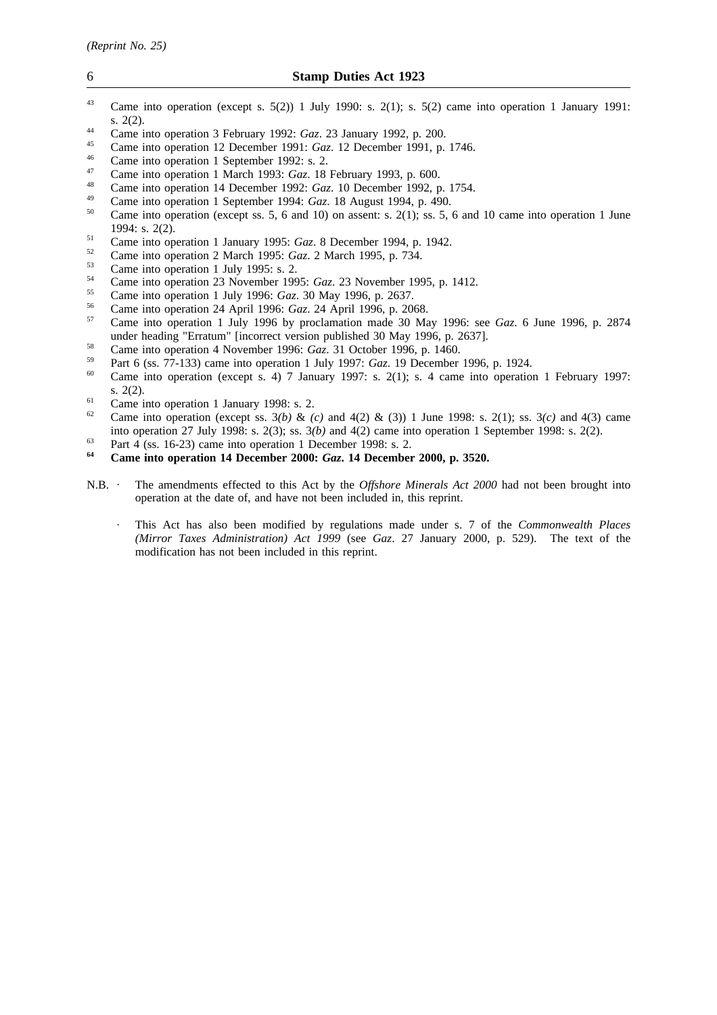- <sup>43</sup> Came into operation (except s. 5(2)) 1 July 1990: s. 2(1); s. 5(2) came into operation 1 January 1991: s. 2(2).
- <sup>44</sup> Came into operation 3 February 1992: *Gaz*. 23 January 1992, p. 200.
- <sup>45</sup> Came into operation 12 December 1991: *Gaz*. 12 December 1991, p. 1746.
- $^{46}$  Came into operation 1 September 1992: s. 2.
- <sup>47</sup> Came into operation 1 March 1993: *Gaz*. 18 February 1993, p. 600.
- <sup>48</sup> Came into operation 14 December 1992: *Gaz*. 10 December 1992, p. 1754.
- <sup>49</sup> Came into operation 1 September 1994: *Gaz*. 18 August 1994, p. 490.
- Came into operation (except ss. 5, 6 and 10) on assent: s. 2(1); ss. 5, 6 and 10 came into operation 1 June 1994: s. 2(2).
- <sup>51</sup> Came into operation 1 January 1995: *Gaz*. 8 December 1994, p. 1942.
- <sup>52</sup> Came into operation 2 March 1995: *Gaz*. 2 March 1995, p. 734.
- $^{53}$  Came into operation 1 July 1995: s. 2.
- <sup>54</sup> Came into operation 23 November 1995: *Gaz*. 23 November 1995, p. 1412.
- <sup>55</sup> Came into operation 1 July 1996: *Gaz*. 30 May 1996, p. 2637.
- <sup>56</sup> Came into operation 24 April 1996: *Gaz*. 24 April 1996, p. 2068.
- <sup>57</sup> Came into operation 1 July 1996 by proclamation made 30 May 1996: see *Gaz*. 6 June 1996, p. 2874 under heading "Erratum" [incorrect version published 30 May 1996, p. 2637].
- <sup>58</sup> Came into operation 4 November 1996: *Gaz*. 31 October 1996, p. 1460.
- <sup>59</sup> Part 6 (ss. 77-133) came into operation 1 July 1997: *Gaz*. 19 December 1996, p. 1924.
- Came into operation (except s. 4) 7 January 1997: s. 2(1); s. 4 came into operation 1 February 1997: s. 2(2).
- <sup>61</sup> Came into operation 1 January 1998: s. 2.<br><sup>62</sup> Came into operation (queent ss.  $2(h)$ , 8-
- <sup>62</sup> Came into operation (except ss. 3*(b)* & *(c)* and 4(2) & (3)) 1 June 1998: s. 2(1); ss. 3*(c)* and 4(3) came into operation 27 July 1998: s. 2(3); ss. 3*(b)* and 4(2) came into operation 1 September 1998: s. 2(2).
- <sup>63</sup><br>Bart 4 (ss. 16-23) came into operation 1 December 1998: s. 2.<br> $\frac{64}{2}$  Come into operation 14 December 2000: Car 14 December
- **<sup>64</sup> Came into operation 14 December 2000:** *Gaz***. 14 December 2000, p. 3520.**
- N.B. The amendments effected to this Act by the *Offshore Minerals Act 2000* had not been brought into operation at the date of, and have not been included in, this reprint.
	- This Act has also been modified by regulations made under s. 7 of the *Commonwealth Places (Mirror Taxes Administration) Act 1999* (see *Gaz*. 27 January 2000, p. 529). The text of the modification has not been included in this reprint.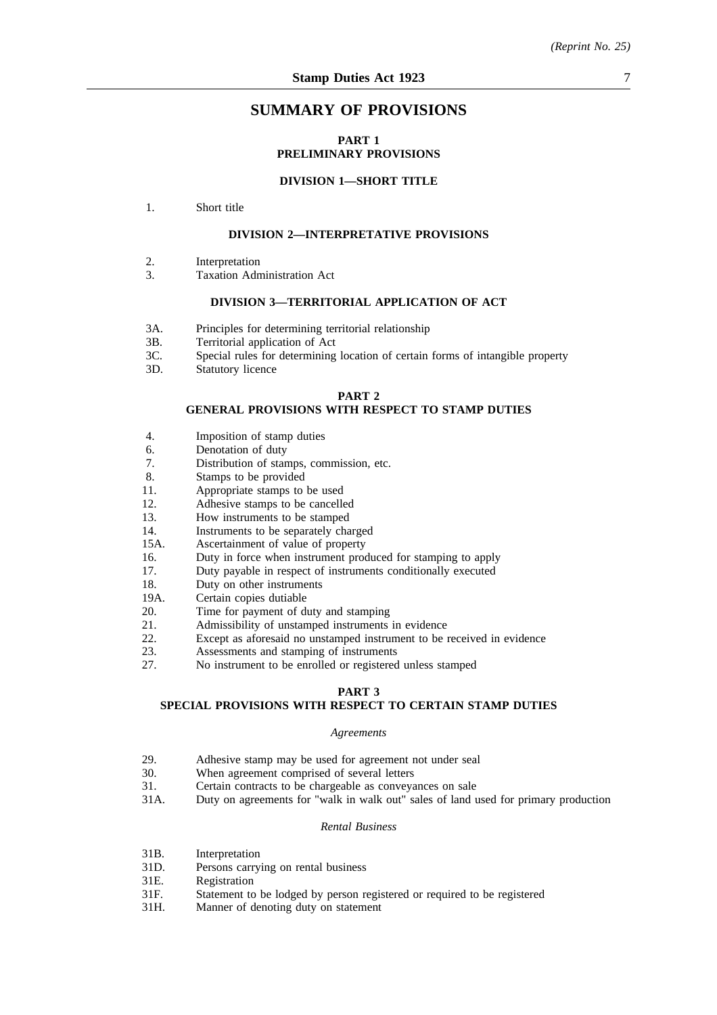# **SUMMARY OF PROVISIONS**

# **PART 1 PRELIMINARY PROVISIONS**

# **DIVISION 1—SHORT TITLE**

1. Short title

# **DIVISION 2—INTERPRETATIVE PROVISIONS**

- 2. Interpretation
- 3. Taxation Administration Act

# **DIVISION 3—TERRITORIAL APPLICATION OF ACT**

- 3A. Principles for determining territorial relationship
- 3B. Territorial application of Act
- 3C. Special rules for determining location of certain forms of intangible property
- 3D. Statutory licence

#### **PART 2**

# **GENERAL PROVISIONS WITH RESPECT TO STAMP DUTIES**

- 4. Imposition of stamp duties
- 6. Denotation of duty
- 7. Distribution of stamps, commission, etc.
- 8. Stamps to be provided
- 11. Appropriate stamps to be used
- 12. Adhesive stamps to be cancelled
- 13. How instruments to be stamped
- 14. Instruments to be separately charged
- 15A. Ascertainment of value of property
- 16. Duty in force when instrument produced for stamping to apply
- 17. Duty payable in respect of instruments conditionally executed
- 18. Duty on other instruments
- 19A. Certain copies dutiable
- 20. Time for payment of duty and stamping
- 21. Admissibility of unstamped instruments in evidence
- 22. Except as aforesaid no unstamped instrument to be received in evidence<br>23. Assessments and stamping of instruments
- 23. Assessments and stamping of instruments<br>27. No instrument to be enrolled or registered
- No instrument to be enrolled or registered unless stamped

# **PART 3**

# **SPECIAL PROVISIONS WITH RESPECT TO CERTAIN STAMP DUTIES**

#### *Agreements*

- 29. Adhesive stamp may be used for agreement not under seal<br>30. When agreement comprised of several letters
- 30. When agreement comprised of several letters<br>31. Certain contracts to be chargeable as conveva
- 31. Certain contracts to be chargeable as conveyances on sale<br>31A. Duty on agreements for "walk in walk out" sales of land r
- Duty on agreements for "walk in walk out" sales of land used for primary production

### *Rental Business*

- 31B. Interpretation
- 31D. Persons carrying on rental business
- 31E. Registration
- 31F. Statement to be lodged by person registered or required to be registered
- 31H. Manner of denoting duty on statement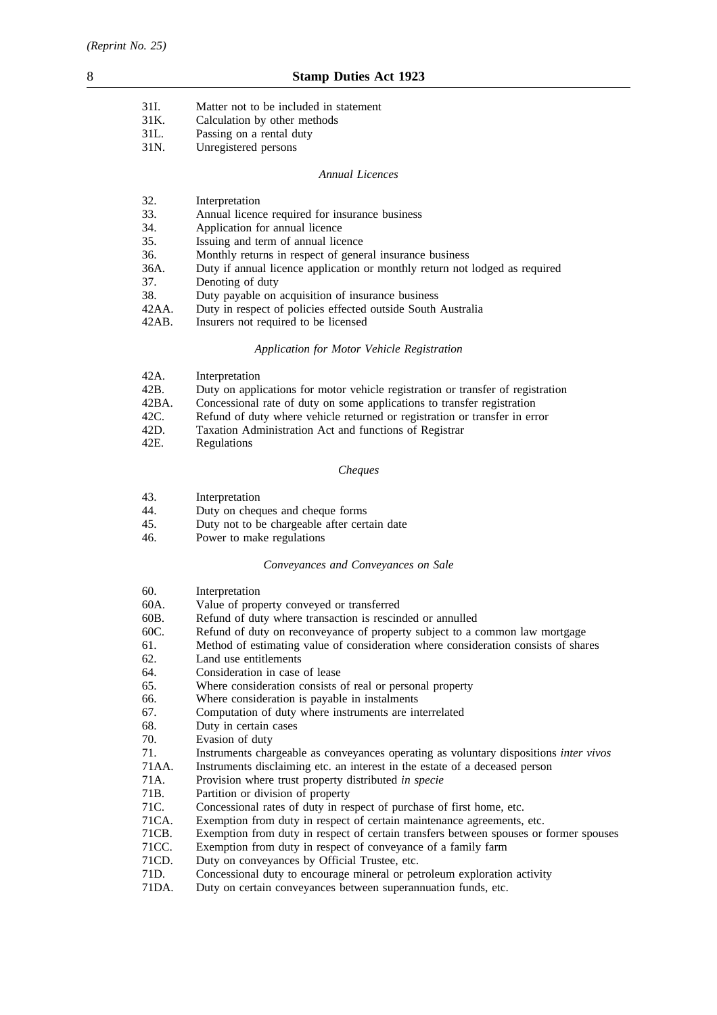| 31I. | Matter not to be included in statement |
|------|----------------------------------------|
| 31K. | Calculation by other methods           |
| 31L. | Passing on a rental duty               |
| 31N. | Unregistered persons                   |

#### *Annual Licences*

| 32.      | Interpretation                                                              |
|----------|-----------------------------------------------------------------------------|
| 33.      | Annual licence required for insurance business                              |
| 34.      | Application for annual licence                                              |
| 35.      | Issuing and term of annual licence                                          |
| 36.      | Monthly returns in respect of general insurance business                    |
| 36A.     | Duty if annual licence application or monthly return not lodged as required |
| 37.      | Denoting of duty                                                            |
| 38.      | Duty payable on acquisition of insurance business                           |
| 42AA.    | Duty in respect of policies effected outside South Australia                |
| $42AB$ . | Insurers not required to be licensed                                        |

# *Application for Motor Vehicle Registration*

| 42A.  | Interpretation                                                                  |
|-------|---------------------------------------------------------------------------------|
| 42B.  | Duty on applications for motor vehicle registration or transfer of registration |
| 42BA. | Concessional rate of duty on some applications to transfer registration         |
| 42C.  | Refund of duty where vehicle returned or registration or transfer in error      |
| 42D.  | Taxation Administration Act and functions of Registrar                          |
| 42E.  | Regulations                                                                     |
|       |                                                                                 |

# *Cheques*

| 43. | Interpretation |
|-----|----------------|
|-----|----------------|

44. Duty on cheques and cheque forms

- 45. Duty not to be chargeable after certain date
- 46. Power to make regulations

# *Conveyances and Conveyances on Sale*

| 60.   | Interpretation                                                                               |
|-------|----------------------------------------------------------------------------------------------|
| 60A.  | Value of property conveyed or transferred                                                    |
| 60B.  | Refund of duty where transaction is rescinded or annulled                                    |
| 60C.  | Refund of duty on reconveyance of property subject to a common law mortgage                  |
| 61.   | Method of estimating value of consideration where consideration consists of shares           |
| 62.   | Land use entitlements                                                                        |
| 64.   | Consideration in case of lease                                                               |
| 65.   | Where consideration consists of real or personal property                                    |
| 66.   | Where consideration is payable in instalments                                                |
| 67.   | Computation of duty where instruments are interrelated                                       |
| 68.   | Duty in certain cases                                                                        |
| 70.   | Evasion of duty                                                                              |
| 71.   | Instruments chargeable as conveyances operating as voluntary dispositions <i>inter vivos</i> |
| 71AA. | Instruments disclaiming etc. an interest in the estate of a deceased person                  |
| 71A.  | Provision where trust property distributed in specie                                         |
| 71B.  | Partition or division of property                                                            |
| 71C.  | Concessional rates of duty in respect of purchase of first home, etc.                        |
| 71CA. | Exemption from duty in respect of certain maintenance agreements, etc.                       |
| 71CB. | Exemption from duty in respect of certain transfers between spouses or former spouses        |
| 71CC. | Exemption from duty in respect of conveyance of a family farm                                |
| 71CD  | Duty on conveyances by Official Trustee, etc.                                                |

- 71CD. Duty on conveyances by Official Trustee, etc.<br>71D. Concessional duty to encourage mineral or pet
- 71D. Concessional duty to encourage mineral or petroleum exploration activity 71DA. Duty on certain conveyances between superannuation funds, etc.
- Duty on certain conveyances between superannuation funds, etc.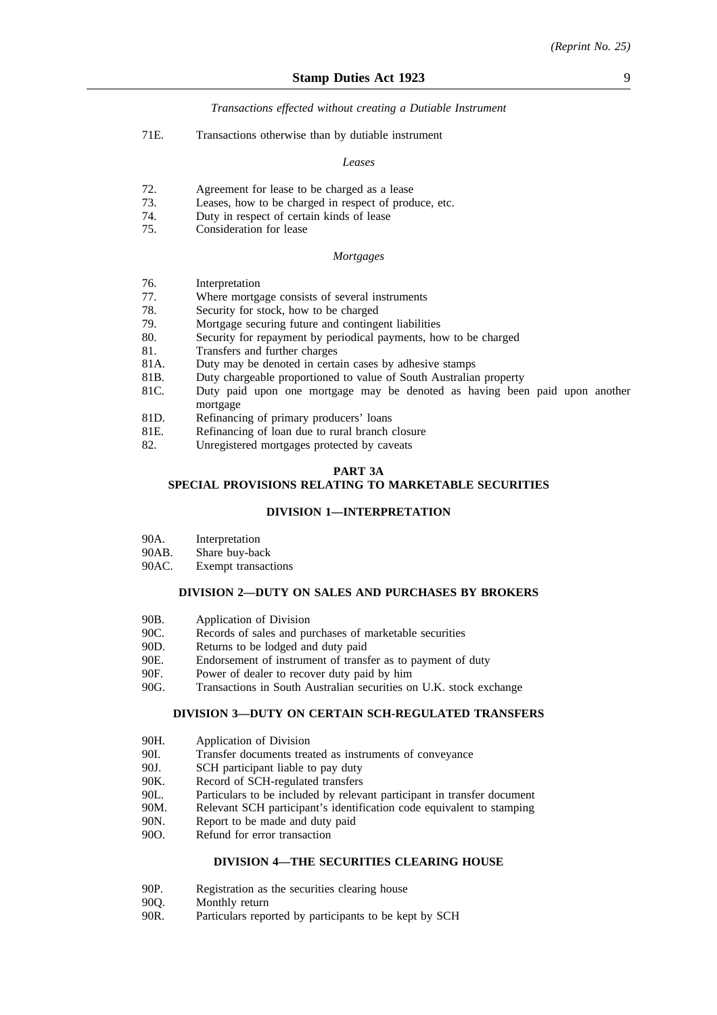# *Transactions effected without creating a Dutiable Instrument*

71E. Transactions otherwise than by dutiable instrument

#### *Leases*

- 72. Agreement for lease to be charged as a lease
- 73. Leases, how to be charged in respect of produce, etc.
- 74. Duty in respect of certain kinds of lease
- 75. Consideration for lease

#### *Mortgages*

- 76. Interpretation
- 77. Where mortgage consists of several instruments
- 78. Security for stock, how to be charged
- 79. Mortgage securing future and contingent liabilities<br>80. Security for repayment by periodical payments, ho
- Security for repayment by periodical payments, how to be charged
- 81. Transfers and further charges
- 81A. Duty may be denoted in certain cases by adhesive stamps
- 81B. Duty chargeable proportioned to value of South Australian property
- 81C. Duty paid upon one mortgage may be denoted as having been paid upon another mortgage
- 81D. Refinancing of primary producers' loans
- 81E. Refinancing of loan due to rural branch closure<br>82 Unregistered mortgages protected by caveats
- Unregistered mortgages protected by caveats

# **PART 3A**

# **SPECIAL PROVISIONS RELATING TO MARKETABLE SECURITIES**

### **DIVISION 1—INTERPRETATION**

- 90A. Interpretation
- 90AB. Share buy-back
- 90AC. Exempt transactions

### **DIVISION 2—DUTY ON SALES AND PURCHASES BY BROKERS**

- 90B. Application of Division
- 90C. Records of sales and purchases of marketable securities
- 90D. Returns to be lodged and duty paid
- 90E. Endorsement of instrument of transfer as to payment of duty
- 90F. Power of dealer to recover duty paid by him
- 90G. Transactions in South Australian securities on U.K. stock exchange

#### **DIVISION 3—DUTY ON CERTAIN SCH-REGULATED TRANSFERS**

- 90H. Application of Division
- 90I. Transfer documents treated as instruments of conveyance
- 90J. SCH participant liable to pay duty
- 90K. Record of SCH-regulated transfers
- 90L. Particulars to be included by relevant participant in transfer document
- 90M. Relevant SCH participant's identification code equivalent to stamping
- 90N. Report to be made and duty paid
- 90O. Refund for error transaction

# **DIVISION 4—THE SECURITIES CLEARING HOUSE**

- 90P. Registration as the securities clearing house
- 90Q. Monthly return<br>90R. Particulars repo
- Particulars reported by participants to be kept by SCH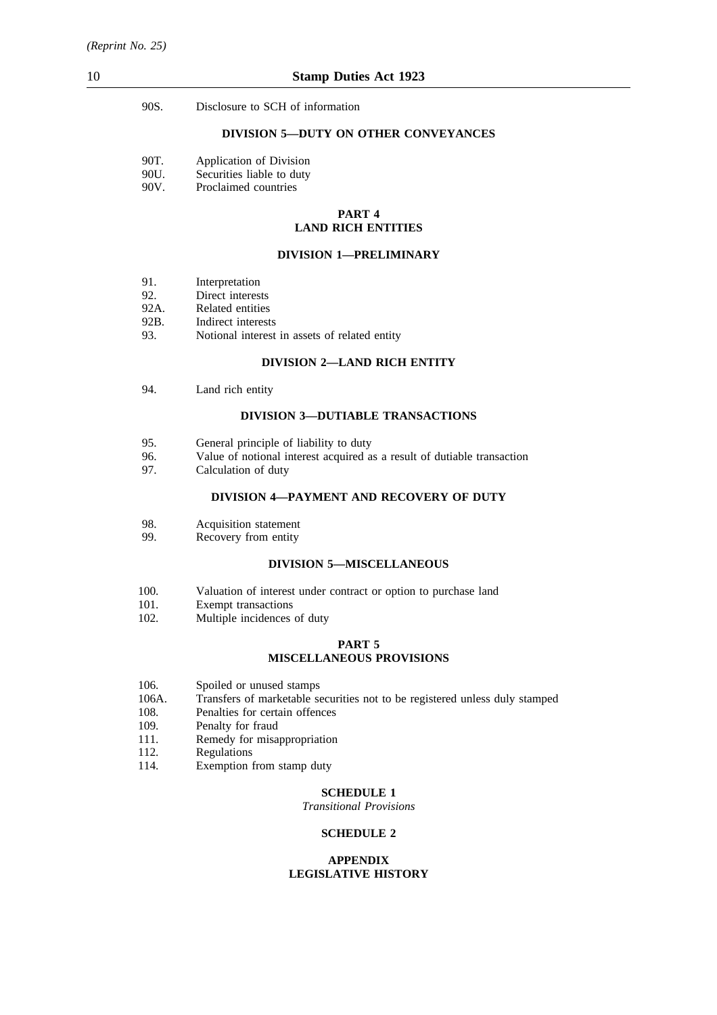| 90S.<br>Disclosure to SCH of information |  |
|------------------------------------------|--|
|------------------------------------------|--|

# **DIVISION 5—DUTY ON OTHER CONVEYANCES**

| 90T. | Application of Division |  |  |
|------|-------------------------|--|--|
|------|-------------------------|--|--|

- 90U. Securities liable to duty
- 90V. Proclaimed countries

# **PART 4 LAND RICH ENTITIES**

# **DIVISION 1—PRELIMINARY**

- 92. Direct interests
- 92A. Related entities
- 92B. Indirect interests
- 93. Notional interest in assets of related entity

# **DIVISION 2—LAND RICH ENTITY**

94. Land rich entity

### **DIVISION 3—DUTIABLE TRANSACTIONS**

- 95. General principle of liability to duty
- 96. Value of notional interest acquired as a result of dutiable transaction 97. Calculation of duty
- Calculation of duty

# **DIVISION 4—PAYMENT AND RECOVERY OF DUTY**

- 98. Acquisition statement
- 99. Recovery from entity

#### **DIVISION 5—MISCELLANEOUS**

- 100. Valuation of interest under contract or option to purchase land<br>101. Exempt transactions
- 101. Exempt transactions<br>102. Multiple incidences
- Multiple incidences of duty

# **PART 5 MISCELLANEOUS PROVISIONS**

- 106. Spoiled or unused stamps<br>106A. Transfers of marketable se
- 106A. Transfers of marketable securities not to be registered unless duly stamped 108. Penalties for certain offences
- 108. Penalties for certain offences<br>109. Penalty for fraud
- 109. Penalty for fraud<br>111. Remedy for misa
- 111. Remedy for misappropriation<br>112. Regulations
- Regulations
- 114. Exemption from stamp duty

# **SCHEDULE 1**

*Transitional Provisions*

# **SCHEDULE 2**

#### **APPENDIX LEGISLATIVE HISTORY**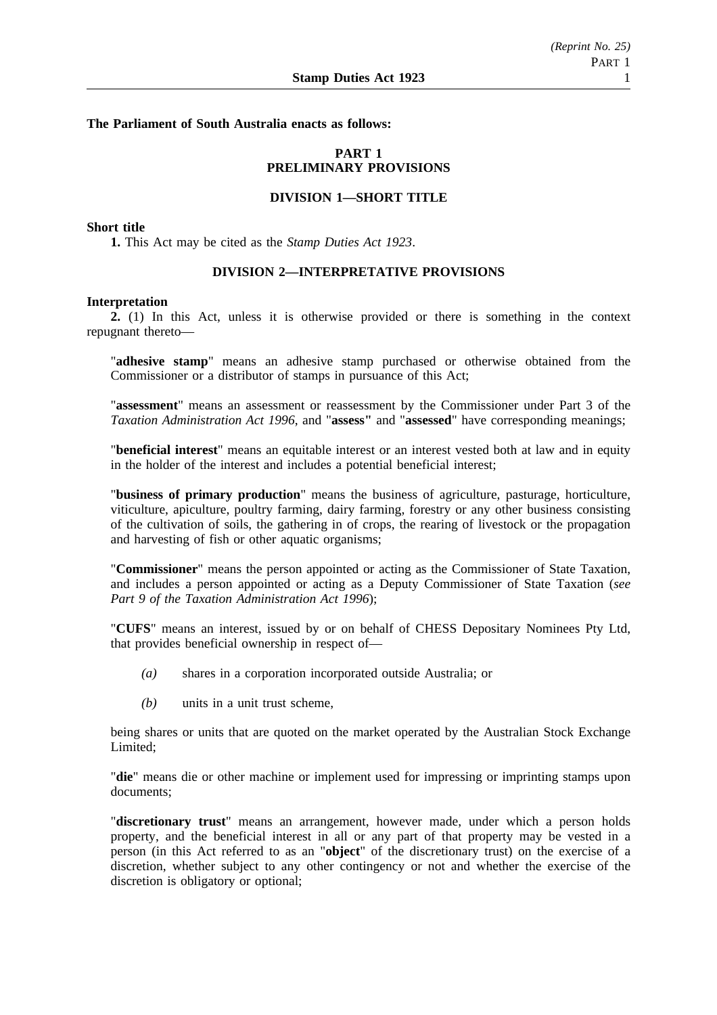**The Parliament of South Australia enacts as follows:**

# **PART 1 PRELIMINARY PROVISIONS**

# **DIVISION 1—SHORT TITLE**

# **Short title**

**1.** This Act may be cited as the *Stamp Duties Act 1923*.

# **DIVISION 2—INTERPRETATIVE PROVISIONS**

#### **Interpretation**

**2.** (1) In this Act, unless it is otherwise provided or there is something in the context repugnant thereto—

"**adhesive stamp**" means an adhesive stamp purchased or otherwise obtained from the Commissioner or a distributor of stamps in pursuance of this Act;

"**assessment**" means an assessment or reassessment by the Commissioner under Part 3 of the *Taxation Administration Act 1996*, and "**assess"** and "**assessed**" have corresponding meanings;

"**beneficial interest**" means an equitable interest or an interest vested both at law and in equity in the holder of the interest and includes a potential beneficial interest;

"**business of primary production**" means the business of agriculture, pasturage, horticulture, viticulture, apiculture, poultry farming, dairy farming, forestry or any other business consisting of the cultivation of soils, the gathering in of crops, the rearing of livestock or the propagation and harvesting of fish or other aquatic organisms;

"**Commissioner**" means the person appointed or acting as the Commissioner of State Taxation, and includes a person appointed or acting as a Deputy Commissioner of State Taxation (*see Part 9 of the Taxation Administration Act 1996*);

"**CUFS**" means an interest, issued by or on behalf of CHESS Depositary Nominees Pty Ltd, that provides beneficial ownership in respect of—

- *(a)* shares in a corporation incorporated outside Australia; or
- *(b)* units in a unit trust scheme,

being shares or units that are quoted on the market operated by the Australian Stock Exchange Limited;

"**die**" means die or other machine or implement used for impressing or imprinting stamps upon documents;

"**discretionary trust**" means an arrangement, however made, under which a person holds property, and the beneficial interest in all or any part of that property may be vested in a person (in this Act referred to as an "**object**" of the discretionary trust) on the exercise of a discretion, whether subject to any other contingency or not and whether the exercise of the discretion is obligatory or optional;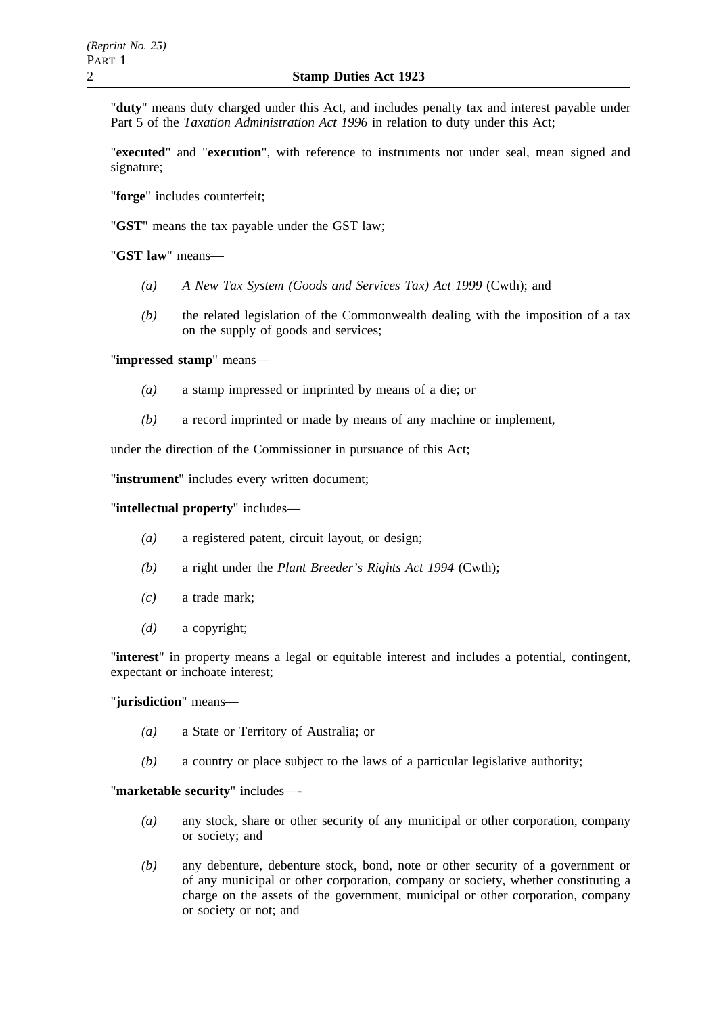"**duty**" means duty charged under this Act, and includes penalty tax and interest payable under Part 5 of the *Taxation Administration Act 1996* in relation to duty under this Act;

"**executed**" and "**execution**", with reference to instruments not under seal, mean signed and signature;

"**forge**" includes counterfeit;

"**GST**" means the tax payable under the GST law;

"**GST law**" means—

- *(a) A New Tax System (Goods and Services Tax) Act 1999* (Cwth); and
- *(b)* the related legislation of the Commonwealth dealing with the imposition of a tax on the supply of goods and services;

"**impressed stamp**" means—

- *(a)* a stamp impressed or imprinted by means of a die; or
- *(b)* a record imprinted or made by means of any machine or implement,

under the direction of the Commissioner in pursuance of this Act;

"**instrument**" includes every written document;

"**intellectual property**" includes—

- *(a)* a registered patent, circuit layout, or design;
- *(b)* a right under the *Plant Breeder's Rights Act 1994* (Cwth);
- *(c)* a trade mark;
- *(d)* a copyright;

"**interest**" in property means a legal or equitable interest and includes a potential, contingent, expectant or inchoate interest;

# "**jurisdiction**" means—

- *(a)* a State or Territory of Australia; or
- *(b)* a country or place subject to the laws of a particular legislative authority;

"**marketable security**" includes—-

- *(a)* any stock, share or other security of any municipal or other corporation, company or society; and
- *(b)* any debenture, debenture stock, bond, note or other security of a government or of any municipal or other corporation, company or society, whether constituting a charge on the assets of the government, municipal or other corporation, company or society or not; and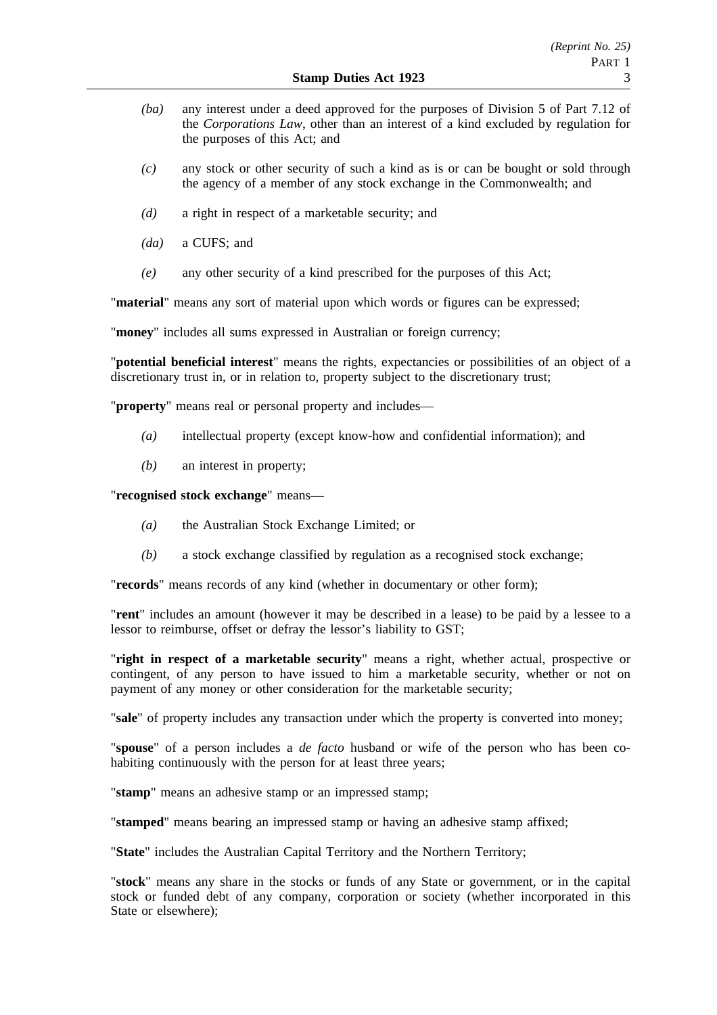- *(ba)* any interest under a deed approved for the purposes of Division 5 of Part 7.12 of the *Corporations Law*, other than an interest of a kind excluded by regulation for the purposes of this Act; and
- *(c)* any stock or other security of such a kind as is or can be bought or sold through the agency of a member of any stock exchange in the Commonwealth; and
- *(d)* a right in respect of a marketable security; and
- *(da)* a CUFS; and
- *(e)* any other security of a kind prescribed for the purposes of this Act;

"**material**" means any sort of material upon which words or figures can be expressed;

"**money**" includes all sums expressed in Australian or foreign currency;

"**potential beneficial interest**" means the rights, expectancies or possibilities of an object of a discretionary trust in, or in relation to, property subject to the discretionary trust;

"**property**" means real or personal property and includes—

- *(a)* intellectual property (except know-how and confidential information); and
- *(b)* an interest in property;

"**recognised stock exchange**" means—

- *(a)* the Australian Stock Exchange Limited; or
- *(b)* a stock exchange classified by regulation as a recognised stock exchange;

"**records**" means records of any kind (whether in documentary or other form);

"**rent**" includes an amount (however it may be described in a lease) to be paid by a lessee to a lessor to reimburse, offset or defray the lessor's liability to GST;

"**right in respect of a marketable security**" means a right, whether actual, prospective or contingent, of any person to have issued to him a marketable security, whether or not on payment of any money or other consideration for the marketable security;

"**sale**" of property includes any transaction under which the property is converted into money;

"**spouse**" of a person includes a *de facto* husband or wife of the person who has been cohabiting continuously with the person for at least three years;

"**stamp**" means an adhesive stamp or an impressed stamp;

"**stamped**" means bearing an impressed stamp or having an adhesive stamp affixed;

"**State**" includes the Australian Capital Territory and the Northern Territory;

"**stock**" means any share in the stocks or funds of any State or government, or in the capital stock or funded debt of any company, corporation or society (whether incorporated in this State or elsewhere);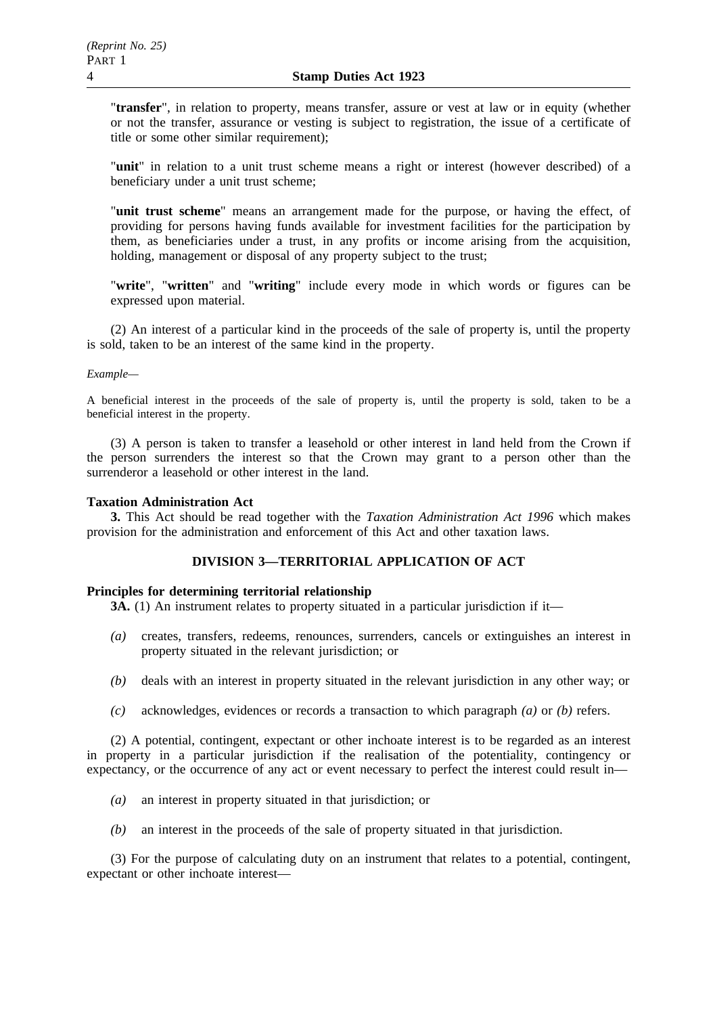"**transfer**", in relation to property, means transfer, assure or vest at law or in equity (whether or not the transfer, assurance or vesting is subject to registration, the issue of a certificate of title or some other similar requirement);

"**unit**" in relation to a unit trust scheme means a right or interest (however described) of a beneficiary under a unit trust scheme;

"**unit trust scheme**" means an arrangement made for the purpose, or having the effect, of providing for persons having funds available for investment facilities for the participation by them, as beneficiaries under a trust, in any profits or income arising from the acquisition, holding, management or disposal of any property subject to the trust;

"**write**", "**written**" and "**writing**" include every mode in which words or figures can be expressed upon material.

(2) An interest of a particular kind in the proceeds of the sale of property is, until the property is sold, taken to be an interest of the same kind in the property.

# *Example—*

A beneficial interest in the proceeds of the sale of property is, until the property is sold, taken to be a beneficial interest in the property.

(3) A person is taken to transfer a leasehold or other interest in land held from the Crown if the person surrenders the interest so that the Crown may grant to a person other than the surrenderor a leasehold or other interest in the land.

# **Taxation Administration Act**

**3.** This Act should be read together with the *Taxation Administration Act 1996* which makes provision for the administration and enforcement of this Act and other taxation laws.

# **DIVISION 3—TERRITORIAL APPLICATION OF ACT**

# **Principles for determining territorial relationship**

**3A.** (1) An instrument relates to property situated in a particular jurisdiction if it—

- *(a)* creates, transfers, redeems, renounces, surrenders, cancels or extinguishes an interest in property situated in the relevant jurisdiction; or
- *(b)* deals with an interest in property situated in the relevant jurisdiction in any other way; or
- *(c)* acknowledges, evidences or records a transaction to which paragraph *(a)* or *(b)* refers.

(2) A potential, contingent, expectant or other inchoate interest is to be regarded as an interest in property in a particular jurisdiction if the realisation of the potentiality, contingency or expectancy, or the occurrence of any act or event necessary to perfect the interest could result in—

- *(a)* an interest in property situated in that jurisdiction; or
- *(b)* an interest in the proceeds of the sale of property situated in that jurisdiction.

(3) For the purpose of calculating duty on an instrument that relates to a potential, contingent, expectant or other inchoate interest—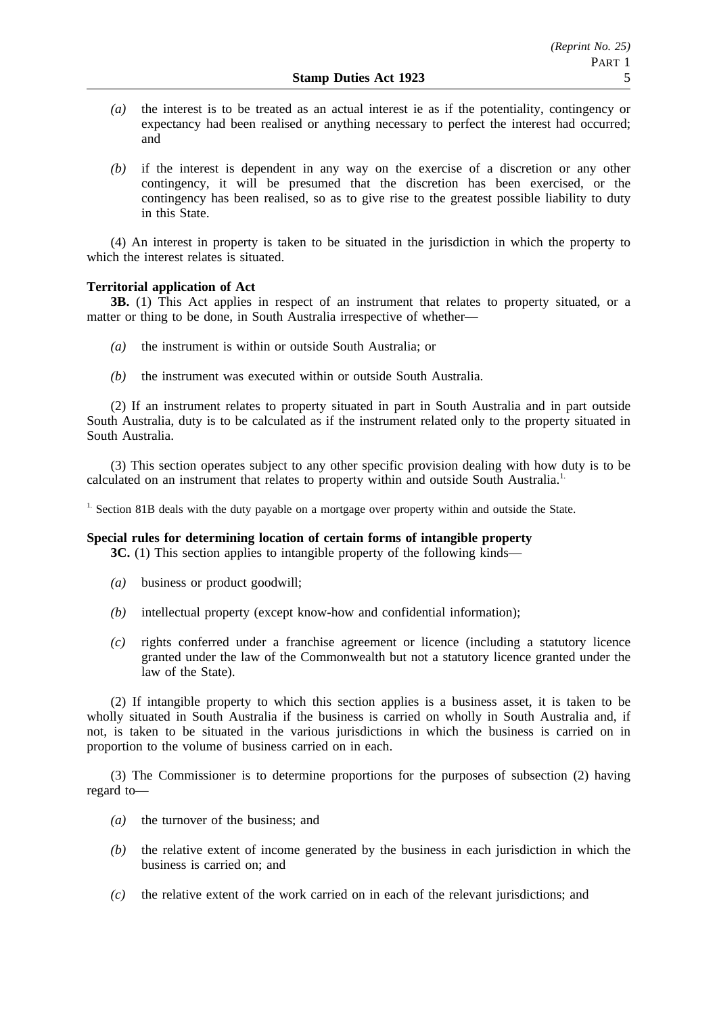- *(a)* the interest is to be treated as an actual interest ie as if the potentiality, contingency or expectancy had been realised or anything necessary to perfect the interest had occurred; and
- *(b)* if the interest is dependent in any way on the exercise of a discretion or any other contingency, it will be presumed that the discretion has been exercised, or the contingency has been realised, so as to give rise to the greatest possible liability to duty in this State.

(4) An interest in property is taken to be situated in the jurisdiction in which the property to which the interest relates is situated.

# **Territorial application of Act**

**3B.** (1) This Act applies in respect of an instrument that relates to property situated, or a matter or thing to be done, in South Australia irrespective of whether—

- *(a)* the instrument is within or outside South Australia; or
- *(b)* the instrument was executed within or outside South Australia.

(2) If an instrument relates to property situated in part in South Australia and in part outside South Australia, duty is to be calculated as if the instrument related only to the property situated in South Australia.

(3) This section operates subject to any other specific provision dealing with how duty is to be calculated on an instrument that relates to property within and outside South Australia.<sup>1.</sup>

<sup>1.</sup> Section 81B deals with the duty payable on a mortgage over property within and outside the State.

# **Special rules for determining location of certain forms of intangible property**

**3C.** (1) This section applies to intangible property of the following kinds–

- *(a)* business or product goodwill;
- *(b)* intellectual property (except know-how and confidential information);
- *(c)* rights conferred under a franchise agreement or licence (including a statutory licence granted under the law of the Commonwealth but not a statutory licence granted under the law of the State).

(2) If intangible property to which this section applies is a business asset, it is taken to be wholly situated in South Australia if the business is carried on wholly in South Australia and, if not, is taken to be situated in the various jurisdictions in which the business is carried on in proportion to the volume of business carried on in each.

(3) The Commissioner is to determine proportions for the purposes of subsection (2) having regard to—

- *(a)* the turnover of the business; and
- *(b)* the relative extent of income generated by the business in each jurisdiction in which the business is carried on; and
- *(c)* the relative extent of the work carried on in each of the relevant jurisdictions; and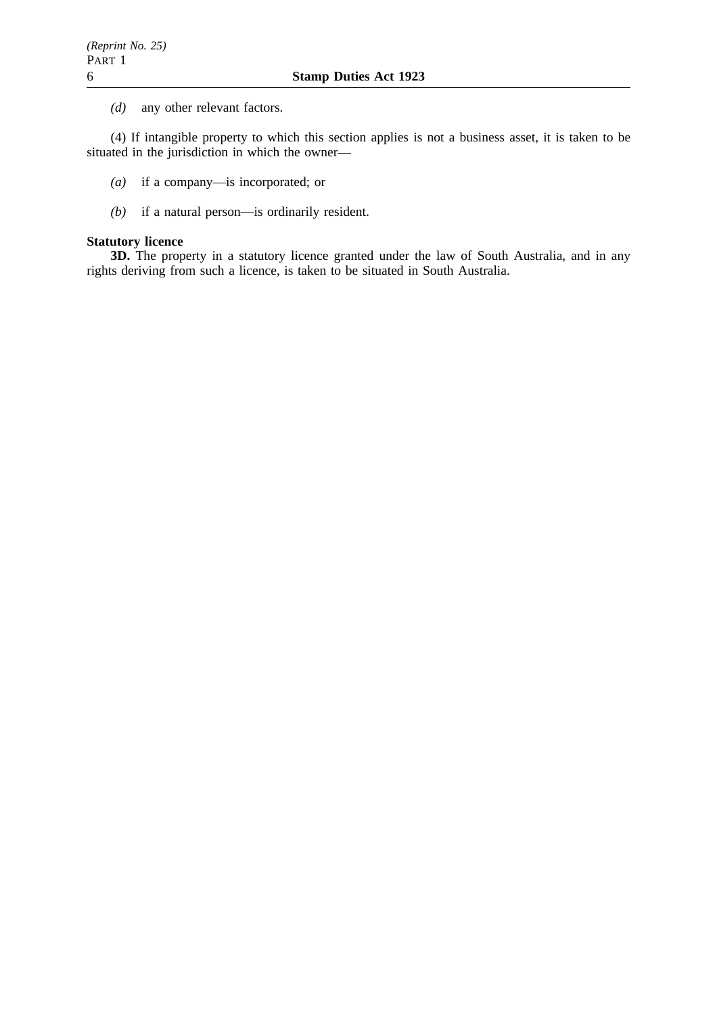*(d)* any other relevant factors.

(4) If intangible property to which this section applies is not a business asset, it is taken to be situated in the jurisdiction in which the owner—

- *(a)* if a company—is incorporated; or
- *(b)* if a natural person—is ordinarily resident.

# **Statutory licence**

**3D.** The property in a statutory licence granted under the law of South Australia, and in any rights deriving from such a licence, is taken to be situated in South Australia.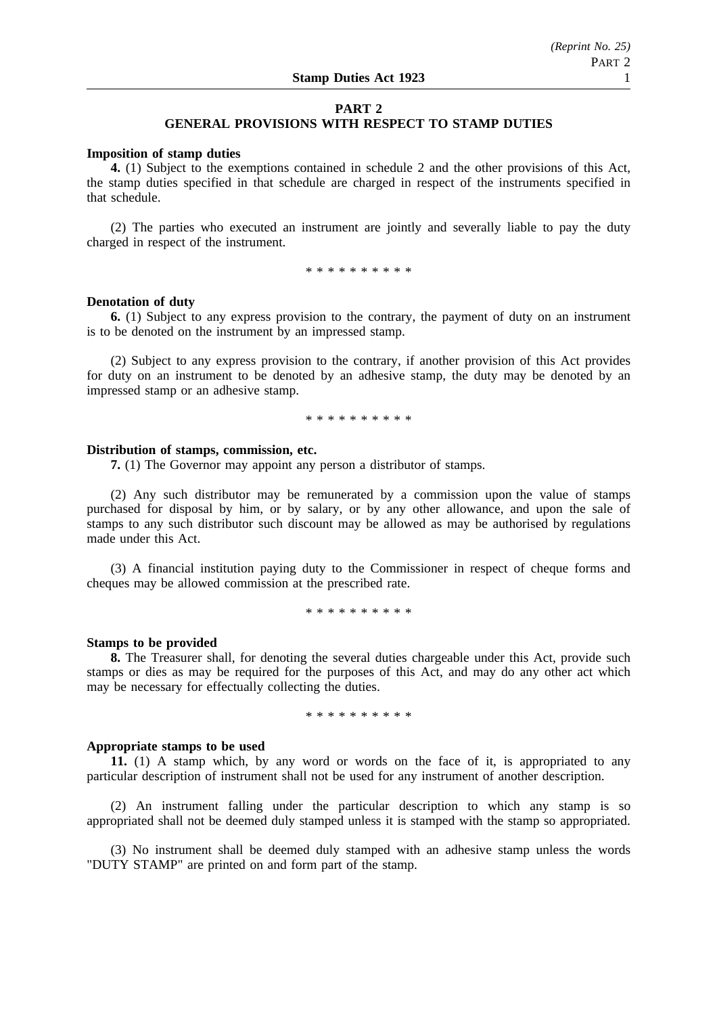# **PART 2**

# **GENERAL PROVISIONS WITH RESPECT TO STAMP DUTIES**

#### **Imposition of stamp duties**

**4.** (1) Subject to the exemptions contained in schedule 2 and the other provisions of this Act, the stamp duties specified in that schedule are charged in respect of the instruments specified in that schedule.

(2) The parties who executed an instrument are jointly and severally liable to pay the duty charged in respect of the instrument.

\*\*\*\*\*\*\*\*\*\*

### **Denotation of duty**

**6.** (1) Subject to any express provision to the contrary, the payment of duty on an instrument is to be denoted on the instrument by an impressed stamp.

(2) Subject to any express provision to the contrary, if another provision of this Act provides for duty on an instrument to be denoted by an adhesive stamp, the duty may be denoted by an impressed stamp or an adhesive stamp.

\*\*\*\*\*\*\*\*\*\*

### **Distribution of stamps, commission, etc.**

**7.** (1) The Governor may appoint any person a distributor of stamps.

(2) Any such distributor may be remunerated by a commission upon the value of stamps purchased for disposal by him, or by salary, or by any other allowance, and upon the sale of stamps to any such distributor such discount may be allowed as may be authorised by regulations made under this Act.

(3) A financial institution paying duty to the Commissioner in respect of cheque forms and cheques may be allowed commission at the prescribed rate.

\*\*\*\*\*\*\*\*\*\*

#### **Stamps to be provided**

**8.** The Treasurer shall, for denoting the several duties chargeable under this Act, provide such stamps or dies as may be required for the purposes of this Act, and may do any other act which may be necessary for effectually collecting the duties.

\*\*\*\*\*\*\*\*\*\*

#### **Appropriate stamps to be used**

**11.** (1) A stamp which, by any word or words on the face of it, is appropriated to any particular description of instrument shall not be used for any instrument of another description.

(2) An instrument falling under the particular description to which any stamp is so appropriated shall not be deemed duly stamped unless it is stamped with the stamp so appropriated.

(3) No instrument shall be deemed duly stamped with an adhesive stamp unless the words "DUTY STAMP" are printed on and form part of the stamp.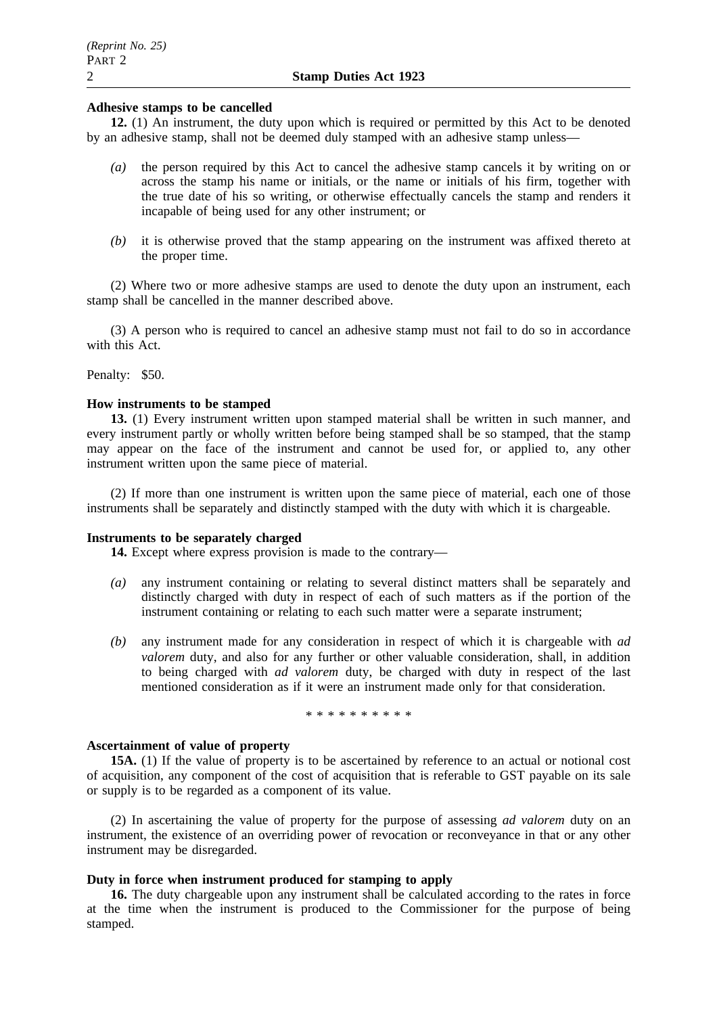# **Adhesive stamps to be cancelled**

**12.** (1) An instrument, the duty upon which is required or permitted by this Act to be denoted by an adhesive stamp, shall not be deemed duly stamped with an adhesive stamp unless—

- *(a)* the person required by this Act to cancel the adhesive stamp cancels it by writing on or across the stamp his name or initials, or the name or initials of his firm, together with the true date of his so writing, or otherwise effectually cancels the stamp and renders it incapable of being used for any other instrument; or
- *(b)* it is otherwise proved that the stamp appearing on the instrument was affixed thereto at the proper time.

(2) Where two or more adhesive stamps are used to denote the duty upon an instrument, each stamp shall be cancelled in the manner described above.

(3) A person who is required to cancel an adhesive stamp must not fail to do so in accordance with this Act.

Penalty: \$50.

#### **How instruments to be stamped**

**13.** (1) Every instrument written upon stamped material shall be written in such manner, and every instrument partly or wholly written before being stamped shall be so stamped, that the stamp may appear on the face of the instrument and cannot be used for, or applied to, any other instrument written upon the same piece of material.

(2) If more than one instrument is written upon the same piece of material, each one of those instruments shall be separately and distinctly stamped with the duty with which it is chargeable.

#### **Instruments to be separately charged**

**14.** Except where express provision is made to the contrary—

- *(a)* any instrument containing or relating to several distinct matters shall be separately and distinctly charged with duty in respect of each of such matters as if the portion of the instrument containing or relating to each such matter were a separate instrument;
- *(b)* any instrument made for any consideration in respect of which it is chargeable with *ad valorem* duty, and also for any further or other valuable consideration, shall, in addition to being charged with *ad valorem* duty, be charged with duty in respect of the last mentioned consideration as if it were an instrument made only for that consideration.

\*\*\*\*\*\*\*\*\*\*

# **Ascertainment of value of property**

**15A.** (1) If the value of property is to be ascertained by reference to an actual or notional cost of acquisition, any component of the cost of acquisition that is referable to GST payable on its sale or supply is to be regarded as a component of its value.

(2) In ascertaining the value of property for the purpose of assessing *ad valorem* duty on an instrument, the existence of an overriding power of revocation or reconveyance in that or any other instrument may be disregarded.

# **Duty in force when instrument produced for stamping to apply**

**16.** The duty chargeable upon any instrument shall be calculated according to the rates in force at the time when the instrument is produced to the Commissioner for the purpose of being stamped.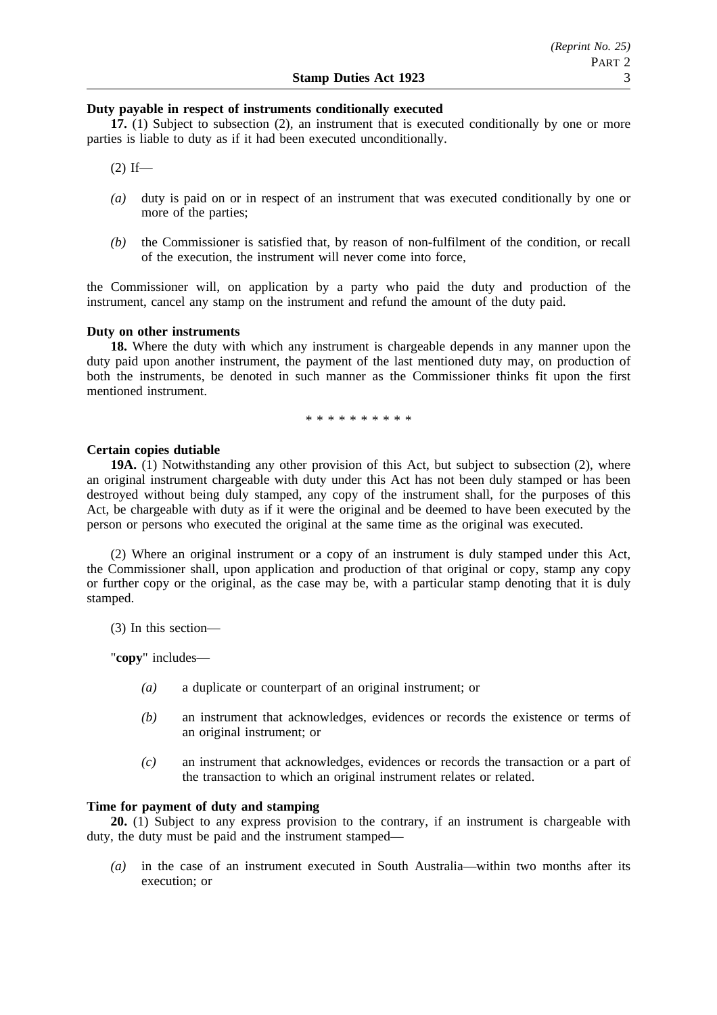### **Duty payable in respect of instruments conditionally executed**

**17.** (1) Subject to subsection (2), an instrument that is executed conditionally by one or more parties is liable to duty as if it had been executed unconditionally.

 $(2)$  If—

- *(a)* duty is paid on or in respect of an instrument that was executed conditionally by one or more of the parties;
- *(b)* the Commissioner is satisfied that, by reason of non-fulfilment of the condition, or recall of the execution, the instrument will never come into force,

the Commissioner will, on application by a party who paid the duty and production of the instrument, cancel any stamp on the instrument and refund the amount of the duty paid.

# **Duty on other instruments**

**18.** Where the duty with which any instrument is chargeable depends in any manner upon the duty paid upon another instrument, the payment of the last mentioned duty may, on production of both the instruments, be denoted in such manner as the Commissioner thinks fit upon the first mentioned instrument.

\*\*\*\*\*\*\*\*\*\*

# **Certain copies dutiable**

**19A.** (1) Notwithstanding any other provision of this Act, but subject to subsection (2), where an original instrument chargeable with duty under this Act has not been duly stamped or has been destroyed without being duly stamped, any copy of the instrument shall, for the purposes of this Act, be chargeable with duty as if it were the original and be deemed to have been executed by the person or persons who executed the original at the same time as the original was executed.

(2) Where an original instrument or a copy of an instrument is duly stamped under this Act, the Commissioner shall, upon application and production of that original or copy, stamp any copy or further copy or the original, as the case may be, with a particular stamp denoting that it is duly stamped.

(3) In this section—

"**copy**" includes—

- *(a)* a duplicate or counterpart of an original instrument; or
- *(b)* an instrument that acknowledges, evidences or records the existence or terms of an original instrument; or
- *(c)* an instrument that acknowledges, evidences or records the transaction or a part of the transaction to which an original instrument relates or related.

# **Time for payment of duty and stamping**

**20.** (1) Subject to any express provision to the contrary, if an instrument is chargeable with duty, the duty must be paid and the instrument stamped—

*(a)* in the case of an instrument executed in South Australia—within two months after its execution; or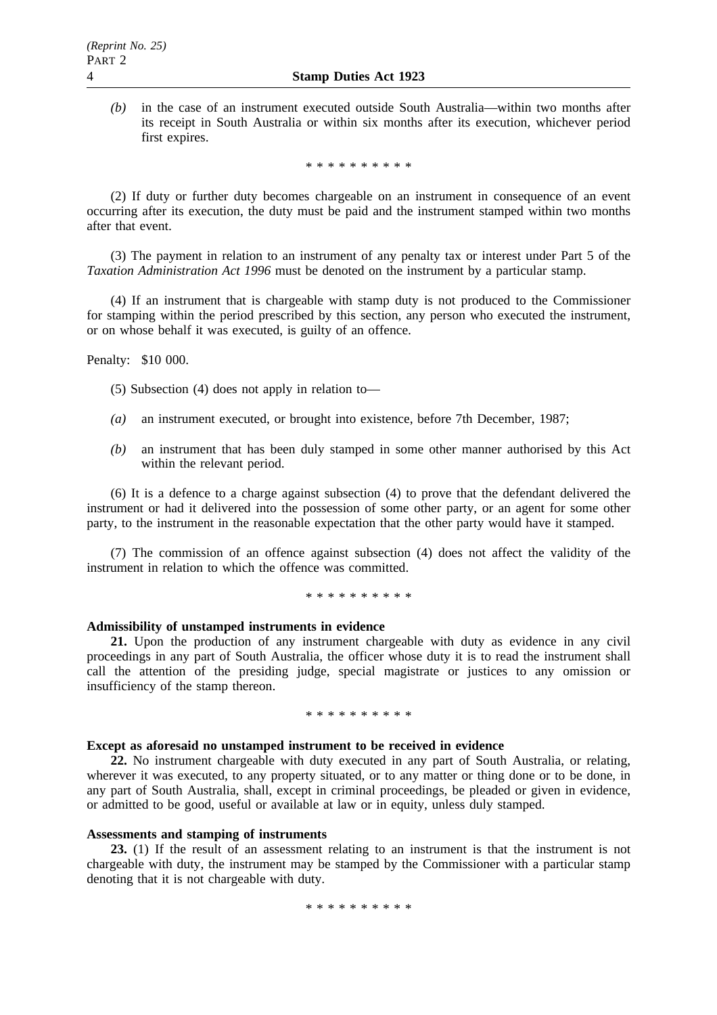*(b)* in the case of an instrument executed outside South Australia—within two months after its receipt in South Australia or within six months after its execution, whichever period first expires.

\*\*\*\*\*\*\*\*\*\*

(2) If duty or further duty becomes chargeable on an instrument in consequence of an event occurring after its execution, the duty must be paid and the instrument stamped within two months after that event.

(3) The payment in relation to an instrument of any penalty tax or interest under Part 5 of the *Taxation Administration Act 1996* must be denoted on the instrument by a particular stamp.

(4) If an instrument that is chargeable with stamp duty is not produced to the Commissioner for stamping within the period prescribed by this section, any person who executed the instrument, or on whose behalf it was executed, is guilty of an offence.

Penalty: \$10 000.

(5) Subsection (4) does not apply in relation to—

- *(a)* an instrument executed, or brought into existence, before 7th December, 1987;
- *(b)* an instrument that has been duly stamped in some other manner authorised by this Act within the relevant period.

(6) It is a defence to a charge against subsection (4) to prove that the defendant delivered the instrument or had it delivered into the possession of some other party, or an agent for some other party, to the instrument in the reasonable expectation that the other party would have it stamped.

(7) The commission of an offence against subsection (4) does not affect the validity of the instrument in relation to which the offence was committed.

\*\*\*\*\*\*\*\*\*\*

# **Admissibility of unstamped instruments in evidence**

**21.** Upon the production of any instrument chargeable with duty as evidence in any civil proceedings in any part of South Australia, the officer whose duty it is to read the instrument shall call the attention of the presiding judge, special magistrate or justices to any omission or insufficiency of the stamp thereon.

#### \* \* \* \* \* \* \* \* \*

# **Except as aforesaid no unstamped instrument to be received in evidence**

**22.** No instrument chargeable with duty executed in any part of South Australia, or relating, wherever it was executed, to any property situated, or to any matter or thing done or to be done, in any part of South Australia, shall, except in criminal proceedings, be pleaded or given in evidence, or admitted to be good, useful or available at law or in equity, unless duly stamped.

### **Assessments and stamping of instruments**

**23.** (1) If the result of an assessment relating to an instrument is that the instrument is not chargeable with duty, the instrument may be stamped by the Commissioner with a particular stamp denoting that it is not chargeable with duty.

\*\*\*\*\*\*\*\*\*\*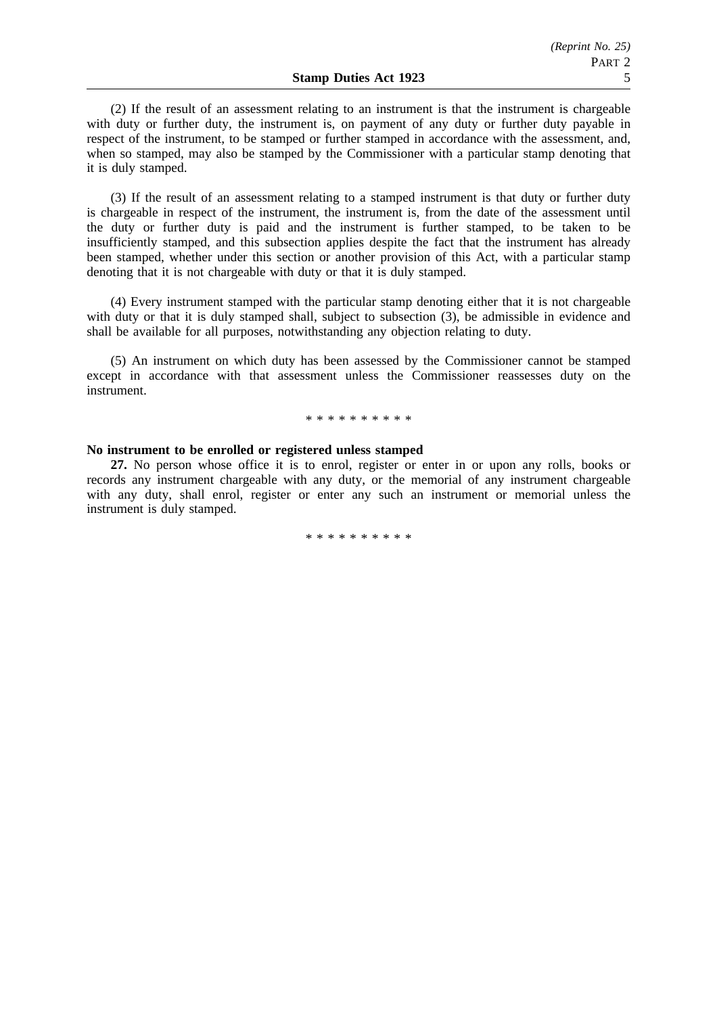(2) If the result of an assessment relating to an instrument is that the instrument is chargeable with duty or further duty, the instrument is, on payment of any duty or further duty payable in respect of the instrument, to be stamped or further stamped in accordance with the assessment, and, when so stamped, may also be stamped by the Commissioner with a particular stamp denoting that it is duly stamped.

(3) If the result of an assessment relating to a stamped instrument is that duty or further duty is chargeable in respect of the instrument, the instrument is, from the date of the assessment until the duty or further duty is paid and the instrument is further stamped, to be taken to be insufficiently stamped, and this subsection applies despite the fact that the instrument has already been stamped, whether under this section or another provision of this Act, with a particular stamp denoting that it is not chargeable with duty or that it is duly stamped.

(4) Every instrument stamped with the particular stamp denoting either that it is not chargeable with duty or that it is duly stamped shall, subject to subsection (3), be admissible in evidence and shall be available for all purposes, notwithstanding any objection relating to duty.

(5) An instrument on which duty has been assessed by the Commissioner cannot be stamped except in accordance with that assessment unless the Commissioner reassesses duty on the instrument.

#### \*\*\*\*\*\*\*\*\*\*

#### **No instrument to be enrolled or registered unless stamped**

**27.** No person whose office it is to enrol, register or enter in or upon any rolls, books or records any instrument chargeable with any duty, or the memorial of any instrument chargeable with any duty, shall enrol, register or enter any such an instrument or memorial unless the instrument is duly stamped.

\*\*\*\*\*\*\*\*\*\*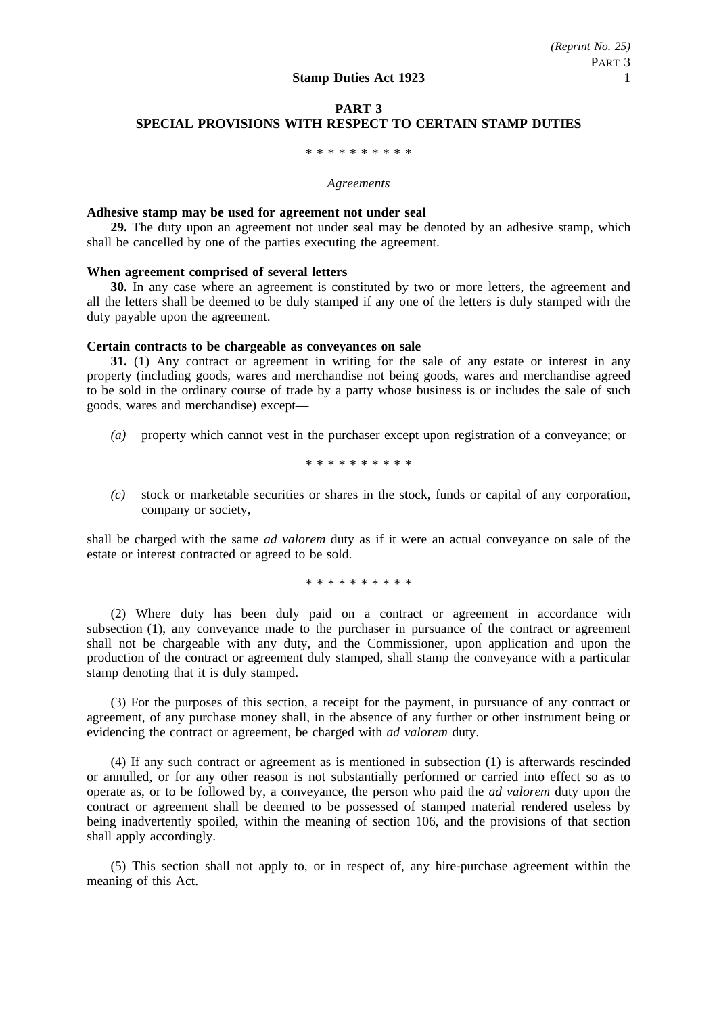# **PART 3 SPECIAL PROVISIONS WITH RESPECT TO CERTAIN STAMP DUTIES**

# \*\*\*\*\*\*\*\*\*\*

#### *Agreements*

#### **Adhesive stamp may be used for agreement not under seal**

**29.** The duty upon an agreement not under seal may be denoted by an adhesive stamp, which shall be cancelled by one of the parties executing the agreement.

# **When agreement comprised of several letters**

**30.** In any case where an agreement is constituted by two or more letters, the agreement and all the letters shall be deemed to be duly stamped if any one of the letters is duly stamped with the duty payable upon the agreement.

#### **Certain contracts to be chargeable as conveyances on sale**

**31.** (1) Any contract or agreement in writing for the sale of any estate or interest in any property (including goods, wares and merchandise not being goods, wares and merchandise agreed to be sold in the ordinary course of trade by a party whose business is or includes the sale of such goods, wares and merchandise) except—

*(a)* property which cannot vest in the purchaser except upon registration of a conveyance; or

\*\*\*\*\*\*\*\*\*\*

*(c)* stock or marketable securities or shares in the stock, funds or capital of any corporation, company or society,

shall be charged with the same *ad valorem* duty as if it were an actual conveyance on sale of the estate or interest contracted or agreed to be sold.

\*\*\*\*\*\*\*\*\*\*

(2) Where duty has been duly paid on a contract or agreement in accordance with subsection (1), any conveyance made to the purchaser in pursuance of the contract or agreement shall not be chargeable with any duty, and the Commissioner, upon application and upon the production of the contract or agreement duly stamped, shall stamp the conveyance with a particular stamp denoting that it is duly stamped.

(3) For the purposes of this section, a receipt for the payment, in pursuance of any contract or agreement, of any purchase money shall, in the absence of any further or other instrument being or evidencing the contract or agreement, be charged with *ad valorem* duty.

(4) If any such contract or agreement as is mentioned in subsection (1) is afterwards rescinded or annulled, or for any other reason is not substantially performed or carried into effect so as to operate as, or to be followed by, a conveyance, the person who paid the *ad valorem* duty upon the contract or agreement shall be deemed to be possessed of stamped material rendered useless by being inadvertently spoiled, within the meaning of section 106, and the provisions of that section shall apply accordingly.

(5) This section shall not apply to, or in respect of, any hire-purchase agreement within the meaning of this Act.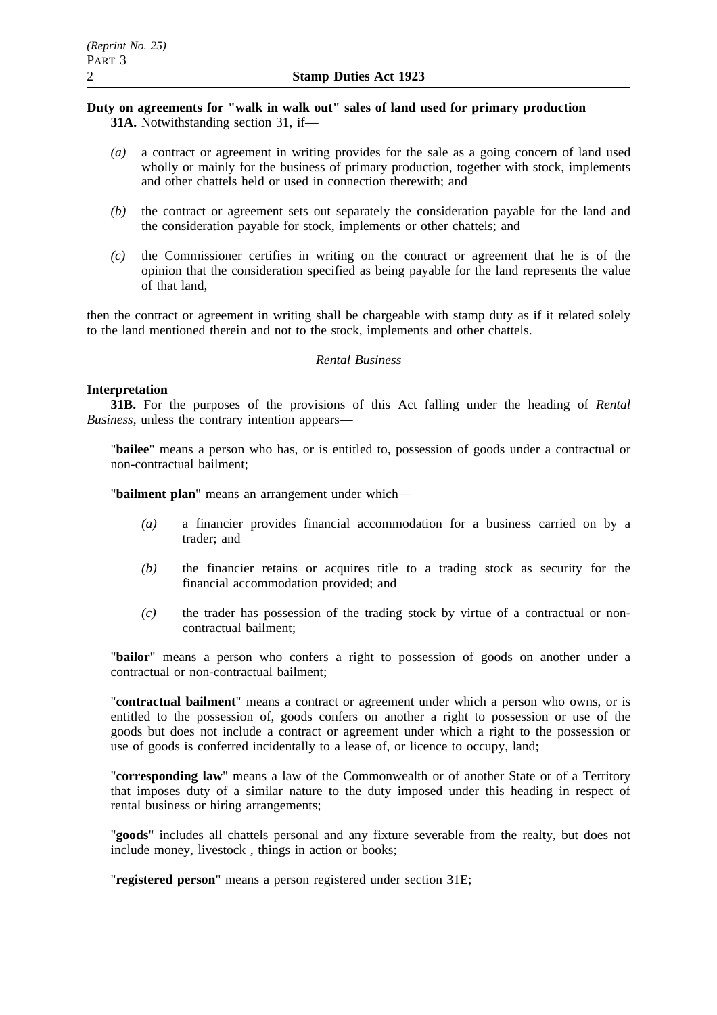# **Duty on agreements for "walk in walk out" sales of land used for primary production 31A.** Notwithstanding section 31, if—

- *(a)* a contract or agreement in writing provides for the sale as a going concern of land used wholly or mainly for the business of primary production, together with stock, implements and other chattels held or used in connection therewith; and
- *(b)* the contract or agreement sets out separately the consideration payable for the land and the consideration payable for stock, implements or other chattels; and
- *(c)* the Commissioner certifies in writing on the contract or agreement that he is of the opinion that the consideration specified as being payable for the land represents the value of that land,

then the contract or agreement in writing shall be chargeable with stamp duty as if it related solely to the land mentioned therein and not to the stock, implements and other chattels.

# *Rental Business*

# **Interpretation**

**31B.** For the purposes of the provisions of this Act falling under the heading of *Rental Business*, unless the contrary intention appears—

"**bailee**" means a person who has, or is entitled to, possession of goods under a contractual or non-contractual bailment;

"**bailment plan**" means an arrangement under which—

- *(a)* a financier provides financial accommodation for a business carried on by a trader; and
- *(b)* the financier retains or acquires title to a trading stock as security for the financial accommodation provided; and
- *(c)* the trader has possession of the trading stock by virtue of a contractual or noncontractual bailment;

"**bailor**" means a person who confers a right to possession of goods on another under a contractual or non-contractual bailment;

"**contractual bailment**" means a contract or agreement under which a person who owns, or is entitled to the possession of, goods confers on another a right to possession or use of the goods but does not include a contract or agreement under which a right to the possession or use of goods is conferred incidentally to a lease of, or licence to occupy, land;

"**corresponding law**" means a law of the Commonwealth or of another State or of a Territory that imposes duty of a similar nature to the duty imposed under this heading in respect of rental business or hiring arrangements;

"**goods**" includes all chattels personal and any fixture severable from the realty, but does not include money, livestock , things in action or books;

"**registered person**" means a person registered under section 31E;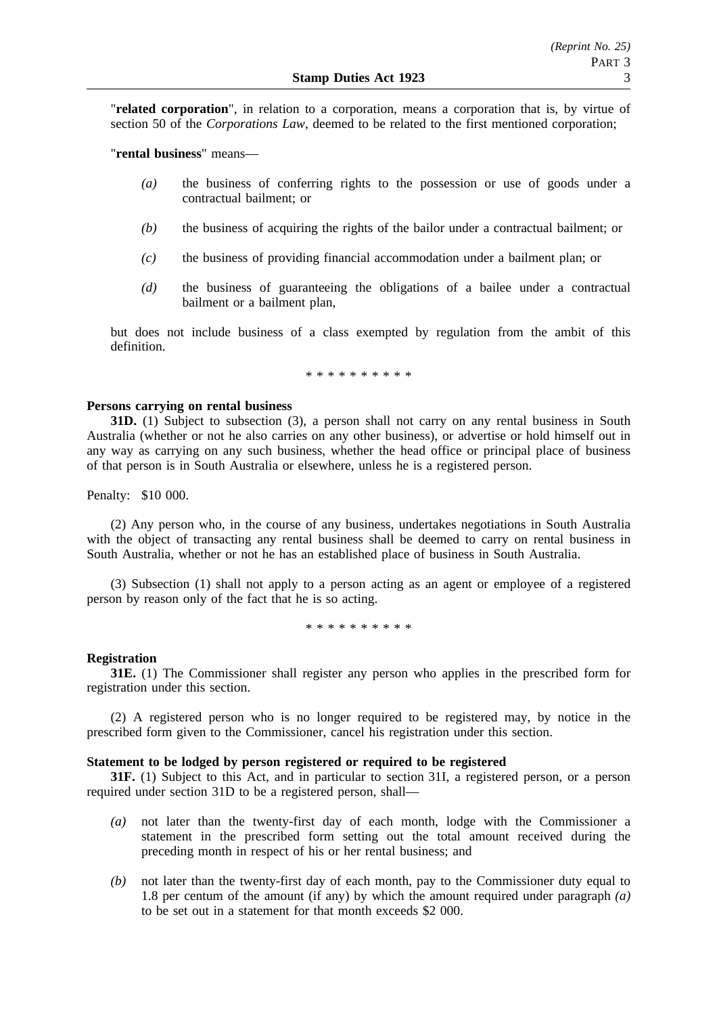"**related corporation**", in relation to a corporation, means a corporation that is, by virtue of section 50 of the *Corporations Law*, deemed to be related to the first mentioned corporation;

"**rental business**" means—

- *(a)* the business of conferring rights to the possession or use of goods under a contractual bailment; or
- *(b)* the business of acquiring the rights of the bailor under a contractual bailment; or
- *(c)* the business of providing financial accommodation under a bailment plan; or
- *(d)* the business of guaranteeing the obligations of a bailee under a contractual bailment or a bailment plan,

but does not include business of a class exempted by regulation from the ambit of this definition.

\*\*\*\*\*\*\*\*\*\*

# **Persons carrying on rental business**

**31D.** (1) Subject to subsection (3), a person shall not carry on any rental business in South Australia (whether or not he also carries on any other business), or advertise or hold himself out in any way as carrying on any such business, whether the head office or principal place of business of that person is in South Australia or elsewhere, unless he is a registered person.

Penalty: \$10 000.

(2) Any person who, in the course of any business, undertakes negotiations in South Australia with the object of transacting any rental business shall be deemed to carry on rental business in South Australia, whether or not he has an established place of business in South Australia.

(3) Subsection (1) shall not apply to a person acting as an agent or employee of a registered person by reason only of the fact that he is so acting.

\*\*\*\*\*\*\*\*\*\*

### **Registration**

**31E.** (1) The Commissioner shall register any person who applies in the prescribed form for registration under this section.

(2) A registered person who is no longer required to be registered may, by notice in the prescribed form given to the Commissioner, cancel his registration under this section.

# **Statement to be lodged by person registered or required to be registered**

**31F.** (1) Subject to this Act, and in particular to section 31I, a registered person, or a person required under section 31D to be a registered person, shall—

- *(a)* not later than the twenty-first day of each month, lodge with the Commissioner a statement in the prescribed form setting out the total amount received during the preceding month in respect of his or her rental business; and
- *(b)* not later than the twenty-first day of each month, pay to the Commissioner duty equal to 1.8 per centum of the amount (if any) by which the amount required under paragraph *(a)* to be set out in a statement for that month exceeds \$2 000.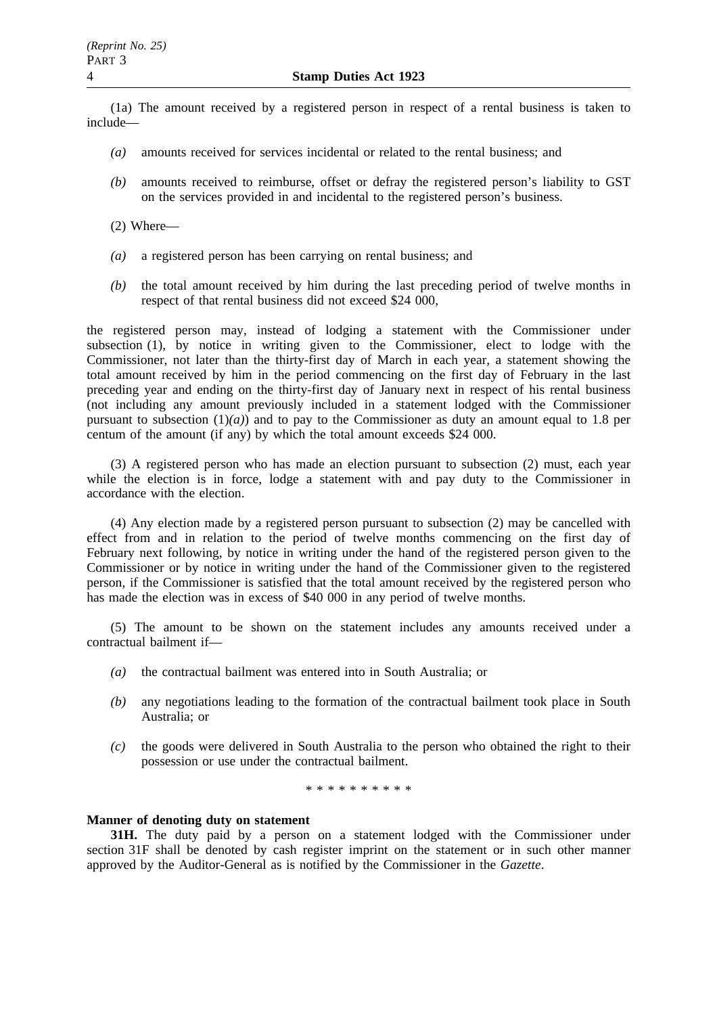(1a) The amount received by a registered person in respect of a rental business is taken to include—

- *(a)* amounts received for services incidental or related to the rental business; and
- *(b)* amounts received to reimburse, offset or defray the registered person's liability to GST on the services provided in and incidental to the registered person's business.
- (2) Where—
- *(a)* a registered person has been carrying on rental business; and
- *(b)* the total amount received by him during the last preceding period of twelve months in respect of that rental business did not exceed \$24 000,

the registered person may, instead of lodging a statement with the Commissioner under subsection (1), by notice in writing given to the Commissioner, elect to lodge with the Commissioner, not later than the thirty-first day of March in each year, a statement showing the total amount received by him in the period commencing on the first day of February in the last preceding year and ending on the thirty-first day of January next in respect of his rental business (not including any amount previously included in a statement lodged with the Commissioner pursuant to subsection  $(1)(a)$  and to pay to the Commissioner as duty an amount equal to 1.8 per centum of the amount (if any) by which the total amount exceeds \$24 000.

(3) A registered person who has made an election pursuant to subsection (2) must, each year while the election is in force, lodge a statement with and pay duty to the Commissioner in accordance with the election.

(4) Any election made by a registered person pursuant to subsection (2) may be cancelled with effect from and in relation to the period of twelve months commencing on the first day of February next following, by notice in writing under the hand of the registered person given to the Commissioner or by notice in writing under the hand of the Commissioner given to the registered person, if the Commissioner is satisfied that the total amount received by the registered person who has made the election was in excess of \$40 000 in any period of twelve months.

(5) The amount to be shown on the statement includes any amounts received under a contractual bailment if—

- *(a)* the contractual bailment was entered into in South Australia; or
- *(b)* any negotiations leading to the formation of the contractual bailment took place in South Australia; or
- *(c)* the goods were delivered in South Australia to the person who obtained the right to their possession or use under the contractual bailment.

\*\*\*\*\*\*\*\*\*\*

# **Manner of denoting duty on statement**

**31H.** The duty paid by a person on a statement lodged with the Commissioner under section 31F shall be denoted by cash register imprint on the statement or in such other manner approved by the Auditor-General as is notified by the Commissioner in the *Gazette*.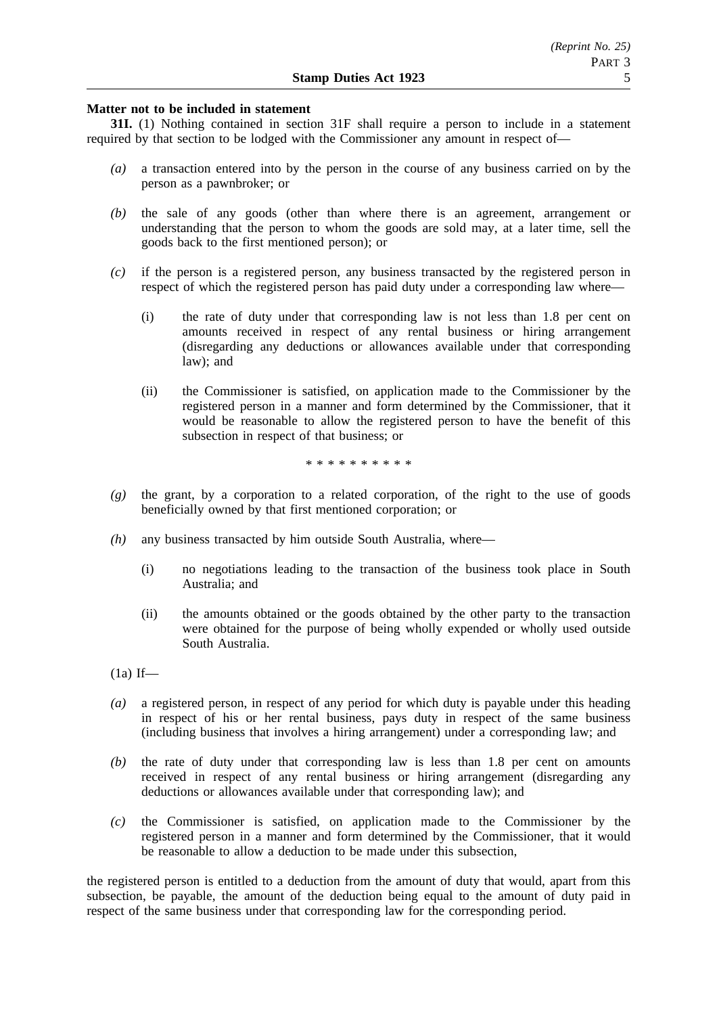# **Matter not to be included in statement**

**31I.** (1) Nothing contained in section 31F shall require a person to include in a statement required by that section to be lodged with the Commissioner any amount in respect of—

- *(a)* a transaction entered into by the person in the course of any business carried on by the person as a pawnbroker; or
- *(b)* the sale of any goods (other than where there is an agreement, arrangement or understanding that the person to whom the goods are sold may, at a later time, sell the goods back to the first mentioned person); or
- *(c)* if the person is a registered person, any business transacted by the registered person in respect of which the registered person has paid duty under a corresponding law where—
	- (i) the rate of duty under that corresponding law is not less than 1.8 per cent on amounts received in respect of any rental business or hiring arrangement (disregarding any deductions or allowances available under that corresponding law); and
	- (ii) the Commissioner is satisfied, on application made to the Commissioner by the registered person in a manner and form determined by the Commissioner, that it would be reasonable to allow the registered person to have the benefit of this subsection in respect of that business; or

\*\*\*\*\*\*\*\*\*\*

- *(g)* the grant, by a corporation to a related corporation, of the right to the use of goods beneficially owned by that first mentioned corporation; or
- *(h)* any business transacted by him outside South Australia, where—
	- (i) no negotiations leading to the transaction of the business took place in South Australia; and
	- (ii) the amounts obtained or the goods obtained by the other party to the transaction were obtained for the purpose of being wholly expended or wholly used outside South Australia.
- $(1a)$  If—
- *(a)* a registered person, in respect of any period for which duty is payable under this heading in respect of his or her rental business, pays duty in respect of the same business (including business that involves a hiring arrangement) under a corresponding law; and
- *(b)* the rate of duty under that corresponding law is less than 1.8 per cent on amounts received in respect of any rental business or hiring arrangement (disregarding any deductions or allowances available under that corresponding law); and
- *(c)* the Commissioner is satisfied, on application made to the Commissioner by the registered person in a manner and form determined by the Commissioner, that it would be reasonable to allow a deduction to be made under this subsection,

the registered person is entitled to a deduction from the amount of duty that would, apart from this subsection, be payable, the amount of the deduction being equal to the amount of duty paid in respect of the same business under that corresponding law for the corresponding period.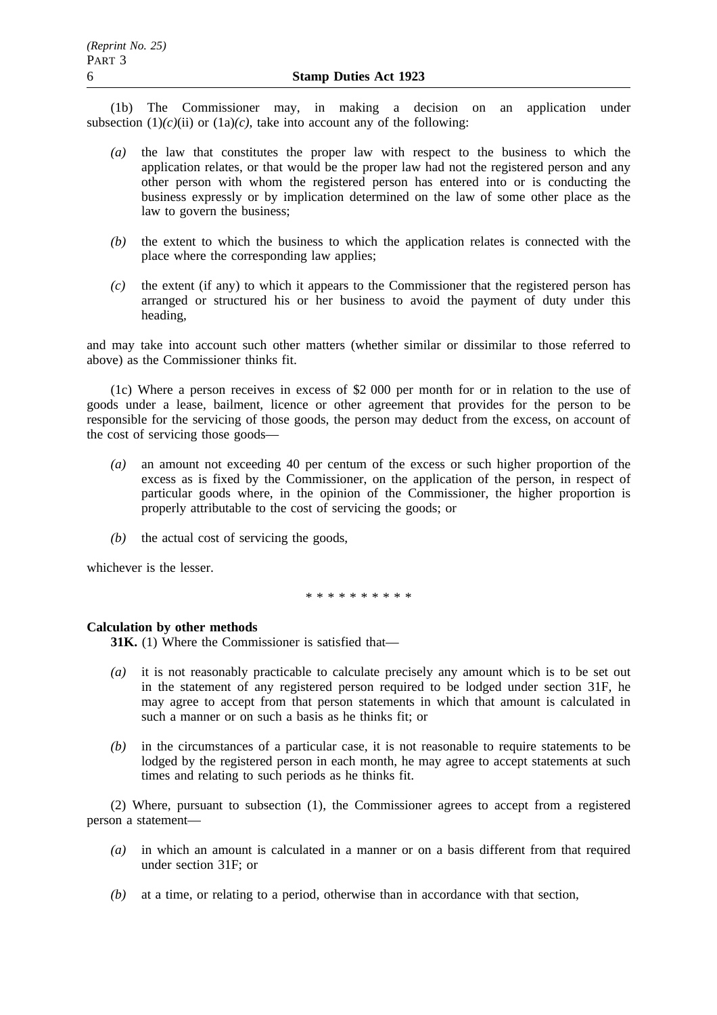(1b) The Commissioner may, in making a decision on an application under subsection  $(1)(c)(ii)$  or  $(1a)(c)$ , take into account any of the following:

- *(a)* the law that constitutes the proper law with respect to the business to which the application relates, or that would be the proper law had not the registered person and any other person with whom the registered person has entered into or is conducting the business expressly or by implication determined on the law of some other place as the law to govern the business;
- *(b)* the extent to which the business to which the application relates is connected with the place where the corresponding law applies;
- *(c)* the extent (if any) to which it appears to the Commissioner that the registered person has arranged or structured his or her business to avoid the payment of duty under this heading,

and may take into account such other matters (whether similar or dissimilar to those referred to above) as the Commissioner thinks fit.

(1c) Where a person receives in excess of \$2 000 per month for or in relation to the use of goods under a lease, bailment, licence or other agreement that provides for the person to be responsible for the servicing of those goods, the person may deduct from the excess, on account of the cost of servicing those goods—

- *(a)* an amount not exceeding 40 per centum of the excess or such higher proportion of the excess as is fixed by the Commissioner, on the application of the person, in respect of particular goods where, in the opinion of the Commissioner, the higher proportion is properly attributable to the cost of servicing the goods; or
- *(b)* the actual cost of servicing the goods,

whichever is the lesser.

\*\*\*\*\*\*\*\*\*\*

# **Calculation by other methods**

**31K.** (1) Where the Commissioner is satisfied that—

- *(a)* it is not reasonably practicable to calculate precisely any amount which is to be set out in the statement of any registered person required to be lodged under section 31F, he may agree to accept from that person statements in which that amount is calculated in such a manner or on such a basis as he thinks fit; or
- *(b)* in the circumstances of a particular case, it is not reasonable to require statements to be lodged by the registered person in each month, he may agree to accept statements at such times and relating to such periods as he thinks fit.

(2) Where, pursuant to subsection (1), the Commissioner agrees to accept from a registered person a statement—

- *(a)* in which an amount is calculated in a manner or on a basis different from that required under section 31F; or
- *(b)* at a time, or relating to a period, otherwise than in accordance with that section,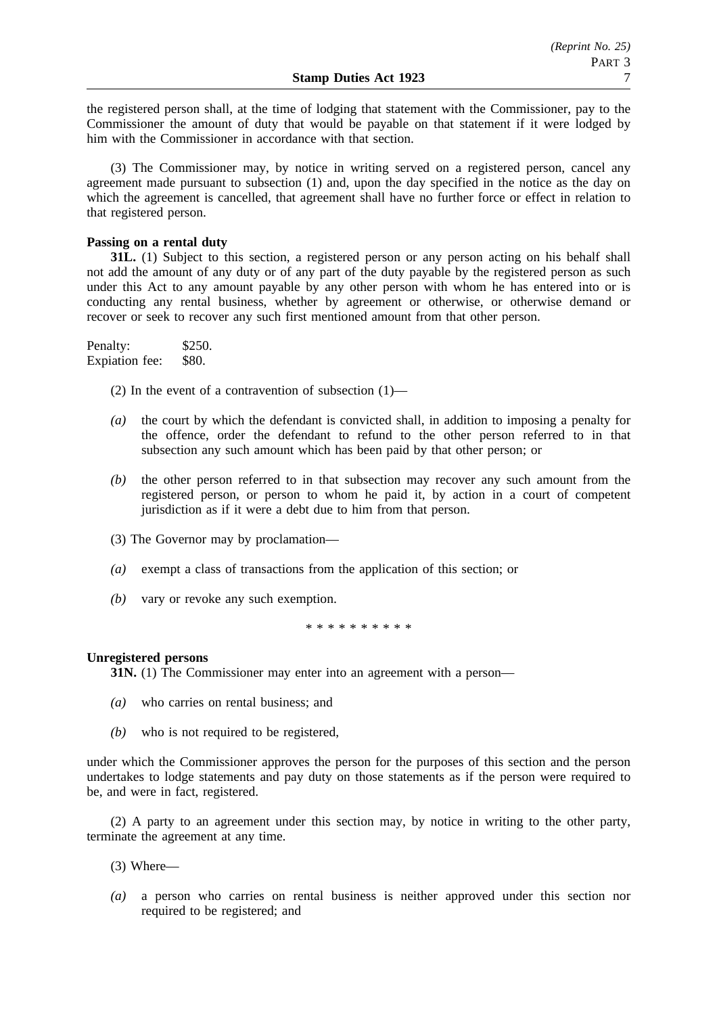the registered person shall, at the time of lodging that statement with the Commissioner, pay to the Commissioner the amount of duty that would be payable on that statement if it were lodged by him with the Commissioner in accordance with that section.

(3) The Commissioner may, by notice in writing served on a registered person, cancel any agreement made pursuant to subsection (1) and, upon the day specified in the notice as the day on which the agreement is cancelled, that agreement shall have no further force or effect in relation to that registered person.

# **Passing on a rental duty**

**31L.** (1) Subject to this section, a registered person or any person acting on his behalf shall not add the amount of any duty or of any part of the duty payable by the registered person as such under this Act to any amount payable by any other person with whom he has entered into or is conducting any rental business, whether by agreement or otherwise, or otherwise demand or recover or seek to recover any such first mentioned amount from that other person.

Penalty: \$250. Expiation fee: \$80.

(2) In the event of a contravention of subsection  $(1)$ —

- *(a)* the court by which the defendant is convicted shall, in addition to imposing a penalty for the offence, order the defendant to refund to the other person referred to in that subsection any such amount which has been paid by that other person; or
- *(b)* the other person referred to in that subsection may recover any such amount from the registered person, or person to whom he paid it, by action in a court of competent jurisdiction as if it were a debt due to him from that person.
- (3) The Governor may by proclamation—
- *(a)* exempt a class of transactions from the application of this section; or
- *(b)* vary or revoke any such exemption.

\*\*\*\*\*\*\*\*\*\*

# **Unregistered persons**

**31N.** (1) The Commissioner may enter into an agreement with a person—

- *(a)* who carries on rental business; and
- *(b)* who is not required to be registered,

under which the Commissioner approves the person for the purposes of this section and the person undertakes to lodge statements and pay duty on those statements as if the person were required to be, and were in fact, registered.

(2) A party to an agreement under this section may, by notice in writing to the other party, terminate the agreement at any time.

- (3) Where—
- *(a)* a person who carries on rental business is neither approved under this section nor required to be registered; and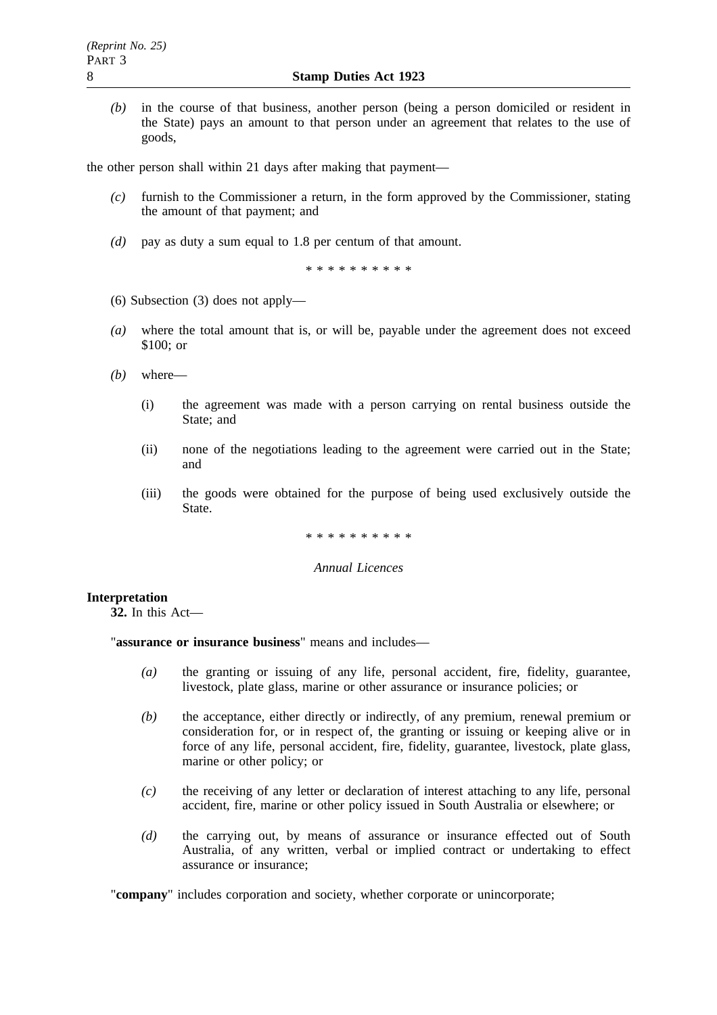*(b)* in the course of that business, another person (being a person domiciled or resident in the State) pays an amount to that person under an agreement that relates to the use of goods,

the other person shall within 21 days after making that payment—

- *(c)* furnish to the Commissioner a return, in the form approved by the Commissioner, stating the amount of that payment; and
- *(d)* pay as duty a sum equal to 1.8 per centum of that amount.

\*\*\*\*\*\*\*\*\*\*

- (6) Subsection (3) does not apply—
- *(a)* where the total amount that is, or will be, payable under the agreement does not exceed \$100; or
- *(b)* where—
	- (i) the agreement was made with a person carrying on rental business outside the State; and
	- (ii) none of the negotiations leading to the agreement were carried out in the State; and
	- (iii) the goods were obtained for the purpose of being used exclusively outside the State.

\*\*\*\*\*\*\*\*\*\*

# *Annual Licences*

# **Interpretation**

**32.** In this Act—

"**assurance or insurance business**" means and includes—

- *(a)* the granting or issuing of any life, personal accident, fire, fidelity, guarantee, livestock, plate glass, marine or other assurance or insurance policies; or
- *(b)* the acceptance, either directly or indirectly, of any premium, renewal premium or consideration for, or in respect of, the granting or issuing or keeping alive or in force of any life, personal accident, fire, fidelity, guarantee, livestock, plate glass, marine or other policy; or
- *(c)* the receiving of any letter or declaration of interest attaching to any life, personal accident, fire, marine or other policy issued in South Australia or elsewhere; or
- *(d)* the carrying out, by means of assurance or insurance effected out of South Australia, of any written, verbal or implied contract or undertaking to effect assurance or insurance;

"company" includes corporation and society, whether corporate or unincorporate;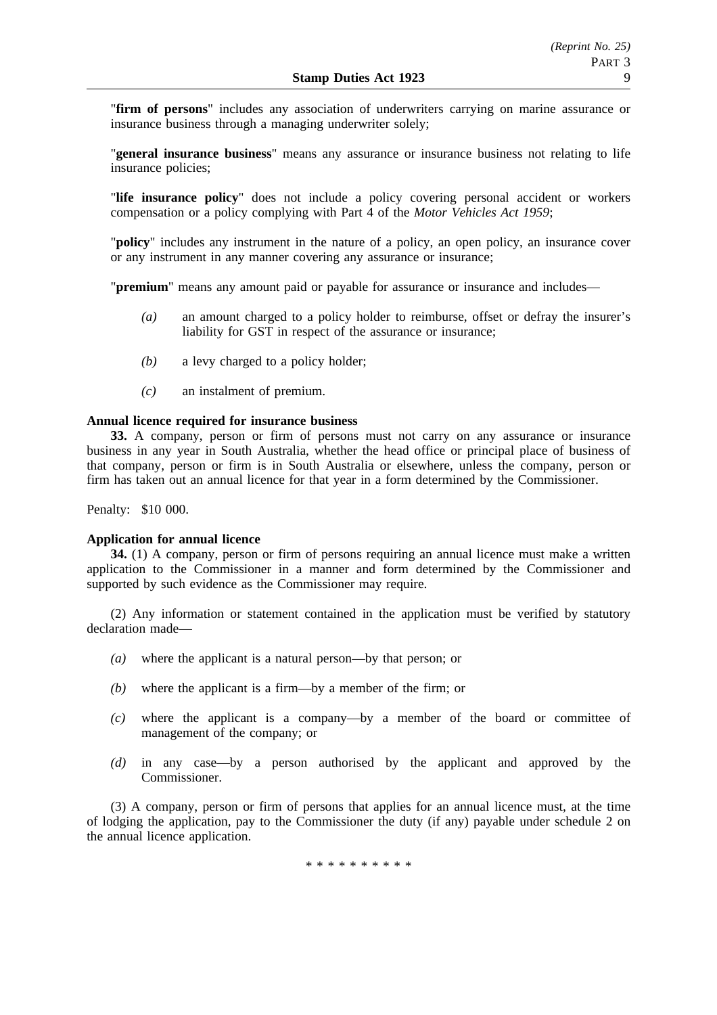"**firm of persons**" includes any association of underwriters carrying on marine assurance or insurance business through a managing underwriter solely;

"**general insurance business**" means any assurance or insurance business not relating to life insurance policies;

"**life insurance policy**" does not include a policy covering personal accident or workers compensation or a policy complying with Part 4 of the *Motor Vehicles Act 1959*;

"**policy**" includes any instrument in the nature of a policy, an open policy, an insurance cover or any instrument in any manner covering any assurance or insurance;

"**premium**" means any amount paid or payable for assurance or insurance and includes—

- *(a)* an amount charged to a policy holder to reimburse, offset or defray the insurer's liability for GST in respect of the assurance or insurance;
- *(b)* a levy charged to a policy holder;
- *(c)* an instalment of premium.

# **Annual licence required for insurance business**

**33.** A company, person or firm of persons must not carry on any assurance or insurance business in any year in South Australia, whether the head office or principal place of business of that company, person or firm is in South Australia or elsewhere, unless the company, person or firm has taken out an annual licence for that year in a form determined by the Commissioner.

Penalty: \$10 000.

# **Application for annual licence**

**34.** (1) A company, person or firm of persons requiring an annual licence must make a written application to the Commissioner in a manner and form determined by the Commissioner and supported by such evidence as the Commissioner may require.

(2) Any information or statement contained in the application must be verified by statutory declaration made—

- *(a)* where the applicant is a natural person—by that person; or
- *(b)* where the applicant is a firm—by a member of the firm; or
- *(c)* where the applicant is a company—by a member of the board or committee of management of the company; or
- *(d)* in any case—by a person authorised by the applicant and approved by the Commissioner.

(3) A company, person or firm of persons that applies for an annual licence must, at the time of lodging the application, pay to the Commissioner the duty (if any) payable under schedule 2 on the annual licence application.

\*\*\*\*\*\*\*\*\*\*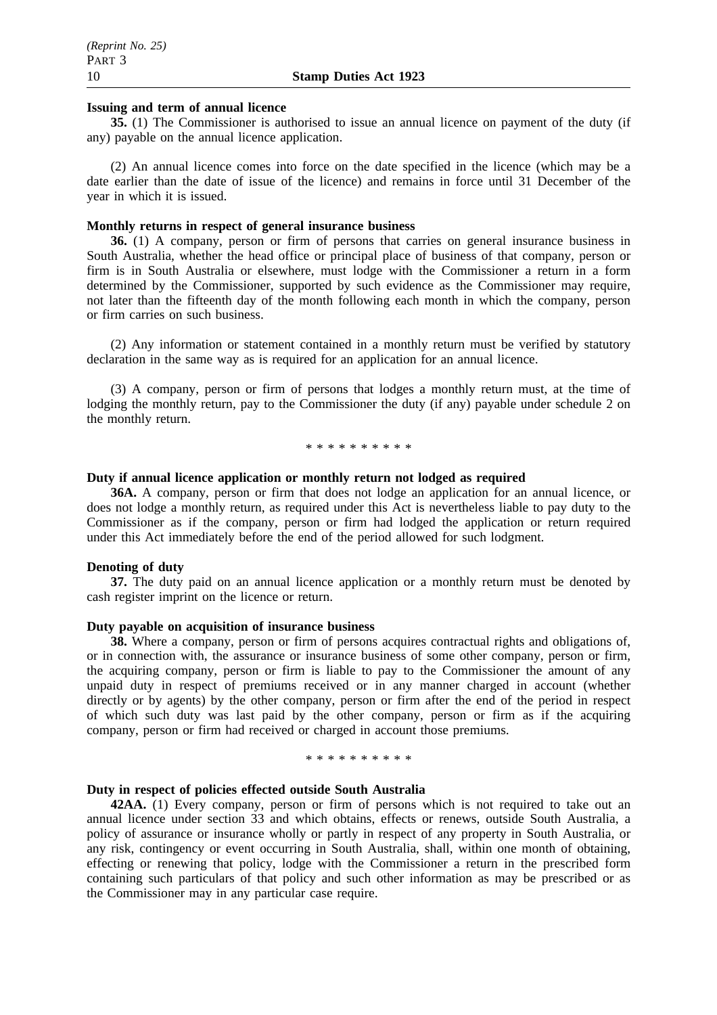# **Issuing and term of annual licence**

**35.** (1) The Commissioner is authorised to issue an annual licence on payment of the duty (if any) payable on the annual licence application.

(2) An annual licence comes into force on the date specified in the licence (which may be a date earlier than the date of issue of the licence) and remains in force until 31 December of the year in which it is issued.

### **Monthly returns in respect of general insurance business**

**36.** (1) A company, person or firm of persons that carries on general insurance business in South Australia, whether the head office or principal place of business of that company, person or firm is in South Australia or elsewhere, must lodge with the Commissioner a return in a form determined by the Commissioner, supported by such evidence as the Commissioner may require, not later than the fifteenth day of the month following each month in which the company, person or firm carries on such business.

(2) Any information or statement contained in a monthly return must be verified by statutory declaration in the same way as is required for an application for an annual licence.

(3) A company, person or firm of persons that lodges a monthly return must, at the time of lodging the monthly return, pay to the Commissioner the duty (if any) payable under schedule 2 on the monthly return.

\*\*\*\*\*\*\*\*\*\*

#### **Duty if annual licence application or monthly return not lodged as required**

**36A.** A company, person or firm that does not lodge an application for an annual licence, or does not lodge a monthly return, as required under this Act is nevertheless liable to pay duty to the Commissioner as if the company, person or firm had lodged the application or return required under this Act immediately before the end of the period allowed for such lodgment.

#### **Denoting of duty**

**37.** The duty paid on an annual licence application or a monthly return must be denoted by cash register imprint on the licence or return.

# **Duty payable on acquisition of insurance business**

**38.** Where a company, person or firm of persons acquires contractual rights and obligations of, or in connection with, the assurance or insurance business of some other company, person or firm, the acquiring company, person or firm is liable to pay to the Commissioner the amount of any unpaid duty in respect of premiums received or in any manner charged in account (whether directly or by agents) by the other company, person or firm after the end of the period in respect of which such duty was last paid by the other company, person or firm as if the acquiring company, person or firm had received or charged in account those premiums.

#### \*\*\*\*\*\*\*\*\*\*

### **Duty in respect of policies effected outside South Australia**

**42AA.** (1) Every company, person or firm of persons which is not required to take out an annual licence under section 33 and which obtains, effects or renews, outside South Australia, a policy of assurance or insurance wholly or partly in respect of any property in South Australia, or any risk, contingency or event occurring in South Australia, shall, within one month of obtaining, effecting or renewing that policy, lodge with the Commissioner a return in the prescribed form containing such particulars of that policy and such other information as may be prescribed or as the Commissioner may in any particular case require.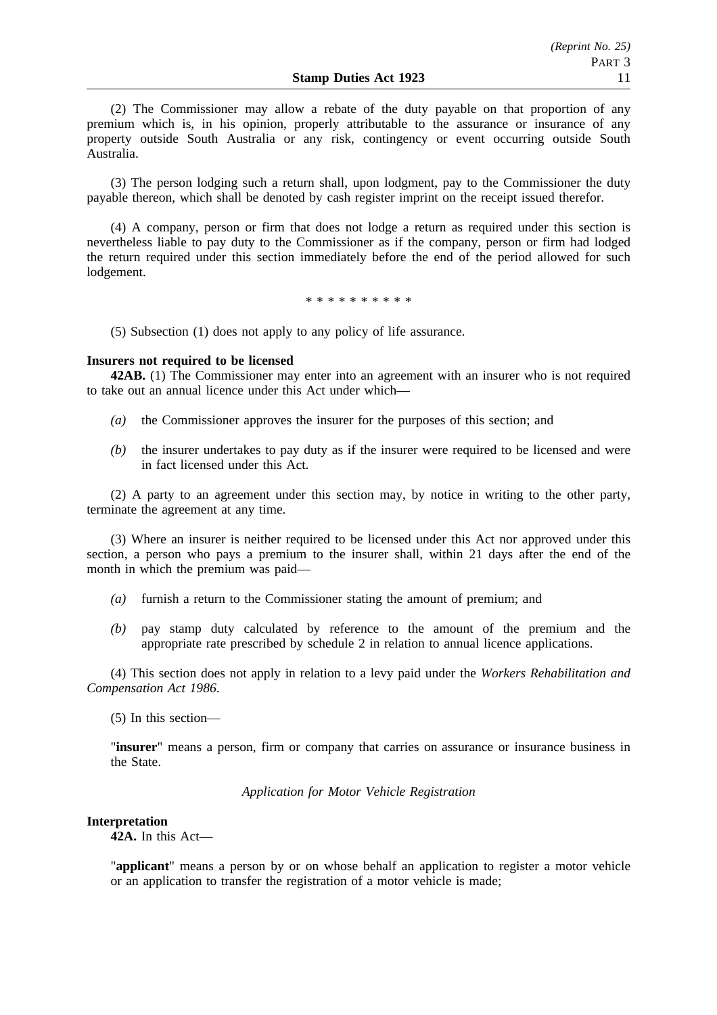(2) The Commissioner may allow a rebate of the duty payable on that proportion of any premium which is, in his opinion, properly attributable to the assurance or insurance of any property outside South Australia or any risk, contingency or event occurring outside South Australia.

(3) The person lodging such a return shall, upon lodgment, pay to the Commissioner the duty payable thereon, which shall be denoted by cash register imprint on the receipt issued therefor.

(4) A company, person or firm that does not lodge a return as required under this section is nevertheless liable to pay duty to the Commissioner as if the company, person or firm had lodged the return required under this section immediately before the end of the period allowed for such lodgement.

\*\*\*\*\*\*\*\*\*\*

(5) Subsection (1) does not apply to any policy of life assurance.

# **Insurers not required to be licensed**

**42AB.** (1) The Commissioner may enter into an agreement with an insurer who is not required to take out an annual licence under this Act under which—

- *(a)* the Commissioner approves the insurer for the purposes of this section; and
- *(b)* the insurer undertakes to pay duty as if the insurer were required to be licensed and were in fact licensed under this Act.

(2) A party to an agreement under this section may, by notice in writing to the other party, terminate the agreement at any time.

(3) Where an insurer is neither required to be licensed under this Act nor approved under this section, a person who pays a premium to the insurer shall, within 21 days after the end of the month in which the premium was paid—

- *(a)* furnish a return to the Commissioner stating the amount of premium; and
- *(b)* pay stamp duty calculated by reference to the amount of the premium and the appropriate rate prescribed by schedule 2 in relation to annual licence applications.

(4) This section does not apply in relation to a levy paid under the *Workers Rehabilitation and Compensation Act 1986*.

(5) In this section—

"**insurer**" means a person, firm or company that carries on assurance or insurance business in the State.

*Application for Motor Vehicle Registration*

#### **Interpretation**

**42A.** In this Act—

"**applicant**" means a person by or on whose behalf an application to register a motor vehicle or an application to transfer the registration of a motor vehicle is made;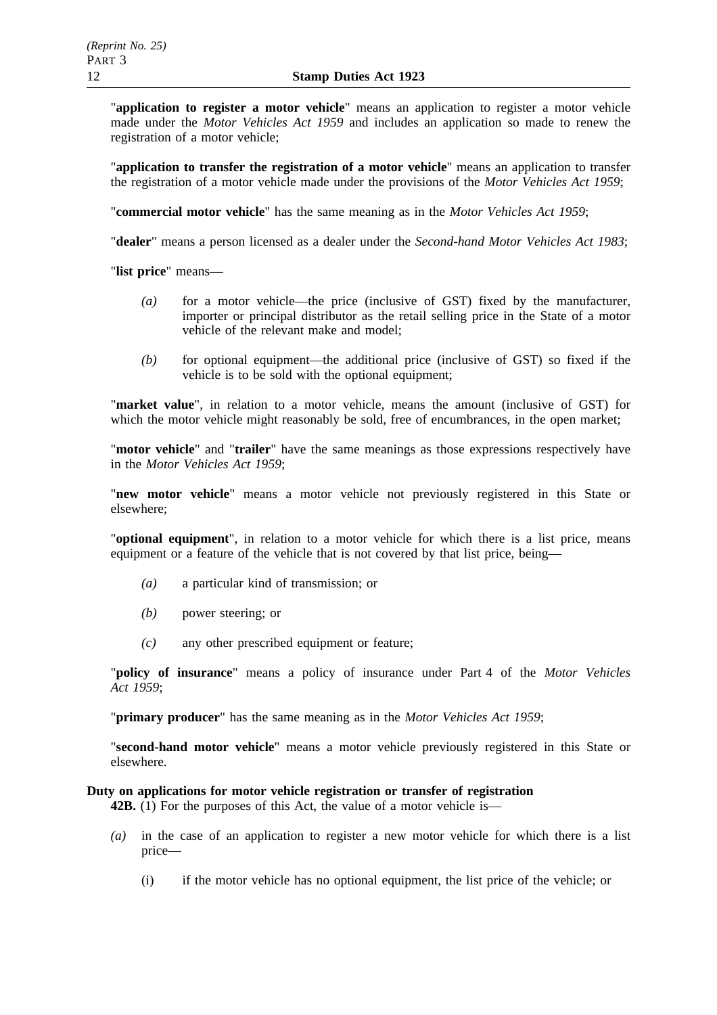"**application to register a motor vehicle**" means an application to register a motor vehicle made under the *Motor Vehicles Act 1959* and includes an application so made to renew the registration of a motor vehicle;

"**application to transfer the registration of a motor vehicle**" means an application to transfer the registration of a motor vehicle made under the provisions of the *Motor Vehicles Act 1959*;

"**commercial motor vehicle**" has the same meaning as in the *Motor Vehicles Act 1959*;

"**dealer**" means a person licensed as a dealer under the *Second-hand Motor Vehicles Act 1983*;

"**list price**" means—

- *(a)* for a motor vehicle—the price (inclusive of GST) fixed by the manufacturer, importer or principal distributor as the retail selling price in the State of a motor vehicle of the relevant make and model;
- *(b)* for optional equipment—the additional price (inclusive of GST) so fixed if the vehicle is to be sold with the optional equipment;

"**market value**", in relation to a motor vehicle, means the amount (inclusive of GST) for which the motor vehicle might reasonably be sold, free of encumbrances, in the open market;

"**motor vehicle**" and "**trailer**" have the same meanings as those expressions respectively have in the *Motor Vehicles Act 1959*;

"**new motor vehicle**" means a motor vehicle not previously registered in this State or elsewhere;

"**optional equipment**", in relation to a motor vehicle for which there is a list price, means equipment or a feature of the vehicle that is not covered by that list price, being—

- *(a)* a particular kind of transmission; or
- *(b)* power steering; or
- *(c)* any other prescribed equipment or feature;

"**policy of insurance**" means a policy of insurance under Part 4 of the *Motor Vehicles Act 1959*;

"**primary producer**" has the same meaning as in the *Motor Vehicles Act 1959*;

"**second-hand motor vehicle**" means a motor vehicle previously registered in this State or elsewhere.

# **Duty on applications for motor vehicle registration or transfer of registration**

**42B.** (1) For the purposes of this Act, the value of a motor vehicle is—

- *(a)* in the case of an application to register a new motor vehicle for which there is a list price—
	- (i) if the motor vehicle has no optional equipment, the list price of the vehicle; or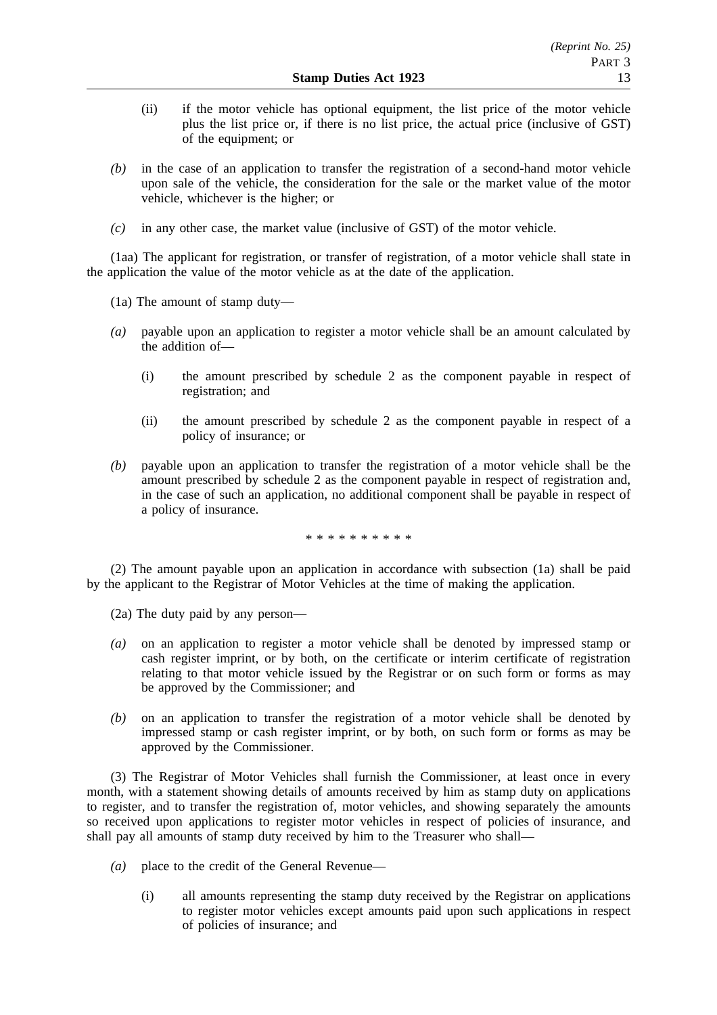- (ii) if the motor vehicle has optional equipment, the list price of the motor vehicle plus the list price or, if there is no list price, the actual price (inclusive of GST) of the equipment; or
- *(b)* in the case of an application to transfer the registration of a second-hand motor vehicle upon sale of the vehicle, the consideration for the sale or the market value of the motor vehicle, whichever is the higher; or
- *(c)* in any other case, the market value (inclusive of GST) of the motor vehicle.

(1aa) The applicant for registration, or transfer of registration, of a motor vehicle shall state in the application the value of the motor vehicle as at the date of the application.

(1a) The amount of stamp duty—

- *(a)* payable upon an application to register a motor vehicle shall be an amount calculated by the addition of—
	- (i) the amount prescribed by schedule 2 as the component payable in respect of registration; and
	- (ii) the amount prescribed by schedule 2 as the component payable in respect of a policy of insurance; or
- *(b)* payable upon an application to transfer the registration of a motor vehicle shall be the amount prescribed by schedule 2 as the component payable in respect of registration and, in the case of such an application, no additional component shall be payable in respect of a policy of insurance.

\*\*\*\*\*\*\*\*\*\*

(2) The amount payable upon an application in accordance with subsection (1a) shall be paid by the applicant to the Registrar of Motor Vehicles at the time of making the application.

(2a) The duty paid by any person—

- *(a)* on an application to register a motor vehicle shall be denoted by impressed stamp or cash register imprint, or by both, on the certificate or interim certificate of registration relating to that motor vehicle issued by the Registrar or on such form or forms as may be approved by the Commissioner; and
- *(b)* on an application to transfer the registration of a motor vehicle shall be denoted by impressed stamp or cash register imprint, or by both, on such form or forms as may be approved by the Commissioner.

(3) The Registrar of Motor Vehicles shall furnish the Commissioner, at least once in every month, with a statement showing details of amounts received by him as stamp duty on applications to register, and to transfer the registration of, motor vehicles, and showing separately the amounts so received upon applications to register motor vehicles in respect of policies of insurance, and shall pay all amounts of stamp duty received by him to the Treasurer who shall—

- *(a)* place to the credit of the General Revenue—
	- (i) all amounts representing the stamp duty received by the Registrar on applications to register motor vehicles except amounts paid upon such applications in respect of policies of insurance; and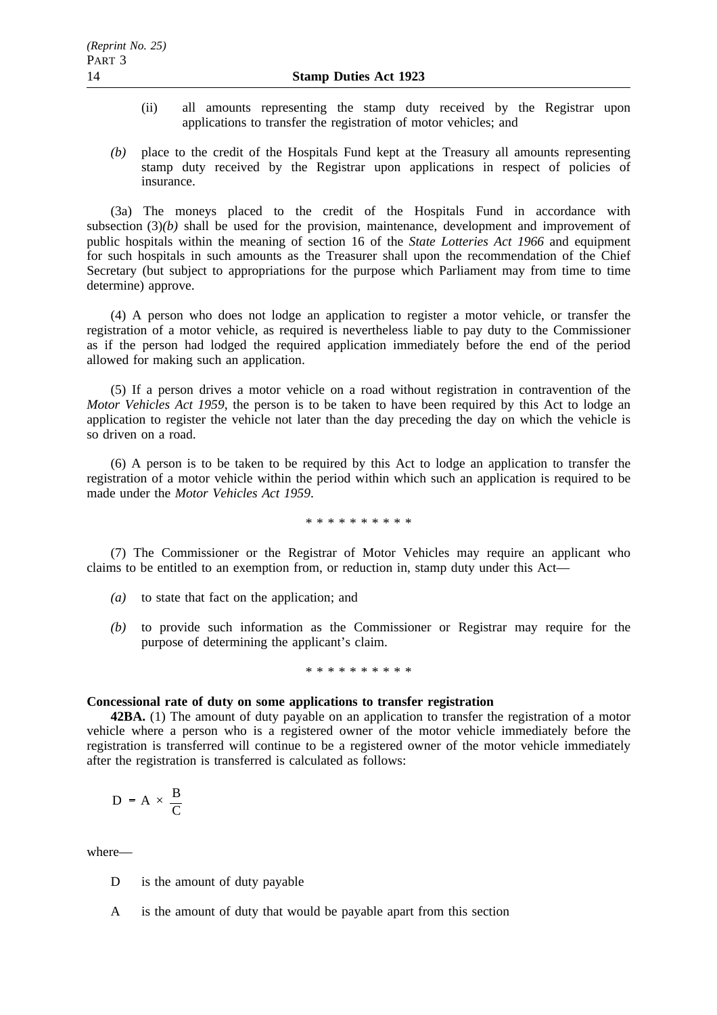- (ii) all amounts representing the stamp duty received by the Registrar upon applications to transfer the registration of motor vehicles; and
- *(b)* place to the credit of the Hospitals Fund kept at the Treasury all amounts representing stamp duty received by the Registrar upon applications in respect of policies of insurance.

(3a) The moneys placed to the credit of the Hospitals Fund in accordance with subsection (3)*(b)* shall be used for the provision, maintenance, development and improvement of public hospitals within the meaning of section 16 of the *State Lotteries Act 1966* and equipment for such hospitals in such amounts as the Treasurer shall upon the recommendation of the Chief Secretary (but subject to appropriations for the purpose which Parliament may from time to time determine) approve.

(4) A person who does not lodge an application to register a motor vehicle, or transfer the registration of a motor vehicle, as required is nevertheless liable to pay duty to the Commissioner as if the person had lodged the required application immediately before the end of the period allowed for making such an application.

(5) If a person drives a motor vehicle on a road without registration in contravention of the *Motor Vehicles Act 1959*, the person is to be taken to have been required by this Act to lodge an application to register the vehicle not later than the day preceding the day on which the vehicle is so driven on a road.

(6) A person is to be taken to be required by this Act to lodge an application to transfer the registration of a motor vehicle within the period within which such an application is required to be made under the *Motor Vehicles Act 1959*.

\*\*\*\*\*\*\*\*\*\*

(7) The Commissioner or the Registrar of Motor Vehicles may require an applicant who claims to be entitled to an exemption from, or reduction in, stamp duty under this Act—

- *(a)* to state that fact on the application; and
- *(b)* to provide such information as the Commissioner or Registrar may require for the purpose of determining the applicant's claim.

#### \*\*\*\*\*\*\*\*\*\*

#### **Concessional rate of duty on some applications to transfer registration**

**42BA.** (1) The amount of duty payable on an application to transfer the registration of a motor vehicle where a person who is a registered owner of the motor vehicle immediately before the registration is transferred will continue to be a registered owner of the motor vehicle immediately after the registration is transferred is calculated as follows:

$$
D = A \times \frac{B}{C}
$$

where—

- D is the amount of duty payable
- A is the amount of duty that would be payable apart from this section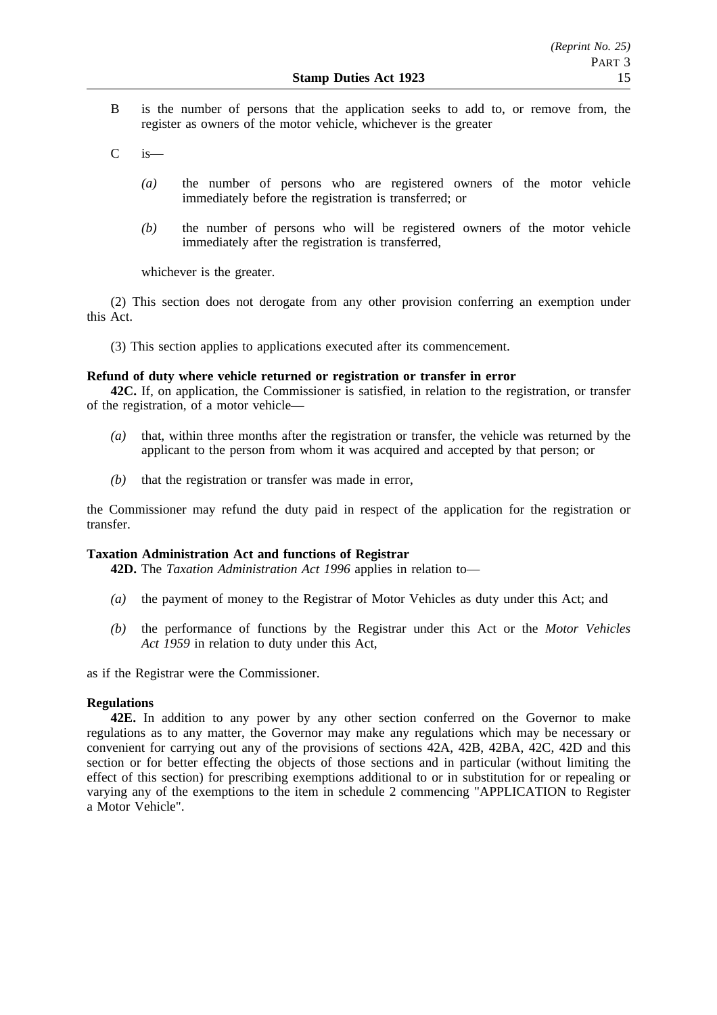- B is the number of persons that the application seeks to add to, or remove from, the register as owners of the motor vehicle, whichever is the greater
- $C$  is
	- *(a)* the number of persons who are registered owners of the motor vehicle immediately before the registration is transferred; or
	- *(b)* the number of persons who will be registered owners of the motor vehicle immediately after the registration is transferred,

whichever is the greater.

(2) This section does not derogate from any other provision conferring an exemption under this Act.

(3) This section applies to applications executed after its commencement.

# **Refund of duty where vehicle returned or registration or transfer in error**

**42C.** If, on application, the Commissioner is satisfied, in relation to the registration, or transfer of the registration, of a motor vehicle—

- *(a)* that, within three months after the registration or transfer, the vehicle was returned by the applicant to the person from whom it was acquired and accepted by that person; or
- *(b)* that the registration or transfer was made in error,

the Commissioner may refund the duty paid in respect of the application for the registration or transfer.

### **Taxation Administration Act and functions of Registrar**

**42D.** The *Taxation Administration Act 1996* applies in relation to—

- *(a)* the payment of money to the Registrar of Motor Vehicles as duty under this Act; and
- *(b)* the performance of functions by the Registrar under this Act or the *Motor Vehicles Act 1959* in relation to duty under this Act,

as if the Registrar were the Commissioner.

### **Regulations**

**42E.** In addition to any power by any other section conferred on the Governor to make regulations as to any matter, the Governor may make any regulations which may be necessary or convenient for carrying out any of the provisions of sections 42A, 42B, 42BA, 42C, 42D and this section or for better effecting the objects of those sections and in particular (without limiting the effect of this section) for prescribing exemptions additional to or in substitution for or repealing or varying any of the exemptions to the item in schedule 2 commencing "APPLICATION to Register a Motor Vehicle".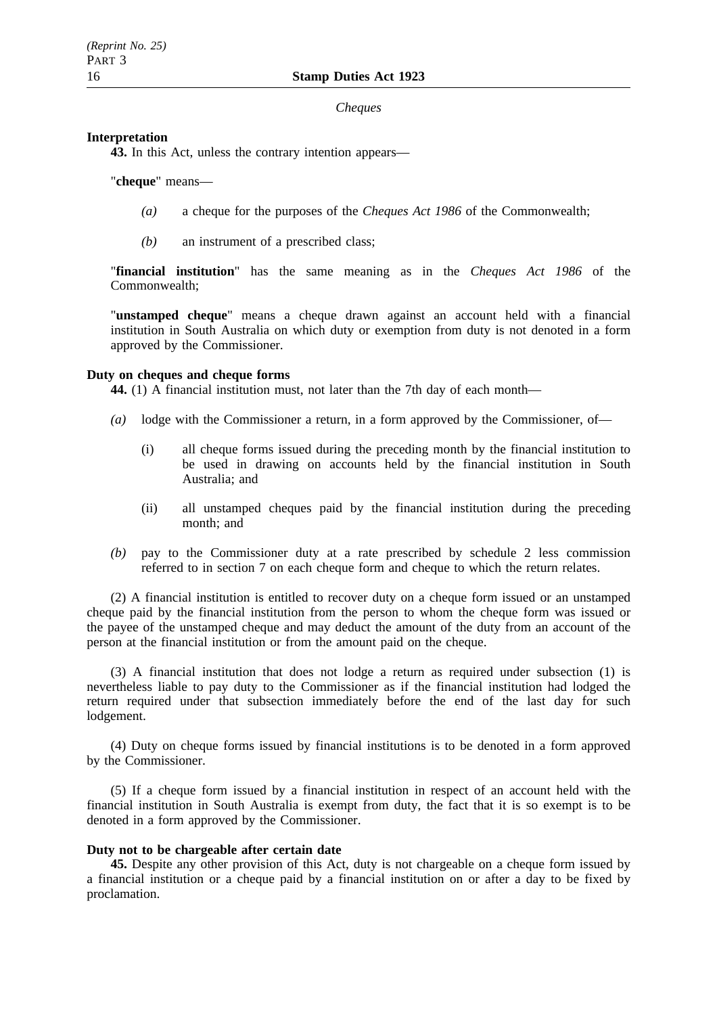### *Cheques*

### **Interpretation**

**43.** In this Act, unless the contrary intention appears—

### "**cheque**" means—

- *(a)* a cheque for the purposes of the *Cheques Act 1986* of the Commonwealth;
- *(b)* an instrument of a prescribed class;

"**financial institution**" has the same meaning as in the *Cheques Act 1986* of the Commonwealth;

"**unstamped cheque**" means a cheque drawn against an account held with a financial institution in South Australia on which duty or exemption from duty is not denoted in a form approved by the Commissioner.

## **Duty on cheques and cheque forms**

**44.** (1) A financial institution must, not later than the 7th day of each month—

- *(a)* lodge with the Commissioner a return, in a form approved by the Commissioner, of—
	- (i) all cheque forms issued during the preceding month by the financial institution to be used in drawing on accounts held by the financial institution in South Australia; and
	- (ii) all unstamped cheques paid by the financial institution during the preceding month; and
- *(b)* pay to the Commissioner duty at a rate prescribed by schedule 2 less commission referred to in section 7 on each cheque form and cheque to which the return relates.

(2) A financial institution is entitled to recover duty on a cheque form issued or an unstamped cheque paid by the financial institution from the person to whom the cheque form was issued or the payee of the unstamped cheque and may deduct the amount of the duty from an account of the person at the financial institution or from the amount paid on the cheque.

(3) A financial institution that does not lodge a return as required under subsection (1) is nevertheless liable to pay duty to the Commissioner as if the financial institution had lodged the return required under that subsection immediately before the end of the last day for such lodgement.

(4) Duty on cheque forms issued by financial institutions is to be denoted in a form approved by the Commissioner.

(5) If a cheque form issued by a financial institution in respect of an account held with the financial institution in South Australia is exempt from duty, the fact that it is so exempt is to be denoted in a form approved by the Commissioner.

### **Duty not to be chargeable after certain date**

**45.** Despite any other provision of this Act, duty is not chargeable on a cheque form issued by a financial institution or a cheque paid by a financial institution on or after a day to be fixed by proclamation.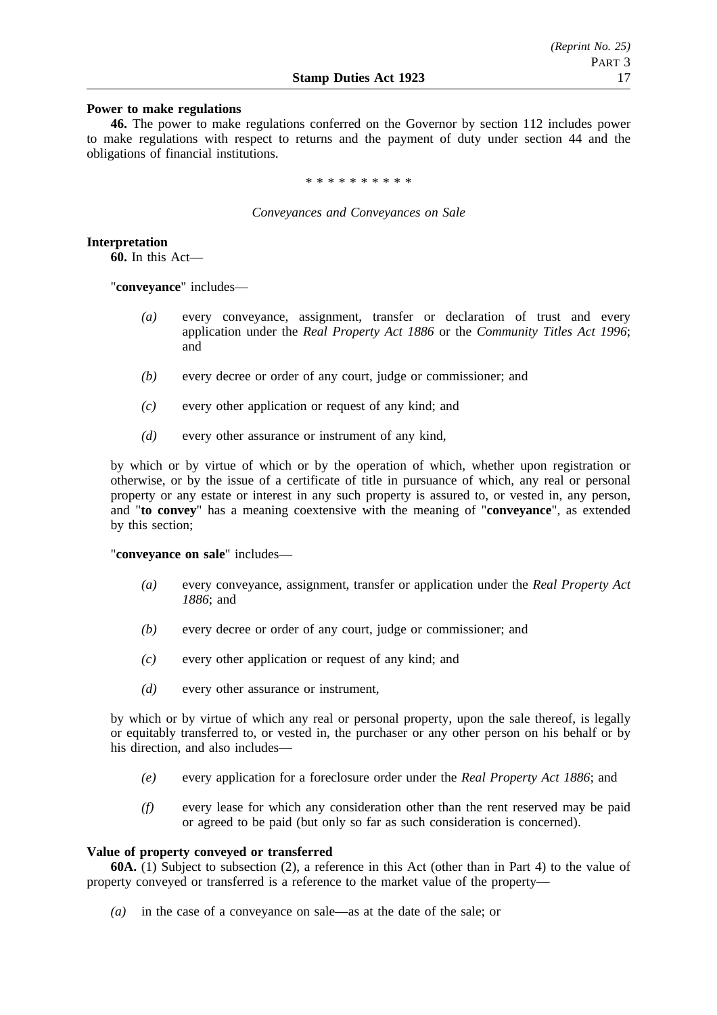### **Power to make regulations**

**46.** The power to make regulations conferred on the Governor by section 112 includes power to make regulations with respect to returns and the payment of duty under section 44 and the obligations of financial institutions.

\*\*\*\*\*\*\*\*\*\*

#### *Conveyances and Conveyances on Sale*

**Interpretation**

**60.** In this Act—

"**conveyance**" includes—

- *(a)* every conveyance, assignment, transfer or declaration of trust and every application under the *Real Property Act 1886* or the *Community Titles Act 1996*; and
- *(b)* every decree or order of any court, judge or commissioner; and
- *(c)* every other application or request of any kind; and
- *(d)* every other assurance or instrument of any kind,

by which or by virtue of which or by the operation of which, whether upon registration or otherwise, or by the issue of a certificate of title in pursuance of which, any real or personal property or any estate or interest in any such property is assured to, or vested in, any person, and "**to convey**" has a meaning coextensive with the meaning of "**conveyance**", as extended by this section;

"**conveyance on sale**" includes—

- *(a)* every conveyance, assignment, transfer or application under the *Real Property Act 1886*; and
- *(b)* every decree or order of any court, judge or commissioner; and
- *(c)* every other application or request of any kind; and
- *(d)* every other assurance or instrument,

by which or by virtue of which any real or personal property, upon the sale thereof, is legally or equitably transferred to, or vested in, the purchaser or any other person on his behalf or by his direction, and also includes—

- *(e)* every application for a foreclosure order under the *Real Property Act 1886*; and
- *(f)* every lease for which any consideration other than the rent reserved may be paid or agreed to be paid (but only so far as such consideration is concerned).

#### **Value of property conveyed or transferred**

**60A.** (1) Subject to subsection (2), a reference in this Act (other than in Part 4) to the value of property conveyed or transferred is a reference to the market value of the property—

*(a)* in the case of a conveyance on sale—as at the date of the sale; or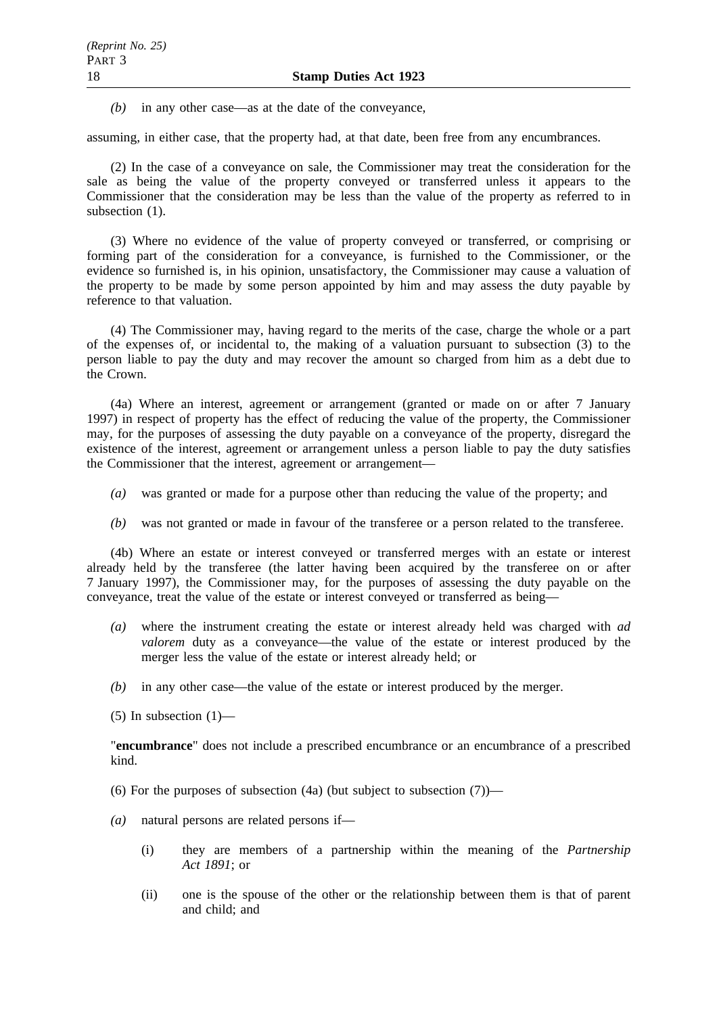*(b)* in any other case—as at the date of the conveyance,

assuming, in either case, that the property had, at that date, been free from any encumbrances.

(2) In the case of a conveyance on sale, the Commissioner may treat the consideration for the sale as being the value of the property conveyed or transferred unless it appears to the Commissioner that the consideration may be less than the value of the property as referred to in subsection  $(1)$ .

(3) Where no evidence of the value of property conveyed or transferred, or comprising or forming part of the consideration for a conveyance, is furnished to the Commissioner, or the evidence so furnished is, in his opinion, unsatisfactory, the Commissioner may cause a valuation of the property to be made by some person appointed by him and may assess the duty payable by reference to that valuation.

(4) The Commissioner may, having regard to the merits of the case, charge the whole or a part of the expenses of, or incidental to, the making of a valuation pursuant to subsection (3) to the person liable to pay the duty and may recover the amount so charged from him as a debt due to the Crown.

(4a) Where an interest, agreement or arrangement (granted or made on or after 7 January 1997) in respect of property has the effect of reducing the value of the property, the Commissioner may, for the purposes of assessing the duty payable on a conveyance of the property, disregard the existence of the interest, agreement or arrangement unless a person liable to pay the duty satisfies the Commissioner that the interest, agreement or arrangement—

- *(a)* was granted or made for a purpose other than reducing the value of the property; and
- *(b)* was not granted or made in favour of the transferee or a person related to the transferee.

(4b) Where an estate or interest conveyed or transferred merges with an estate or interest already held by the transferee (the latter having been acquired by the transferee on or after 7 January 1997), the Commissioner may, for the purposes of assessing the duty payable on the conveyance, treat the value of the estate or interest conveyed or transferred as being—

- *(a)* where the instrument creating the estate or interest already held was charged with *ad valorem* duty as a conveyance—the value of the estate or interest produced by the merger less the value of the estate or interest already held; or
- *(b)* in any other case—the value of the estate or interest produced by the merger.

 $(5)$  In subsection  $(1)$ —

"**encumbrance**" does not include a prescribed encumbrance or an encumbrance of a prescribed kind.

(6) For the purposes of subsection  $(4a)$  (but subject to subsection  $(7)$ )—

- *(a)* natural persons are related persons if—
	- (i) they are members of a partnership within the meaning of the *Partnership Act 1891*; or
	- (ii) one is the spouse of the other or the relationship between them is that of parent and child; and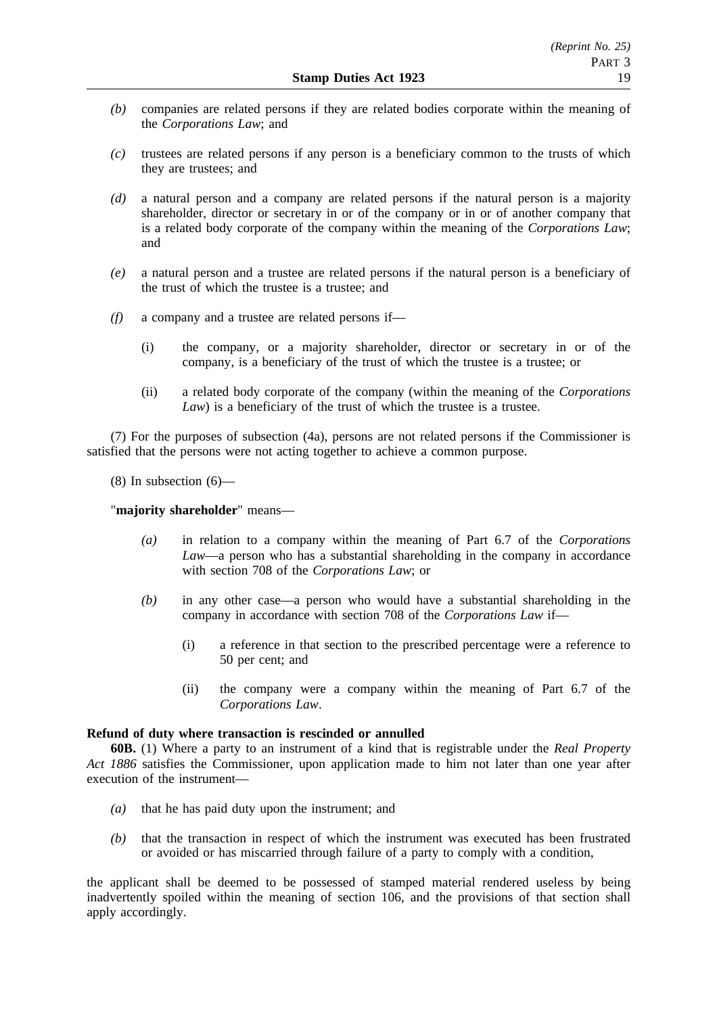- *(b)* companies are related persons if they are related bodies corporate within the meaning of the *Corporations Law*; and
- *(c)* trustees are related persons if any person is a beneficiary common to the trusts of which they are trustees; and
- *(d)* a natural person and a company are related persons if the natural person is a majority shareholder, director or secretary in or of the company or in or of another company that is a related body corporate of the company within the meaning of the *Corporations Law*; and
- *(e)* a natural person and a trustee are related persons if the natural person is a beneficiary of the trust of which the trustee is a trustee; and
- *(f)* a company and a trustee are related persons if—
	- (i) the company, or a majority shareholder, director or secretary in or of the company, is a beneficiary of the trust of which the trustee is a trustee; or
	- (ii) a related body corporate of the company (within the meaning of the *Corporations Law*) is a beneficiary of the trust of which the trustee is a trustee.

(7) For the purposes of subsection (4a), persons are not related persons if the Commissioner is satisfied that the persons were not acting together to achieve a common purpose.

(8) In subsection  $(6)$ —

"**majority shareholder**" means—

- *(a)* in relation to a company within the meaning of Part 6.7 of the *Corporations Law*—a person who has a substantial shareholding in the company in accordance with section 708 of the *Corporations Law*; or
- *(b)* in any other case—a person who would have a substantial shareholding in the company in accordance with section 708 of the *Corporations Law* if—
	- (i) a reference in that section to the prescribed percentage were a reference to 50 per cent; and
	- (ii) the company were a company within the meaning of Part 6.7 of the *Corporations Law*.

### **Refund of duty where transaction is rescinded or annulled**

**60B.** (1) Where a party to an instrument of a kind that is registrable under the *Real Property Act 1886* satisfies the Commissioner, upon application made to him not later than one year after execution of the instrument—

- *(a)* that he has paid duty upon the instrument; and
- *(b)* that the transaction in respect of which the instrument was executed has been frustrated or avoided or has miscarried through failure of a party to comply with a condition,

the applicant shall be deemed to be possessed of stamped material rendered useless by being inadvertently spoiled within the meaning of section 106, and the provisions of that section shall apply accordingly.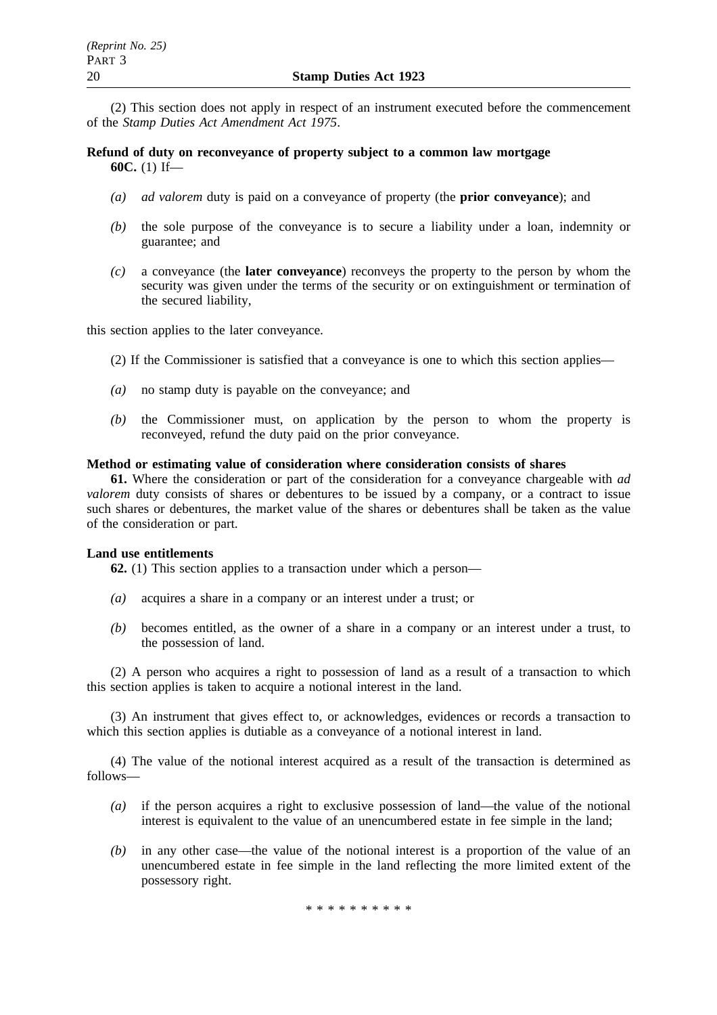(2) This section does not apply in respect of an instrument executed before the commencement of the *Stamp Duties Act Amendment Act 1975*.

**Refund of duty on reconveyance of property subject to a common law mortgage 60C.** (1) If—

- *(a) ad valorem* duty is paid on a conveyance of property (the **prior conveyance**); and
- *(b)* the sole purpose of the conveyance is to secure a liability under a loan, indemnity or guarantee; and
- *(c)* a conveyance (the **later conveyance**) reconveys the property to the person by whom the security was given under the terms of the security or on extinguishment or termination of the secured liability,

this section applies to the later conveyance.

- (2) If the Commissioner is satisfied that a conveyance is one to which this section applies—
- *(a)* no stamp duty is payable on the conveyance; and
- *(b)* the Commissioner must, on application by the person to whom the property is reconveyed, refund the duty paid on the prior conveyance.

#### **Method or estimating value of consideration where consideration consists of shares**

**61.** Where the consideration or part of the consideration for a conveyance chargeable with *ad valorem* duty consists of shares or debentures to be issued by a company, or a contract to issue such shares or debentures, the market value of the shares or debentures shall be taken as the value of the consideration or part.

#### **Land use entitlements**

**62.** (1) This section applies to a transaction under which a person—

- *(a)* acquires a share in a company or an interest under a trust; or
- *(b)* becomes entitled, as the owner of a share in a company or an interest under a trust, to the possession of land.

(2) A person who acquires a right to possession of land as a result of a transaction to which this section applies is taken to acquire a notional interest in the land.

(3) An instrument that gives effect to, or acknowledges, evidences or records a transaction to which this section applies is dutiable as a conveyance of a notional interest in land.

(4) The value of the notional interest acquired as a result of the transaction is determined as follows—

- *(a)* if the person acquires a right to exclusive possession of land—the value of the notional interest is equivalent to the value of an unencumbered estate in fee simple in the land;
- *(b)* in any other case—the value of the notional interest is a proportion of the value of an unencumbered estate in fee simple in the land reflecting the more limited extent of the possessory right.

\*\*\*\*\*\*\*\*\*\*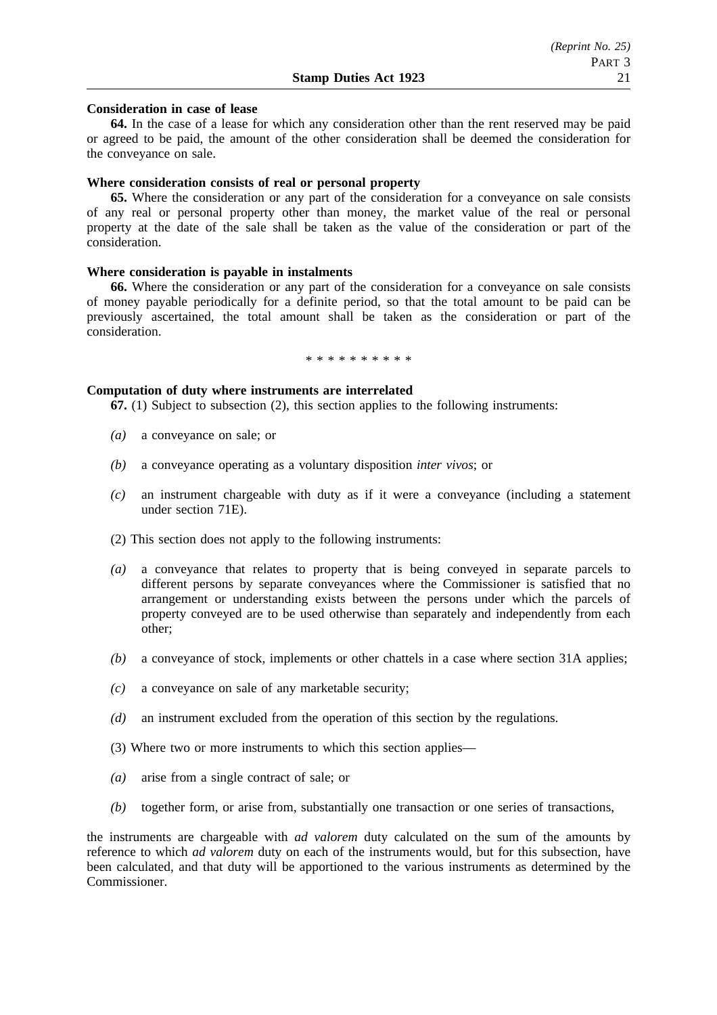### **Consideration in case of lease**

**64.** In the case of a lease for which any consideration other than the rent reserved may be paid or agreed to be paid, the amount of the other consideration shall be deemed the consideration for the conveyance on sale.

### **Where consideration consists of real or personal property**

**65.** Where the consideration or any part of the consideration for a conveyance on sale consists of any real or personal property other than money, the market value of the real or personal property at the date of the sale shall be taken as the value of the consideration or part of the consideration.

### **Where consideration is payable in instalments**

**66.** Where the consideration or any part of the consideration for a conveyance on sale consists of money payable periodically for a definite period, so that the total amount to be paid can be previously ascertained, the total amount shall be taken as the consideration or part of the consideration.

\*\*\*\*\*\*\*\*\*\*

### **Computation of duty where instruments are interrelated**

**67.** (1) Subject to subsection (2), this section applies to the following instruments:

- *(a)* a conveyance on sale; or
- *(b)* a conveyance operating as a voluntary disposition *inter vivos*; or
- *(c)* an instrument chargeable with duty as if it were a conveyance (including a statement under section 71E).
- (2) This section does not apply to the following instruments:
- *(a)* a conveyance that relates to property that is being conveyed in separate parcels to different persons by separate conveyances where the Commissioner is satisfied that no arrangement or understanding exists between the persons under which the parcels of property conveyed are to be used otherwise than separately and independently from each other;
- *(b)* a conveyance of stock, implements or other chattels in a case where section 31A applies;
- *(c)* a conveyance on sale of any marketable security;
- *(d)* an instrument excluded from the operation of this section by the regulations.
- (3) Where two or more instruments to which this section applies—
- *(a)* arise from a single contract of sale; or
- *(b)* together form, or arise from, substantially one transaction or one series of transactions,

the instruments are chargeable with *ad valorem* duty calculated on the sum of the amounts by reference to which *ad valorem* duty on each of the instruments would, but for this subsection, have been calculated, and that duty will be apportioned to the various instruments as determined by the **Commissioner**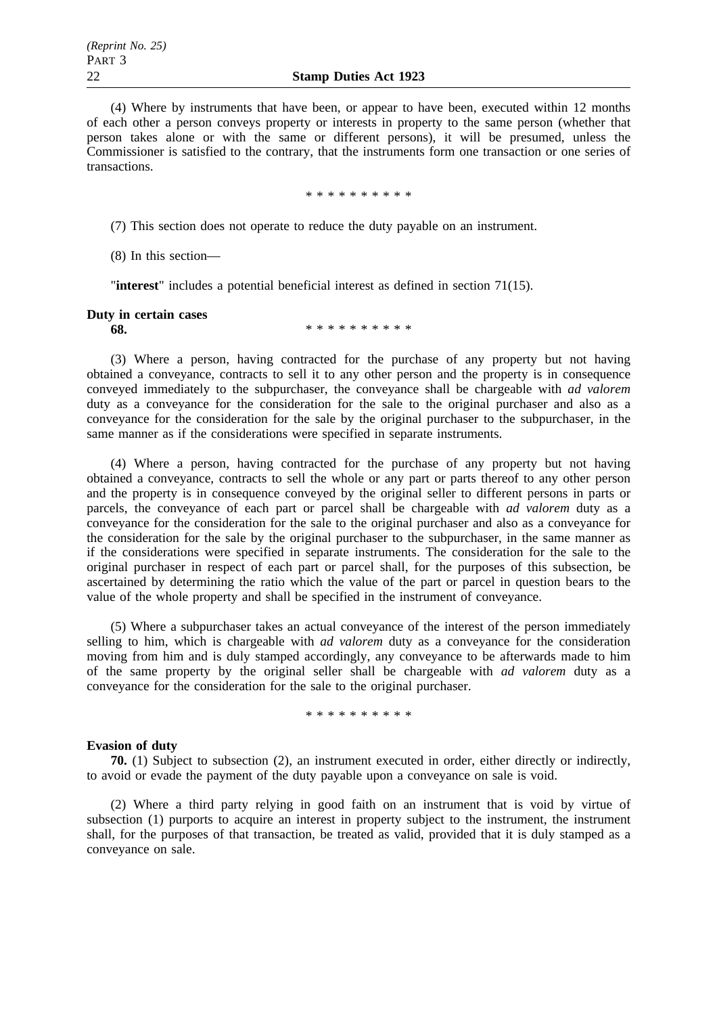(4) Where by instruments that have been, or appear to have been, executed within 12 months of each other a person conveys property or interests in property to the same person (whether that person takes alone or with the same or different persons), it will be presumed, unless the Commissioner is satisfied to the contrary, that the instruments form one transaction or one series of transactions.

\*\*\*\*\*\*\*\*\*\*

(7) This section does not operate to reduce the duty payable on an instrument.

(8) In this section—

"**interest**" includes a potential beneficial interest as defined in section 71(15).

## **Duty in certain cases**

**68.** \*\*\*\*\*\*\*\*\*\*\*\*

(3) Where a person, having contracted for the purchase of any property but not having obtained a conveyance, contracts to sell it to any other person and the property is in consequence conveyed immediately to the subpurchaser, the conveyance shall be chargeable with *ad valorem* duty as a conveyance for the consideration for the sale to the original purchaser and also as a conveyance for the consideration for the sale by the original purchaser to the subpurchaser, in the same manner as if the considerations were specified in separate instruments.

(4) Where a person, having contracted for the purchase of any property but not having obtained a conveyance, contracts to sell the whole or any part or parts thereof to any other person and the property is in consequence conveyed by the original seller to different persons in parts or parcels, the conveyance of each part or parcel shall be chargeable with *ad valorem* duty as a conveyance for the consideration for the sale to the original purchaser and also as a conveyance for the consideration for the sale by the original purchaser to the subpurchaser, in the same manner as if the considerations were specified in separate instruments. The consideration for the sale to the original purchaser in respect of each part or parcel shall, for the purposes of this subsection, be ascertained by determining the ratio which the value of the part or parcel in question bears to the value of the whole property and shall be specified in the instrument of conveyance.

(5) Where a subpurchaser takes an actual conveyance of the interest of the person immediately selling to him, which is chargeable with *ad valorem* duty as a conveyance for the consideration moving from him and is duly stamped accordingly, any conveyance to be afterwards made to him of the same property by the original seller shall be chargeable with *ad valorem* duty as a conveyance for the consideration for the sale to the original purchaser.

\*\*\*\*\*\*\*\*\*\*

## **Evasion of duty**

**70.** (1) Subject to subsection (2), an instrument executed in order, either directly or indirectly, to avoid or evade the payment of the duty payable upon a conveyance on sale is void.

(2) Where a third party relying in good faith on an instrument that is void by virtue of subsection (1) purports to acquire an interest in property subject to the instrument, the instrument shall, for the purposes of that transaction, be treated as valid, provided that it is duly stamped as a conveyance on sale.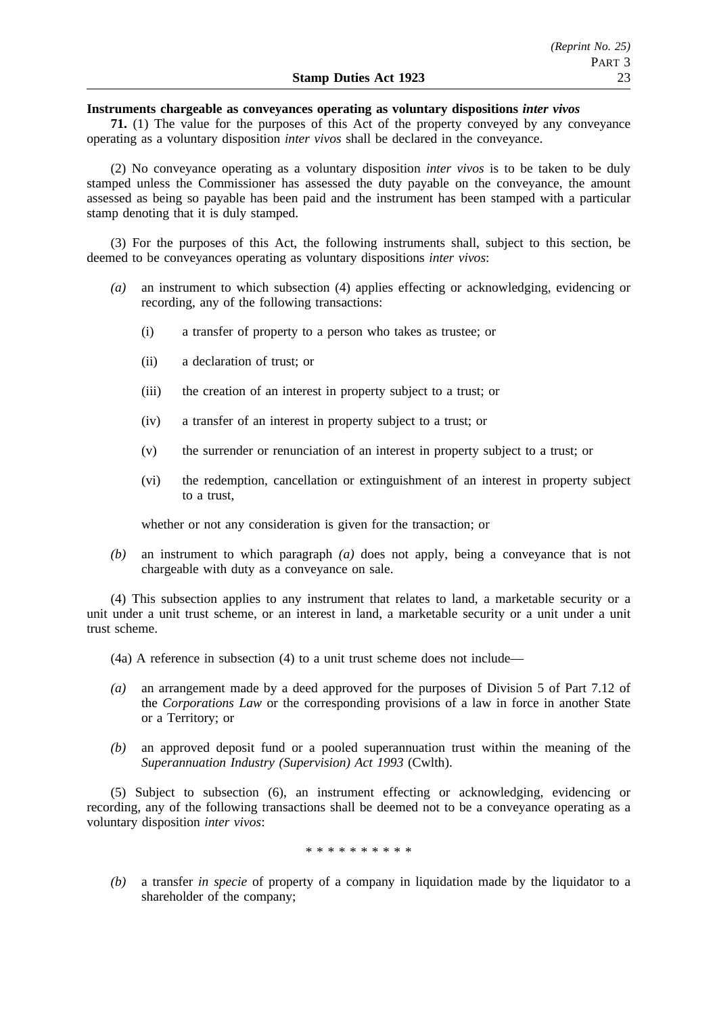### **Instruments chargeable as conveyances operating as voluntary dispositions** *inter vivos*

**71.** (1) The value for the purposes of this Act of the property conveyed by any conveyance operating as a voluntary disposition *inter vivos* shall be declared in the conveyance.

(2) No conveyance operating as a voluntary disposition *inter vivos* is to be taken to be duly stamped unless the Commissioner has assessed the duty payable on the conveyance, the amount assessed as being so payable has been paid and the instrument has been stamped with a particular stamp denoting that it is duly stamped.

(3) For the purposes of this Act, the following instruments shall, subject to this section, be deemed to be conveyances operating as voluntary dispositions *inter vivos*:

- *(a)* an instrument to which subsection (4) applies effecting or acknowledging, evidencing or recording, any of the following transactions:
	- (i) a transfer of property to a person who takes as trustee; or
	- (ii) a declaration of trust; or
	- (iii) the creation of an interest in property subject to a trust; or
	- (iv) a transfer of an interest in property subject to a trust; or
	- (v) the surrender or renunciation of an interest in property subject to a trust; or
	- (vi) the redemption, cancellation or extinguishment of an interest in property subject to a trust,

whether or not any consideration is given for the transaction; or

*(b)* an instrument to which paragraph *(a)* does not apply, being a conveyance that is not chargeable with duty as a conveyance on sale.

(4) This subsection applies to any instrument that relates to land, a marketable security or a unit under a unit trust scheme, or an interest in land, a marketable security or a unit under a unit trust scheme.

- (4a) A reference in subsection (4) to a unit trust scheme does not include—
- *(a)* an arrangement made by a deed approved for the purposes of Division 5 of Part 7.12 of the *Corporations Law* or the corresponding provisions of a law in force in another State or a Territory; or
- *(b)* an approved deposit fund or a pooled superannuation trust within the meaning of the *Superannuation Industry (Supervision) Act 1993* (Cwlth).

(5) Subject to subsection (6), an instrument effecting or acknowledging, evidencing or recording, any of the following transactions shall be deemed not to be a conveyance operating as a voluntary disposition *inter vivos*:

\*\*\*\*\*\*\*\*\*\*

*(b)* a transfer *in specie* of property of a company in liquidation made by the liquidator to a shareholder of the company;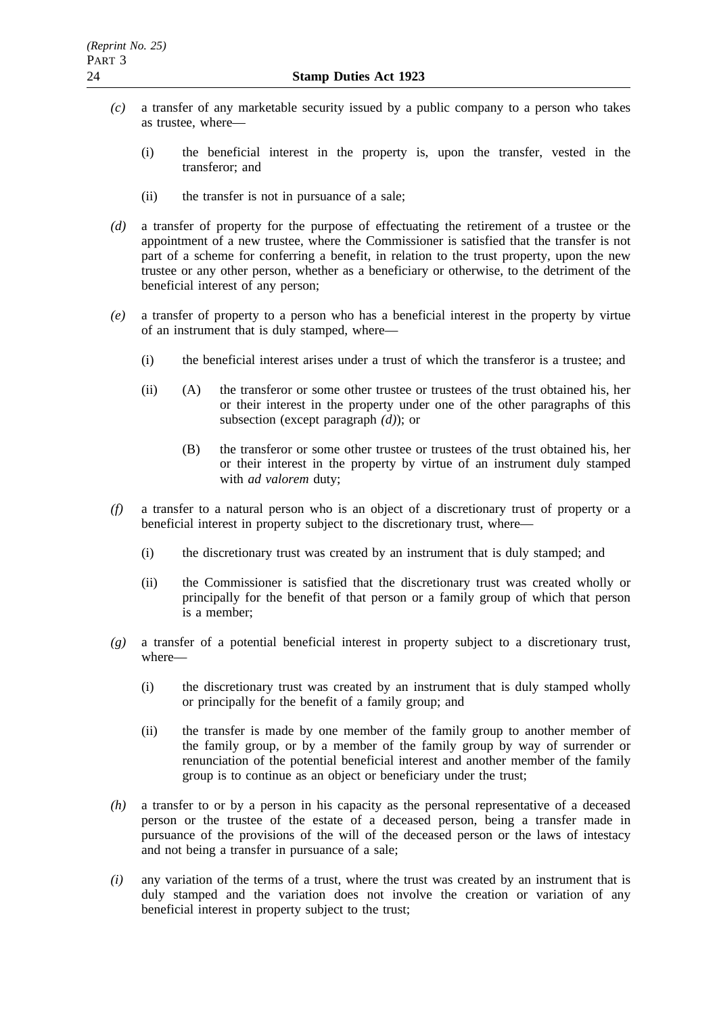- *(c)* a transfer of any marketable security issued by a public company to a person who takes as trustee, where—
	- (i) the beneficial interest in the property is, upon the transfer, vested in the transferor; and
	- (ii) the transfer is not in pursuance of a sale;
- *(d)* a transfer of property for the purpose of effectuating the retirement of a trustee or the appointment of a new trustee, where the Commissioner is satisfied that the transfer is not part of a scheme for conferring a benefit, in relation to the trust property, upon the new trustee or any other person, whether as a beneficiary or otherwise, to the detriment of the beneficial interest of any person;
- *(e)* a transfer of property to a person who has a beneficial interest in the property by virtue of an instrument that is duly stamped, where—
	- (i) the beneficial interest arises under a trust of which the transferor is a trustee; and
	- (ii) (A) the transferor or some other trustee or trustees of the trust obtained his, her or their interest in the property under one of the other paragraphs of this subsection (except paragraph *(d)*); or
		- (B) the transferor or some other trustee or trustees of the trust obtained his, her or their interest in the property by virtue of an instrument duly stamped with *ad valorem* duty;
- *(f)* a transfer to a natural person who is an object of a discretionary trust of property or a beneficial interest in property subject to the discretionary trust, where—
	- (i) the discretionary trust was created by an instrument that is duly stamped; and
	- (ii) the Commissioner is satisfied that the discretionary trust was created wholly or principally for the benefit of that person or a family group of which that person is a member;
- *(g)* a transfer of a potential beneficial interest in property subject to a discretionary trust, where—
	- (i) the discretionary trust was created by an instrument that is duly stamped wholly or principally for the benefit of a family group; and
	- (ii) the transfer is made by one member of the family group to another member of the family group, or by a member of the family group by way of surrender or renunciation of the potential beneficial interest and another member of the family group is to continue as an object or beneficiary under the trust;
- *(h)* a transfer to or by a person in his capacity as the personal representative of a deceased person or the trustee of the estate of a deceased person, being a transfer made in pursuance of the provisions of the will of the deceased person or the laws of intestacy and not being a transfer in pursuance of a sale;
- *(i)* any variation of the terms of a trust, where the trust was created by an instrument that is duly stamped and the variation does not involve the creation or variation of any beneficial interest in property subject to the trust;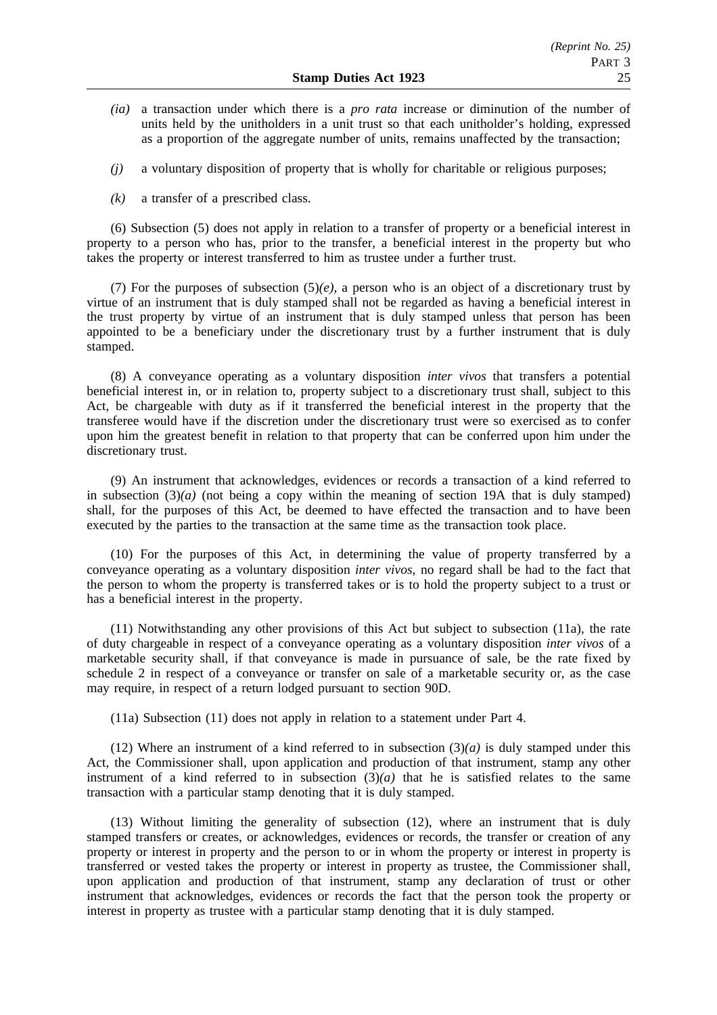- *(ia)* a transaction under which there is a *pro rata* increase or diminution of the number of units held by the unitholders in a unit trust so that each unitholder's holding, expressed as a proportion of the aggregate number of units, remains unaffected by the transaction;
- *(j)* a voluntary disposition of property that is wholly for charitable or religious purposes;
- *(k)* a transfer of a prescribed class.

(6) Subsection (5) does not apply in relation to a transfer of property or a beneficial interest in property to a person who has, prior to the transfer, a beneficial interest in the property but who takes the property or interest transferred to him as trustee under a further trust.

(7) For the purposes of subsection  $(5)(e)$ , a person who is an object of a discretionary trust by virtue of an instrument that is duly stamped shall not be regarded as having a beneficial interest in the trust property by virtue of an instrument that is duly stamped unless that person has been appointed to be a beneficiary under the discretionary trust by a further instrument that is duly stamped.

(8) A conveyance operating as a voluntary disposition *inter vivos* that transfers a potential beneficial interest in, or in relation to, property subject to a discretionary trust shall, subject to this Act, be chargeable with duty as if it transferred the beneficial interest in the property that the transferee would have if the discretion under the discretionary trust were so exercised as to confer upon him the greatest benefit in relation to that property that can be conferred upon him under the discretionary trust.

(9) An instrument that acknowledges, evidences or records a transaction of a kind referred to in subsection  $(3)(a)$  (not being a copy within the meaning of section 19A that is duly stamped) shall, for the purposes of this Act, be deemed to have effected the transaction and to have been executed by the parties to the transaction at the same time as the transaction took place.

(10) For the purposes of this Act, in determining the value of property transferred by a conveyance operating as a voluntary disposition *inter vivos*, no regard shall be had to the fact that the person to whom the property is transferred takes or is to hold the property subject to a trust or has a beneficial interest in the property.

(11) Notwithstanding any other provisions of this Act but subject to subsection (11a), the rate of duty chargeable in respect of a conveyance operating as a voluntary disposition *inter vivos* of a marketable security shall, if that conveyance is made in pursuance of sale, be the rate fixed by schedule 2 in respect of a conveyance or transfer on sale of a marketable security or, as the case may require, in respect of a return lodged pursuant to section 90D.

(11a) Subsection (11) does not apply in relation to a statement under Part 4.

(12) Where an instrument of a kind referred to in subsection (3)*(a)* is duly stamped under this Act, the Commissioner shall, upon application and production of that instrument, stamp any other instrument of a kind referred to in subsection  $(3)(a)$  that he is satisfied relates to the same transaction with a particular stamp denoting that it is duly stamped.

(13) Without limiting the generality of subsection (12), where an instrument that is duly stamped transfers or creates, or acknowledges, evidences or records, the transfer or creation of any property or interest in property and the person to or in whom the property or interest in property is transferred or vested takes the property or interest in property as trustee, the Commissioner shall, upon application and production of that instrument, stamp any declaration of trust or other instrument that acknowledges, evidences or records the fact that the person took the property or interest in property as trustee with a particular stamp denoting that it is duly stamped.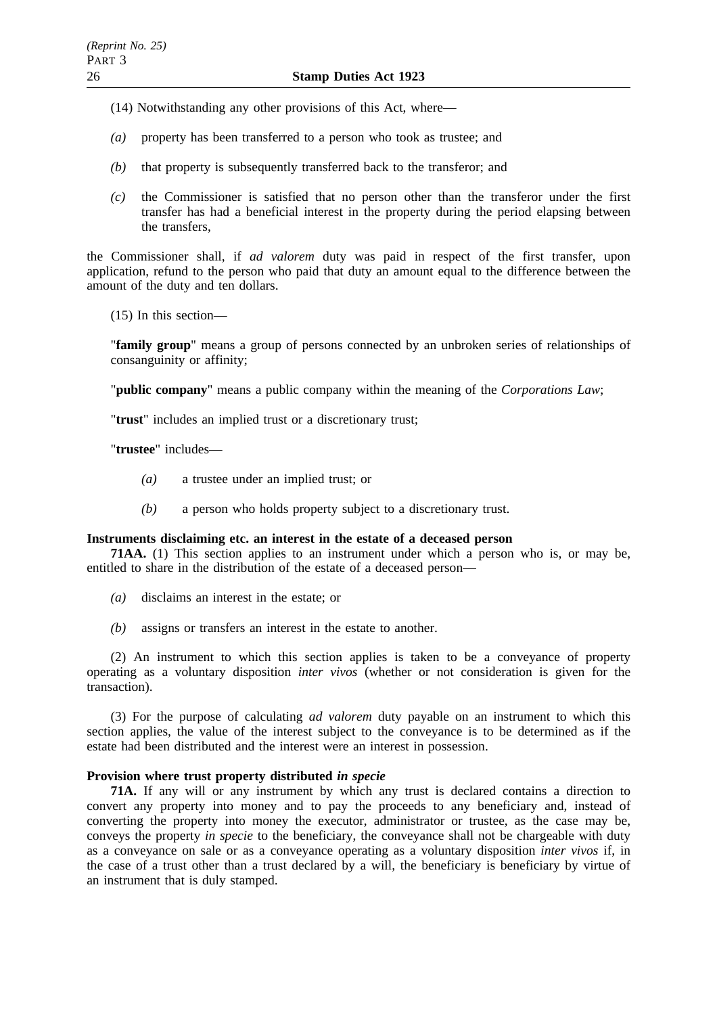- (14) Notwithstanding any other provisions of this Act, where—
- *(a)* property has been transferred to a person who took as trustee; and
- *(b)* that property is subsequently transferred back to the transferor; and
- *(c)* the Commissioner is satisfied that no person other than the transferor under the first transfer has had a beneficial interest in the property during the period elapsing between the transfers,

the Commissioner shall, if *ad valorem* duty was paid in respect of the first transfer, upon application, refund to the person who paid that duty an amount equal to the difference between the amount of the duty and ten dollars.

(15) In this section—

"**family group**" means a group of persons connected by an unbroken series of relationships of consanguinity or affinity;

"**public company**" means a public company within the meaning of the *Corporations Law*;

"**trust**" includes an implied trust or a discretionary trust;

"**trustee**" includes—

- *(a)* a trustee under an implied trust; or
- *(b)* a person who holds property subject to a discretionary trust.

### **Instruments disclaiming etc. an interest in the estate of a deceased person**

**71AA.** (1) This section applies to an instrument under which a person who is, or may be, entitled to share in the distribution of the estate of a deceased person—

- *(a)* disclaims an interest in the estate; or
- *(b)* assigns or transfers an interest in the estate to another.

(2) An instrument to which this section applies is taken to be a conveyance of property operating as a voluntary disposition *inter vivos* (whether or not consideration is given for the transaction).

(3) For the purpose of calculating *ad valorem* duty payable on an instrument to which this section applies, the value of the interest subject to the conveyance is to be determined as if the estate had been distributed and the interest were an interest in possession.

# **Provision where trust property distributed** *in specie*

**71A.** If any will or any instrument by which any trust is declared contains a direction to convert any property into money and to pay the proceeds to any beneficiary and, instead of converting the property into money the executor, administrator or trustee, as the case may be, conveys the property *in specie* to the beneficiary, the conveyance shall not be chargeable with duty as a conveyance on sale or as a conveyance operating as a voluntary disposition *inter vivos* if, in the case of a trust other than a trust declared by a will, the beneficiary is beneficiary by virtue of an instrument that is duly stamped.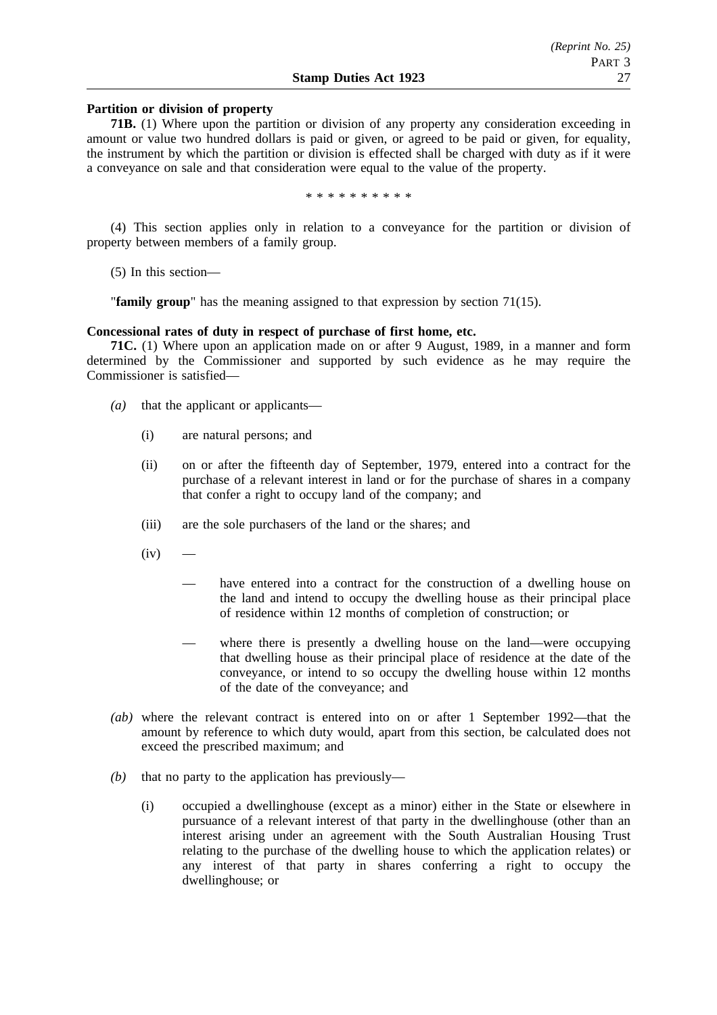### **Partition or division of property**

**71B.** (1) Where upon the partition or division of any property any consideration exceeding in amount or value two hundred dollars is paid or given, or agreed to be paid or given, for equality, the instrument by which the partition or division is effected shall be charged with duty as if it were a conveyance on sale and that consideration were equal to the value of the property.

\*\*\*\*\*\*\*\*\*\*

(4) This section applies only in relation to a conveyance for the partition or division of property between members of a family group.

(5) In this section—

"**family group**" has the meaning assigned to that expression by section 71(15).

### **Concessional rates of duty in respect of purchase of first home, etc.**

**71C.** (1) Where upon an application made on or after 9 August, 1989, in a manner and form determined by the Commissioner and supported by such evidence as he may require the Commissioner is satisfied—

- *(a)* that the applicant or applicants—
	- (i) are natural persons; and
	- (ii) on or after the fifteenth day of September, 1979, entered into a contract for the purchase of a relevant interest in land or for the purchase of shares in a company that confer a right to occupy land of the company; and
	- (iii) are the sole purchasers of the land or the shares; and
	- $(iv)$ 
		- have entered into a contract for the construction of a dwelling house on the land and intend to occupy the dwelling house as their principal place of residence within 12 months of completion of construction; or
		- where there is presently a dwelling house on the land—were occupying that dwelling house as their principal place of residence at the date of the conveyance, or intend to so occupy the dwelling house within 12 months of the date of the conveyance; and
- *(ab)* where the relevant contract is entered into on or after 1 September 1992—that the amount by reference to which duty would, apart from this section, be calculated does not exceed the prescribed maximum; and
- *(b)* that no party to the application has previously—
	- (i) occupied a dwellinghouse (except as a minor) either in the State or elsewhere in pursuance of a relevant interest of that party in the dwellinghouse (other than an interest arising under an agreement with the South Australian Housing Trust relating to the purchase of the dwelling house to which the application relates) or any interest of that party in shares conferring a right to occupy the dwellinghouse; or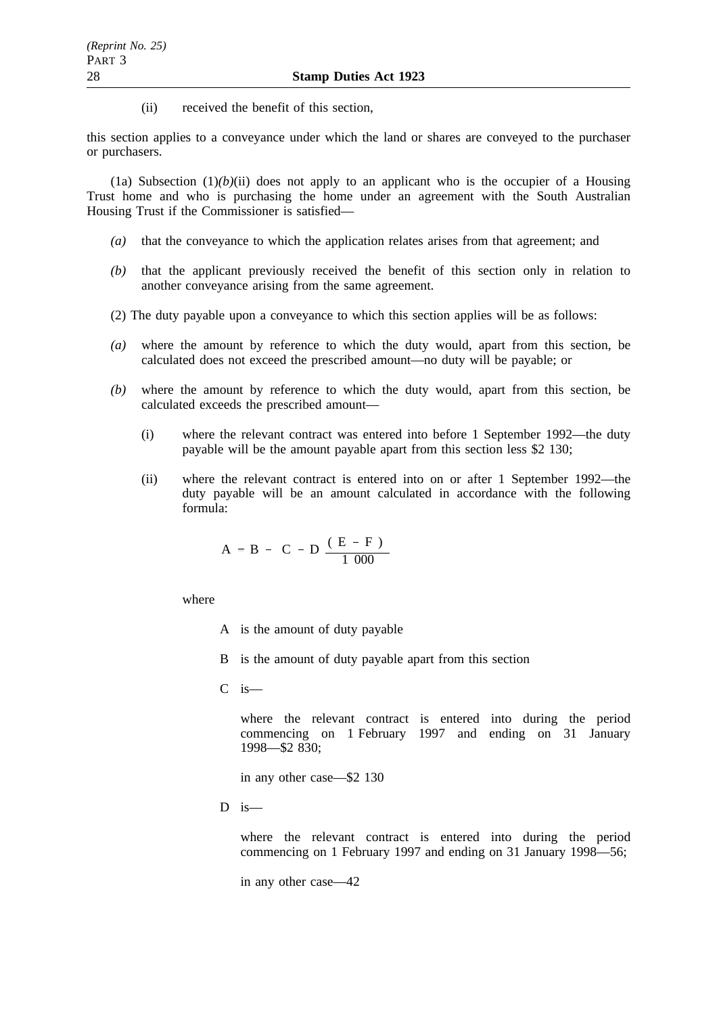(ii) received the benefit of this section,

this section applies to a conveyance under which the land or shares are conveyed to the purchaser or purchasers.

(1a) Subsection  $(1)(b)(ii)$  does not apply to an applicant who is the occupier of a Housing Trust home and who is purchasing the home under an agreement with the South Australian Housing Trust if the Commissioner is satisfied—

- *(a)* that the conveyance to which the application relates arises from that agreement; and
- *(b)* that the applicant previously received the benefit of this section only in relation to another conveyance arising from the same agreement.
- (2) The duty payable upon a conveyance to which this section applies will be as follows:
- *(a)* where the amount by reference to which the duty would, apart from this section, be calculated does not exceed the prescribed amount—no duty will be payable; or
- *(b)* where the amount by reference to which the duty would, apart from this section, be calculated exceeds the prescribed amount—
	- (i) where the relevant contract was entered into before 1 September 1992—the duty payable will be the amount payable apart from this section less \$2 130;
	- (ii) where the relevant contract is entered into on or after 1 September 1992—the duty payable will be an amount calculated in accordance with the following formula:

$$
A = B - \left(C - D \frac{(E - F)}{1000}\right)
$$

where

- A is the amount of duty payable
- B is the amount of duty payable apart from this section
- $C$  is —

where the relevant contract is entered into during the period commencing on 1 February 1997 and ending on 31 January 1998—\$2 830;

in any other case—\$2 130

 $D$  is—

where the relevant contract is entered into during the period commencing on 1 February 1997 and ending on 31 January 1998—56;

in any other case—42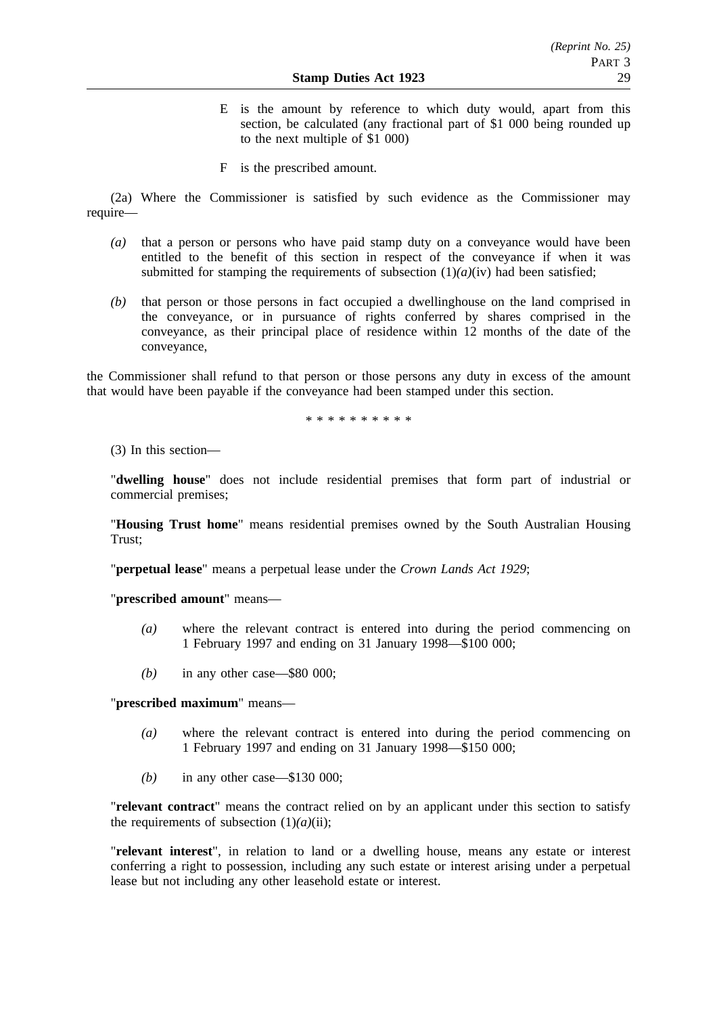- E is the amount by reference to which duty would, apart from this section, be calculated (any fractional part of \$1 000 being rounded up to the next multiple of \$1 000)
- F is the prescribed amount.

(2a) Where the Commissioner is satisfied by such evidence as the Commissioner may require—

- *(a)* that a person or persons who have paid stamp duty on a conveyance would have been entitled to the benefit of this section in respect of the conveyance if when it was submitted for stamping the requirements of subsection  $(1)(a)(iv)$  had been satisfied;
- *(b)* that person or those persons in fact occupied a dwellinghouse on the land comprised in the conveyance, or in pursuance of rights conferred by shares comprised in the conveyance, as their principal place of residence within 12 months of the date of the conveyance,

the Commissioner shall refund to that person or those persons any duty in excess of the amount that would have been payable if the conveyance had been stamped under this section.

\*\*\*\*\*\*\*\*\*\*

(3) In this section—

"**dwelling house**" does not include residential premises that form part of industrial or commercial premises;

"**Housing Trust home**" means residential premises owned by the South Australian Housing Trust;

"**perpetual lease**" means a perpetual lease under the *Crown Lands Act 1929*;

"**prescribed amount**" means—

- *(a)* where the relevant contract is entered into during the period commencing on 1 February 1997 and ending on 31 January 1998—\$100 000;
- *(b)* in any other case—\$80 000;

"**prescribed maximum**" means—

- *(a)* where the relevant contract is entered into during the period commencing on 1 February 1997 and ending on 31 January 1998—\$150 000;
- *(b)* in any other case—\$130 000;

"**relevant contract**" means the contract relied on by an applicant under this section to satisfy the requirements of subsection  $(1)(a)(ii)$ ;

"**relevant interest**", in relation to land or a dwelling house, means any estate or interest conferring a right to possession, including any such estate or interest arising under a perpetual lease but not including any other leasehold estate or interest.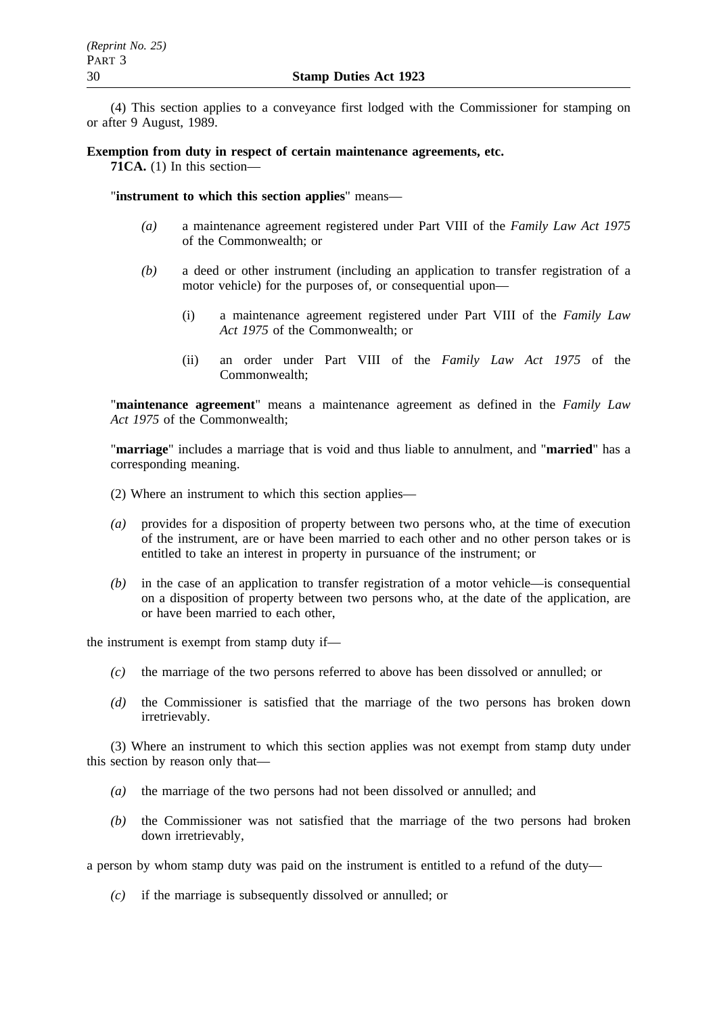(4) This section applies to a conveyance first lodged with the Commissioner for stamping on or after 9 August, 1989.

### **Exemption from duty in respect of certain maintenance agreements, etc.**

**71CA.** (1) In this section—

"**instrument to which this section applies**" means—

- *(a)* a maintenance agreement registered under Part VIII of the *Family Law Act 1975* of the Commonwealth; or
- *(b)* a deed or other instrument (including an application to transfer registration of a motor vehicle) for the purposes of, or consequential upon—
	- (i) a maintenance agreement registered under Part VIII of the *Family Law Act 1975* of the Commonwealth; or
	- (ii) an order under Part VIII of the *Family Law Act 1975* of the Commonwealth;

"**maintenance agreement**" means a maintenance agreement as defined in the *Family Law Act 1975* of the Commonwealth;

"**marriage**" includes a marriage that is void and thus liable to annulment, and "**married**" has a corresponding meaning.

- (2) Where an instrument to which this section applies—
- *(a)* provides for a disposition of property between two persons who, at the time of execution of the instrument, are or have been married to each other and no other person takes or is entitled to take an interest in property in pursuance of the instrument; or
- *(b)* in the case of an application to transfer registration of a motor vehicle—is consequential on a disposition of property between two persons who, at the date of the application, are or have been married to each other,

the instrument is exempt from stamp duty if—

- *(c)* the marriage of the two persons referred to above has been dissolved or annulled; or
- *(d)* the Commissioner is satisfied that the marriage of the two persons has broken down irretrievably.

(3) Where an instrument to which this section applies was not exempt from stamp duty under this section by reason only that—

- *(a)* the marriage of the two persons had not been dissolved or annulled; and
- *(b)* the Commissioner was not satisfied that the marriage of the two persons had broken down irretrievably,

a person by whom stamp duty was paid on the instrument is entitled to a refund of the duty—

*(c)* if the marriage is subsequently dissolved or annulled; or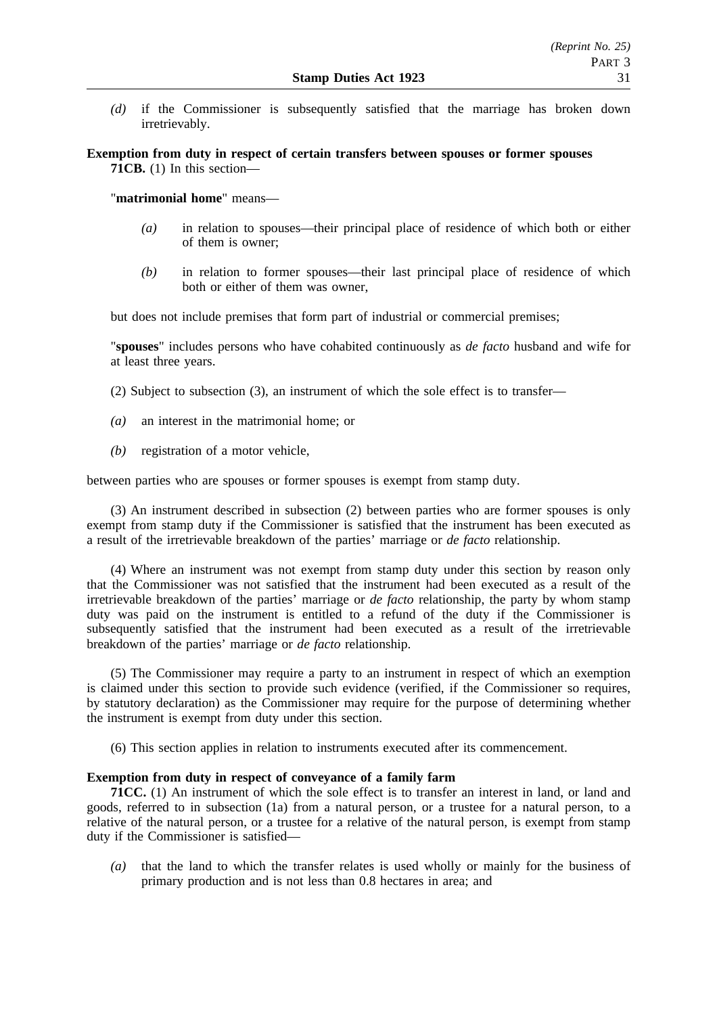*(d)* if the Commissioner is subsequently satisfied that the marriage has broken down irretrievably.

**Exemption from duty in respect of certain transfers between spouses or former spouses 71CB.** (1) In this section—

"**matrimonial home**" means—

- *(a)* in relation to spouses—their principal place of residence of which both or either of them is owner;
- *(b)* in relation to former spouses—their last principal place of residence of which both or either of them was owner,

but does not include premises that form part of industrial or commercial premises;

"**spouses**" includes persons who have cohabited continuously as *de facto* husband and wife for at least three years.

- (2) Subject to subsection (3), an instrument of which the sole effect is to transfer—
- *(a)* an interest in the matrimonial home; or
- *(b)* registration of a motor vehicle,

between parties who are spouses or former spouses is exempt from stamp duty.

(3) An instrument described in subsection (2) between parties who are former spouses is only exempt from stamp duty if the Commissioner is satisfied that the instrument has been executed as a result of the irretrievable breakdown of the parties' marriage or *de facto* relationship.

(4) Where an instrument was not exempt from stamp duty under this section by reason only that the Commissioner was not satisfied that the instrument had been executed as a result of the irretrievable breakdown of the parties' marriage or *de facto* relationship, the party by whom stamp duty was paid on the instrument is entitled to a refund of the duty if the Commissioner is subsequently satisfied that the instrument had been executed as a result of the irretrievable breakdown of the parties' marriage or *de facto* relationship.

(5) The Commissioner may require a party to an instrument in respect of which an exemption is claimed under this section to provide such evidence (verified, if the Commissioner so requires, by statutory declaration) as the Commissioner may require for the purpose of determining whether the instrument is exempt from duty under this section.

(6) This section applies in relation to instruments executed after its commencement.

### **Exemption from duty in respect of conveyance of a family farm**

**71CC.** (1) An instrument of which the sole effect is to transfer an interest in land, or land and goods, referred to in subsection (1a) from a natural person, or a trustee for a natural person, to a relative of the natural person, or a trustee for a relative of the natural person, is exempt from stamp duty if the Commissioner is satisfied—

*(a)* that the land to which the transfer relates is used wholly or mainly for the business of primary production and is not less than 0.8 hectares in area; and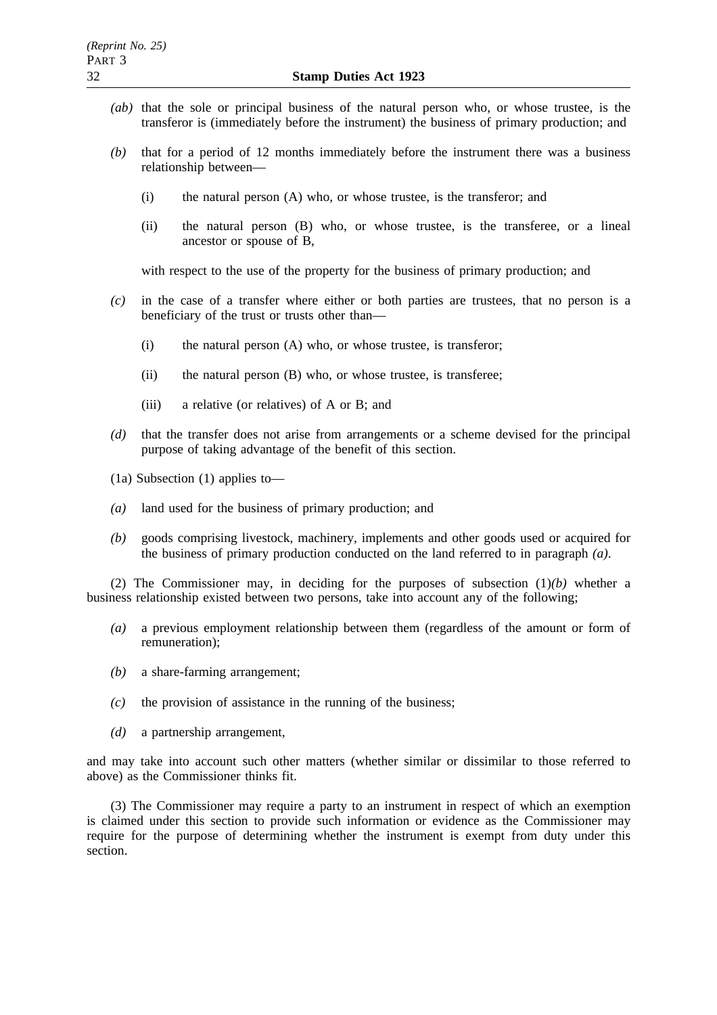- *(ab)* that the sole or principal business of the natural person who, or whose trustee, is the transferor is (immediately before the instrument) the business of primary production; and
- *(b)* that for a period of 12 months immediately before the instrument there was a business relationship between—
	- (i) the natural person (A) who, or whose trustee, is the transferor; and
	- (ii) the natural person (B) who, or whose trustee, is the transferee, or a lineal ancestor or spouse of B,

with respect to the use of the property for the business of primary production; and

- *(c)* in the case of a transfer where either or both parties are trustees, that no person is a beneficiary of the trust or trusts other than—
	- (i) the natural person (A) who, or whose trustee, is transferor;
	- (ii) the natural person (B) who, or whose trustee, is transferee;
	- (iii) a relative (or relatives) of A or B; and
- *(d)* that the transfer does not arise from arrangements or a scheme devised for the principal purpose of taking advantage of the benefit of this section.
- (1a) Subsection (1) applies to—
- *(a)* land used for the business of primary production; and
- *(b)* goods comprising livestock, machinery, implements and other goods used or acquired for the business of primary production conducted on the land referred to in paragraph *(a)*.

(2) The Commissioner may, in deciding for the purposes of subsection (1)*(b)* whether a business relationship existed between two persons, take into account any of the following;

- *(a)* a previous employment relationship between them (regardless of the amount or form of remuneration);
- *(b)* a share-farming arrangement;
- *(c)* the provision of assistance in the running of the business;
- *(d)* a partnership arrangement,

and may take into account such other matters (whether similar or dissimilar to those referred to above) as the Commissioner thinks fit.

(3) The Commissioner may require a party to an instrument in respect of which an exemption is claimed under this section to provide such information or evidence as the Commissioner may require for the purpose of determining whether the instrument is exempt from duty under this section.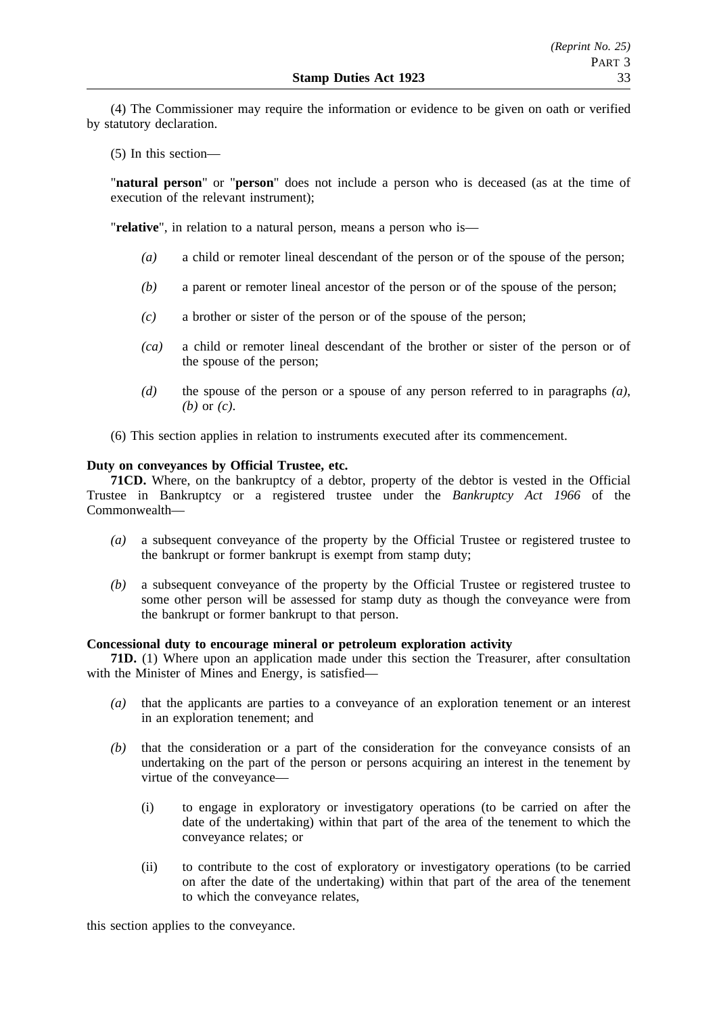(4) The Commissioner may require the information or evidence to be given on oath or verified by statutory declaration.

(5) In this section—

"**natural person**" or "**person**" does not include a person who is deceased (as at the time of execution of the relevant instrument);

"**relative**", in relation to a natural person, means a person who is—

- *(a)* a child or remoter lineal descendant of the person or of the spouse of the person;
- *(b)* a parent or remoter lineal ancestor of the person or of the spouse of the person;
- *(c)* a brother or sister of the person or of the spouse of the person;
- *(ca)* a child or remoter lineal descendant of the brother or sister of the person or of the spouse of the person;
- *(d)* the spouse of the person or a spouse of any person referred to in paragraphs *(a)*, *(b)* or *(c)*.
- (6) This section applies in relation to instruments executed after its commencement.

### **Duty on conveyances by Official Trustee, etc.**

**71CD.** Where, on the bankruptcy of a debtor, property of the debtor is vested in the Official Trustee in Bankruptcy or a registered trustee under the *Bankruptcy Act 1966* of the Commonwealth—

- *(a)* a subsequent conveyance of the property by the Official Trustee or registered trustee to the bankrupt or former bankrupt is exempt from stamp duty;
- *(b)* a subsequent conveyance of the property by the Official Trustee or registered trustee to some other person will be assessed for stamp duty as though the conveyance were from the bankrupt or former bankrupt to that person.

# **Concessional duty to encourage mineral or petroleum exploration activity**

**71D.** (1) Where upon an application made under this section the Treasurer, after consultation with the Minister of Mines and Energy, is satisfied—

- *(a)* that the applicants are parties to a conveyance of an exploration tenement or an interest in an exploration tenement; and
- *(b)* that the consideration or a part of the consideration for the conveyance consists of an undertaking on the part of the person or persons acquiring an interest in the tenement by virtue of the conveyance—
	- (i) to engage in exploratory or investigatory operations (to be carried on after the date of the undertaking) within that part of the area of the tenement to which the conveyance relates; or
	- (ii) to contribute to the cost of exploratory or investigatory operations (to be carried on after the date of the undertaking) within that part of the area of the tenement to which the conveyance relates,

this section applies to the conveyance.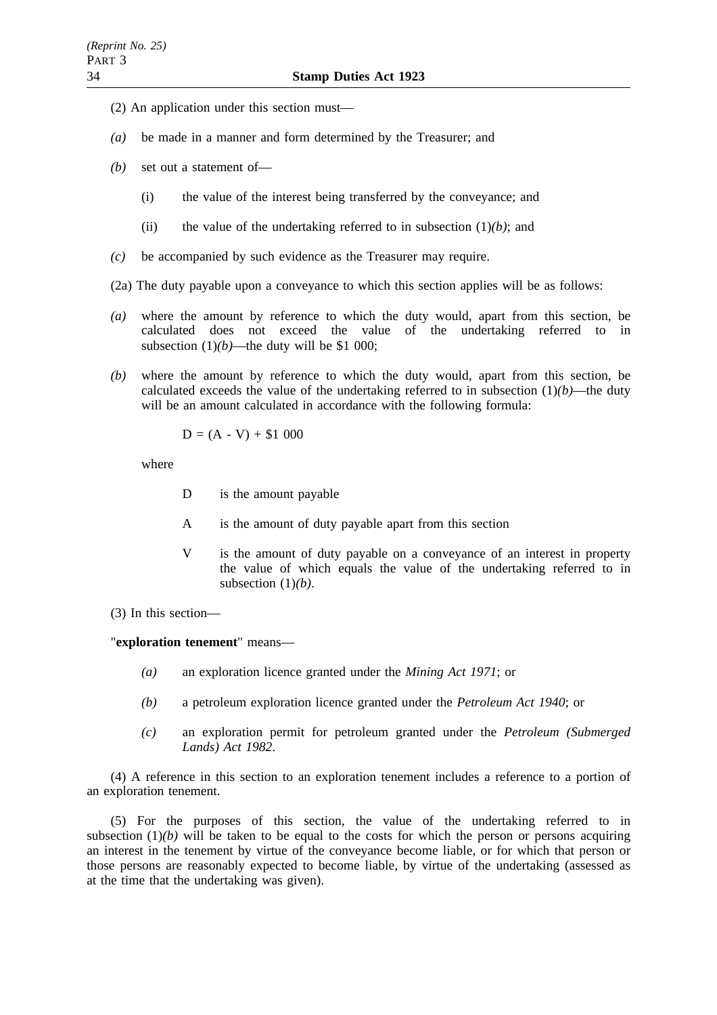- (2) An application under this section must—
- *(a)* be made in a manner and form determined by the Treasurer; and
- *(b)* set out a statement of—
	- (i) the value of the interest being transferred by the conveyance; and
	- (ii) the value of the undertaking referred to in subsection  $(1)(b)$ ; and
- *(c)* be accompanied by such evidence as the Treasurer may require.
- (2a) The duty payable upon a conveyance to which this section applies will be as follows:
- *(a)* where the amount by reference to which the duty would, apart from this section, be calculated does not exceed the value of the undertaking referred to in subsection  $(1)(b)$ —the duty will be \$1 000;
- *(b)* where the amount by reference to which the duty would, apart from this section, be calculated exceeds the value of the undertaking referred to in subsection  $(1)(b)$ —the duty will be an amount calculated in accordance with the following formula:

$$
D = (A - V) + $1\ 000
$$

where

- D is the amount payable
- A is the amount of duty payable apart from this section
- V is the amount of duty payable on a conveyance of an interest in property the value of which equals the value of the undertaking referred to in subsection (1)*(b)*.

(3) In this section—

"**exploration tenement**" means—

- *(a)* an exploration licence granted under the *Mining Act 1971*; or
- *(b)* a petroleum exploration licence granted under the *Petroleum Act 1940*; or
- *(c)* an exploration permit for petroleum granted under the *Petroleum (Submerged Lands) Act 1982*.

(4) A reference in this section to an exploration tenement includes a reference to a portion of an exploration tenement.

(5) For the purposes of this section, the value of the undertaking referred to in subsection  $(1)(b)$  will be taken to be equal to the costs for which the person or persons acquiring an interest in the tenement by virtue of the conveyance become liable, or for which that person or those persons are reasonably expected to become liable, by virtue of the undertaking (assessed as at the time that the undertaking was given).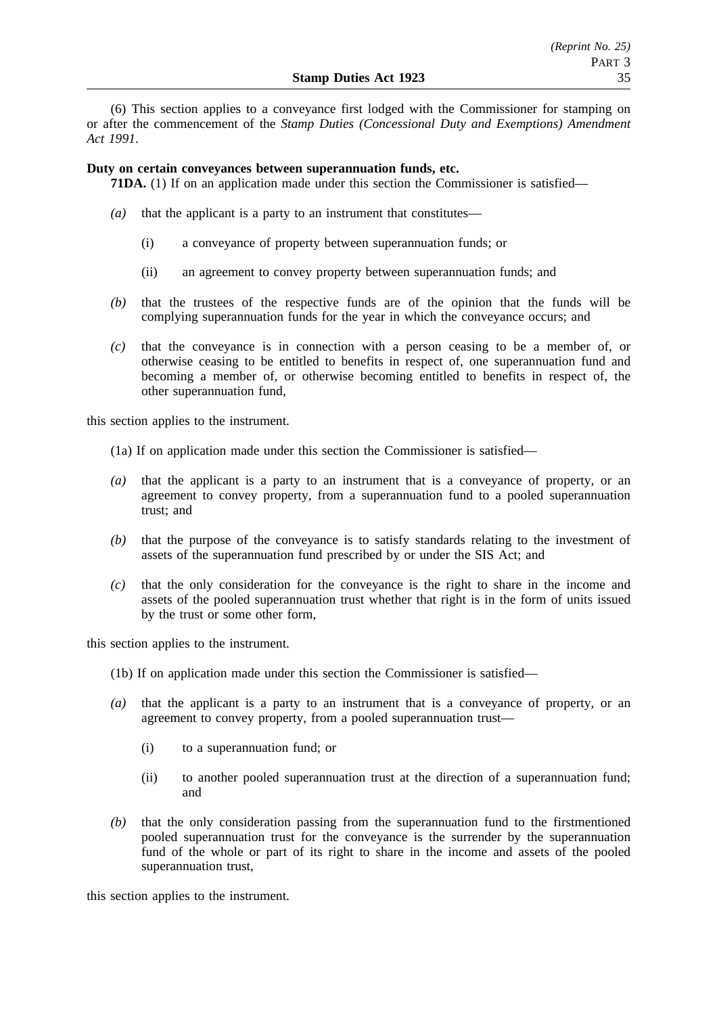(6) This section applies to a conveyance first lodged with the Commissioner for stamping on or after the commencement of the *Stamp Duties (Concessional Duty and Exemptions) Amendment Act 1991*.

# **Duty on certain conveyances between superannuation funds, etc.**

**71DA.** (1) If on an application made under this section the Commissioner is satisfied—

- *(a)* that the applicant is a party to an instrument that constitutes—
	- (i) a conveyance of property between superannuation funds; or
	- (ii) an agreement to convey property between superannuation funds; and
- *(b)* that the trustees of the respective funds are of the opinion that the funds will be complying superannuation funds for the year in which the conveyance occurs; and
- *(c)* that the conveyance is in connection with a person ceasing to be a member of, or otherwise ceasing to be entitled to benefits in respect of, one superannuation fund and becoming a member of, or otherwise becoming entitled to benefits in respect of, the other superannuation fund,

this section applies to the instrument.

- (1a) If on application made under this section the Commissioner is satisfied—
- *(a)* that the applicant is a party to an instrument that is a conveyance of property, or an agreement to convey property, from a superannuation fund to a pooled superannuation trust; and
- *(b)* that the purpose of the conveyance is to satisfy standards relating to the investment of assets of the superannuation fund prescribed by or under the SIS Act; and
- *(c)* that the only consideration for the conveyance is the right to share in the income and assets of the pooled superannuation trust whether that right is in the form of units issued by the trust or some other form,

this section applies to the instrument.

- (1b) If on application made under this section the Commissioner is satisfied—
- *(a)* that the applicant is a party to an instrument that is a conveyance of property, or an agreement to convey property, from a pooled superannuation trust—
	- (i) to a superannuation fund; or
	- (ii) to another pooled superannuation trust at the direction of a superannuation fund; and
- *(b)* that the only consideration passing from the superannuation fund to the firstmentioned pooled superannuation trust for the conveyance is the surrender by the superannuation fund of the whole or part of its right to share in the income and assets of the pooled superannuation trust,

this section applies to the instrument.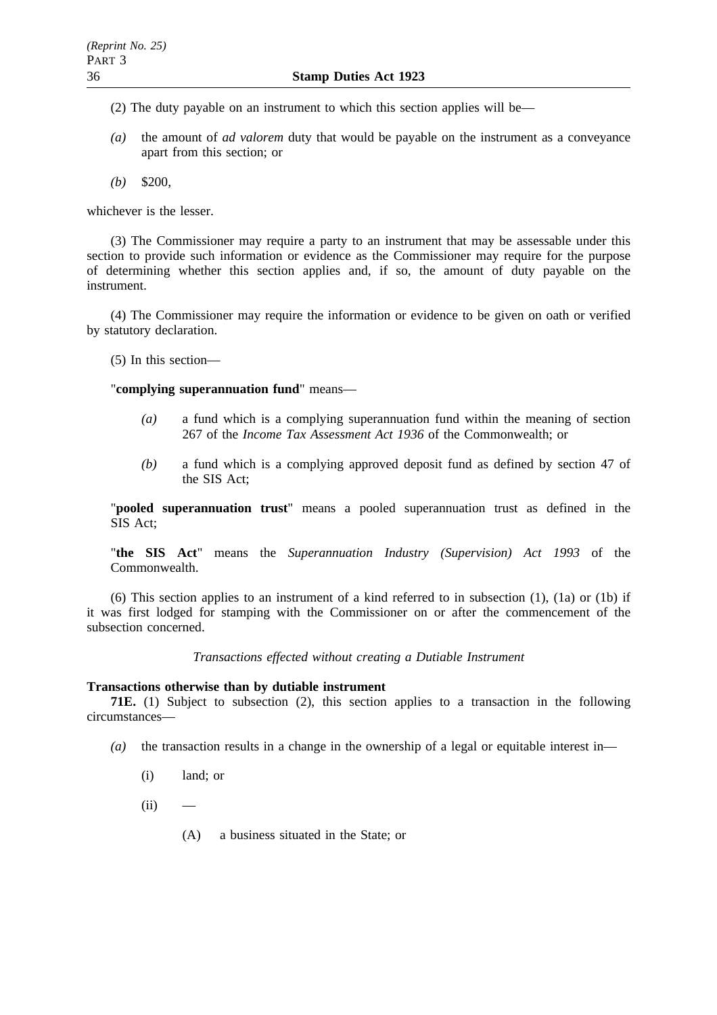(2) The duty payable on an instrument to which this section applies will be—

- *(a)* the amount of *ad valorem* duty that would be payable on the instrument as a conveyance apart from this section; or
- *(b)* \$200,

whichever is the lesser.

(3) The Commissioner may require a party to an instrument that may be assessable under this section to provide such information or evidence as the Commissioner may require for the purpose of determining whether this section applies and, if so, the amount of duty payable on the instrument.

(4) The Commissioner may require the information or evidence to be given on oath or verified by statutory declaration.

(5) In this section—

"**complying superannuation fund**" means—

- *(a)* a fund which is a complying superannuation fund within the meaning of section 267 of the *Income Tax Assessment Act 1936* of the Commonwealth; or
- *(b)* a fund which is a complying approved deposit fund as defined by section 47 of the SIS Act;

"**pooled superannuation trust**" means a pooled superannuation trust as defined in the SIS Act;

"**the SIS Act**" means the *Superannuation Industry (Supervision) Act 1993* of the Commonwealth.

(6) This section applies to an instrument of a kind referred to in subsection (1), (1a) or (1b) if it was first lodged for stamping with the Commissioner on or after the commencement of the subsection concerned.

*Transactions effected without creating a Dutiable Instrument*

#### **Transactions otherwise than by dutiable instrument**

**71E.** (1) Subject to subsection (2), this section applies to a transaction in the following circumstances—

- $(a)$  the transaction results in a change in the ownership of a legal or equitable interest in—
	- (i) land; or
	- $(ii)$ 
		- (A) a business situated in the State; or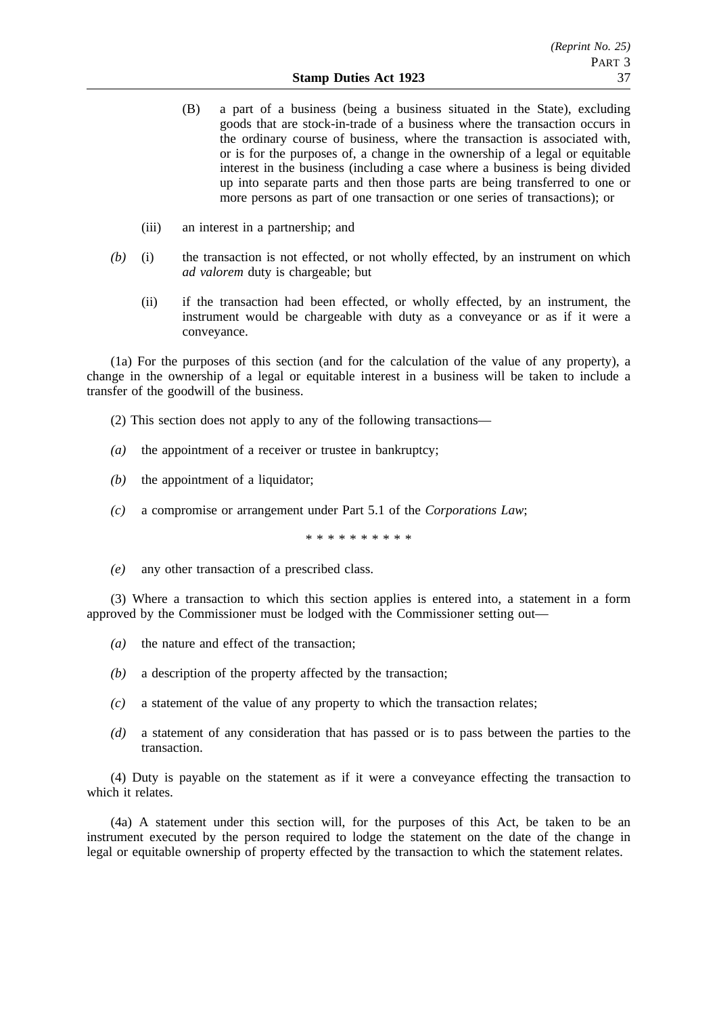- (B) a part of a business (being a business situated in the State), excluding goods that are stock-in-trade of a business where the transaction occurs in the ordinary course of business, where the transaction is associated with, or is for the purposes of, a change in the ownership of a legal or equitable interest in the business (including a case where a business is being divided up into separate parts and then those parts are being transferred to one or more persons as part of one transaction or one series of transactions); or
- (iii) an interest in a partnership; and
- *(b)* (i) the transaction is not effected, or not wholly effected, by an instrument on which *ad valorem* duty is chargeable; but
	- (ii) if the transaction had been effected, or wholly effected, by an instrument, the instrument would be chargeable with duty as a conveyance or as if it were a conveyance.

(1a) For the purposes of this section (and for the calculation of the value of any property), a change in the ownership of a legal or equitable interest in a business will be taken to include a transfer of the goodwill of the business.

- (2) This section does not apply to any of the following transactions—
- *(a)* the appointment of a receiver or trustee in bankruptcy;
- *(b)* the appointment of a liquidator;
- *(c)* a compromise or arrangement under Part 5.1 of the *Corporations Law*;

\*\*\*\*\*\*\*\*\*\*

*(e)* any other transaction of a prescribed class.

(3) Where a transaction to which this section applies is entered into, a statement in a form approved by the Commissioner must be lodged with the Commissioner setting out—

- *(a)* the nature and effect of the transaction;
- *(b)* a description of the property affected by the transaction;
- *(c)* a statement of the value of any property to which the transaction relates;
- *(d)* a statement of any consideration that has passed or is to pass between the parties to the transaction.

(4) Duty is payable on the statement as if it were a conveyance effecting the transaction to which it relates.

(4a) A statement under this section will, for the purposes of this Act, be taken to be an instrument executed by the person required to lodge the statement on the date of the change in legal or equitable ownership of property effected by the transaction to which the statement relates.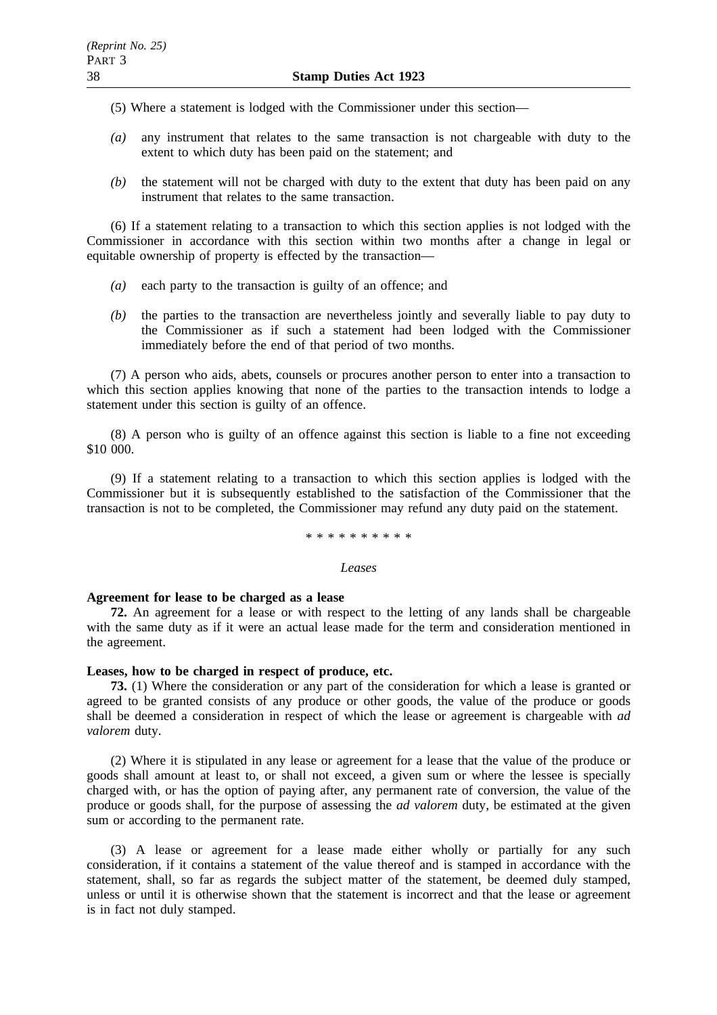(5) Where a statement is lodged with the Commissioner under this section—

- *(a)* any instrument that relates to the same transaction is not chargeable with duty to the extent to which duty has been paid on the statement; and
- *(b)* the statement will not be charged with duty to the extent that duty has been paid on any instrument that relates to the same transaction.

(6) If a statement relating to a transaction to which this section applies is not lodged with the Commissioner in accordance with this section within two months after a change in legal or equitable ownership of property is effected by the transaction—

- *(a)* each party to the transaction is guilty of an offence; and
- *(b)* the parties to the transaction are nevertheless jointly and severally liable to pay duty to the Commissioner as if such a statement had been lodged with the Commissioner immediately before the end of that period of two months.

(7) A person who aids, abets, counsels or procures another person to enter into a transaction to which this section applies knowing that none of the parties to the transaction intends to lodge a statement under this section is guilty of an offence.

(8) A person who is guilty of an offence against this section is liable to a fine not exceeding \$10 000.

(9) If a statement relating to a transaction to which this section applies is lodged with the Commissioner but it is subsequently established to the satisfaction of the Commissioner that the transaction is not to be completed, the Commissioner may refund any duty paid on the statement.

### \*\*\*\*\*\*\*\*\*\*

#### *Leases*

### **Agreement for lease to be charged as a lease**

**72.** An agreement for a lease or with respect to the letting of any lands shall be chargeable with the same duty as if it were an actual lease made for the term and consideration mentioned in the agreement.

# **Leases, how to be charged in respect of produce, etc.**

**73.** (1) Where the consideration or any part of the consideration for which a lease is granted or agreed to be granted consists of any produce or other goods, the value of the produce or goods shall be deemed a consideration in respect of which the lease or agreement is chargeable with *ad valorem* duty.

(2) Where it is stipulated in any lease or agreement for a lease that the value of the produce or goods shall amount at least to, or shall not exceed, a given sum or where the lessee is specially charged with, or has the option of paying after, any permanent rate of conversion, the value of the produce or goods shall, for the purpose of assessing the *ad valorem* duty, be estimated at the given sum or according to the permanent rate.

(3) A lease or agreement for a lease made either wholly or partially for any such consideration, if it contains a statement of the value thereof and is stamped in accordance with the statement, shall, so far as regards the subject matter of the statement, be deemed duly stamped, unless or until it is otherwise shown that the statement is incorrect and that the lease or agreement is in fact not duly stamped.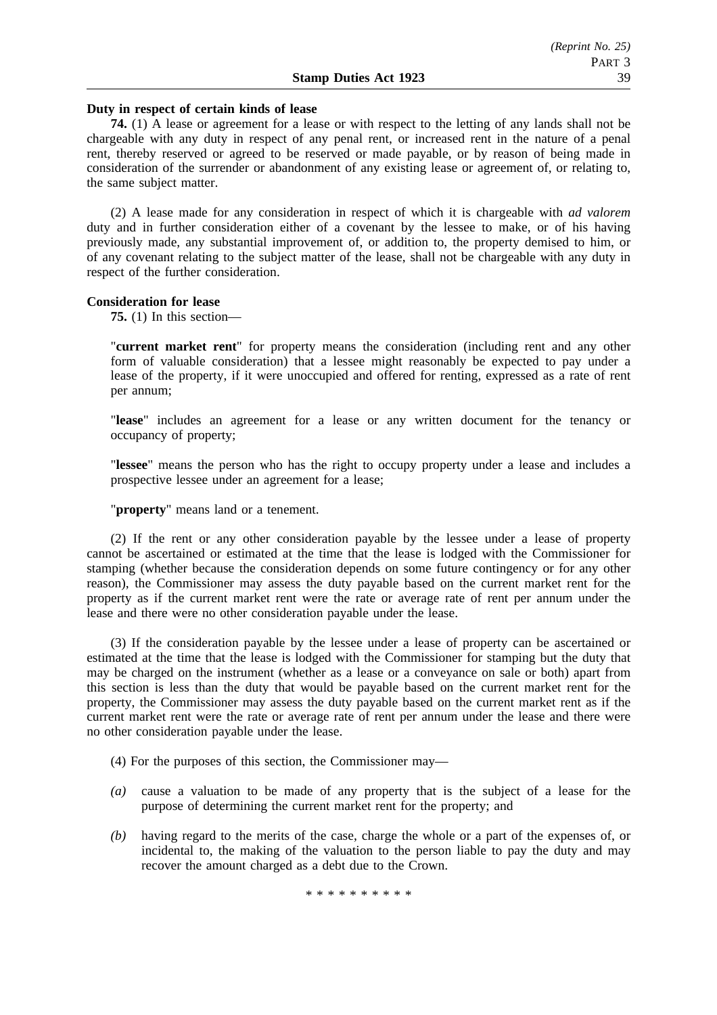#### **Duty in respect of certain kinds of lease**

**74.** (1) A lease or agreement for a lease or with respect to the letting of any lands shall not be chargeable with any duty in respect of any penal rent, or increased rent in the nature of a penal rent, thereby reserved or agreed to be reserved or made payable, or by reason of being made in consideration of the surrender or abandonment of any existing lease or agreement of, or relating to, the same subject matter.

(2) A lease made for any consideration in respect of which it is chargeable with *ad valorem* duty and in further consideration either of a covenant by the lessee to make, or of his having previously made, any substantial improvement of, or addition to, the property demised to him, or of any covenant relating to the subject matter of the lease, shall not be chargeable with any duty in respect of the further consideration.

#### **Consideration for lease**

**75.** (1) In this section—

"**current market rent**" for property means the consideration (including rent and any other form of valuable consideration) that a lessee might reasonably be expected to pay under a lease of the property, if it were unoccupied and offered for renting, expressed as a rate of rent per annum;

"**lease**" includes an agreement for a lease or any written document for the tenancy or occupancy of property;

"**lessee**" means the person who has the right to occupy property under a lease and includes a prospective lessee under an agreement for a lease;

"**property**" means land or a tenement.

(2) If the rent or any other consideration payable by the lessee under a lease of property cannot be ascertained or estimated at the time that the lease is lodged with the Commissioner for stamping (whether because the consideration depends on some future contingency or for any other reason), the Commissioner may assess the duty payable based on the current market rent for the property as if the current market rent were the rate or average rate of rent per annum under the lease and there were no other consideration payable under the lease.

(3) If the consideration payable by the lessee under a lease of property can be ascertained or estimated at the time that the lease is lodged with the Commissioner for stamping but the duty that may be charged on the instrument (whether as a lease or a conveyance on sale or both) apart from this section is less than the duty that would be payable based on the current market rent for the property, the Commissioner may assess the duty payable based on the current market rent as if the current market rent were the rate or average rate of rent per annum under the lease and there were no other consideration payable under the lease.

(4) For the purposes of this section, the Commissioner may—

- *(a)* cause a valuation to be made of any property that is the subject of a lease for the purpose of determining the current market rent for the property; and
- *(b)* having regard to the merits of the case, charge the whole or a part of the expenses of, or incidental to, the making of the valuation to the person liable to pay the duty and may recover the amount charged as a debt due to the Crown.

\*\*\*\*\*\*\*\*\*\*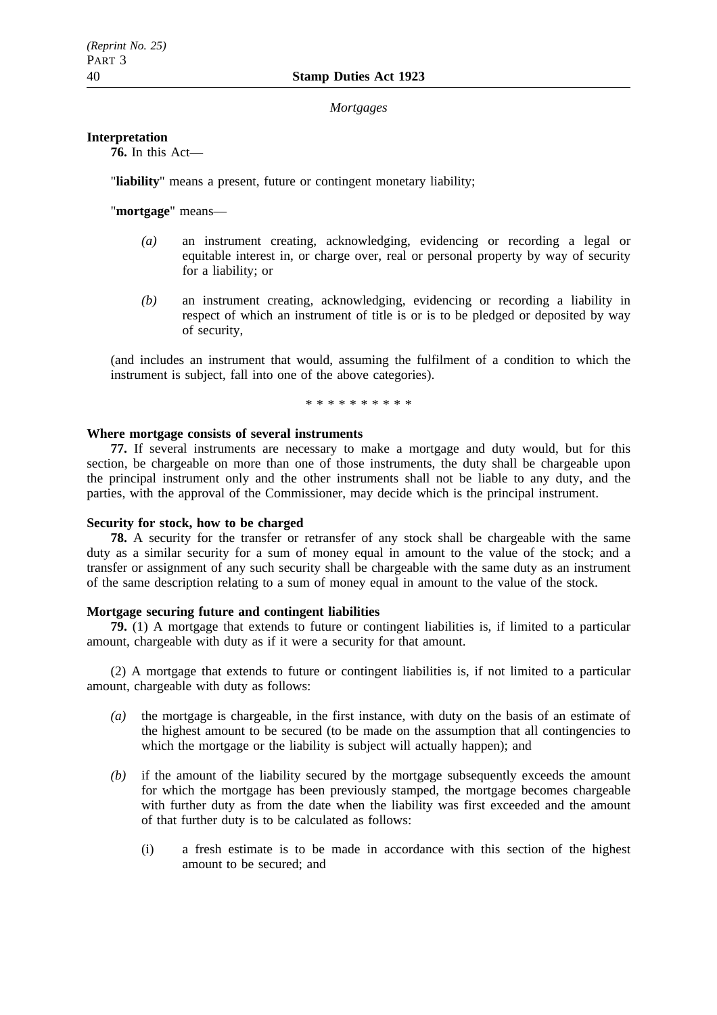#### *Mortgages*

### **Interpretation**

**76.** In this Act—

"**liability**" means a present, future or contingent monetary liability;

"**mortgage**" means—

- *(a)* an instrument creating, acknowledging, evidencing or recording a legal or equitable interest in, or charge over, real or personal property by way of security for a liability; or
- *(b)* an instrument creating, acknowledging, evidencing or recording a liability in respect of which an instrument of title is or is to be pledged or deposited by way of security,

(and includes an instrument that would, assuming the fulfilment of a condition to which the instrument is subject, fall into one of the above categories).

\*\*\*\*\*\*\*\*\*\*

# **Where mortgage consists of several instruments**

**77.** If several instruments are necessary to make a mortgage and duty would, but for this section, be chargeable on more than one of those instruments, the duty shall be chargeable upon the principal instrument only and the other instruments shall not be liable to any duty, and the parties, with the approval of the Commissioner, may decide which is the principal instrument.

# **Security for stock, how to be charged**

**78.** A security for the transfer or retransfer of any stock shall be chargeable with the same duty as a similar security for a sum of money equal in amount to the value of the stock; and a transfer or assignment of any such security shall be chargeable with the same duty as an instrument of the same description relating to a sum of money equal in amount to the value of the stock.

### **Mortgage securing future and contingent liabilities**

**79.** (1) A mortgage that extends to future or contingent liabilities is, if limited to a particular amount, chargeable with duty as if it were a security for that amount.

(2) A mortgage that extends to future or contingent liabilities is, if not limited to a particular amount, chargeable with duty as follows:

- *(a)* the mortgage is chargeable, in the first instance, with duty on the basis of an estimate of the highest amount to be secured (to be made on the assumption that all contingencies to which the mortgage or the liability is subject will actually happen); and
- *(b)* if the amount of the liability secured by the mortgage subsequently exceeds the amount for which the mortgage has been previously stamped, the mortgage becomes chargeable with further duty as from the date when the liability was first exceeded and the amount of that further duty is to be calculated as follows:
	- (i) a fresh estimate is to be made in accordance with this section of the highest amount to be secured; and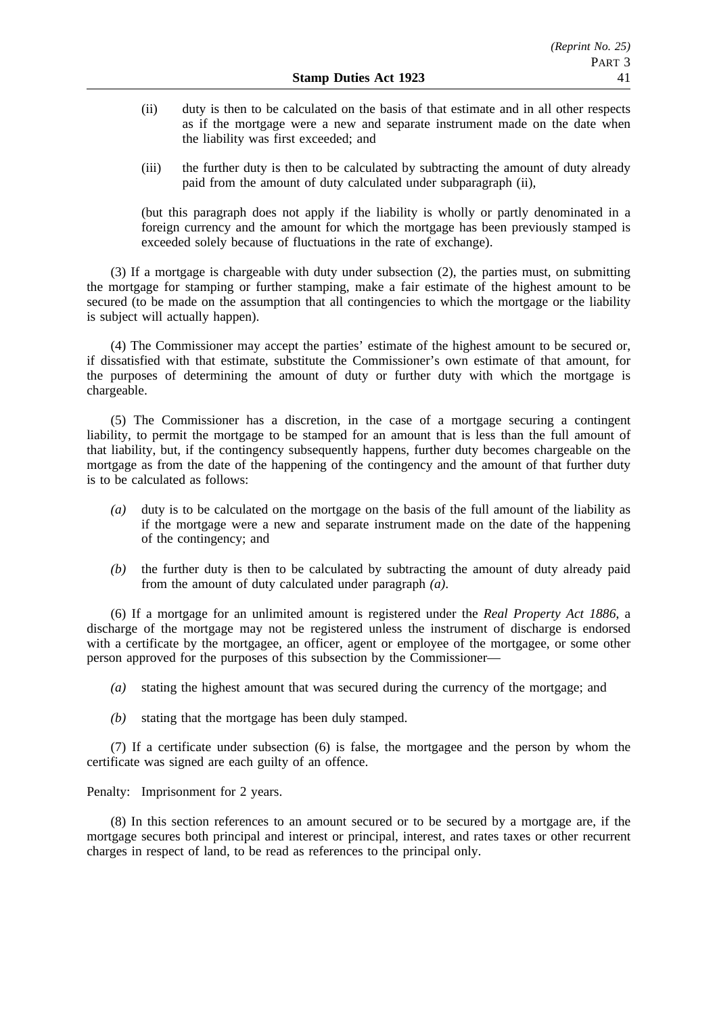- (ii) duty is then to be calculated on the basis of that estimate and in all other respects as if the mortgage were a new and separate instrument made on the date when the liability was first exceeded; and
- (iii) the further duty is then to be calculated by subtracting the amount of duty already paid from the amount of duty calculated under subparagraph (ii),

(but this paragraph does not apply if the liability is wholly or partly denominated in a foreign currency and the amount for which the mortgage has been previously stamped is exceeded solely because of fluctuations in the rate of exchange).

(3) If a mortgage is chargeable with duty under subsection (2), the parties must, on submitting the mortgage for stamping or further stamping, make a fair estimate of the highest amount to be secured (to be made on the assumption that all contingencies to which the mortgage or the liability is subject will actually happen).

(4) The Commissioner may accept the parties' estimate of the highest amount to be secured or, if dissatisfied with that estimate, substitute the Commissioner's own estimate of that amount, for the purposes of determining the amount of duty or further duty with which the mortgage is chargeable.

(5) The Commissioner has a discretion, in the case of a mortgage securing a contingent liability, to permit the mortgage to be stamped for an amount that is less than the full amount of that liability, but, if the contingency subsequently happens, further duty becomes chargeable on the mortgage as from the date of the happening of the contingency and the amount of that further duty is to be calculated as follows:

- *(a)* duty is to be calculated on the mortgage on the basis of the full amount of the liability as if the mortgage were a new and separate instrument made on the date of the happening of the contingency; and
- *(b)* the further duty is then to be calculated by subtracting the amount of duty already paid from the amount of duty calculated under paragraph *(a)*.

(6) If a mortgage for an unlimited amount is registered under the *Real Property Act 1886*, a discharge of the mortgage may not be registered unless the instrument of discharge is endorsed with a certificate by the mortgagee, an officer, agent or employee of the mortgagee, or some other person approved for the purposes of this subsection by the Commissioner—

- *(a)* stating the highest amount that was secured during the currency of the mortgage; and
- *(b)* stating that the mortgage has been duly stamped.

(7) If a certificate under subsection (6) is false, the mortgagee and the person by whom the certificate was signed are each guilty of an offence.

Penalty: Imprisonment for 2 years.

(8) In this section references to an amount secured or to be secured by a mortgage are, if the mortgage secures both principal and interest or principal, interest, and rates taxes or other recurrent charges in respect of land, to be read as references to the principal only.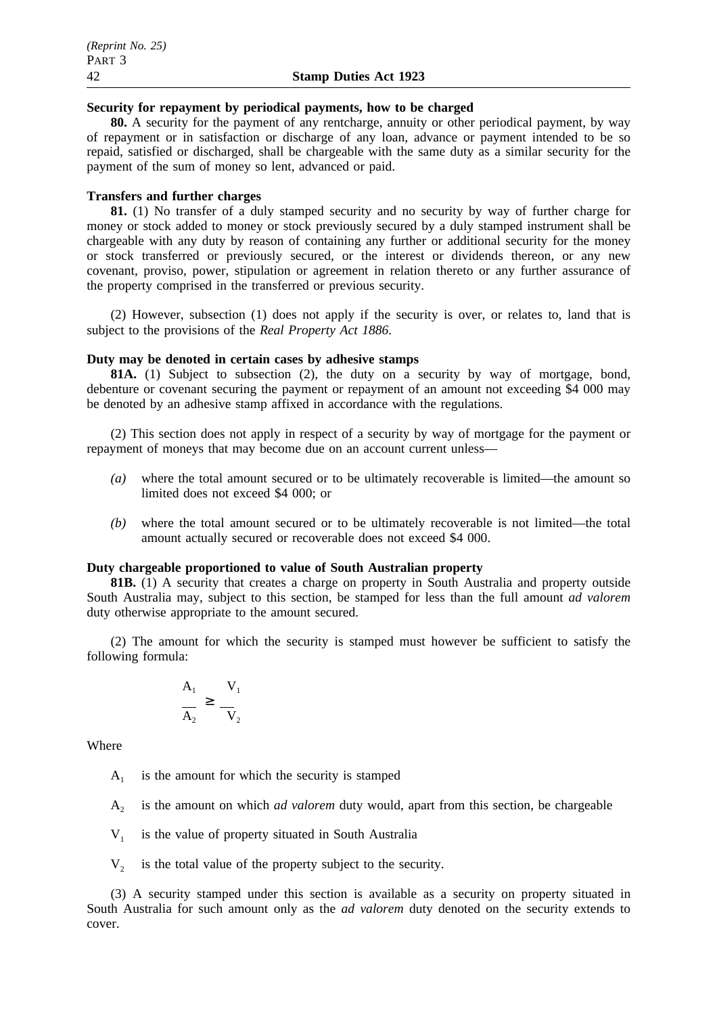### **Security for repayment by periodical payments, how to be charged**

**80.** A security for the payment of any rentcharge, annuity or other periodical payment, by way of repayment or in satisfaction or discharge of any loan, advance or payment intended to be so repaid, satisfied or discharged, shall be chargeable with the same duty as a similar security for the payment of the sum of money so lent, advanced or paid.

### **Transfers and further charges**

**81.** (1) No transfer of a duly stamped security and no security by way of further charge for money or stock added to money or stock previously secured by a duly stamped instrument shall be chargeable with any duty by reason of containing any further or additional security for the money or stock transferred or previously secured, or the interest or dividends thereon, or any new covenant, proviso, power, stipulation or agreement in relation thereto or any further assurance of the property comprised in the transferred or previous security.

(2) However, subsection (1) does not apply if the security is over, or relates to, land that is subject to the provisions of the *Real Property Act 1886*.

### **Duty may be denoted in certain cases by adhesive stamps**

**81A.** (1) Subject to subsection (2), the duty on a security by way of mortgage, bond, debenture or covenant securing the payment or repayment of an amount not exceeding \$4 000 may be denoted by an adhesive stamp affixed in accordance with the regulations.

(2) This section does not apply in respect of a security by way of mortgage for the payment or repayment of moneys that may become due on an account current unless—

- *(a)* where the total amount secured or to be ultimately recoverable is limited—the amount so limited does not exceed \$4 000; or
- *(b)* where the total amount secured or to be ultimately recoverable is not limited—the total amount actually secured or recoverable does not exceed \$4 000.

#### **Duty chargeable proportioned to value of South Australian property**

**81B.** (1) A security that creates a charge on property in South Australia and property outside South Australia may, subject to this section, be stamped for less than the full amount *ad valorem* duty otherwise appropriate to the amount secured.

(2) The amount for which the security is stamped must however be sufficient to satisfy the following formula:

$$
\frac{A_1}{A_2} \ge \frac{V_1}{V_2}
$$

Where

- $A_1$  is the amount for which the security is stamped
- A2 is the amount on which *ad valorem* duty would, apart from this section, be chargeable
- $V_1$  is the value of property situated in South Australia
- $V<sub>2</sub>$  is the total value of the property subject to the security.

(3) A security stamped under this section is available as a security on property situated in South Australia for such amount only as the *ad valorem* duty denoted on the security extends to cover.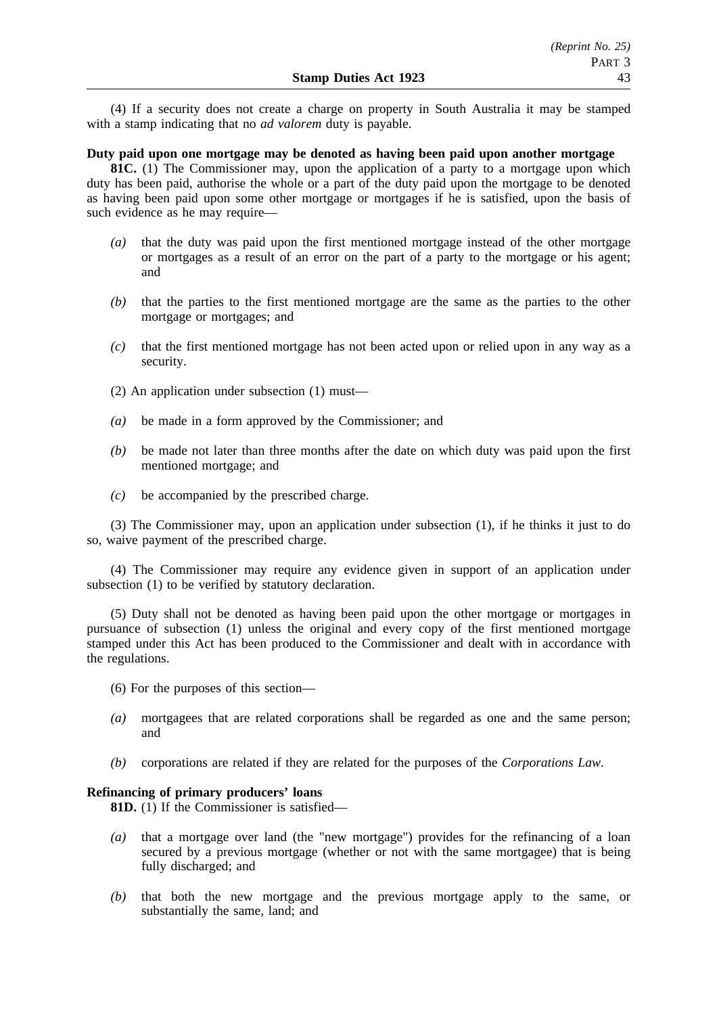(4) If a security does not create a charge on property in South Australia it may be stamped with a stamp indicating that no *ad valorem* duty is payable.

# **Duty paid upon one mortgage may be denoted as having been paid upon another mortgage**

**81C.** (1) The Commissioner may, upon the application of a party to a mortgage upon which duty has been paid, authorise the whole or a part of the duty paid upon the mortgage to be denoted as having been paid upon some other mortgage or mortgages if he is satisfied, upon the basis of such evidence as he may require—

- *(a)* that the duty was paid upon the first mentioned mortgage instead of the other mortgage or mortgages as a result of an error on the part of a party to the mortgage or his agent; and
- *(b)* that the parties to the first mentioned mortgage are the same as the parties to the other mortgage or mortgages; and
- *(c)* that the first mentioned mortgage has not been acted upon or relied upon in any way as a security.
- (2) An application under subsection (1) must—
- *(a)* be made in a form approved by the Commissioner; and
- *(b)* be made not later than three months after the date on which duty was paid upon the first mentioned mortgage; and
- *(c)* be accompanied by the prescribed charge.

(3) The Commissioner may, upon an application under subsection (1), if he thinks it just to do so, waive payment of the prescribed charge.

(4) The Commissioner may require any evidence given in support of an application under subsection (1) to be verified by statutory declaration.

(5) Duty shall not be denoted as having been paid upon the other mortgage or mortgages in pursuance of subsection (1) unless the original and every copy of the first mentioned mortgage stamped under this Act has been produced to the Commissioner and dealt with in accordance with the regulations.

- (6) For the purposes of this section—
- *(a)* mortgagees that are related corporations shall be regarded as one and the same person; and
- *(b)* corporations are related if they are related for the purposes of the *Corporations Law*.

### **Refinancing of primary producers' loans**

**81D.** (1) If the Commissioner is satisfied—

- *(a)* that a mortgage over land (the "new mortgage") provides for the refinancing of a loan secured by a previous mortgage (whether or not with the same mortgagee) that is being fully discharged; and
- *(b)* that both the new mortgage and the previous mortgage apply to the same, or substantially the same, land; and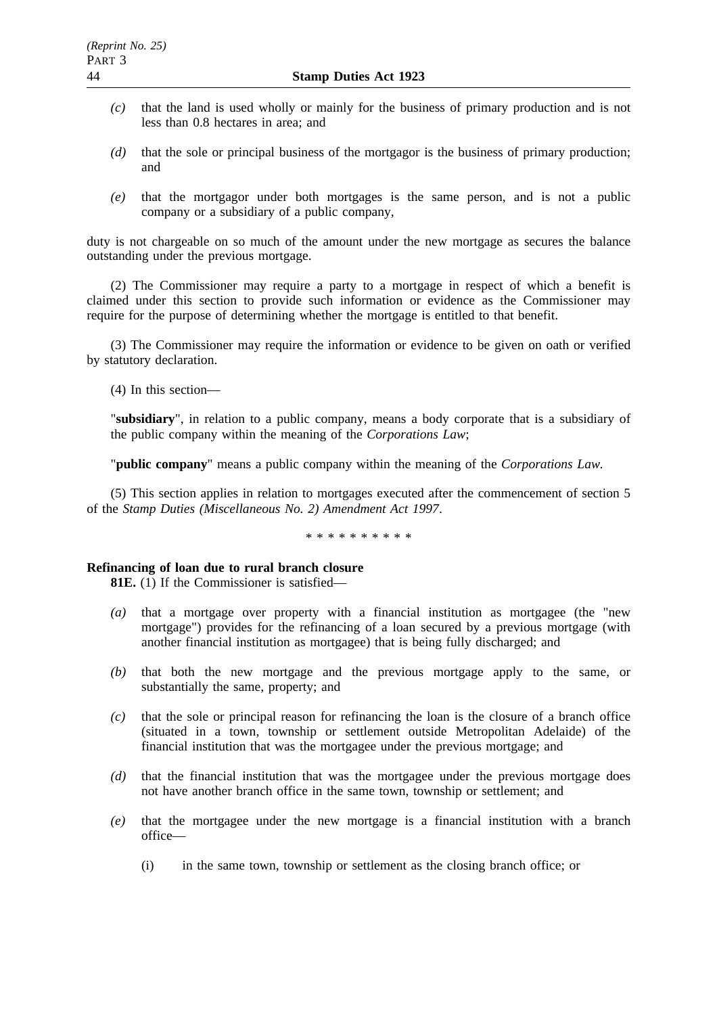- *(c)* that the land is used wholly or mainly for the business of primary production and is not less than 0.8 hectares in area; and
- *(d)* that the sole or principal business of the mortgagor is the business of primary production; and
- *(e)* that the mortgagor under both mortgages is the same person, and is not a public company or a subsidiary of a public company,

duty is not chargeable on so much of the amount under the new mortgage as secures the balance outstanding under the previous mortgage.

(2) The Commissioner may require a party to a mortgage in respect of which a benefit is claimed under this section to provide such information or evidence as the Commissioner may require for the purpose of determining whether the mortgage is entitled to that benefit.

(3) The Commissioner may require the information or evidence to be given on oath or verified by statutory declaration.

(4) In this section—

"**subsidiary**", in relation to a public company, means a body corporate that is a subsidiary of the public company within the meaning of the *Corporations Law*;

"**public company**" means a public company within the meaning of the *Corporations Law.*

(5) This section applies in relation to mortgages executed after the commencement of section 5 of the *Stamp Duties (Miscellaneous No. 2) Amendment Act 1997*.

\*\*\*\*\*\*\*\*\*\*

### **Refinancing of loan due to rural branch closure**

**81E.** (1) If the Commissioner is satisfied—

- *(a)* that a mortgage over property with a financial institution as mortgagee (the "new mortgage") provides for the refinancing of a loan secured by a previous mortgage (with another financial institution as mortgagee) that is being fully discharged; and
- *(b)* that both the new mortgage and the previous mortgage apply to the same, or substantially the same, property; and
- *(c)* that the sole or principal reason for refinancing the loan is the closure of a branch office (situated in a town, township or settlement outside Metropolitan Adelaide) of the financial institution that was the mortgagee under the previous mortgage; and
- *(d)* that the financial institution that was the mortgagee under the previous mortgage does not have another branch office in the same town, township or settlement; and
- *(e)* that the mortgagee under the new mortgage is a financial institution with a branch office—
	- (i) in the same town, township or settlement as the closing branch office; or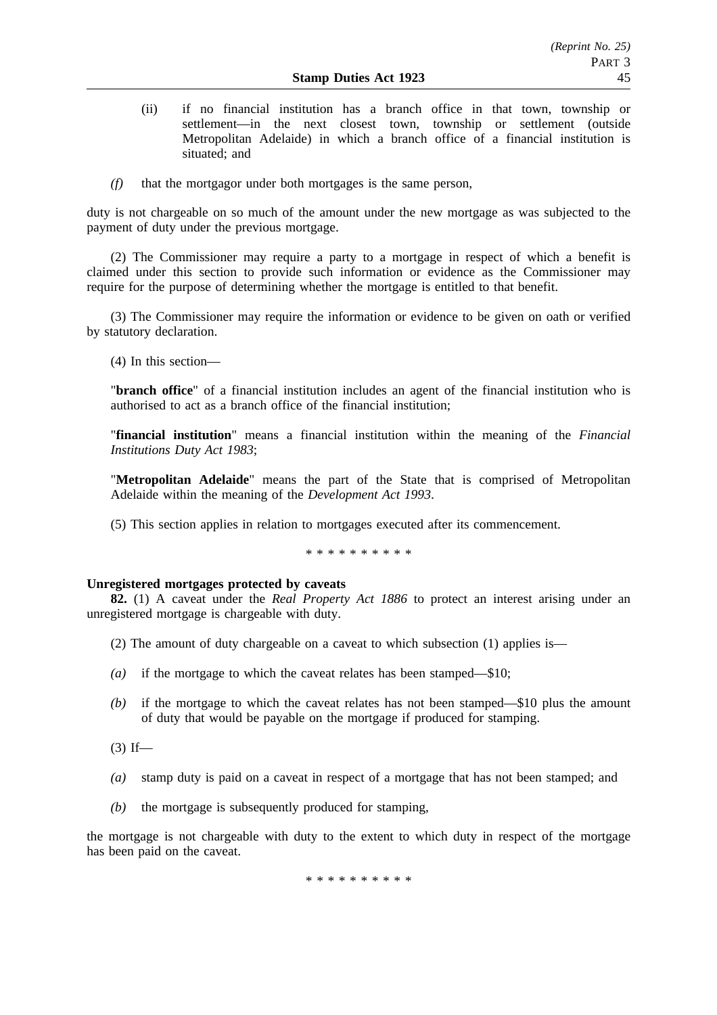- (ii) if no financial institution has a branch office in that town, township or settlement—in the next closest town, township or settlement (outside Metropolitan Adelaide) in which a branch office of a financial institution is situated; and
- *(f)* that the mortgagor under both mortgages is the same person,

duty is not chargeable on so much of the amount under the new mortgage as was subjected to the payment of duty under the previous mortgage.

(2) The Commissioner may require a party to a mortgage in respect of which a benefit is claimed under this section to provide such information or evidence as the Commissioner may require for the purpose of determining whether the mortgage is entitled to that benefit.

(3) The Commissioner may require the information or evidence to be given on oath or verified by statutory declaration.

(4) In this section—

"**branch office**" of a financial institution includes an agent of the financial institution who is authorised to act as a branch office of the financial institution;

"**financial institution**" means a financial institution within the meaning of the *Financial Institutions Duty Act 1983*;

"**Metropolitan Adelaide**" means the part of the State that is comprised of Metropolitan Adelaide within the meaning of the *Development Act 1993*.

(5) This section applies in relation to mortgages executed after its commencement.

\*\*\*\*\*\*\*\*\*\*

### **Unregistered mortgages protected by caveats**

**82.** (1) A caveat under the *Real Property Act 1886* to protect an interest arising under an unregistered mortgage is chargeable with duty.

- (2) The amount of duty chargeable on a caveat to which subsection (1) applies is—
- *(a)* if the mortgage to which the caveat relates has been stamped—\$10;
- *(b)* if the mortgage to which the caveat relates has not been stamped—\$10 plus the amount of duty that would be payable on the mortgage if produced for stamping.

 $(3)$  If—

- *(a)* stamp duty is paid on a caveat in respect of a mortgage that has not been stamped; and
- *(b)* the mortgage is subsequently produced for stamping,

the mortgage is not chargeable with duty to the extent to which duty in respect of the mortgage has been paid on the caveat.

\*\*\*\*\*\*\*\*\*\*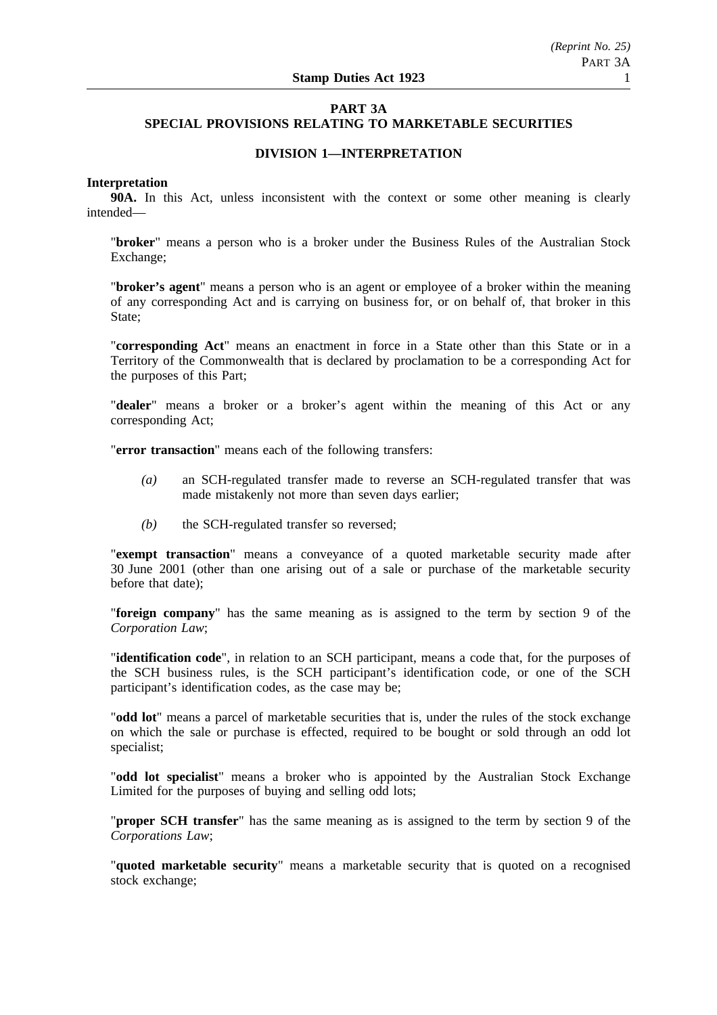# **PART 3A SPECIAL PROVISIONS RELATING TO MARKETABLE SECURITIES**

# **DIVISION 1—INTERPRETATION**

### **Interpretation**

**90A.** In this Act, unless inconsistent with the context or some other meaning is clearly intended—

"**broker**" means a person who is a broker under the Business Rules of the Australian Stock Exchange;

"**broker's agent**" means a person who is an agent or employee of a broker within the meaning of any corresponding Act and is carrying on business for, or on behalf of, that broker in this State;

"**corresponding Act**" means an enactment in force in a State other than this State or in a Territory of the Commonwealth that is declared by proclamation to be a corresponding Act for the purposes of this Part;

"**dealer**" means a broker or a broker's agent within the meaning of this Act or any corresponding Act;

"**error transaction**" means each of the following transfers:

- *(a)* an SCH-regulated transfer made to reverse an SCH-regulated transfer that was made mistakenly not more than seven days earlier;
- *(b)* the SCH-regulated transfer so reversed;

"**exempt transaction**" means a conveyance of a quoted marketable security made after 30 June 2001 (other than one arising out of a sale or purchase of the marketable security before that date);

"**foreign company**" has the same meaning as is assigned to the term by section 9 of the *Corporation Law*;

"**identification code**", in relation to an SCH participant, means a code that, for the purposes of the SCH business rules, is the SCH participant's identification code, or one of the SCH participant's identification codes, as the case may be;

"**odd lot**" means a parcel of marketable securities that is, under the rules of the stock exchange on which the sale or purchase is effected, required to be bought or sold through an odd lot specialist;

"**odd lot specialist**" means a broker who is appointed by the Australian Stock Exchange Limited for the purposes of buying and selling odd lots;

"**proper SCH transfer**" has the same meaning as is assigned to the term by section 9 of the *Corporations Law*;

"**quoted marketable security**" means a marketable security that is quoted on a recognised stock exchange;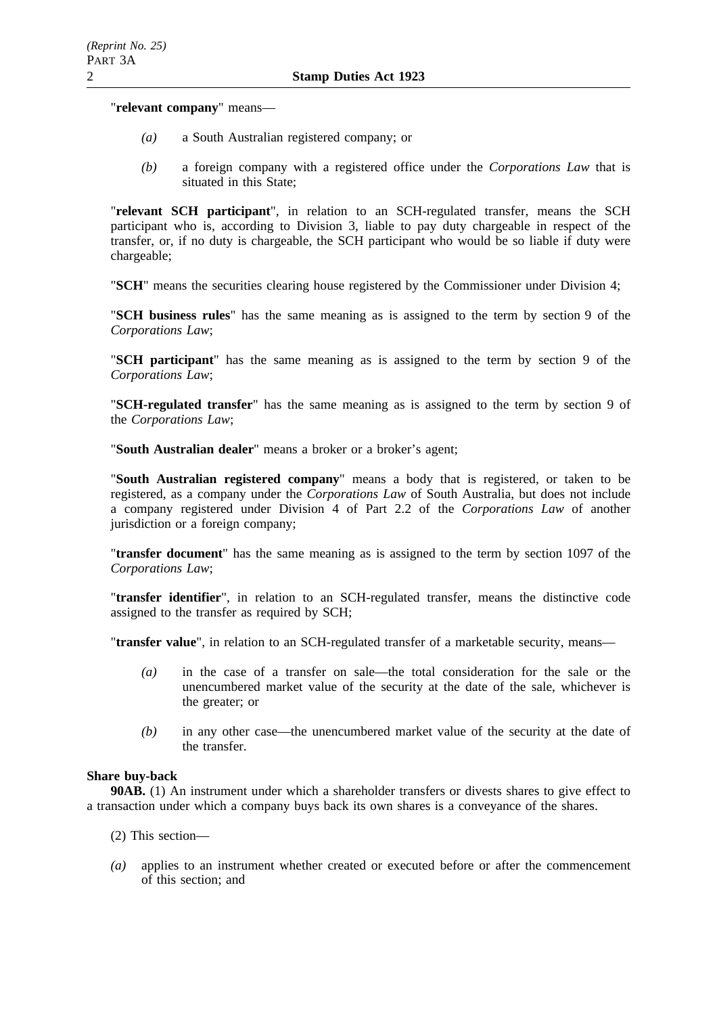"**relevant company**" means—

- *(a)* a South Australian registered company; or
- *(b)* a foreign company with a registered office under the *Corporations Law* that is situated in this State;

"**relevant SCH participant**", in relation to an SCH-regulated transfer, means the SCH participant who is, according to Division 3, liable to pay duty chargeable in respect of the transfer, or, if no duty is chargeable, the SCH participant who would be so liable if duty were chargeable;

"**SCH**" means the securities clearing house registered by the Commissioner under Division 4;

"**SCH business rules**" has the same meaning as is assigned to the term by section 9 of the *Corporations Law*;

"**SCH participant**" has the same meaning as is assigned to the term by section 9 of the *Corporations Law*;

"**SCH-regulated transfer**" has the same meaning as is assigned to the term by section 9 of the *Corporations Law*;

"**South Australian dealer**" means a broker or a broker's agent;

"**South Australian registered company**" means a body that is registered, or taken to be registered, as a company under the *Corporations Law* of South Australia, but does not include a company registered under Division 4 of Part 2.2 of the *Corporations Law* of another jurisdiction or a foreign company;

"**transfer document**" has the same meaning as is assigned to the term by section 1097 of the *Corporations Law*;

"**transfer identifier**", in relation to an SCH-regulated transfer, means the distinctive code assigned to the transfer as required by SCH;

"**transfer value**", in relation to an SCH-regulated transfer of a marketable security, means—

- *(a)* in the case of a transfer on sale—the total consideration for the sale or the unencumbered market value of the security at the date of the sale, whichever is the greater; or
- *(b)* in any other case—the unencumbered market value of the security at the date of the transfer.

### **Share buy-back**

**90AB.** (1) An instrument under which a shareholder transfers or divests shares to give effect to a transaction under which a company buys back its own shares is a conveyance of the shares.

- (2) This section—
- *(a)* applies to an instrument whether created or executed before or after the commencement of this section; and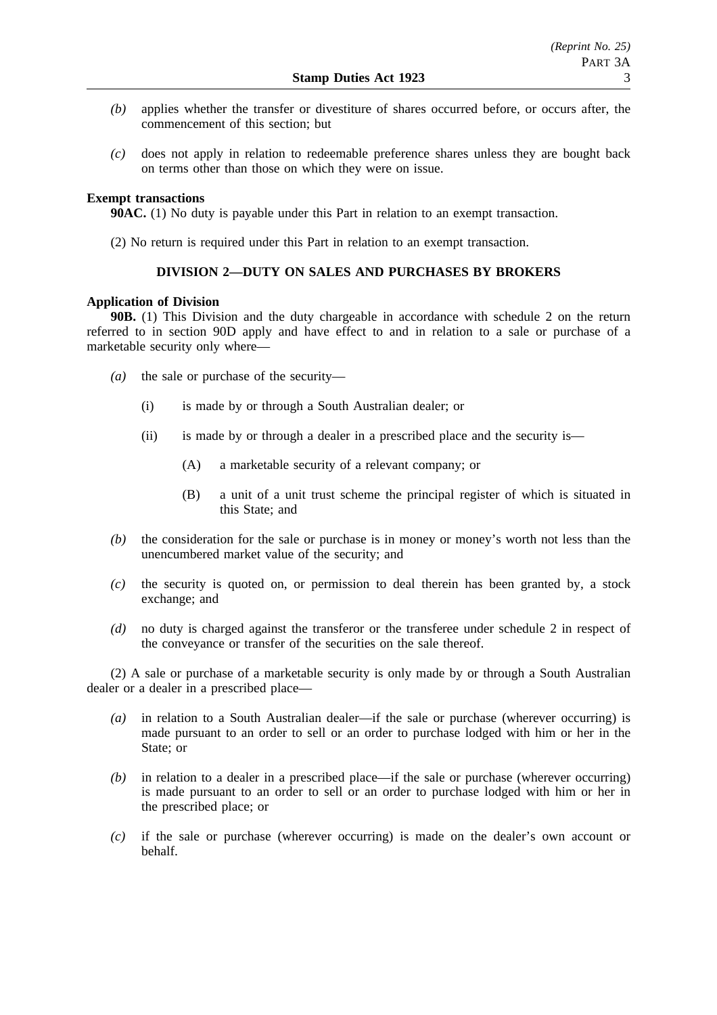- *(b)* applies whether the transfer or divestiture of shares occurred before, or occurs after, the commencement of this section; but
- *(c)* does not apply in relation to redeemable preference shares unless they are bought back on terms other than those on which they were on issue.

## **Exempt transactions**

**90AC.** (1) No duty is payable under this Part in relation to an exempt transaction.

(2) No return is required under this Part in relation to an exempt transaction.

# **DIVISION 2—DUTY ON SALES AND PURCHASES BY BROKERS**

### **Application of Division**

**90B.** (1) This Division and the duty chargeable in accordance with schedule 2 on the return referred to in section 90D apply and have effect to and in relation to a sale or purchase of a marketable security only where—

- *(a)* the sale or purchase of the security—
	- (i) is made by or through a South Australian dealer; or
	- (ii) is made by or through a dealer in a prescribed place and the security is—
		- (A) a marketable security of a relevant company; or
		- (B) a unit of a unit trust scheme the principal register of which is situated in this State; and
- *(b)* the consideration for the sale or purchase is in money or money's worth not less than the unencumbered market value of the security; and
- *(c)* the security is quoted on, or permission to deal therein has been granted by, a stock exchange; and
- *(d)* no duty is charged against the transferor or the transferee under schedule 2 in respect of the conveyance or transfer of the securities on the sale thereof.

(2) A sale or purchase of a marketable security is only made by or through a South Australian dealer or a dealer in a prescribed place—

- *(a)* in relation to a South Australian dealer—if the sale or purchase (wherever occurring) is made pursuant to an order to sell or an order to purchase lodged with him or her in the State; or
- *(b)* in relation to a dealer in a prescribed place—if the sale or purchase (wherever occurring) is made pursuant to an order to sell or an order to purchase lodged with him or her in the prescribed place; or
- *(c)* if the sale or purchase (wherever occurring) is made on the dealer's own account or behalf.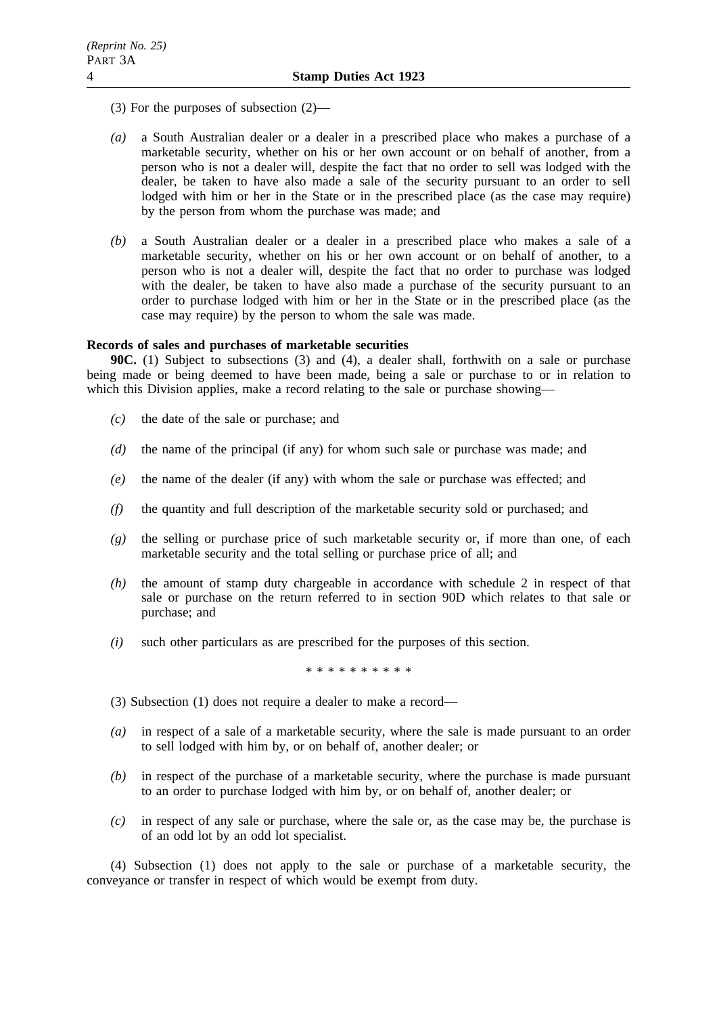- (3) For the purposes of subsection (2)—
- *(a)* a South Australian dealer or a dealer in a prescribed place who makes a purchase of a marketable security, whether on his or her own account or on behalf of another, from a person who is not a dealer will, despite the fact that no order to sell was lodged with the dealer, be taken to have also made a sale of the security pursuant to an order to sell lodged with him or her in the State or in the prescribed place (as the case may require) by the person from whom the purchase was made; and
- *(b)* a South Australian dealer or a dealer in a prescribed place who makes a sale of a marketable security, whether on his or her own account or on behalf of another, to a person who is not a dealer will, despite the fact that no order to purchase was lodged with the dealer, be taken to have also made a purchase of the security pursuant to an order to purchase lodged with him or her in the State or in the prescribed place (as the case may require) by the person to whom the sale was made.

### **Records of sales and purchases of marketable securities**

**90C.** (1) Subject to subsections (3) and (4), a dealer shall, forthwith on a sale or purchase being made or being deemed to have been made, being a sale or purchase to or in relation to which this Division applies, make a record relating to the sale or purchase showing—

- *(c)* the date of the sale or purchase; and
- *(d)* the name of the principal (if any) for whom such sale or purchase was made; and
- *(e)* the name of the dealer (if any) with whom the sale or purchase was effected; and
- *(f)* the quantity and full description of the marketable security sold or purchased; and
- *(g)* the selling or purchase price of such marketable security or, if more than one, of each marketable security and the total selling or purchase price of all; and
- *(h)* the amount of stamp duty chargeable in accordance with schedule 2 in respect of that sale or purchase on the return referred to in section 90D which relates to that sale or purchase; and
- *(i)* such other particulars as are prescribed for the purposes of this section.

\*\*\*\*\*\*\*\*\*\*

- (3) Subsection (1) does not require a dealer to make a record—
- *(a)* in respect of a sale of a marketable security, where the sale is made pursuant to an order to sell lodged with him by, or on behalf of, another dealer; or
- *(b)* in respect of the purchase of a marketable security, where the purchase is made pursuant to an order to purchase lodged with him by, or on behalf of, another dealer; or
- *(c)* in respect of any sale or purchase, where the sale or, as the case may be, the purchase is of an odd lot by an odd lot specialist.

(4) Subsection (1) does not apply to the sale or purchase of a marketable security, the conveyance or transfer in respect of which would be exempt from duty.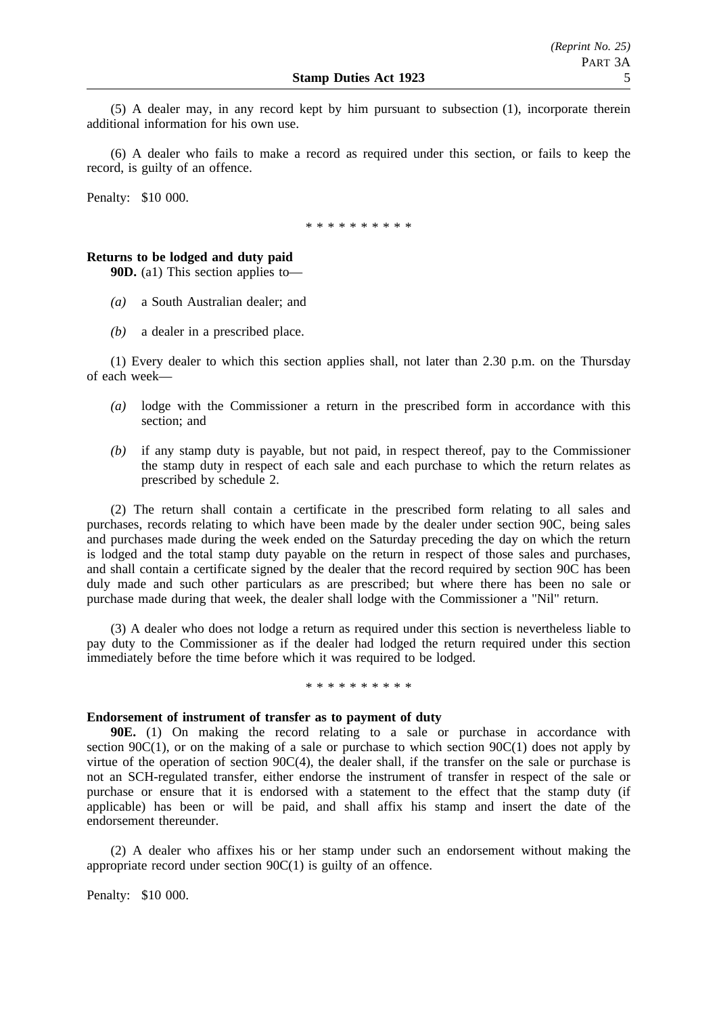(5) A dealer may, in any record kept by him pursuant to subsection (1), incorporate therein additional information for his own use.

(6) A dealer who fails to make a record as required under this section, or fails to keep the record, is guilty of an offence.

Penalty: \$10 000.

\* \* \* \* \* \* \* \* \*

### **Returns to be lodged and duty paid**

**90D.** (a1) This section applies to—

- *(a)* a South Australian dealer; and
- *(b)* a dealer in a prescribed place.

(1) Every dealer to which this section applies shall, not later than 2.30 p.m. on the Thursday of each week—

- *(a)* lodge with the Commissioner a return in the prescribed form in accordance with this section; and
- *(b)* if any stamp duty is payable, but not paid, in respect thereof, pay to the Commissioner the stamp duty in respect of each sale and each purchase to which the return relates as prescribed by schedule 2.

(2) The return shall contain a certificate in the prescribed form relating to all sales and purchases, records relating to which have been made by the dealer under section 90C, being sales and purchases made during the week ended on the Saturday preceding the day on which the return is lodged and the total stamp duty payable on the return in respect of those sales and purchases, and shall contain a certificate signed by the dealer that the record required by section 90C has been duly made and such other particulars as are prescribed; but where there has been no sale or purchase made during that week, the dealer shall lodge with the Commissioner a "Nil" return.

(3) A dealer who does not lodge a return as required under this section is nevertheless liable to pay duty to the Commissioner as if the dealer had lodged the return required under this section immediately before the time before which it was required to be lodged.

\* \* \* \* \* \* \* \* \*

### **Endorsement of instrument of transfer as to payment of duty**

**90E.** (1) On making the record relating to a sale or purchase in accordance with section 90 $C(1)$ , or on the making of a sale or purchase to which section 90 $C(1)$  does not apply by virtue of the operation of section  $90C(4)$ , the dealer shall, if the transfer on the sale or purchase is not an SCH-regulated transfer, either endorse the instrument of transfer in respect of the sale or purchase or ensure that it is endorsed with a statement to the effect that the stamp duty (if applicable) has been or will be paid, and shall affix his stamp and insert the date of the endorsement thereunder.

(2) A dealer who affixes his or her stamp under such an endorsement without making the appropriate record under section 90C(1) is guilty of an offence.

Penalty: \$10 000.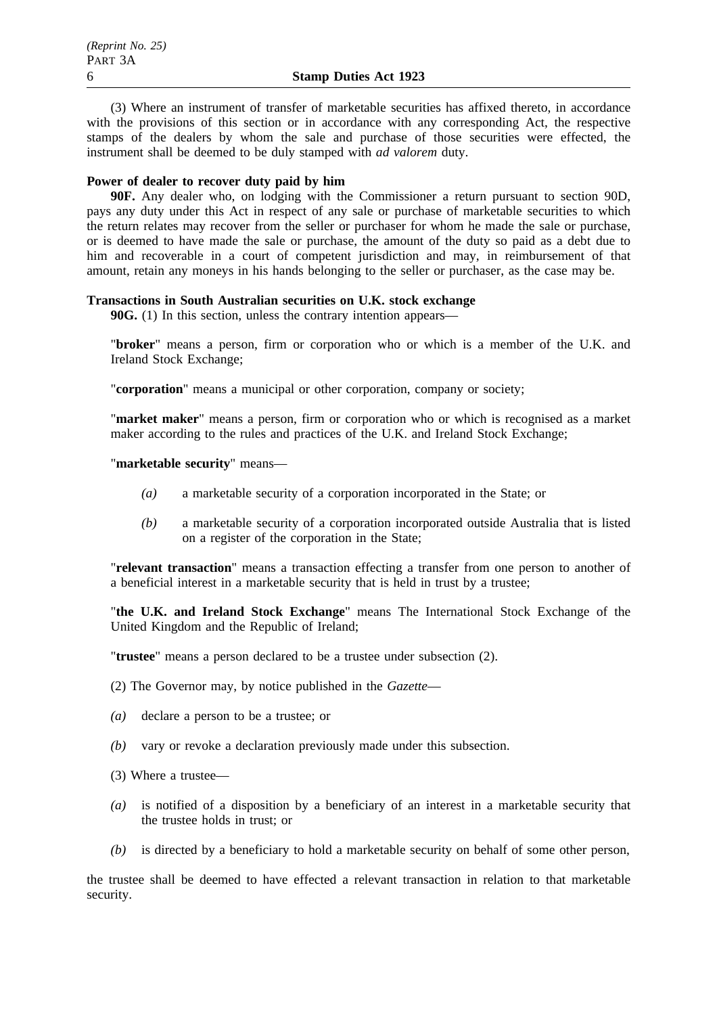(3) Where an instrument of transfer of marketable securities has affixed thereto, in accordance with the provisions of this section or in accordance with any corresponding Act, the respective stamps of the dealers by whom the sale and purchase of those securities were effected, the instrument shall be deemed to be duly stamped with *ad valorem* duty.

## **Power of dealer to recover duty paid by him**

**90F.** Any dealer who, on lodging with the Commissioner a return pursuant to section 90D, pays any duty under this Act in respect of any sale or purchase of marketable securities to which the return relates may recover from the seller or purchaser for whom he made the sale or purchase, or is deemed to have made the sale or purchase, the amount of the duty so paid as a debt due to him and recoverable in a court of competent jurisdiction and may, in reimbursement of that amount, retain any moneys in his hands belonging to the seller or purchaser, as the case may be.

## **Transactions in South Australian securities on U.K. stock exchange**

**90G.** (1) In this section, unless the contrary intention appears—

"**broker**" means a person, firm or corporation who or which is a member of the U.K. and Ireland Stock Exchange;

"**corporation**" means a municipal or other corporation, company or society;

"**market maker**" means a person, firm or corporation who or which is recognised as a market maker according to the rules and practices of the U.K. and Ireland Stock Exchange;

"**marketable security**" means—

- *(a)* a marketable security of a corporation incorporated in the State; or
- *(b)* a marketable security of a corporation incorporated outside Australia that is listed on a register of the corporation in the State;

"**relevant transaction**" means a transaction effecting a transfer from one person to another of a beneficial interest in a marketable security that is held in trust by a trustee;

"**the U.K. and Ireland Stock Exchange**" means The International Stock Exchange of the United Kingdom and the Republic of Ireland;

"**trustee**" means a person declared to be a trustee under subsection (2).

(2) The Governor may, by notice published in the *Gazette*—

- *(a)* declare a person to be a trustee; or
- *(b)* vary or revoke a declaration previously made under this subsection.

(3) Where a trustee—

- *(a)* is notified of a disposition by a beneficiary of an interest in a marketable security that the trustee holds in trust; or
- *(b)* is directed by a beneficiary to hold a marketable security on behalf of some other person,

the trustee shall be deemed to have effected a relevant transaction in relation to that marketable security.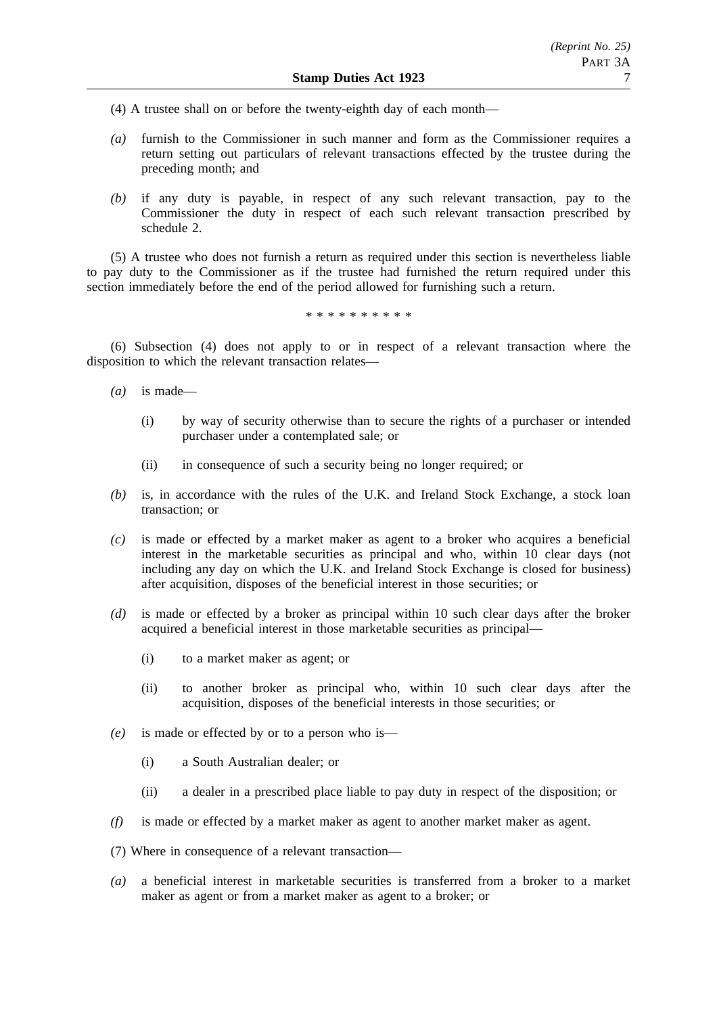- (4) A trustee shall on or before the twenty-eighth day of each month—
- *(a)* furnish to the Commissioner in such manner and form as the Commissioner requires a return setting out particulars of relevant transactions effected by the trustee during the preceding month; and
- *(b)* if any duty is payable, in respect of any such relevant transaction, pay to the Commissioner the duty in respect of each such relevant transaction prescribed by schedule 2.

(5) A trustee who does not furnish a return as required under this section is nevertheless liable to pay duty to the Commissioner as if the trustee had furnished the return required under this section immediately before the end of the period allowed for furnishing such a return.

\*\*\*\*\*\*\*\*\*\*

(6) Subsection (4) does not apply to or in respect of a relevant transaction where the disposition to which the relevant transaction relates—

- *(a)* is made—
	- (i) by way of security otherwise than to secure the rights of a purchaser or intended purchaser under a contemplated sale; or
	- (ii) in consequence of such a security being no longer required; or
- *(b)* is, in accordance with the rules of the U.K. and Ireland Stock Exchange, a stock loan transaction; or
- *(c)* is made or effected by a market maker as agent to a broker who acquires a beneficial interest in the marketable securities as principal and who, within 10 clear days (not including any day on which the U.K. and Ireland Stock Exchange is closed for business) after acquisition, disposes of the beneficial interest in those securities; or
- *(d)* is made or effected by a broker as principal within 10 such clear days after the broker acquired a beneficial interest in those marketable securities as principal—
	- (i) to a market maker as agent; or
	- (ii) to another broker as principal who, within 10 such clear days after the acquisition, disposes of the beneficial interests in those securities; or
- *(e)* is made or effected by or to a person who is—
	- (i) a South Australian dealer; or
	- (ii) a dealer in a prescribed place liable to pay duty in respect of the disposition; or
- *(f)* is made or effected by a market maker as agent to another market maker as agent.
- (7) Where in consequence of a relevant transaction—
- *(a)* a beneficial interest in marketable securities is transferred from a broker to a market maker as agent or from a market maker as agent to a broker; or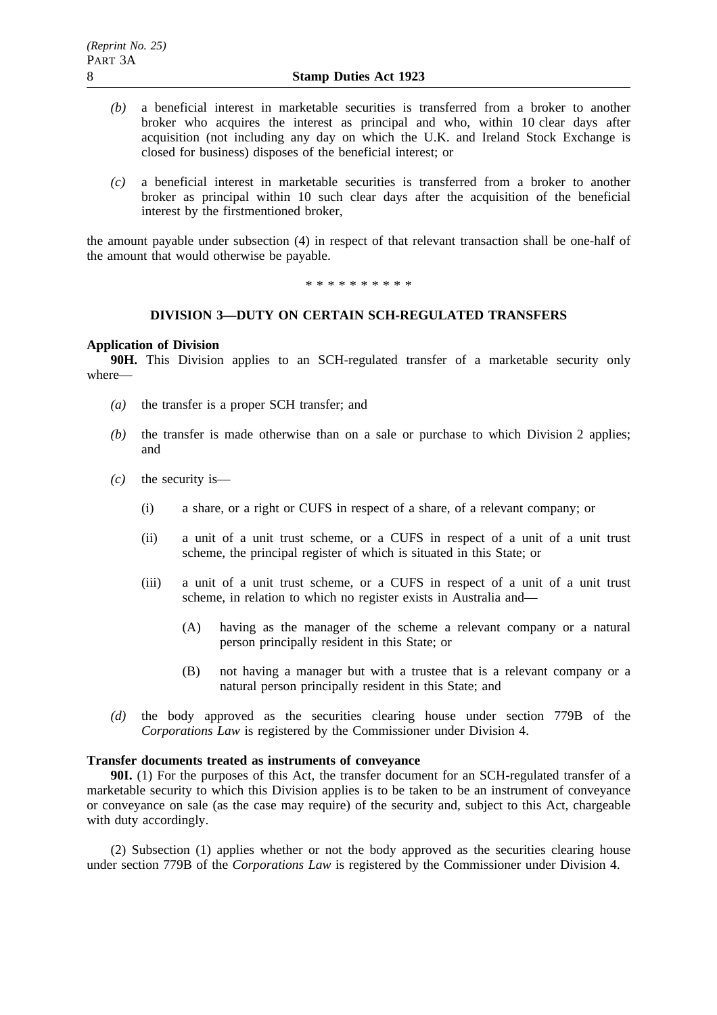- *(b)* a beneficial interest in marketable securities is transferred from a broker to another broker who acquires the interest as principal and who, within 10 clear days after acquisition (not including any day on which the U.K. and Ireland Stock Exchange is closed for business) disposes of the beneficial interest; or
- *(c)* a beneficial interest in marketable securities is transferred from a broker to another broker as principal within 10 such clear days after the acquisition of the beneficial interest by the firstmentioned broker,

the amount payable under subsection (4) in respect of that relevant transaction shall be one-half of the amount that would otherwise be payable.

\*\*\*\*\*\*\*\*\*\*

### **DIVISION 3—DUTY ON CERTAIN SCH-REGULATED TRANSFERS**

### **Application of Division**

**90H.** This Division applies to an SCH-regulated transfer of a marketable security only where—

- *(a)* the transfer is a proper SCH transfer; and
- *(b)* the transfer is made otherwise than on a sale or purchase to which Division 2 applies; and
- *(c)* the security is—
	- (i) a share, or a right or CUFS in respect of a share, of a relevant company; or
	- (ii) a unit of a unit trust scheme, or a CUFS in respect of a unit of a unit trust scheme, the principal register of which is situated in this State; or
	- (iii) a unit of a unit trust scheme, or a CUFS in respect of a unit of a unit trust scheme, in relation to which no register exists in Australia and—
		- (A) having as the manager of the scheme a relevant company or a natural person principally resident in this State; or
		- (B) not having a manager but with a trustee that is a relevant company or a natural person principally resident in this State; and
- *(d)* the body approved as the securities clearing house under section 779B of the *Corporations Law* is registered by the Commissioner under Division 4.

## **Transfer documents treated as instruments of conveyance**

**90I.** (1) For the purposes of this Act, the transfer document for an SCH-regulated transfer of a marketable security to which this Division applies is to be taken to be an instrument of conveyance or conveyance on sale (as the case may require) of the security and, subject to this Act, chargeable with duty accordingly.

(2) Subsection (1) applies whether or not the body approved as the securities clearing house under section 779B of the *Corporations Law* is registered by the Commissioner under Division 4.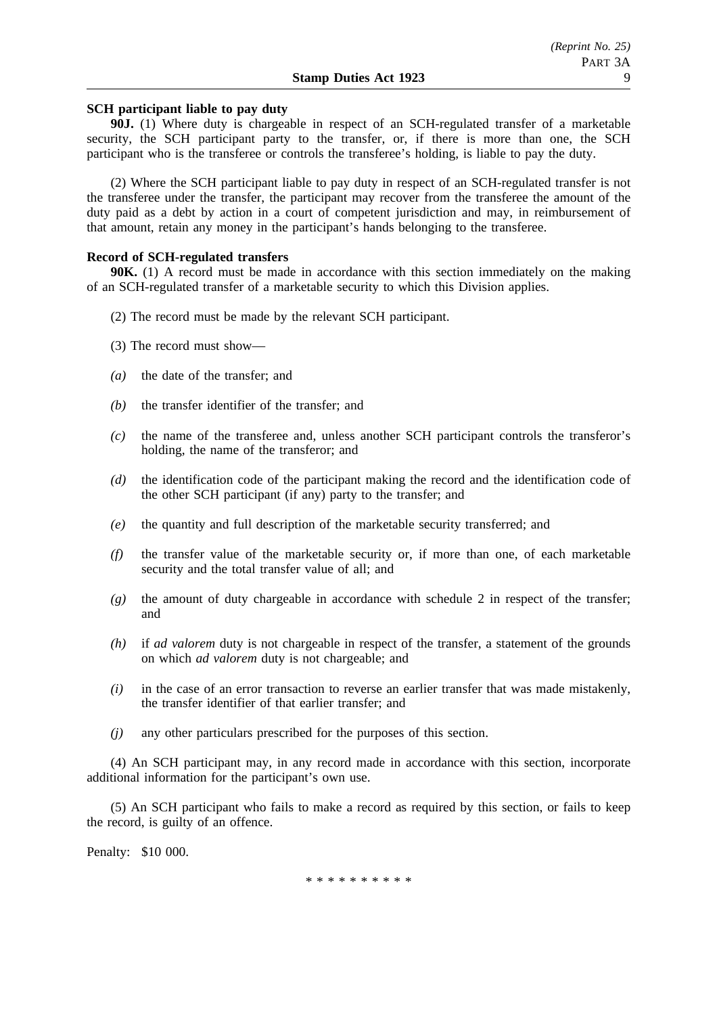# **SCH participant liable to pay duty**

**90J.** (1) Where duty is chargeable in respect of an SCH-regulated transfer of a marketable security, the SCH participant party to the transfer, or, if there is more than one, the SCH participant who is the transferee or controls the transferee's holding, is liable to pay the duty.

(2) Where the SCH participant liable to pay duty in respect of an SCH-regulated transfer is not the transferee under the transfer, the participant may recover from the transferee the amount of the duty paid as a debt by action in a court of competent jurisdiction and may, in reimbursement of that amount, retain any money in the participant's hands belonging to the transferee.

### **Record of SCH-regulated transfers**

**90K.** (1) A record must be made in accordance with this section immediately on the making of an SCH-regulated transfer of a marketable security to which this Division applies.

- (2) The record must be made by the relevant SCH participant.
- (3) The record must show—
- *(a)* the date of the transfer; and
- *(b)* the transfer identifier of the transfer; and
- *(c)* the name of the transferee and, unless another SCH participant controls the transferor's holding, the name of the transferor; and
- *(d)* the identification code of the participant making the record and the identification code of the other SCH participant (if any) party to the transfer; and
- *(e)* the quantity and full description of the marketable security transferred; and
- *(f)* the transfer value of the marketable security or, if more than one, of each marketable security and the total transfer value of all; and
- *(g)* the amount of duty chargeable in accordance with schedule 2 in respect of the transfer; and
- *(h)* if *ad valorem* duty is not chargeable in respect of the transfer, a statement of the grounds on which *ad valorem* duty is not chargeable; and
- *(i)* in the case of an error transaction to reverse an earlier transfer that was made mistakenly, the transfer identifier of that earlier transfer; and
- *(j)* any other particulars prescribed for the purposes of this section.

(4) An SCH participant may, in any record made in accordance with this section, incorporate additional information for the participant's own use.

(5) An SCH participant who fails to make a record as required by this section, or fails to keep the record, is guilty of an offence.

Penalty: \$10 000.

\*\*\*\*\*\*\*\*\*\*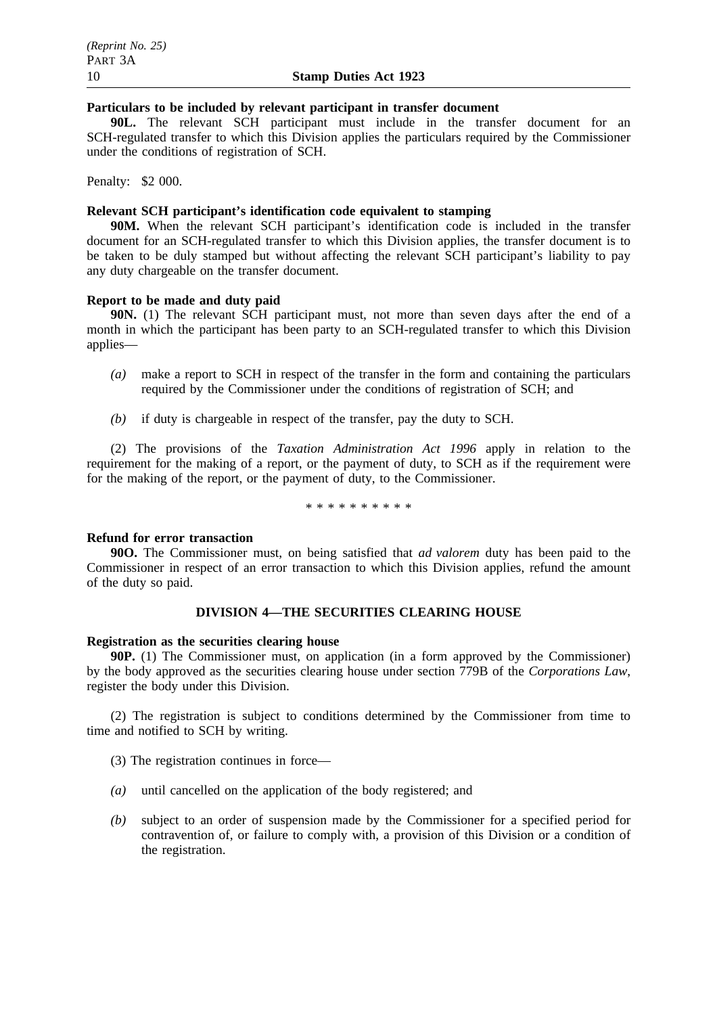# **Particulars to be included by relevant participant in transfer document**

**90L.** The relevant SCH participant must include in the transfer document for an SCH-regulated transfer to which this Division applies the particulars required by the Commissioner under the conditions of registration of SCH.

Penalty: \$2 000.

# **Relevant SCH participant's identification code equivalent to stamping**

**90M.** When the relevant SCH participant's identification code is included in the transfer document for an SCH-regulated transfer to which this Division applies, the transfer document is to be taken to be duly stamped but without affecting the relevant SCH participant's liability to pay any duty chargeable on the transfer document.

# **Report to be made and duty paid**

**90N.** (1) The relevant SCH participant must, not more than seven days after the end of a month in which the participant has been party to an SCH-regulated transfer to which this Division applies—

- *(a)* make a report to SCH in respect of the transfer in the form and containing the particulars required by the Commissioner under the conditions of registration of SCH; and
- *(b)* if duty is chargeable in respect of the transfer, pay the duty to SCH.

(2) The provisions of the *Taxation Administration Act 1996* apply in relation to the requirement for the making of a report, or the payment of duty, to SCH as if the requirement were for the making of the report, or the payment of duty, to the Commissioner.

\*\*\*\*\*\*\*\*\*\*

### **Refund for error transaction**

**90O.** The Commissioner must, on being satisfied that *ad valorem* duty has been paid to the Commissioner in respect of an error transaction to which this Division applies, refund the amount of the duty so paid.

## **DIVISION 4—THE SECURITIES CLEARING HOUSE**

### **Registration as the securities clearing house**

**90P.** (1) The Commissioner must, on application (in a form approved by the Commissioner) by the body approved as the securities clearing house under section 779B of the *Corporations Law*, register the body under this Division.

(2) The registration is subject to conditions determined by the Commissioner from time to time and notified to SCH by writing.

- (3) The registration continues in force—
- *(a)* until cancelled on the application of the body registered; and
- *(b)* subject to an order of suspension made by the Commissioner for a specified period for contravention of, or failure to comply with, a provision of this Division or a condition of the registration.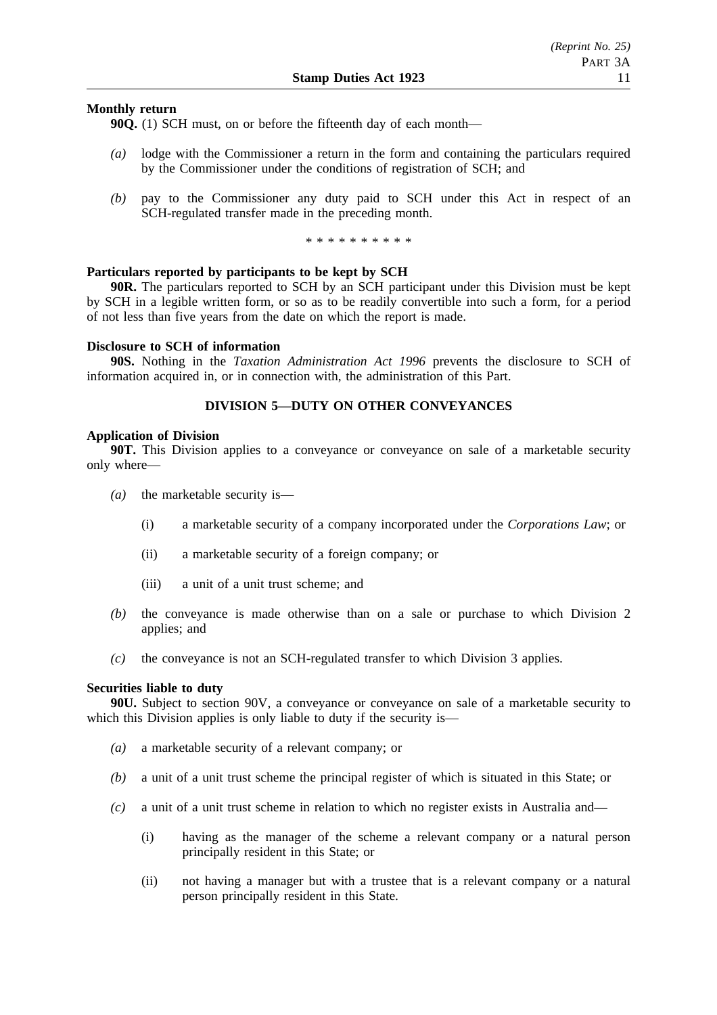## **Monthly return**

**90Q.** (1) SCH must, on or before the fifteenth day of each month—

- *(a)* lodge with the Commissioner a return in the form and containing the particulars required by the Commissioner under the conditions of registration of SCH; and
- *(b)* pay to the Commissioner any duty paid to SCH under this Act in respect of an SCH-regulated transfer made in the preceding month.

\*\*\*\*\*\*\*\*\*\*

### **Particulars reported by participants to be kept by SCH**

**90R.** The particulars reported to SCH by an SCH participant under this Division must be kept by SCH in a legible written form, or so as to be readily convertible into such a form, for a period of not less than five years from the date on which the report is made.

### **Disclosure to SCH of information**

**90S.** Nothing in the *Taxation Administration Act 1996* prevents the disclosure to SCH of information acquired in, or in connection with, the administration of this Part.

## **DIVISION 5—DUTY ON OTHER CONVEYANCES**

#### **Application of Division**

**90T.** This Division applies to a conveyance or conveyance on sale of a marketable security only where—

- *(a)* the marketable security is—
	- (i) a marketable security of a company incorporated under the *Corporations Law*; or
	- (ii) a marketable security of a foreign company; or
	- (iii) a unit of a unit trust scheme; and
- *(b)* the conveyance is made otherwise than on a sale or purchase to which Division 2 applies; and
- *(c)* the conveyance is not an SCH-regulated transfer to which Division 3 applies.

### **Securities liable to duty**

**90U.** Subject to section 90V, a conveyance or conveyance on sale of a marketable security to which this Division applies is only liable to duty if the security is—

- *(a)* a marketable security of a relevant company; or
- *(b)* a unit of a unit trust scheme the principal register of which is situated in this State; or
- *(c)* a unit of a unit trust scheme in relation to which no register exists in Australia and—
	- (i) having as the manager of the scheme a relevant company or a natural person principally resident in this State; or
	- (ii) not having a manager but with a trustee that is a relevant company or a natural person principally resident in this State.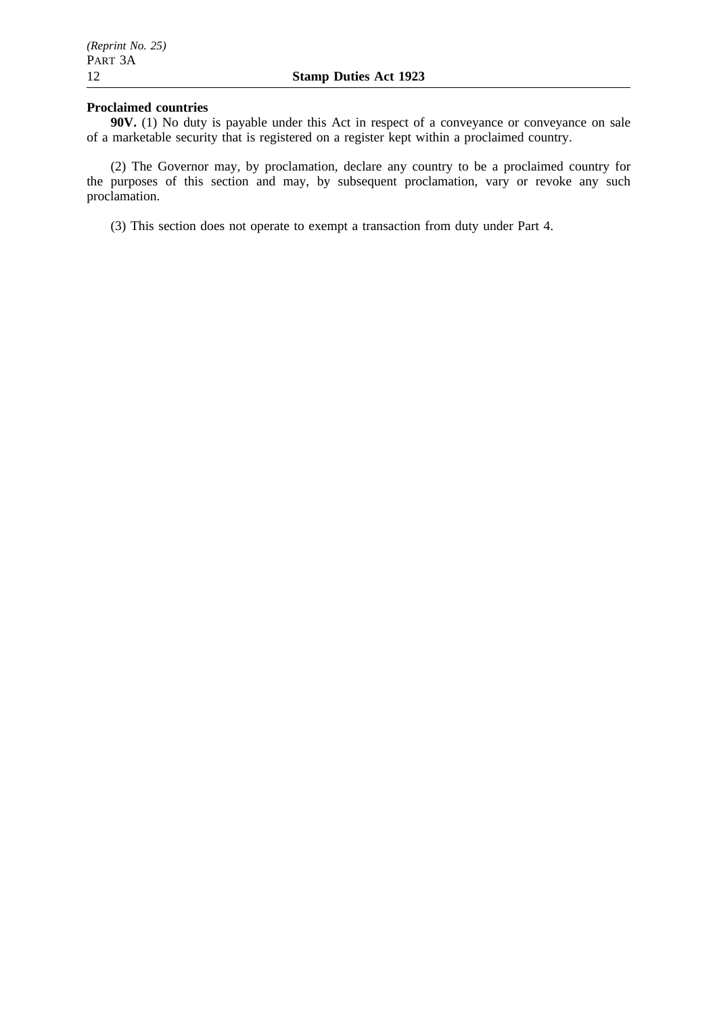## **Proclaimed countries**

**90V.** (1) No duty is payable under this Act in respect of a conveyance or conveyance on sale of a marketable security that is registered on a register kept within a proclaimed country.

(2) The Governor may, by proclamation, declare any country to be a proclaimed country for the purposes of this section and may, by subsequent proclamation, vary or revoke any such proclamation.

(3) This section does not operate to exempt a transaction from duty under Part 4.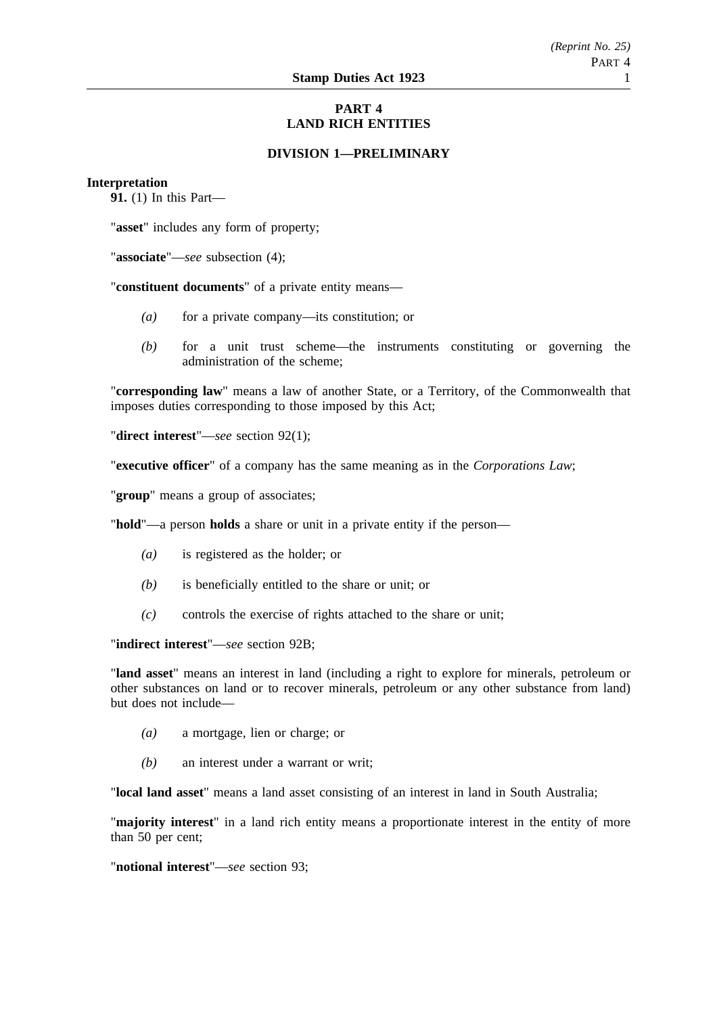# **PART 4 LAND RICH ENTITIES**

## **DIVISION 1—PRELIMINARY**

### **Interpretation**

**91.** (1) In this Part—

"**asset**" includes any form of property;

"**associate**"—*see* subsection (4);

"**constituent documents**" of a private entity means—

- *(a)* for a private company—its constitution; or
- *(b)* for a unit trust scheme—the instruments constituting or governing the administration of the scheme;

"**corresponding law**" means a law of another State, or a Territory, of the Commonwealth that imposes duties corresponding to those imposed by this Act;

"**direct interest**"—*see* section 92(1);

"**executive officer**" of a company has the same meaning as in the *Corporations Law*;

"**group**" means a group of associates;

"**hold**"—a person **holds** a share or unit in a private entity if the person—

- *(a)* is registered as the holder; or
- *(b)* is beneficially entitled to the share or unit; or
- *(c)* controls the exercise of rights attached to the share or unit;

"**indirect interest**"—*see* section 92B;

"**land asset**" means an interest in land (including a right to explore for minerals, petroleum or other substances on land or to recover minerals, petroleum or any other substance from land) but does not include—

- *(a)* a mortgage, lien or charge; or
- *(b)* an interest under a warrant or writ;

"**local land asset**" means a land asset consisting of an interest in land in South Australia;

"**majority interest**" in a land rich entity means a proportionate interest in the entity of more than 50 per cent;

"**notional interest**"—*see* section 93;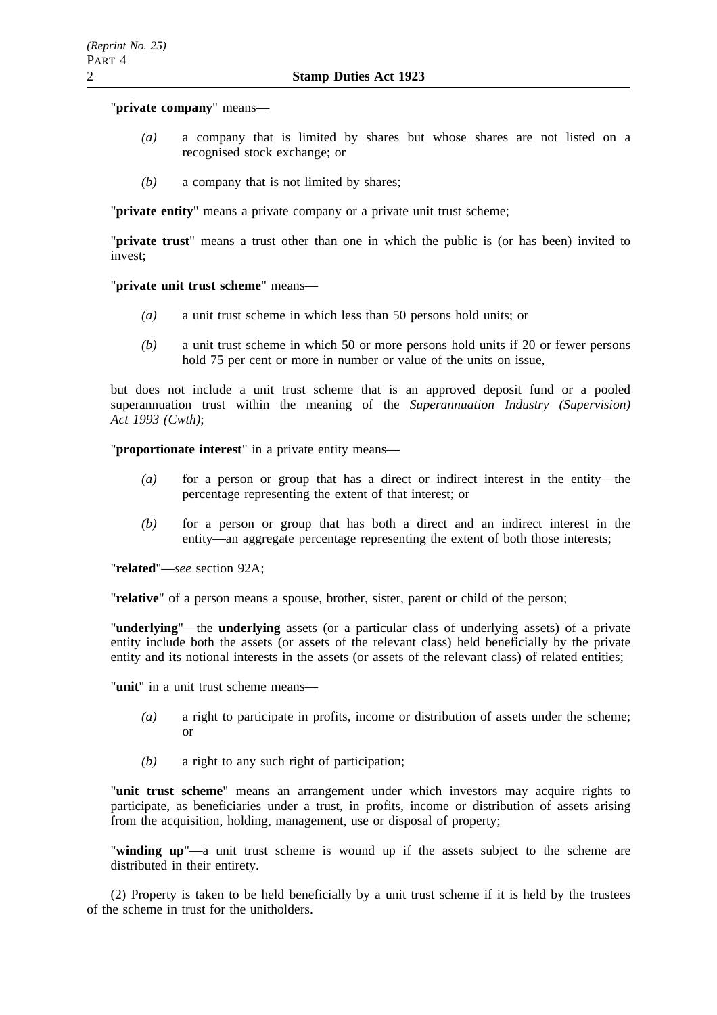### "**private company**" means—

- *(a)* a company that is limited by shares but whose shares are not listed on a recognised stock exchange; or
- *(b)* a company that is not limited by shares;

"**private entity**" means a private company or a private unit trust scheme;

"**private trust**" means a trust other than one in which the public is (or has been) invited to invest;

"**private unit trust scheme**" means—

- *(a)* a unit trust scheme in which less than 50 persons hold units; or
- *(b)* a unit trust scheme in which 50 or more persons hold units if 20 or fewer persons hold 75 per cent or more in number or value of the units on issue,

but does not include a unit trust scheme that is an approved deposit fund or a pooled superannuation trust within the meaning of the *Superannuation Industry (Supervision) Act 1993 (Cwth)*;

"**proportionate interest**" in a private entity means—

- *(a)* for a person or group that has a direct or indirect interest in the entity—the percentage representing the extent of that interest; or
- *(b)* for a person or group that has both a direct and an indirect interest in the entity—an aggregate percentage representing the extent of both those interests;

"**related**"—*see* section 92A;

"**relative**" of a person means a spouse, brother, sister, parent or child of the person;

"**underlying**"—the **underlying** assets (or a particular class of underlying assets) of a private entity include both the assets (or assets of the relevant class) held beneficially by the private entity and its notional interests in the assets (or assets of the relevant class) of related entities;

"**unit**" in a unit trust scheme means—

- *(a)* a right to participate in profits, income or distribution of assets under the scheme; or
- *(b)* a right to any such right of participation;

"**unit trust scheme**" means an arrangement under which investors may acquire rights to participate, as beneficiaries under a trust, in profits, income or distribution of assets arising from the acquisition, holding, management, use or disposal of property;

"**winding up**"—a unit trust scheme is wound up if the assets subject to the scheme are distributed in their entirety.

(2) Property is taken to be held beneficially by a unit trust scheme if it is held by the trustees of the scheme in trust for the unitholders.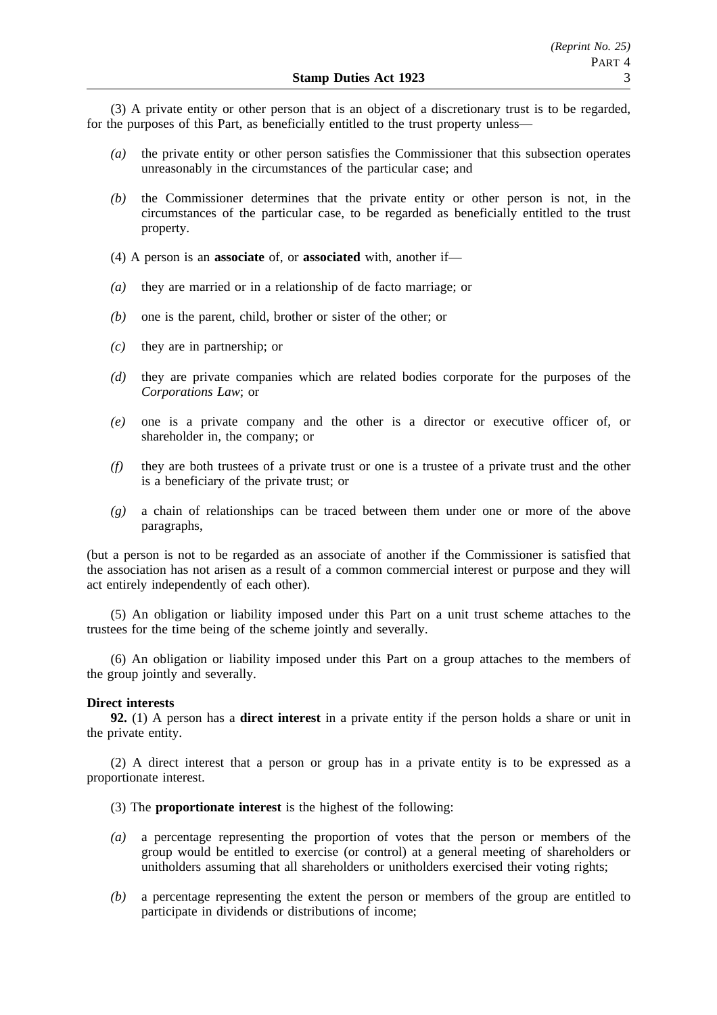(3) A private entity or other person that is an object of a discretionary trust is to be regarded, for the purposes of this Part, as beneficially entitled to the trust property unless—

- *(a)* the private entity or other person satisfies the Commissioner that this subsection operates unreasonably in the circumstances of the particular case; and
- *(b)* the Commissioner determines that the private entity or other person is not, in the circumstances of the particular case, to be regarded as beneficially entitled to the trust property.
- (4) A person is an **associate** of, or **associated** with, another if—
- *(a)* they are married or in a relationship of de facto marriage; or
- *(b)* one is the parent, child, brother or sister of the other; or
- *(c)* they are in partnership; or
- *(d)* they are private companies which are related bodies corporate for the purposes of the *Corporations Law*; or
- *(e)* one is a private company and the other is a director or executive officer of, or shareholder in, the company; or
- *(f)* they are both trustees of a private trust or one is a trustee of a private trust and the other is a beneficiary of the private trust; or
- *(g)* a chain of relationships can be traced between them under one or more of the above paragraphs,

(but a person is not to be regarded as an associate of another if the Commissioner is satisfied that the association has not arisen as a result of a common commercial interest or purpose and they will act entirely independently of each other).

(5) An obligation or liability imposed under this Part on a unit trust scheme attaches to the trustees for the time being of the scheme jointly and severally.

(6) An obligation or liability imposed under this Part on a group attaches to the members of the group jointly and severally.

#### **Direct interests**

**92.** (1) A person has a **direct interest** in a private entity if the person holds a share or unit in the private entity.

(2) A direct interest that a person or group has in a private entity is to be expressed as a proportionate interest.

- (3) The **proportionate interest** is the highest of the following:
- *(a)* a percentage representing the proportion of votes that the person or members of the group would be entitled to exercise (or control) at a general meeting of shareholders or unitholders assuming that all shareholders or unitholders exercised their voting rights;
- *(b)* a percentage representing the extent the person or members of the group are entitled to participate in dividends or distributions of income;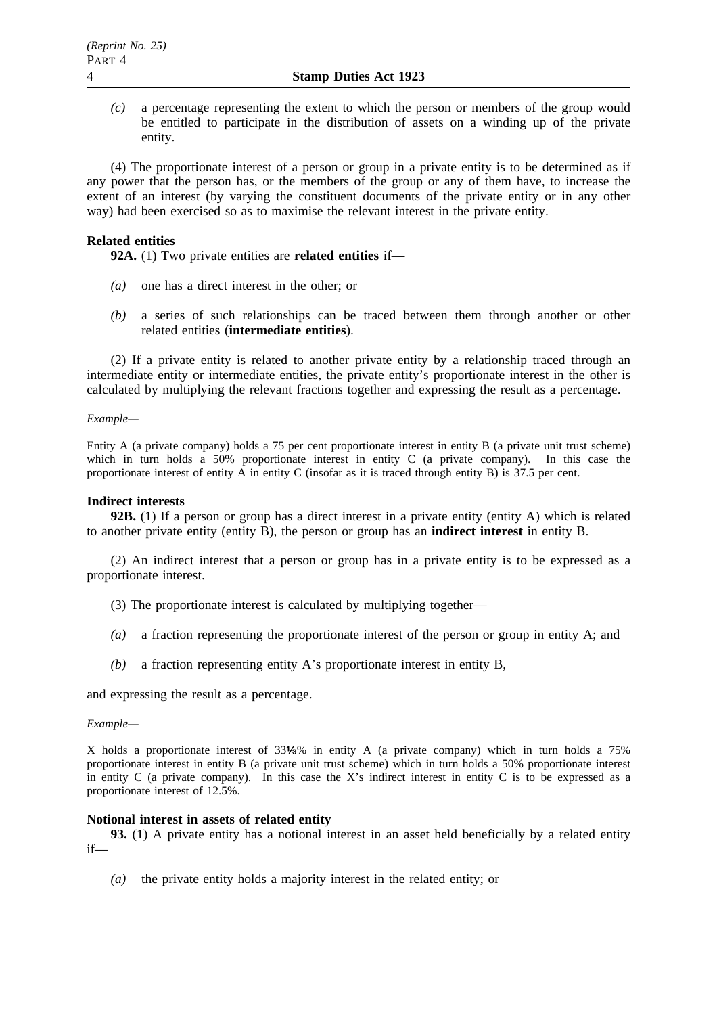*(c)* a percentage representing the extent to which the person or members of the group would be entitled to participate in the distribution of assets on a winding up of the private entity.

(4) The proportionate interest of a person or group in a private entity is to be determined as if any power that the person has, or the members of the group or any of them have, to increase the extent of an interest (by varying the constituent documents of the private entity or in any other way) had been exercised so as to maximise the relevant interest in the private entity.

### **Related entities**

**92A.** (1) Two private entities are **related entities** if—

- *(a)* one has a direct interest in the other; or
- *(b)* a series of such relationships can be traced between them through another or other related entities (**intermediate entities**).

(2) If a private entity is related to another private entity by a relationship traced through an intermediate entity or intermediate entities, the private entity's proportionate interest in the other is calculated by multiplying the relevant fractions together and expressing the result as a percentage.

### *Example—*

Entity A (a private company) holds a 75 per cent proportionate interest in entity B (a private unit trust scheme) which in turn holds a 50% proportionate interest in entity C (a private company). In this case the proportionate interest of entity A in entity C (insofar as it is traced through entity B) is 37.5 per cent.

### **Indirect interests**

**92B.** (1) If a person or group has a direct interest in a private entity (entity A) which is related to another private entity (entity B), the person or group has an **indirect interest** in entity B.

(2) An indirect interest that a person or group has in a private entity is to be expressed as a proportionate interest.

- (3) The proportionate interest is calculated by multiplying together—
- *(a)* a fraction representing the proportionate interest of the person or group in entity A; and
- *(b)* a fraction representing entity A's proportionate interest in entity B,

and expressing the result as a percentage.

### *Example—*

X holds a proportionate interest of 33 % in entity A (a private company) which in turn holds a 75% proportionate interest in entity B (a private unit trust scheme) which in turn holds a 50% proportionate interest in entity C (a private company). In this case the X's indirect interest in entity C is to be expressed as a proportionate interest of 12.5%.

### **Notional interest in assets of related entity**

**93.** (1) A private entity has a notional interest in an asset held beneficially by a related entity if—

*(a)* the private entity holds a majority interest in the related entity; or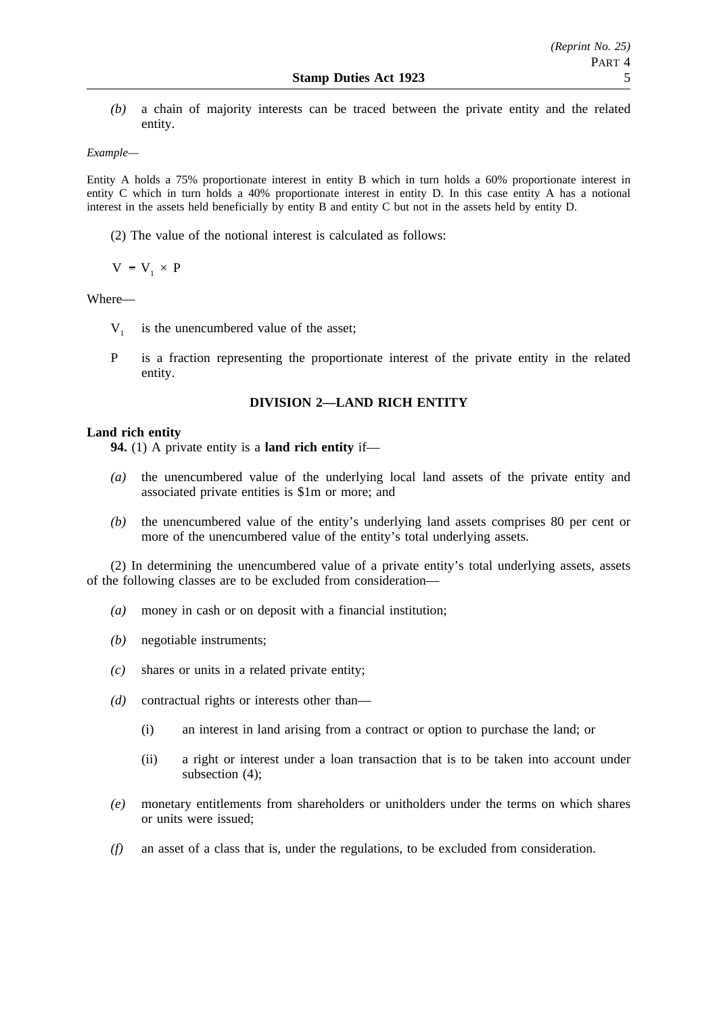*(b)* a chain of majority interests can be traced between the private entity and the related entity.

## *Example—*

Entity A holds a 75% proportionate interest in entity B which in turn holds a 60% proportionate interest in entity C which in turn holds a 40% proportionate interest in entity D. In this case entity A has a notional interest in the assets held beneficially by entity B and entity C but not in the assets held by entity D.

(2) The value of the notional interest is calculated as follows:

 $V = V_1 \times P$ 

### Where—

- $V_1$  is the unencumbered value of the asset;
- P is a fraction representing the proportionate interest of the private entity in the related entity.

## **DIVISION 2—LAND RICH ENTITY**

## **Land rich entity**

**94.** (1) A private entity is a **land rich entity** if—

- *(a)* the unencumbered value of the underlying local land assets of the private entity and associated private entities is \$1m or more; and
- *(b)* the unencumbered value of the entity's underlying land assets comprises 80 per cent or more of the unencumbered value of the entity's total underlying assets.

(2) In determining the unencumbered value of a private entity's total underlying assets, assets of the following classes are to be excluded from consideration—

- *(a)* money in cash or on deposit with a financial institution;
- *(b)* negotiable instruments;
- *(c)* shares or units in a related private entity;
- *(d)* contractual rights or interests other than—
	- (i) an interest in land arising from a contract or option to purchase the land; or
	- (ii) a right or interest under a loan transaction that is to be taken into account under subsection (4);
- *(e)* monetary entitlements from shareholders or unitholders under the terms on which shares or units were issued;
- *(f)* an asset of a class that is, under the regulations, to be excluded from consideration.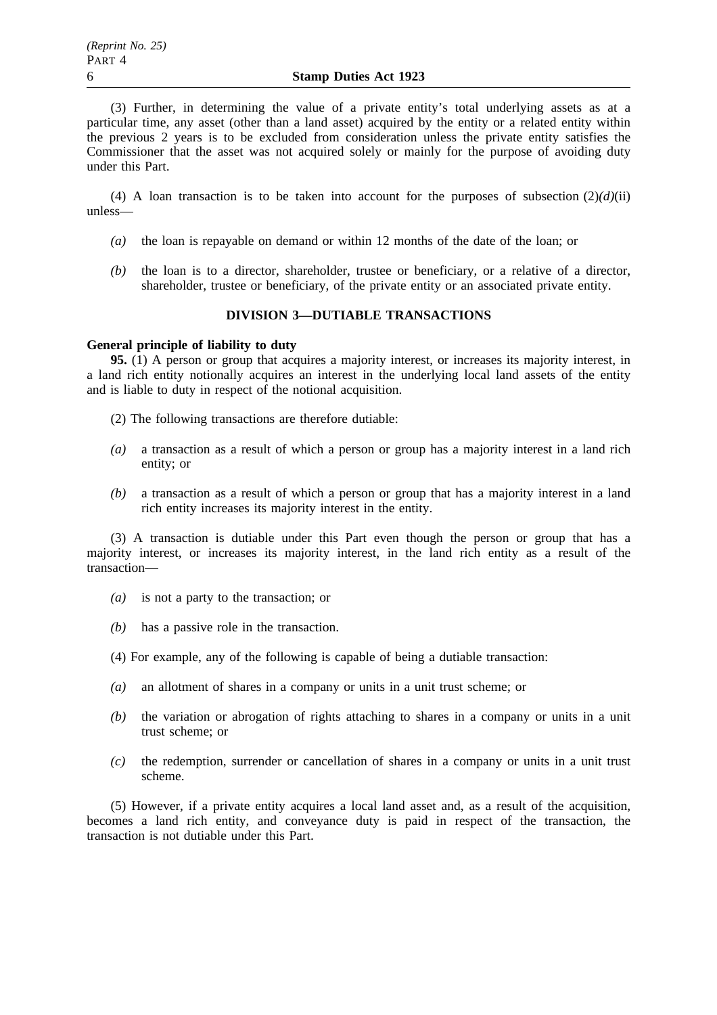(3) Further, in determining the value of a private entity's total underlying assets as at a particular time, any asset (other than a land asset) acquired by the entity or a related entity within the previous 2 years is to be excluded from consideration unless the private entity satisfies the Commissioner that the asset was not acquired solely or mainly for the purpose of avoiding duty under this Part.

(4) A loan transaction is to be taken into account for the purposes of subsection  $(2)(d)(ii)$ unless—

- *(a)* the loan is repayable on demand or within 12 months of the date of the loan; or
- *(b)* the loan is to a director, shareholder, trustee or beneficiary, or a relative of a director, shareholder, trustee or beneficiary, of the private entity or an associated private entity.

## **DIVISION 3—DUTIABLE TRANSACTIONS**

#### **General principle of liability to duty**

**95.** (1) A person or group that acquires a majority interest, or increases its majority interest, in a land rich entity notionally acquires an interest in the underlying local land assets of the entity and is liable to duty in respect of the notional acquisition.

- (2) The following transactions are therefore dutiable:
- *(a)* a transaction as a result of which a person or group has a majority interest in a land rich entity; or
- *(b)* a transaction as a result of which a person or group that has a majority interest in a land rich entity increases its majority interest in the entity.

(3) A transaction is dutiable under this Part even though the person or group that has a majority interest, or increases its majority interest, in the land rich entity as a result of the transaction—

- *(a)* is not a party to the transaction; or
- *(b)* has a passive role in the transaction.
- (4) For example, any of the following is capable of being a dutiable transaction:
- *(a)* an allotment of shares in a company or units in a unit trust scheme; or
- *(b)* the variation or abrogation of rights attaching to shares in a company or units in a unit trust scheme; or
- *(c)* the redemption, surrender or cancellation of shares in a company or units in a unit trust scheme.

(5) However, if a private entity acquires a local land asset and, as a result of the acquisition, becomes a land rich entity, and conveyance duty is paid in respect of the transaction, the transaction is not dutiable under this Part.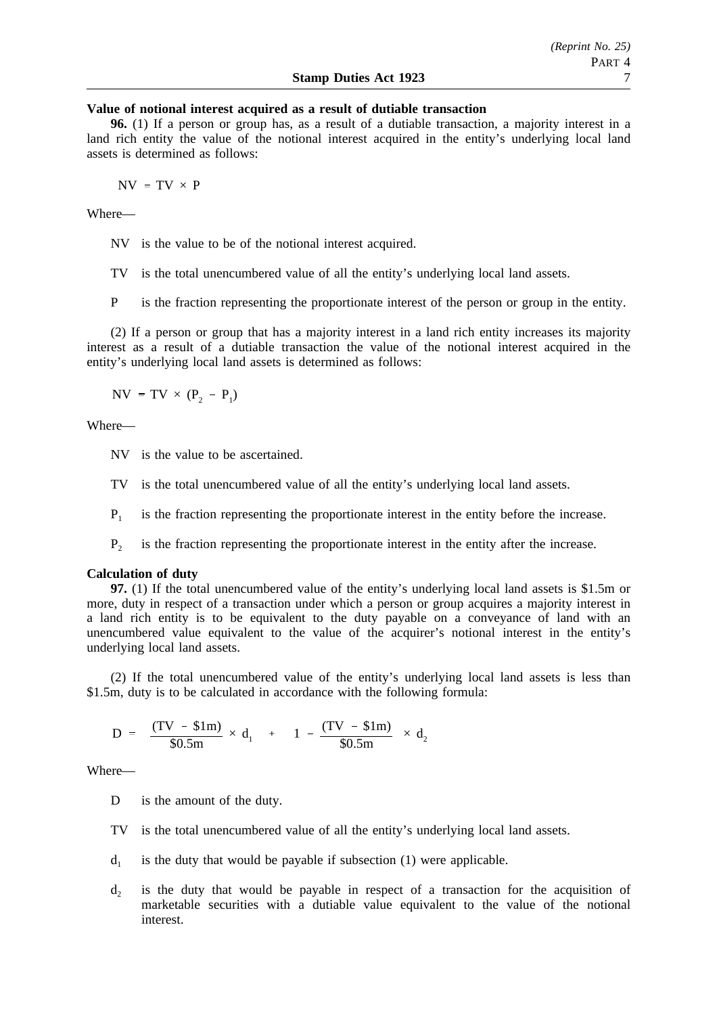### **Value of notional interest acquired as a result of dutiable transaction**

**96.** (1) If a person or group has, as a result of a dutiable transaction, a majority interest in a land rich entity the value of the notional interest acquired in the entity's underlying local land assets is determined as follows:

 $NV = TV \times P$ 

Where—

NV is the value to be of the notional interest acquired.

TV is the total unencumbered value of all the entity's underlying local land assets.

P is the fraction representing the proportionate interest of the person or group in the entity.

(2) If a person or group that has a majority interest in a land rich entity increases its majority interest as a result of a dutiable transaction the value of the notional interest acquired in the entity's underlying local land assets is determined as follows:

 $NV = TV \times (P_2 - P_1)$ 

Where—

- NV is the value to be ascertained.
- TV is the total unencumbered value of all the entity's underlying local land assets.
- $P_1$  is the fraction representing the proportionate interest in the entity before the increase.

 $P<sub>2</sub>$  is the fraction representing the proportionate interest in the entity after the increase.

#### **Calculation of duty**

**97.** (1) If the total unencumbered value of the entity's underlying local land assets is \$1.5m or more, duty in respect of a transaction under which a person or group acquires a majority interest in a land rich entity is to be equivalent to the duty payable on a conveyance of land with an unencumbered value equivalent to the value of the acquirer's notional interest in the entity's underlying local land assets.

(2) If the total unencumbered value of the entity's underlying local land assets is less than \$1.5m, duty is to be calculated in accordance with the following formula:

$$
D = \left[ \frac{(TV - $1m)}{$0.5m$} \times d_1 \right] + \left[ \left( 1 - \frac{(TV - $1m)}{$0.5m$} \right) \times d_2 \right]
$$

Where—

D is the amount of the duty.

- TV is the total unencumbered value of all the entity's underlying local land assets.
- $d_1$  is the duty that would be payable if subsection (1) were applicable.
- $d<sub>2</sub>$  is the duty that would be payable in respect of a transaction for the acquisition of marketable securities with a dutiable value equivalent to the value of the notional interest.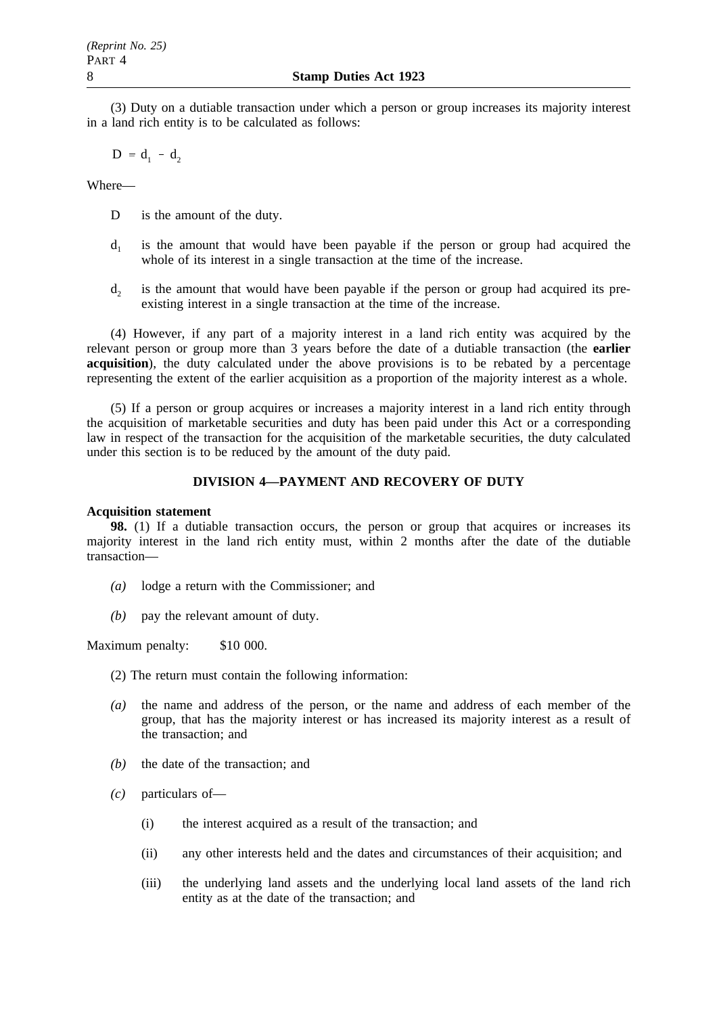(3) Duty on a dutiable transaction under which a person or group increases its majority interest in a land rich entity is to be calculated as follows:

 $D = d_1 - d_2$ 

Where—

- D is the amount of the duty.
- $d_1$  is the amount that would have been payable if the person or group had acquired the whole of its interest in a single transaction at the time of the increase.
- $d<sub>2</sub>$  is the amount that would have been payable if the person or group had acquired its preexisting interest in a single transaction at the time of the increase.

(4) However, if any part of a majority interest in a land rich entity was acquired by the relevant person or group more than 3 years before the date of a dutiable transaction (the **earlier acquisition**), the duty calculated under the above provisions is to be rebated by a percentage representing the extent of the earlier acquisition as a proportion of the majority interest as a whole.

(5) If a person or group acquires or increases a majority interest in a land rich entity through the acquisition of marketable securities and duty has been paid under this Act or a corresponding law in respect of the transaction for the acquisition of the marketable securities, the duty calculated under this section is to be reduced by the amount of the duty paid.

## **DIVISION 4—PAYMENT AND RECOVERY OF DUTY**

### **Acquisition statement**

**98.** (1) If a dutiable transaction occurs, the person or group that acquires or increases its majority interest in the land rich entity must, within 2 months after the date of the dutiable transaction—

- *(a)* lodge a return with the Commissioner; and
- *(b)* pay the relevant amount of duty.

Maximum penalty: \$10 000.

- (2) The return must contain the following information:
- *(a)* the name and address of the person, or the name and address of each member of the group, that has the majority interest or has increased its majority interest as a result of the transaction; and
- *(b)* the date of the transaction; and
- *(c)* particulars of—
	- (i) the interest acquired as a result of the transaction; and
	- (ii) any other interests held and the dates and circumstances of their acquisition; and
	- (iii) the underlying land assets and the underlying local land assets of the land rich entity as at the date of the transaction; and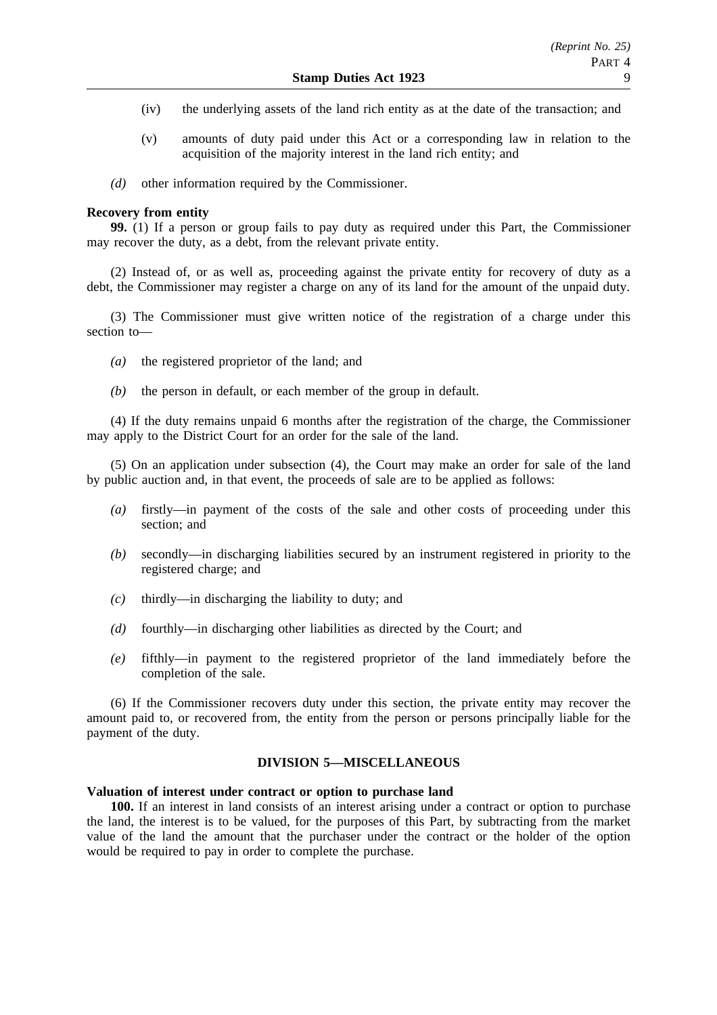- (iv) the underlying assets of the land rich entity as at the date of the transaction; and
- (v) amounts of duty paid under this Act or a corresponding law in relation to the acquisition of the majority interest in the land rich entity; and
- *(d)* other information required by the Commissioner.

### **Recovery from entity**

**99.** (1) If a person or group fails to pay duty as required under this Part, the Commissioner may recover the duty, as a debt, from the relevant private entity.

(2) Instead of, or as well as, proceeding against the private entity for recovery of duty as a debt, the Commissioner may register a charge on any of its land for the amount of the unpaid duty.

(3) The Commissioner must give written notice of the registration of a charge under this section to—

- *(a)* the registered proprietor of the land; and
- *(b)* the person in default, or each member of the group in default.

(4) If the duty remains unpaid 6 months after the registration of the charge, the Commissioner may apply to the District Court for an order for the sale of the land.

(5) On an application under subsection (4), the Court may make an order for sale of the land by public auction and, in that event, the proceeds of sale are to be applied as follows:

- *(a)* firstly—in payment of the costs of the sale and other costs of proceeding under this section; and
- *(b)* secondly—in discharging liabilities secured by an instrument registered in priority to the registered charge; and
- *(c)* thirdly—in discharging the liability to duty; and
- *(d)* fourthly—in discharging other liabilities as directed by the Court; and
- *(e)* fifthly—in payment to the registered proprietor of the land immediately before the completion of the sale.

(6) If the Commissioner recovers duty under this section, the private entity may recover the amount paid to, or recovered from, the entity from the person or persons principally liable for the payment of the duty.

## **DIVISION 5—MISCELLANEOUS**

### **Valuation of interest under contract or option to purchase land**

**100.** If an interest in land consists of an interest arising under a contract or option to purchase the land, the interest is to be valued, for the purposes of this Part, by subtracting from the market value of the land the amount that the purchaser under the contract or the holder of the option would be required to pay in order to complete the purchase.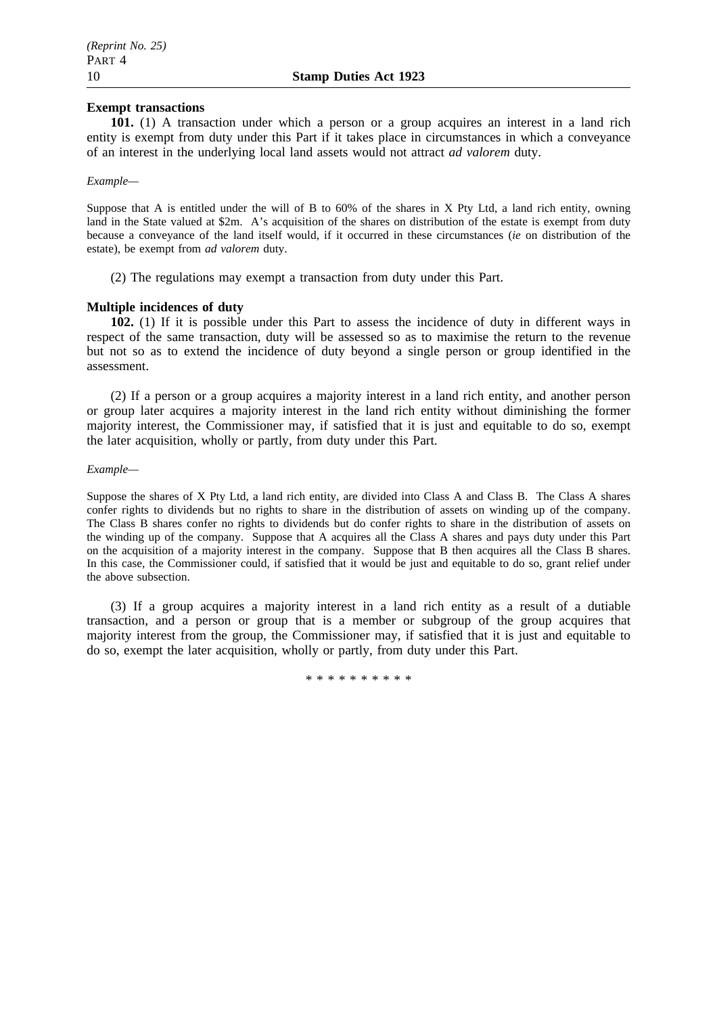### **Exempt transactions**

**101.** (1) A transaction under which a person or a group acquires an interest in a land rich entity is exempt from duty under this Part if it takes place in circumstances in which a conveyance of an interest in the underlying local land assets would not attract *ad valorem* duty.

### *Example—*

Suppose that A is entitled under the will of B to 60% of the shares in X Pty Ltd, a land rich entity, owning land in the State valued at \$2m. A's acquisition of the shares on distribution of the estate is exempt from duty because a conveyance of the land itself would, if it occurred in these circumstances (*ie* on distribution of the estate), be exempt from *ad valorem* duty.

(2) The regulations may exempt a transaction from duty under this Part.

### **Multiple incidences of duty**

**102.** (1) If it is possible under this Part to assess the incidence of duty in different ways in respect of the same transaction, duty will be assessed so as to maximise the return to the revenue but not so as to extend the incidence of duty beyond a single person or group identified in the assessment.

(2) If a person or a group acquires a majority interest in a land rich entity, and another person or group later acquires a majority interest in the land rich entity without diminishing the former majority interest, the Commissioner may, if satisfied that it is just and equitable to do so, exempt the later acquisition, wholly or partly, from duty under this Part.

#### *Example—*

Suppose the shares of X Pty Ltd, a land rich entity, are divided into Class A and Class B. The Class A shares confer rights to dividends but no rights to share in the distribution of assets on winding up of the company. The Class B shares confer no rights to dividends but do confer rights to share in the distribution of assets on the winding up of the company. Suppose that A acquires all the Class A shares and pays duty under this Part on the acquisition of a majority interest in the company. Suppose that B then acquires all the Class B shares. In this case, the Commissioner could, if satisfied that it would be just and equitable to do so, grant relief under the above subsection.

(3) If a group acquires a majority interest in a land rich entity as a result of a dutiable transaction, and a person or group that is a member or subgroup of the group acquires that majority interest from the group, the Commissioner may, if satisfied that it is just and equitable to do so, exempt the later acquisition, wholly or partly, from duty under this Part.

\*\*\*\*\*\*\*\*\*\*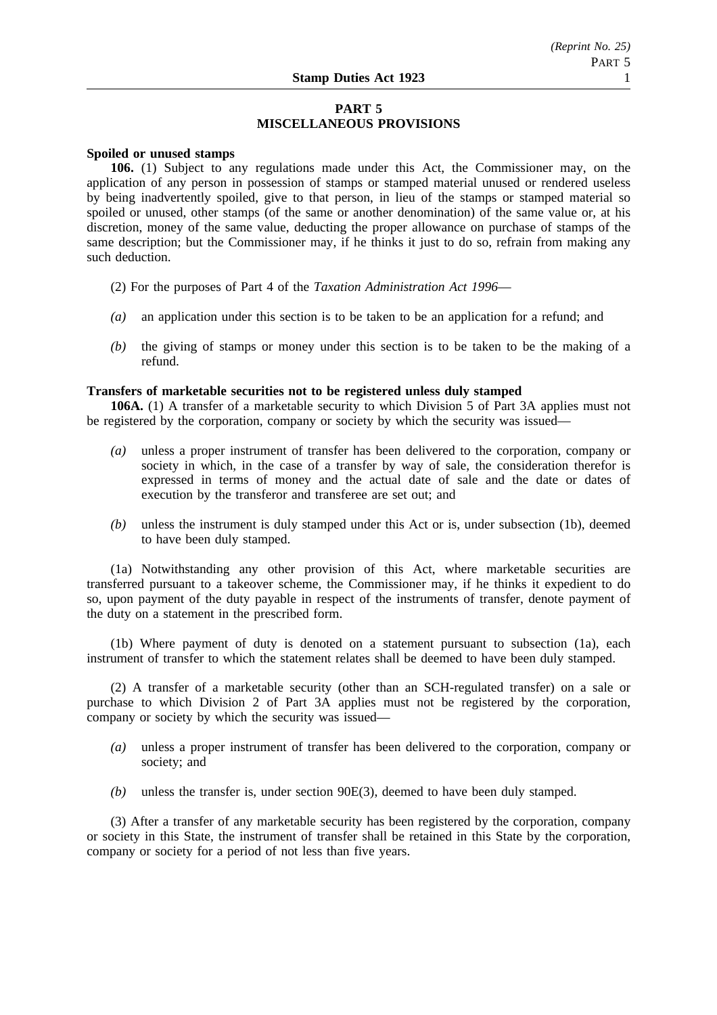# **PART 5 MISCELLANEOUS PROVISIONS**

### **Spoiled or unused stamps**

**106.** (1) Subject to any regulations made under this Act, the Commissioner may, on the application of any person in possession of stamps or stamped material unused or rendered useless by being inadvertently spoiled, give to that person, in lieu of the stamps or stamped material so spoiled or unused, other stamps (of the same or another denomination) of the same value or, at his discretion, money of the same value, deducting the proper allowance on purchase of stamps of the same description; but the Commissioner may, if he thinks it just to do so, refrain from making any such deduction.

- (2) For the purposes of Part 4 of the *Taxation Administration Act 1996*—
- *(a)* an application under this section is to be taken to be an application for a refund; and
- *(b)* the giving of stamps or money under this section is to be taken to be the making of a refund.

## **Transfers of marketable securities not to be registered unless duly stamped**

**106A.** (1) A transfer of a marketable security to which Division 5 of Part 3A applies must not be registered by the corporation, company or society by which the security was issued—

- *(a)* unless a proper instrument of transfer has been delivered to the corporation, company or society in which, in the case of a transfer by way of sale, the consideration therefor is expressed in terms of money and the actual date of sale and the date or dates of execution by the transferor and transferee are set out; and
- *(b)* unless the instrument is duly stamped under this Act or is, under subsection (1b), deemed to have been duly stamped.

(1a) Notwithstanding any other provision of this Act, where marketable securities are transferred pursuant to a takeover scheme, the Commissioner may, if he thinks it expedient to do so, upon payment of the duty payable in respect of the instruments of transfer, denote payment of the duty on a statement in the prescribed form.

(1b) Where payment of duty is denoted on a statement pursuant to subsection (1a), each instrument of transfer to which the statement relates shall be deemed to have been duly stamped.

(2) A transfer of a marketable security (other than an SCH-regulated transfer) on a sale or purchase to which Division 2 of Part 3A applies must not be registered by the corporation, company or society by which the security was issued—

- *(a)* unless a proper instrument of transfer has been delivered to the corporation, company or society; and
- *(b)* unless the transfer is, under section 90E(3), deemed to have been duly stamped.

(3) After a transfer of any marketable security has been registered by the corporation, company or society in this State, the instrument of transfer shall be retained in this State by the corporation, company or society for a period of not less than five years.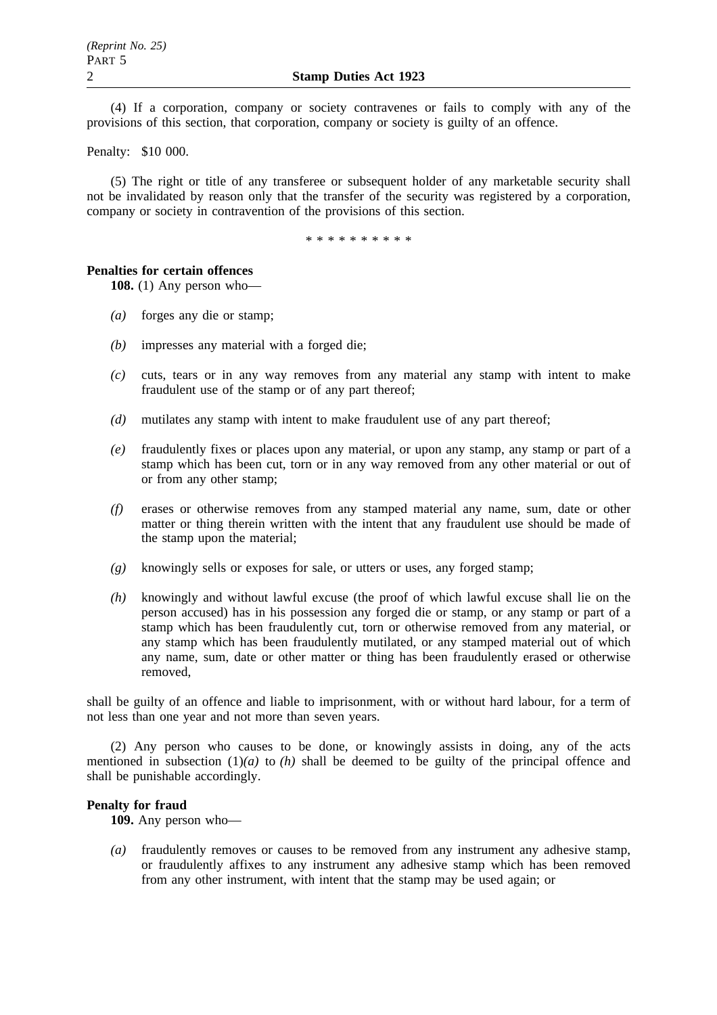(4) If a corporation, company or society contravenes or fails to comply with any of the provisions of this section, that corporation, company or society is guilty of an offence.

Penalty: \$10 000.

(5) The right or title of any transferee or subsequent holder of any marketable security shall not be invalidated by reason only that the transfer of the security was registered by a corporation, company or society in contravention of the provisions of this section.

\*\*\*\*\*\*\*\*\*\*

#### **Penalties for certain offences**

**108.** (1) Any person who—

- *(a)* forges any die or stamp;
- *(b)* impresses any material with a forged die;
- *(c)* cuts, tears or in any way removes from any material any stamp with intent to make fraudulent use of the stamp or of any part thereof;
- *(d)* mutilates any stamp with intent to make fraudulent use of any part thereof;
- *(e)* fraudulently fixes or places upon any material, or upon any stamp, any stamp or part of a stamp which has been cut, torn or in any way removed from any other material or out of or from any other stamp;
- *(f)* erases or otherwise removes from any stamped material any name, sum, date or other matter or thing therein written with the intent that any fraudulent use should be made of the stamp upon the material;
- *(g)* knowingly sells or exposes for sale, or utters or uses, any forged stamp;
- *(h)* knowingly and without lawful excuse (the proof of which lawful excuse shall lie on the person accused) has in his possession any forged die or stamp, or any stamp or part of a stamp which has been fraudulently cut, torn or otherwise removed from any material, or any stamp which has been fraudulently mutilated, or any stamped material out of which any name, sum, date or other matter or thing has been fraudulently erased or otherwise removed,

shall be guilty of an offence and liable to imprisonment, with or without hard labour, for a term of not less than one year and not more than seven years.

(2) Any person who causes to be done, or knowingly assists in doing, any of the acts mentioned in subsection  $(1)(a)$  to  $(h)$  shall be deemed to be guilty of the principal offence and shall be punishable accordingly.

### **Penalty for fraud**

**109.** Any person who—

*(a)* fraudulently removes or causes to be removed from any instrument any adhesive stamp, or fraudulently affixes to any instrument any adhesive stamp which has been removed from any other instrument, with intent that the stamp may be used again; or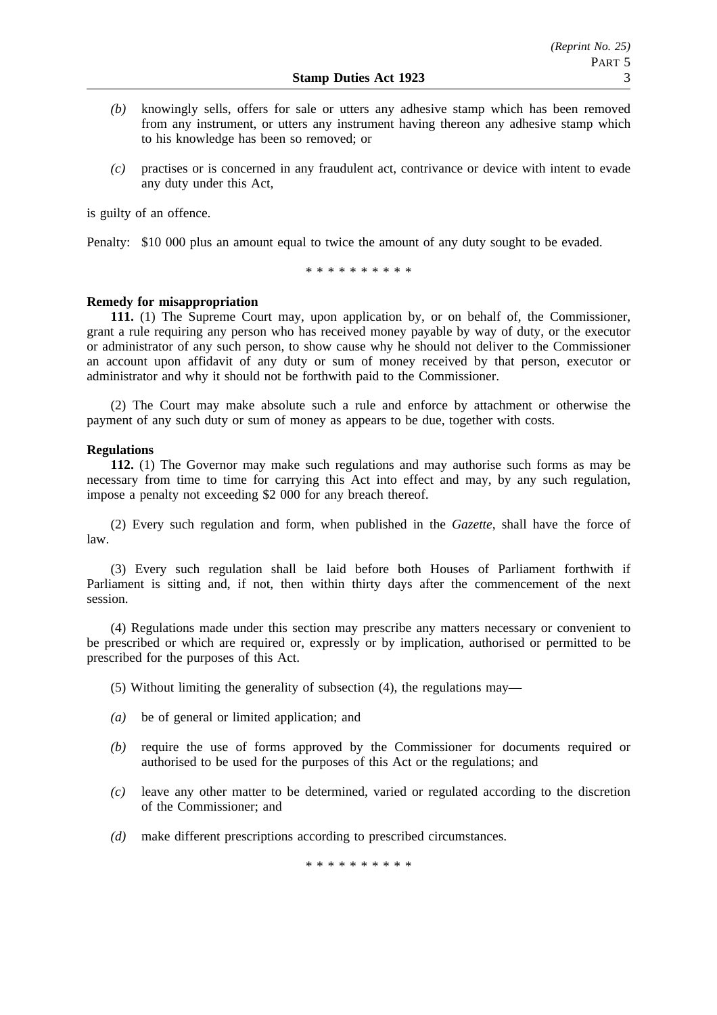- *(b)* knowingly sells, offers for sale or utters any adhesive stamp which has been removed from any instrument, or utters any instrument having thereon any adhesive stamp which to his knowledge has been so removed; or
- *(c)* practises or is concerned in any fraudulent act, contrivance or device with intent to evade any duty under this Act,

is guilty of an offence.

Penalty: \$10 000 plus an amount equal to twice the amount of any duty sought to be evaded.

\*\*\*\*\*\*\*\*\*\*

### **Remedy for misappropriation**

**111.** (1) The Supreme Court may, upon application by, or on behalf of, the Commissioner, grant a rule requiring any person who has received money payable by way of duty, or the executor or administrator of any such person, to show cause why he should not deliver to the Commissioner an account upon affidavit of any duty or sum of money received by that person, executor or administrator and why it should not be forthwith paid to the Commissioner.

(2) The Court may make absolute such a rule and enforce by attachment or otherwise the payment of any such duty or sum of money as appears to be due, together with costs.

### **Regulations**

**112.** (1) The Governor may make such regulations and may authorise such forms as may be necessary from time to time for carrying this Act into effect and may, by any such regulation, impose a penalty not exceeding \$2 000 for any breach thereof.

(2) Every such regulation and form, when published in the *Gazette*, shall have the force of law.

(3) Every such regulation shall be laid before both Houses of Parliament forthwith if Parliament is sitting and, if not, then within thirty days after the commencement of the next session.

(4) Regulations made under this section may prescribe any matters necessary or convenient to be prescribed or which are required or, expressly or by implication, authorised or permitted to be prescribed for the purposes of this Act.

(5) Without limiting the generality of subsection (4), the regulations may—

- *(a)* be of general or limited application; and
- *(b)* require the use of forms approved by the Commissioner for documents required or authorised to be used for the purposes of this Act or the regulations; and
- *(c)* leave any other matter to be determined, varied or regulated according to the discretion of the Commissioner; and
- *(d)* make different prescriptions according to prescribed circumstances.

\*\*\*\*\*\*\*\*\*\*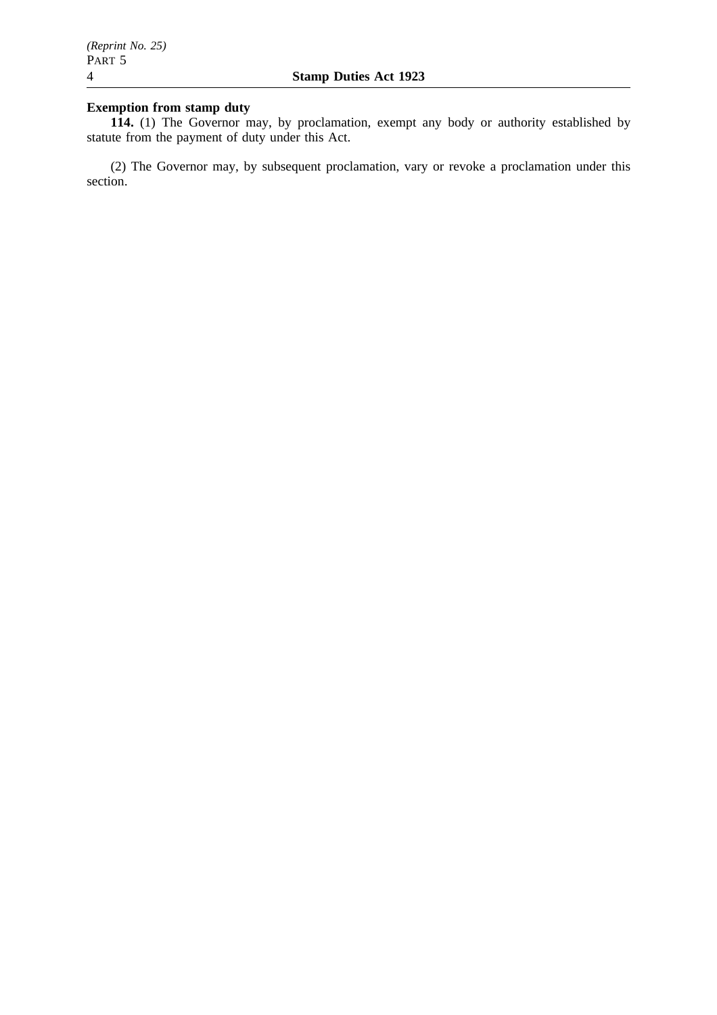# **Exemption from stamp duty**

**114.** (1) The Governor may, by proclamation, exempt any body or authority established by statute from the payment of duty under this Act.

(2) The Governor may, by subsequent proclamation, vary or revoke a proclamation under this section.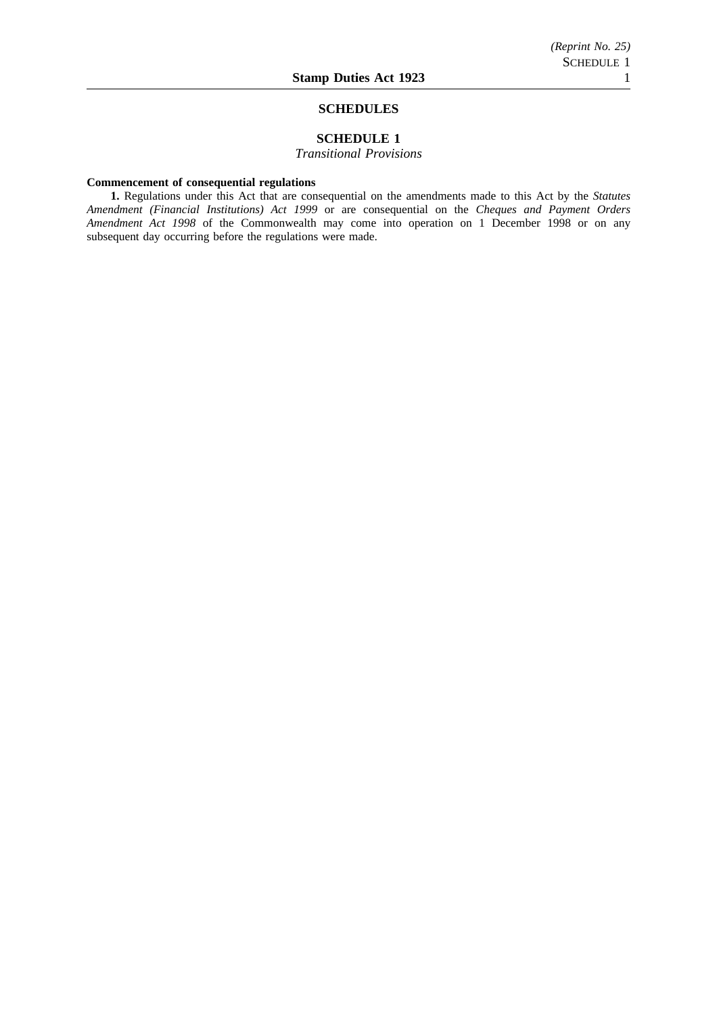#### **SCHEDULES**

### **SCHEDULE 1**

*Transitional Provisions*

#### **Commencement of consequential regulations**

**1.** Regulations under this Act that are consequential on the amendments made to this Act by the *Statutes Amendment (Financial Institutions) Act 1999* or are consequential on the *Cheques and Payment Orders Amendment Act 1998* of the Commonwealth may come into operation on 1 December 1998 or on any subsequent day occurring before the regulations were made.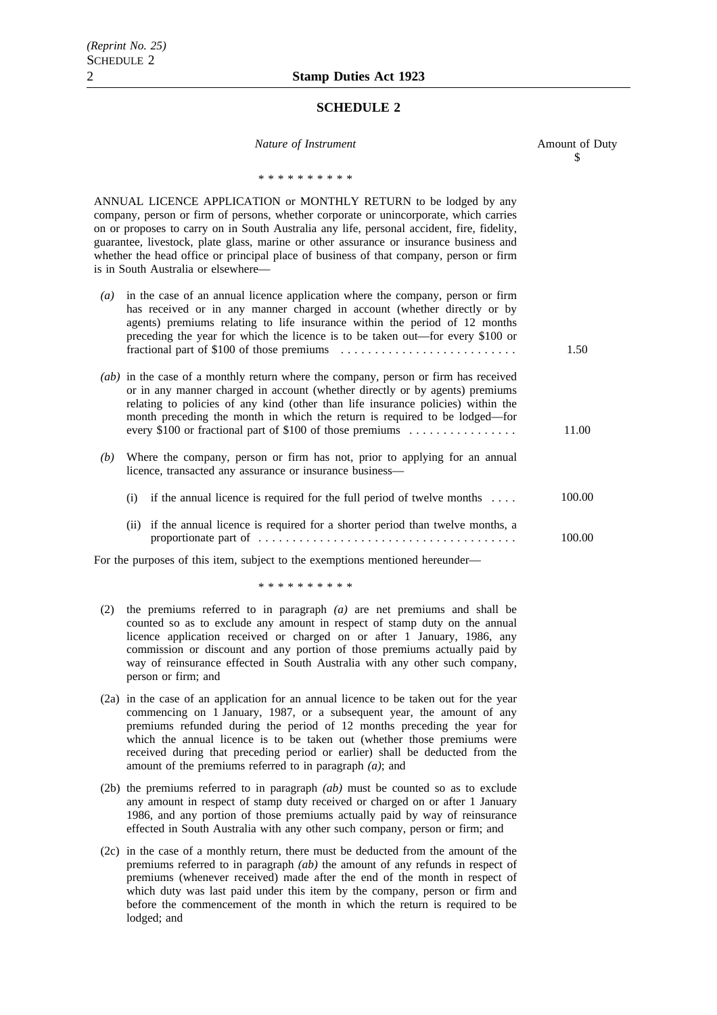#### **SCHEDULE 2**

| Nature of Instrument                                                                                                                                                                                                                                                                                                                                                                                                                                                               | Amount of Duty<br>\$ |
|------------------------------------------------------------------------------------------------------------------------------------------------------------------------------------------------------------------------------------------------------------------------------------------------------------------------------------------------------------------------------------------------------------------------------------------------------------------------------------|----------------------|
| * * * * * * * * * *                                                                                                                                                                                                                                                                                                                                                                                                                                                                |                      |
| ANNUAL LICENCE APPLICATION or MONTHLY RETURN to be lodged by any<br>company, person or firm of persons, whether corporate or unincorporate, which carries<br>on or proposes to carry on in South Australia any life, personal accident, fire, fidelity,<br>guarantee, livestock, plate glass, marine or other assurance or insurance business and<br>whether the head office or principal place of business of that company, person or firm<br>is in South Australia or elsewhere— |                      |
| in the case of an annual licence application where the company, person or firm<br>$\left( a\right)$<br>has received or in any manner charged in account (whether directly or by<br>agents) premiums relating to life insurance within the period of 12 months<br>preceding the year for which the licence is to be taken out—for every \$100 or                                                                                                                                    | 1.50                 |
| (ab) in the case of a monthly return where the company, person or firm has received<br>or in any manner charged in account (whether directly or by agents) premiums<br>relating to policies of any kind (other than life insurance policies) within the<br>month preceding the month in which the return is required to be lodged—for<br>every \$100 or fractional part of \$100 of those premiums                                                                                 | 11.00                |
| Where the company, person or firm has not, prior to applying for an annual<br>(b)<br>licence, transacted any assurance or insurance business-                                                                                                                                                                                                                                                                                                                                      |                      |
| (i) if the annual licence is required for the full period of twelve months $\dots$                                                                                                                                                                                                                                                                                                                                                                                                 | 100.00               |
| if the annual licence is required for a shorter period than twelve months, a<br>(ii)                                                                                                                                                                                                                                                                                                                                                                                               | 100.00               |
| For the purposes of this item, subject to the exemptions mentioned hereunder-                                                                                                                                                                                                                                                                                                                                                                                                      |                      |

\*\*\*\*\*\*\*\*\*\*

- (2) the premiums referred to in paragraph *(a)* are net premiums and shall be counted so as to exclude any amount in respect of stamp duty on the annual licence application received or charged on or after 1 January, 1986, any commission or discount and any portion of those premiums actually paid by way of reinsurance effected in South Australia with any other such company, person or firm; and
- (2a) in the case of an application for an annual licence to be taken out for the year commencing on 1 January, 1987, or a subsequent year, the amount of any premiums refunded during the period of 12 months preceding the year for which the annual licence is to be taken out (whether those premiums were received during that preceding period or earlier) shall be deducted from the amount of the premiums referred to in paragraph *(a)*; and
- (2b) the premiums referred to in paragraph *(ab)* must be counted so as to exclude any amount in respect of stamp duty received or charged on or after 1 January 1986, and any portion of those premiums actually paid by way of reinsurance effected in South Australia with any other such company, person or firm; and
- (2c) in the case of a monthly return, there must be deducted from the amount of the premiums referred to in paragraph *(ab)* the amount of any refunds in respect of premiums (whenever received) made after the end of the month in respect of which duty was last paid under this item by the company, person or firm and before the commencement of the month in which the return is required to be lodged; and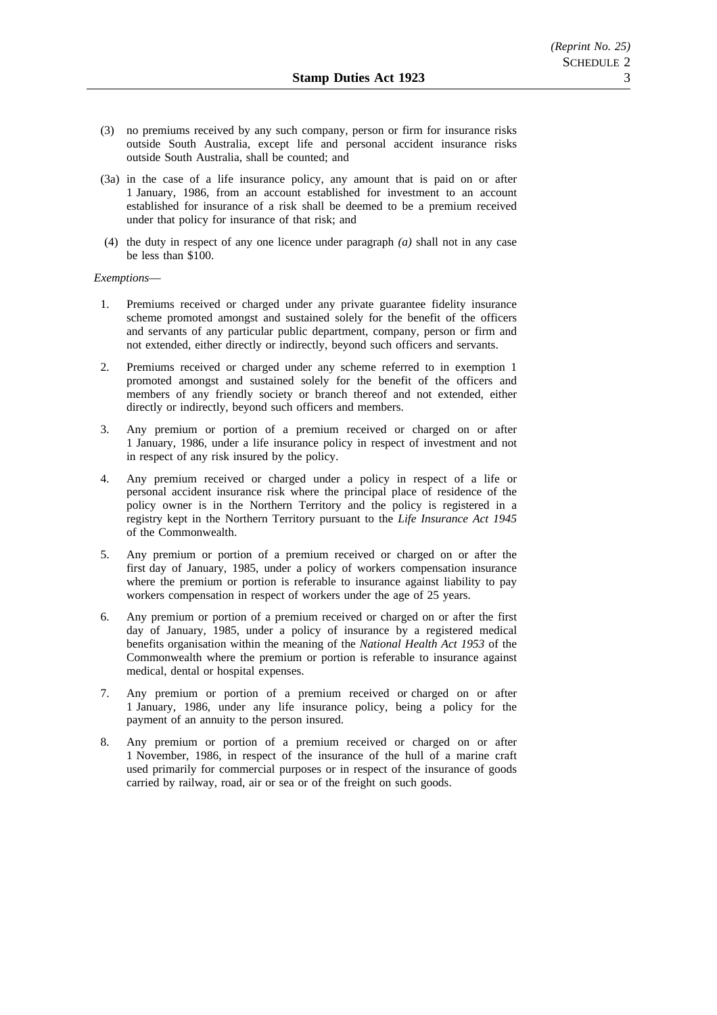- (3) no premiums received by any such company, person or firm for insurance risks outside South Australia, except life and personal accident insurance risks outside South Australia, shall be counted; and
- (3a) in the case of a life insurance policy, any amount that is paid on or after 1 January, 1986, from an account established for investment to an account established for insurance of a risk shall be deemed to be a premium received under that policy for insurance of that risk; and
- (4) the duty in respect of any one licence under paragraph *(a)* shall not in any case be less than \$100.

#### *Exemptions*—

- 1. Premiums received or charged under any private guarantee fidelity insurance scheme promoted amongst and sustained solely for the benefit of the officers and servants of any particular public department, company, person or firm and not extended, either directly or indirectly, beyond such officers and servants.
- 2. Premiums received or charged under any scheme referred to in exemption 1 promoted amongst and sustained solely for the benefit of the officers and members of any friendly society or branch thereof and not extended, either directly or indirectly, beyond such officers and members.
- 3. Any premium or portion of a premium received or charged on or after 1 January, 1986, under a life insurance policy in respect of investment and not in respect of any risk insured by the policy.
- 4. Any premium received or charged under a policy in respect of a life or personal accident insurance risk where the principal place of residence of the policy owner is in the Northern Territory and the policy is registered in a registry kept in the Northern Territory pursuant to the *Life Insurance Act 1945* of the Commonwealth.
- 5. Any premium or portion of a premium received or charged on or after the first day of January, 1985, under a policy of workers compensation insurance where the premium or portion is referable to insurance against liability to pay workers compensation in respect of workers under the age of 25 years.
- 6. Any premium or portion of a premium received or charged on or after the first day of January, 1985, under a policy of insurance by a registered medical benefits organisation within the meaning of the *National Health Act 1953* of the Commonwealth where the premium or portion is referable to insurance against medical, dental or hospital expenses.
- 7. Any premium or portion of a premium received or charged on or after 1 January, 1986, under any life insurance policy, being a policy for the payment of an annuity to the person insured.
- 8. Any premium or portion of a premium received or charged on or after 1 November, 1986, in respect of the insurance of the hull of a marine craft used primarily for commercial purposes or in respect of the insurance of goods carried by railway, road, air or sea or of the freight on such goods.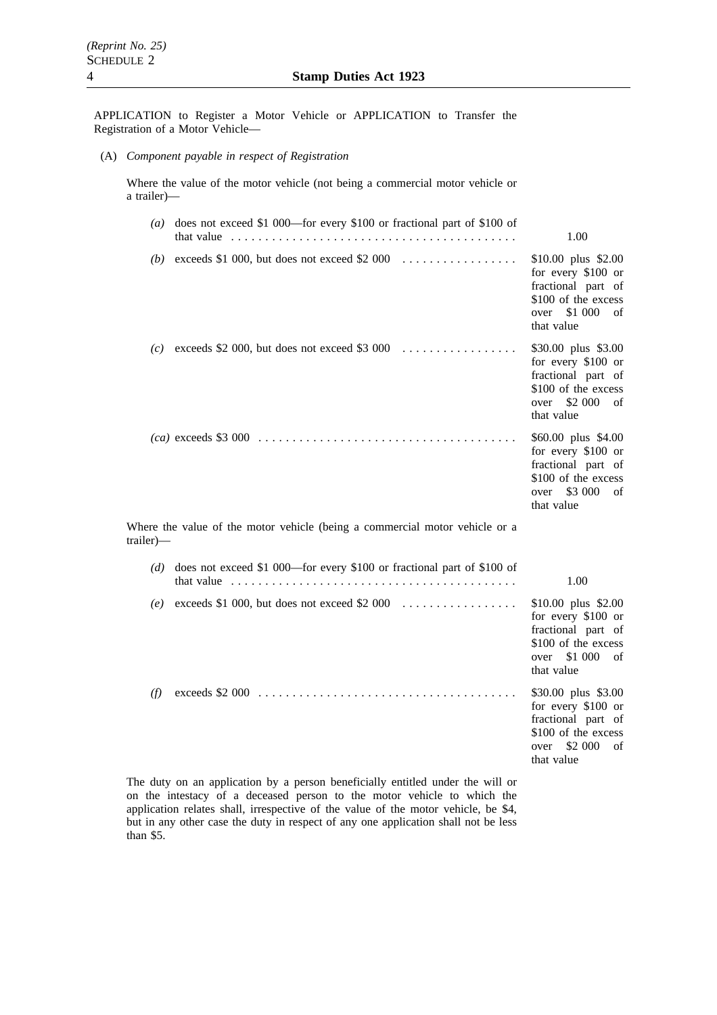APPLICATION to Register a Motor Vehicle or APPLICATION to Transfer the Registration of a Motor Vehicle—

(A) *Component payable in respect of Registration*

Where the value of the motor vehicle (not being a commercial motor vehicle or a trailer)—

|           | (a) does not exceed \$1 000—for every \$100 or fractional part of \$100 of<br>that value $\ldots \ldots \ldots \ldots \ldots \ldots \ldots \ldots \ldots \ldots \ldots \ldots$ | 1.00                                                                                                                          |
|-----------|--------------------------------------------------------------------------------------------------------------------------------------------------------------------------------|-------------------------------------------------------------------------------------------------------------------------------|
| (b)       |                                                                                                                                                                                | \$10.00 plus \$2.00<br>for every \$100 or<br>fractional part of<br>\$100 of the excess<br>\$1 000<br>over<br>of<br>that value |
|           | (c) exceeds \$2 000, but does not exceed \$3 000 $\dots$                                                                                                                       | \$30.00 plus \$3.00<br>for every \$100 or<br>fractional part of<br>\$100 of the excess<br>\$2 000<br>over<br>of<br>that value |
|           |                                                                                                                                                                                | \$60.00 plus \$4.00<br>for every \$100 or<br>fractional part of<br>\$100 of the excess<br>\$3 000<br>over<br>of<br>that value |
| trailer)— | Where the value of the motor vehicle (being a commercial motor vehicle or a                                                                                                    |                                                                                                                               |
| (d)       | does not exceed \$1 000—for every \$100 or fractional part of \$100 of<br>that value $\ldots \ldots \ldots \ldots \ldots \ldots \ldots \ldots \ldots \ldots \ldots \ldots$     | 1.00                                                                                                                          |
| (e)       | exceeds \$1 000, but does not exceed \$2 000                                                                                                                                   | \$10.00 plus \$2.00<br>for every \$100 or<br>fractional part of<br>\$100 of the excess<br>over \$1 000<br>of<br>that value    |
| (f)       | $exceeds$ \$2 000 $\ldots \ldots \ldots \ldots \ldots \ldots \ldots \ldots \ldots \ldots \ldots \ldots \ldots$                                                                 | \$30.00 plus \$3.00<br>for every \$100 or<br>fractional part of<br>\$100 of the excess<br>\$2 000<br>over<br>of<br>that value |

The duty on an application by a person beneficially entitled under the will or on the intestacy of a deceased person to the motor vehicle to which the application relates shall, irrespective of the value of the motor vehicle, be \$4, but in any other case the duty in respect of any one application shall not be less than \$5.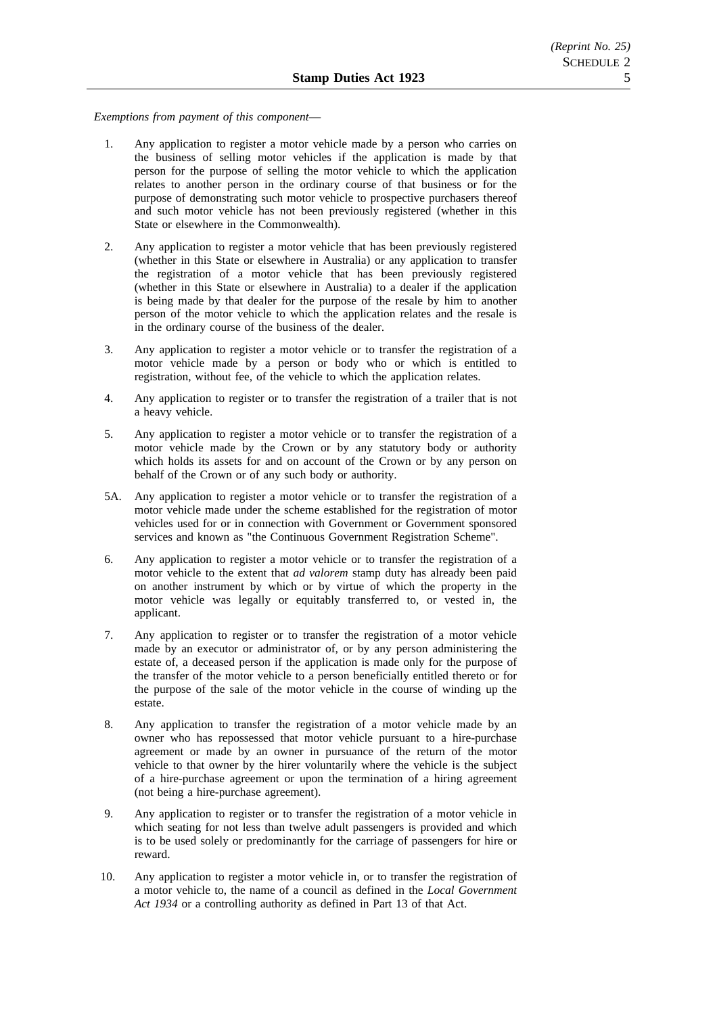*Exemptions from payment of this component*—

- 1. Any application to register a motor vehicle made by a person who carries on the business of selling motor vehicles if the application is made by that person for the purpose of selling the motor vehicle to which the application relates to another person in the ordinary course of that business or for the purpose of demonstrating such motor vehicle to prospective purchasers thereof and such motor vehicle has not been previously registered (whether in this State or elsewhere in the Commonwealth).
- 2. Any application to register a motor vehicle that has been previously registered (whether in this State or elsewhere in Australia) or any application to transfer the registration of a motor vehicle that has been previously registered (whether in this State or elsewhere in Australia) to a dealer if the application is being made by that dealer for the purpose of the resale by him to another person of the motor vehicle to which the application relates and the resale is in the ordinary course of the business of the dealer.
- 3. Any application to register a motor vehicle or to transfer the registration of a motor vehicle made by a person or body who or which is entitled to registration, without fee, of the vehicle to which the application relates.
- 4. Any application to register or to transfer the registration of a trailer that is not a heavy vehicle.
- 5. Any application to register a motor vehicle or to transfer the registration of a motor vehicle made by the Crown or by any statutory body or authority which holds its assets for and on account of the Crown or by any person on behalf of the Crown or of any such body or authority.
- 5A. Any application to register a motor vehicle or to transfer the registration of a motor vehicle made under the scheme established for the registration of motor vehicles used for or in connection with Government or Government sponsored services and known as "the Continuous Government Registration Scheme".
- 6. Any application to register a motor vehicle or to transfer the registration of a motor vehicle to the extent that *ad valorem* stamp duty has already been paid on another instrument by which or by virtue of which the property in the motor vehicle was legally or equitably transferred to, or vested in, the applicant.
- 7. Any application to register or to transfer the registration of a motor vehicle made by an executor or administrator of, or by any person administering the estate of, a deceased person if the application is made only for the purpose of the transfer of the motor vehicle to a person beneficially entitled thereto or for the purpose of the sale of the motor vehicle in the course of winding up the estate.
- 8. Any application to transfer the registration of a motor vehicle made by an owner who has repossessed that motor vehicle pursuant to a hire-purchase agreement or made by an owner in pursuance of the return of the motor vehicle to that owner by the hirer voluntarily where the vehicle is the subject of a hire-purchase agreement or upon the termination of a hiring agreement (not being a hire-purchase agreement).
- 9. Any application to register or to transfer the registration of a motor vehicle in which seating for not less than twelve adult passengers is provided and which is to be used solely or predominantly for the carriage of passengers for hire or reward.
- 10. Any application to register a motor vehicle in, or to transfer the registration of a motor vehicle to, the name of a council as defined in the *Local Government Act 1934* or a controlling authority as defined in Part 13 of that Act.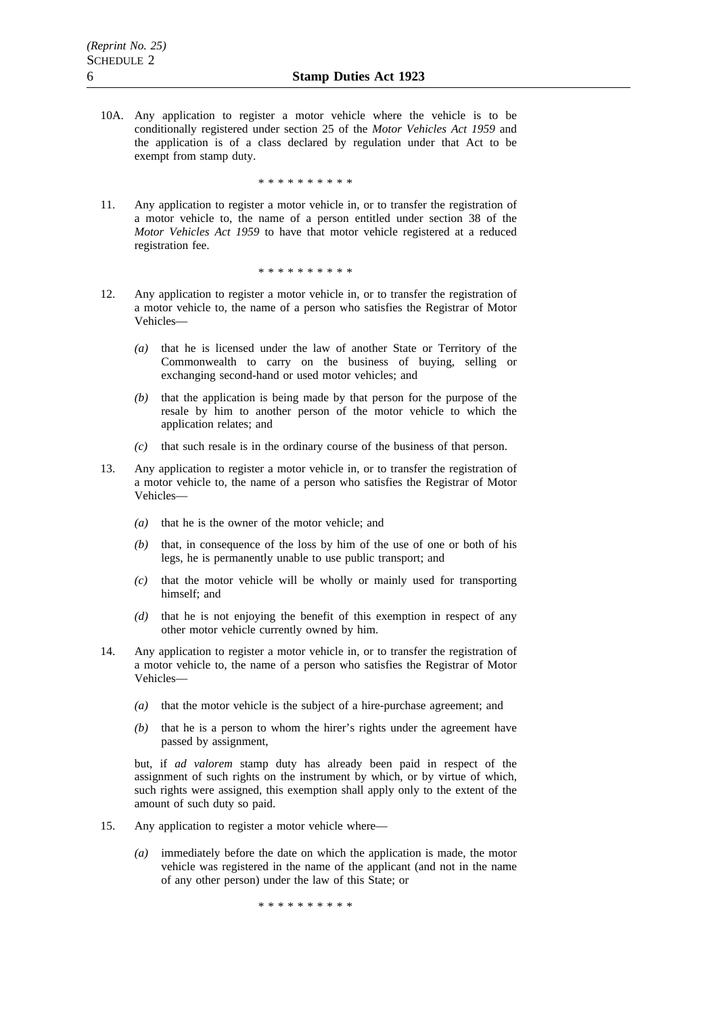10A. Any application to register a motor vehicle where the vehicle is to be conditionally registered under section 25 of the *Motor Vehicles Act 1959* and the application is of a class declared by regulation under that Act to be exempt from stamp duty.

\*\*\*\*\*\*\*\*\*\*

11. Any application to register a motor vehicle in, or to transfer the registration of a motor vehicle to, the name of a person entitled under section 38 of the *Motor Vehicles Act 1959* to have that motor vehicle registered at a reduced registration fee.

\*\*\*\*\*\*\*\*\*\*

- 12. Any application to register a motor vehicle in, or to transfer the registration of a motor vehicle to, the name of a person who satisfies the Registrar of Motor Vehicles—
	- *(a)* that he is licensed under the law of another State or Territory of the Commonwealth to carry on the business of buying, selling or exchanging second-hand or used motor vehicles; and
	- *(b)* that the application is being made by that person for the purpose of the resale by him to another person of the motor vehicle to which the application relates; and
	- *(c)* that such resale is in the ordinary course of the business of that person.
- 13. Any application to register a motor vehicle in, or to transfer the registration of a motor vehicle to, the name of a person who satisfies the Registrar of Motor Vehicles—
	- *(a)* that he is the owner of the motor vehicle; and
	- *(b)* that, in consequence of the loss by him of the use of one or both of his legs, he is permanently unable to use public transport; and
	- *(c)* that the motor vehicle will be wholly or mainly used for transporting himself; and
	- *(d)* that he is not enjoying the benefit of this exemption in respect of any other motor vehicle currently owned by him.
- 14. Any application to register a motor vehicle in, or to transfer the registration of a motor vehicle to, the name of a person who satisfies the Registrar of Motor Vehicles—
	- *(a)* that the motor vehicle is the subject of a hire-purchase agreement; and
	- *(b)* that he is a person to whom the hirer's rights under the agreement have passed by assignment,

but, if *ad valorem* stamp duty has already been paid in respect of the assignment of such rights on the instrument by which, or by virtue of which, such rights were assigned, this exemption shall apply only to the extent of the amount of such duty so paid.

- 15. Any application to register a motor vehicle where—
	- *(a)* immediately before the date on which the application is made, the motor vehicle was registered in the name of the applicant (and not in the name of any other person) under the law of this State; or

\*\*\*\*\*\*\*\*\*\*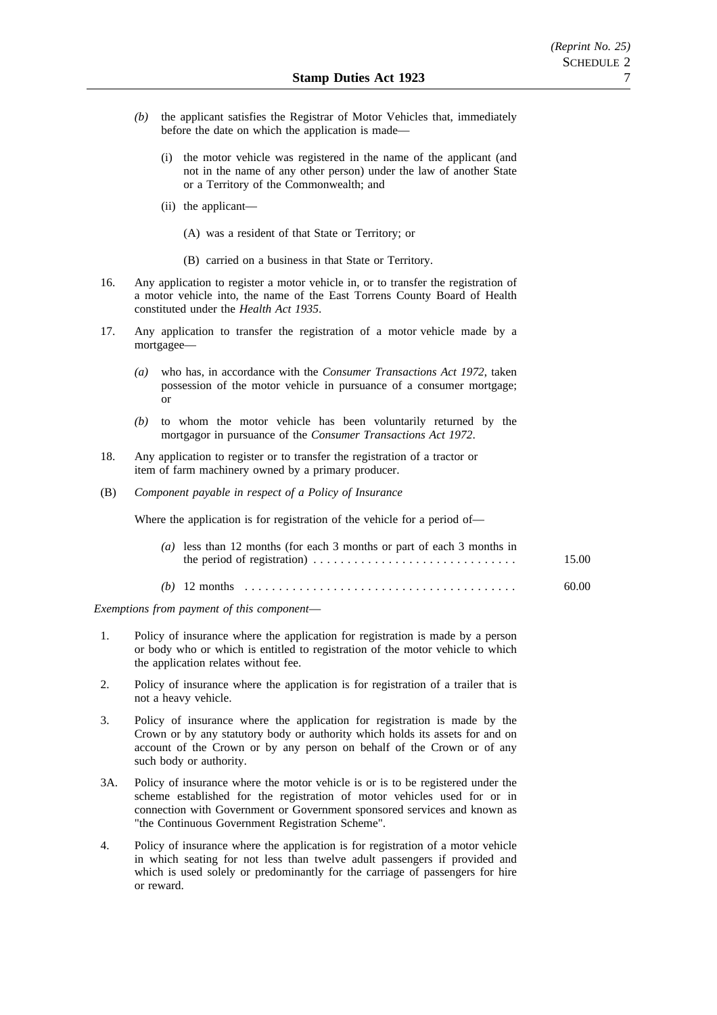- *(b)* the applicant satisfies the Registrar of Motor Vehicles that, immediately before the date on which the application is made—
	- (i) the motor vehicle was registered in the name of the applicant (and not in the name of any other person) under the law of another State or a Territory of the Commonwealth; and
	- (ii) the applicant—
		- (A) was a resident of that State or Territory; or
		- (B) carried on a business in that State or Territory.
- 16. Any application to register a motor vehicle in, or to transfer the registration of a motor vehicle into, the name of the East Torrens County Board of Health constituted under the *Health Act 1935*.
- 17. Any application to transfer the registration of a motor vehicle made by a mortgagee—
	- *(a)* who has, in accordance with the *Consumer Transactions Act 1972*, taken possession of the motor vehicle in pursuance of a consumer mortgage; or
	- *(b)* to whom the motor vehicle has been voluntarily returned by the mortgagor in pursuance of the *Consumer Transactions Act 1972*.
- 18. Any application to register or to transfer the registration of a tractor or item of farm machinery owned by a primary producer.
- (B) *Component payable in respect of a Policy of Insurance*

Where the application is for registration of the vehicle for a period of—

| (a) less than 12 months (for each 3 months or part of each 3 months in<br>the period of registration) $\dots \dots \dots \dots \dots \dots \dots \dots \dots \dots$ | 15.00 |
|---------------------------------------------------------------------------------------------------------------------------------------------------------------------|-------|
|                                                                                                                                                                     | 60.00 |

*Exemptions from payment of this component*—

- 1. Policy of insurance where the application for registration is made by a person or body who or which is entitled to registration of the motor vehicle to which the application relates without fee.
- 2. Policy of insurance where the application is for registration of a trailer that is not a heavy vehicle.
- 3. Policy of insurance where the application for registration is made by the Crown or by any statutory body or authority which holds its assets for and on account of the Crown or by any person on behalf of the Crown or of any such body or authority.
- 3A. Policy of insurance where the motor vehicle is or is to be registered under the scheme established for the registration of motor vehicles used for or in connection with Government or Government sponsored services and known as "the Continuous Government Registration Scheme".
- 4. Policy of insurance where the application is for registration of a motor vehicle in which seating for not less than twelve adult passengers if provided and which is used solely or predominantly for the carriage of passengers for hire or reward.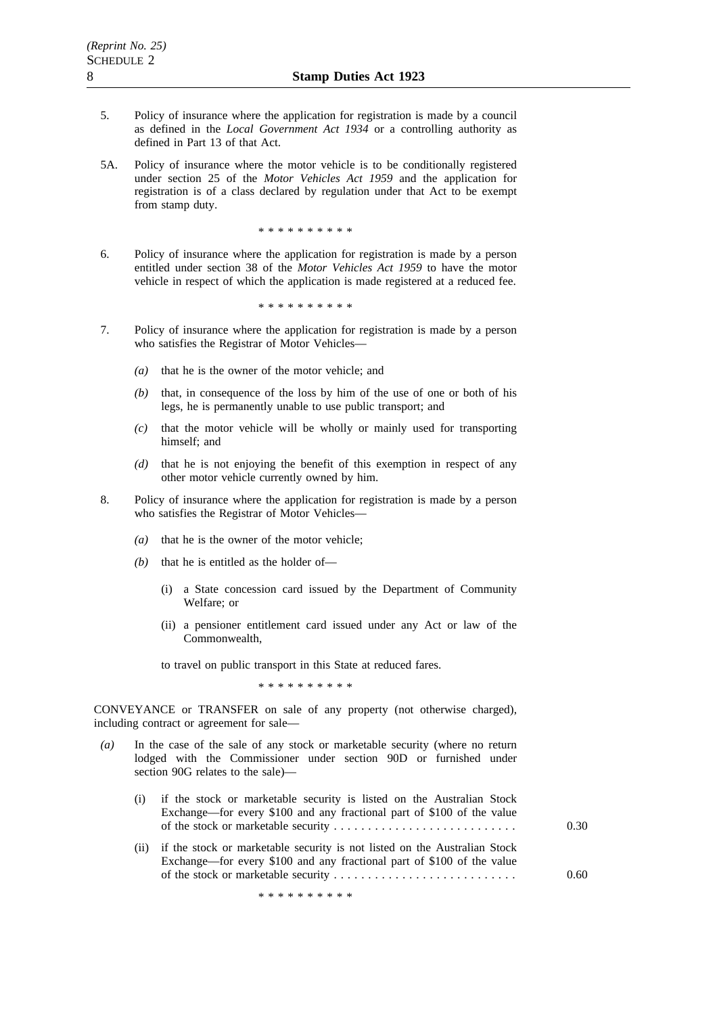- 5. Policy of insurance where the application for registration is made by a council as defined in the *Local Government Act 1934* or a controlling authority as defined in Part 13 of that Act.
- 5A. Policy of insurance where the motor vehicle is to be conditionally registered under section 25 of the *Motor Vehicles Act 1959* and the application for registration is of a class declared by regulation under that Act to be exempt from stamp duty.

\*\*\*\*\*\*\*\*\*\*

6. Policy of insurance where the application for registration is made by a person entitled under section 38 of the *Motor Vehicles Act 1959* to have the motor vehicle in respect of which the application is made registered at a reduced fee.

\*\*\*\*\*\*\*\*\*\*

- 7. Policy of insurance where the application for registration is made by a person who satisfies the Registrar of Motor Vehicles—
	- *(a)* that he is the owner of the motor vehicle; and
	- *(b)* that, in consequence of the loss by him of the use of one or both of his legs, he is permanently unable to use public transport; and
	- *(c)* that the motor vehicle will be wholly or mainly used for transporting himself; and
	- *(d)* that he is not enjoying the benefit of this exemption in respect of any other motor vehicle currently owned by him.
- 8. Policy of insurance where the application for registration is made by a person who satisfies the Registrar of Motor Vehicles—
	- *(a)* that he is the owner of the motor vehicle;
	- *(b)* that he is entitled as the holder of—
		- (i) a State concession card issued by the Department of Community Welfare; or
		- (ii) a pensioner entitlement card issued under any Act or law of the Commonwealth,

to travel on public transport in this State at reduced fares.

\*\*\*\*\*\*\*\*\*\*

CONVEYANCE or TRANSFER on sale of any property (not otherwise charged), including contract or agreement for sale—

*(a)* In the case of the sale of any stock or marketable security (where no return lodged with the Commissioner under section 90D or furnished under section 90G relates to the sale)—

| (i) if the stock or marketable security is listed on the Australian Stock<br>Exchange—for every \$100 and any fractional part of \$100 of the value | 0.30 |
|-----------------------------------------------------------------------------------------------------------------------------------------------------|------|
| (ii) if the stock or marketable security is not listed on the Australian Stock                                                                      |      |

Exchange—for every \$100 and any fractional part of \$100 of the value of the stock or marketable security ........................... 0.60

\*\*\*\*\*\*\*\*\*\*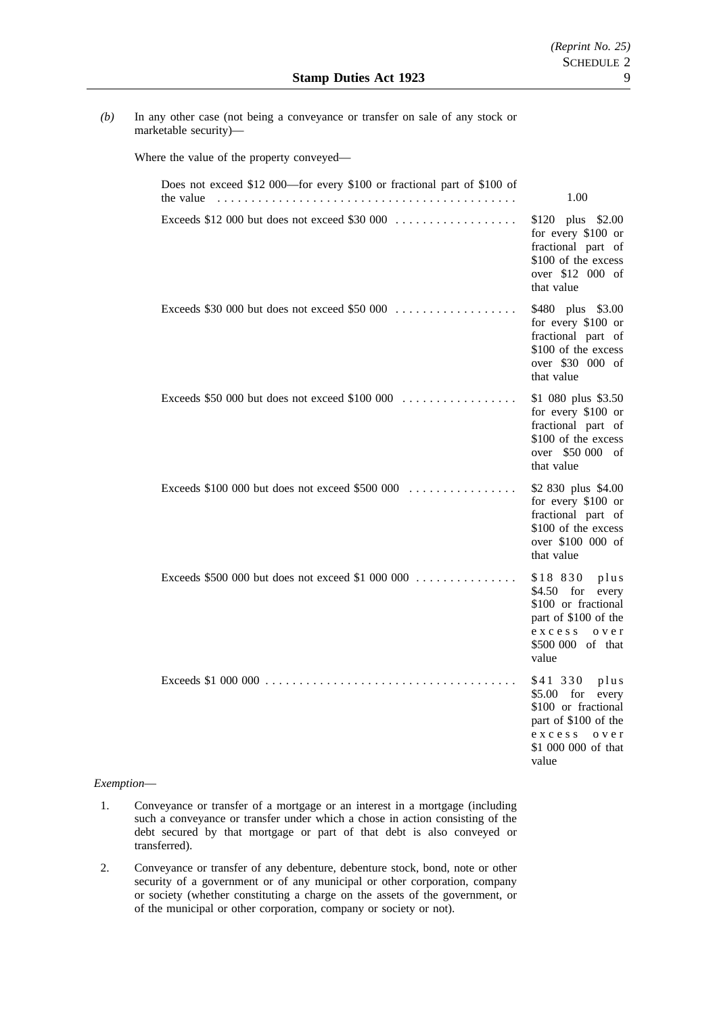*(b)* In any other case (not being a conveyance or transfer on sale of any stock or marketable security)—

Where the value of the property conveyed—

| Does not exceed \$12 000—for every \$100 or fractional part of \$100 of<br>the value | 1.00                                                                                                                                          |
|--------------------------------------------------------------------------------------|-----------------------------------------------------------------------------------------------------------------------------------------------|
| Exceeds \$12 000 but does not exceed \$30 000                                        | \$120 plus \$2.00<br>for every \$100 or<br>fractional part of<br>\$100 of the excess<br>over \$12 000 of<br>that value                        |
| Exceeds \$30 000 but does not exceed \$50 000                                        | \$480 plus \$3.00<br>for every \$100 or<br>fractional part of<br>\$100 of the excess<br>over \$30 000 of<br>that value                        |
| Exceeds \$50 000 but does not exceed \$100 000                                       | \$1 080 plus \$3.50<br>for every \$100 or<br>fractional part of<br>\$100 of the excess<br>over \$50 000 of<br>that value                      |
| Exceeds $$100,000$ but does not exceed $$500,000$                                    | \$2 830 plus \$4.00<br>for every \$100 or<br>fractional part of<br>\$100 of the excess<br>over \$100 000 of<br>that value                     |
| Exceeds \$500 000 but does not exceed \$1 000 000                                    | \$18 830 plus<br>$$4.50$ for<br>every<br>\$100 or fractional<br>part of \$100 of the<br>excess over<br>\$500 000 of that<br>value             |
|                                                                                      | \$41 330<br>plus<br>$$5.00$ for<br>every<br>\$100 or fractional<br>part of \$100 of the<br>exccess<br>o v e r<br>\$1,000,000 of that<br>value |

### *Exemption*—

- 1. Conveyance or transfer of a mortgage or an interest in a mortgage (including such a conveyance or transfer under which a chose in action consisting of the debt secured by that mortgage or part of that debt is also conveyed or transferred).
- 2. Conveyance or transfer of any debenture, debenture stock, bond, note or other security of a government or of any municipal or other corporation, company or society (whether constituting a charge on the assets of the government, or of the municipal or other corporation, company or society or not).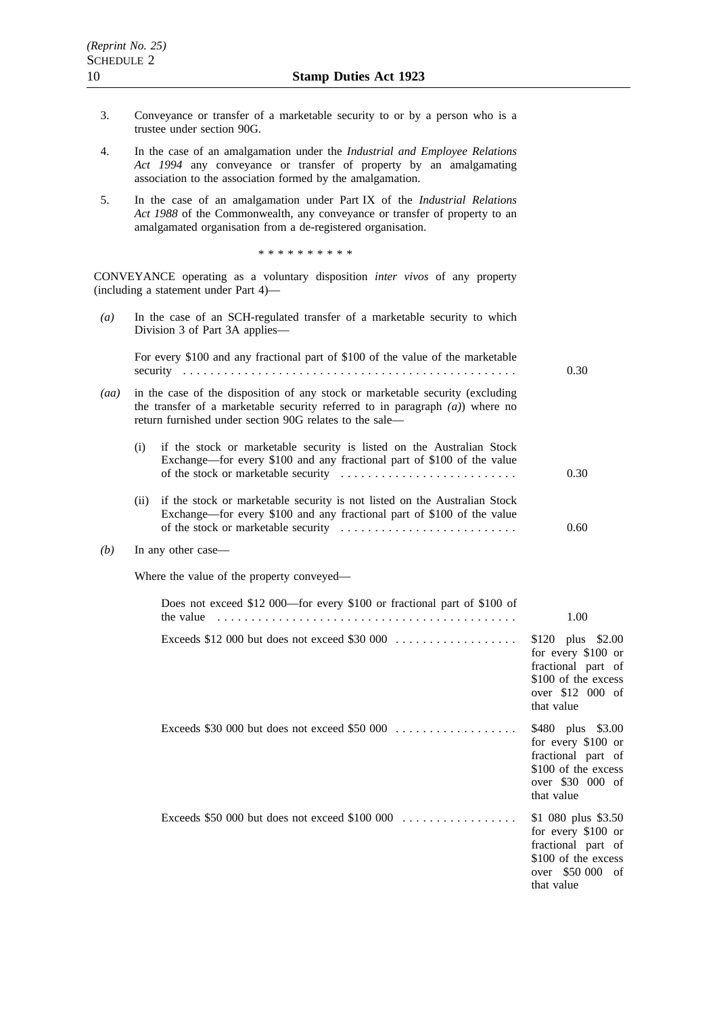- 3. Conveyance or transfer of a marketable security to or by a person who is a trustee under section 90G.
- 4. In the case of an amalgamation under the *Industrial and Employee Relations Act 1994* any conveyance or transfer of property by an amalgamating association to the association formed by the amalgamation.
- 5. In the case of an amalgamation under Part IX of the *Industrial Relations Act 1988* of the Commonwealth, any conveyance or transfer of property to an amalgamated organisation from a de-registered organisation.

\*\*\*\*\*\*\*\*\*\*

CONVEYANCE operating as a voluntary disposition *inter vivos* of any property (including a statement under Part 4)—

*(a)* In the case of an SCH-regulated transfer of a marketable security to which Division 3 of Part 3A applies— For every \$100 and any fractional part of \$100 of the value of the marketable security ................................................. 0.30 *(aa)* in the case of the disposition of any stock or marketable security (excluding the transfer of a marketable security referred to in paragraph *(a)*) where no return furnished under section 90G relates to the sale— (i) if the stock or marketable security is listed on the Australian Stock Exchange—for every \$100 and any fractional part of \$100 of the value of the stock or marketable security  $\dots \dots \dots \dots \dots \dots \dots \dots \dots$ (ii) if the stock or marketable security is not listed on the Australian Stock Exchange—for every \$100 and any fractional part of \$100 of the value of the stock or marketable security .......................... 0.30 0.60 *(b)* In any other case— Where the value of the property conveyed— Does not exceed \$12 000—for every \$100 or fractional part of \$100 of the value  $\ldots \ldots \ldots \ldots \ldots \ldots \ldots \ldots \ldots \ldots \ldots \ldots$ Exceeds \$12 000 but does not exceed \$30 000 .................. \$120 plus \$2.00 for every \$100 or fractional part of \$100 of the excess over \$12 000 of that value Exceeds \$30 000 but does not exceed \$50 000 .................. \$480 plus \$3.00 for every \$100 or fractional part of \$100 of the excess over \$30 000 of that value Exceeds \$50 000 but does not exceed \$100 000 . . . . . . . . . . . . . . . . . \$1 080 plus \$3.50 for every \$100 or fractional part of \$100 of the excess over \$50 000 of that value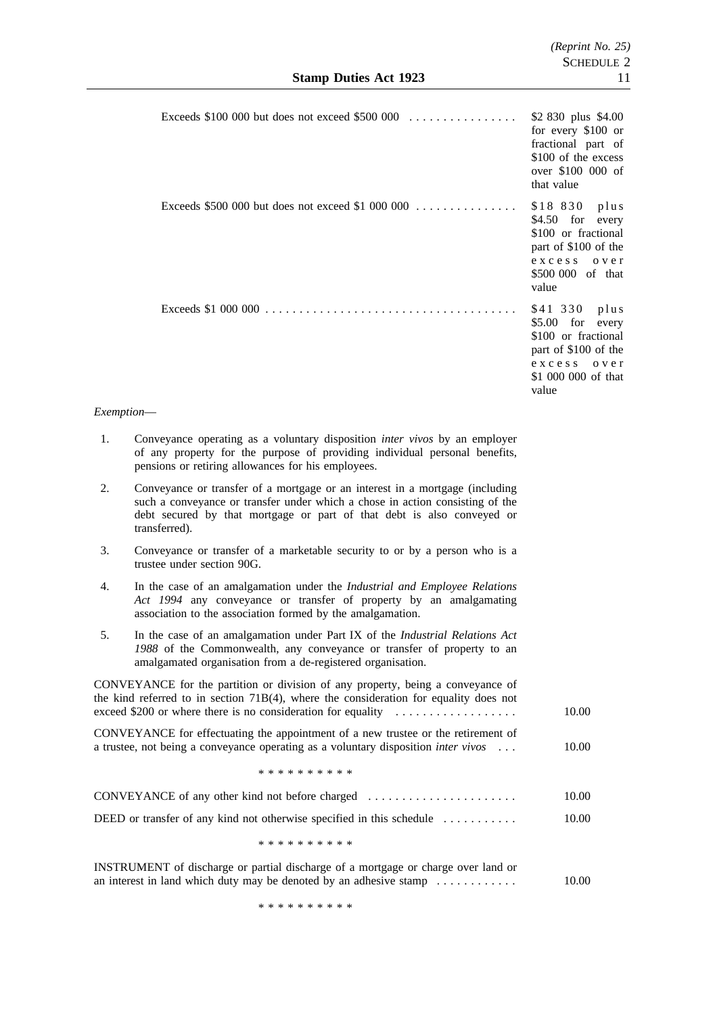|     | Exceeds \$100 000 but does not exceed \$500 000                                                           | \$2 830 plus \$4.00<br>for every \$100 or<br>fractional part of<br>\$100 of the excess<br>over \$100 000 of<br>that value       |
|-----|-----------------------------------------------------------------------------------------------------------|---------------------------------------------------------------------------------------------------------------------------------|
|     | Exceeds \$500 000 but does not exceed \$1 000 000                                                         | \$18 830 plus<br>\$4.50 for every<br>\$100 or fractional<br>part of \$100 of the<br>excess over<br>\$500 000 of that<br>value   |
|     | Exceeds \$1 000 000 $\ldots \ldots \ldots \ldots \ldots \ldots \ldots \ldots \ldots \ldots \ldots \ldots$ | \$41 330 plus<br>\$5.00 for every<br>\$100 or fractional<br>part of \$100 of the<br>excess over<br>\$1 000 000 of that<br>value |
| าท— |                                                                                                           |                                                                                                                                 |

## $Exempti$

- 1. Conveyance operating as a voluntary disposition *inter vivos* by an employer of any property for the purpose of providing individual personal benefits, pensions or retiring allowances for his employees.
- 2. Conveyance or transfer of a mortgage or an interest in a mortgage (including such a conveyance or transfer under which a chose in action consisting of the debt secured by that mortgage or part of that debt is also conveyed or transferred).
- 3. Conveyance or transfer of a marketable security to or by a person who is a trustee under section 90G.
- 4. In the case of an amalgamation under the *Industrial and Employee Relations Act 1994* any conveyance or transfer of property by an amalgamating association to the association formed by the amalgamation.
- 5. In the case of an amalgamation under Part IX of the *Industrial Relations Act 1988* of the Commonwealth, any conveyance or transfer of property to an amalgamated organisation from a de-registered organisation.

CONVEYANCE for the partition or division of any property, being a conveyance of the kind referred to in section 71B(4), where the consideration for equality does not exceed \$200 or where there is no consideration for equality .................. 10.00 CONVEYANCE for effectuating the appointment of a new trustee or the retirement of a trustee, not being a conveyance operating as a voluntary disposition *inter vivos* ... \*\*\*\*\*\*\*\*\*\* 10.00 CONVEYANCE of any other kind not before charged ...................... 10.00 DEED or transfer of any kind not otherwise specified in this schedule ........... \*\*\*\*\*\*\*\*\*\* 10.00

INSTRUMENT of discharge or partial discharge of a mortgage or charge over land or an interest in land which duty may be denoted by an adhesive stamp  $\dots \dots \dots$ 10.00

\*\*\*\*\*\*\*\*\*\*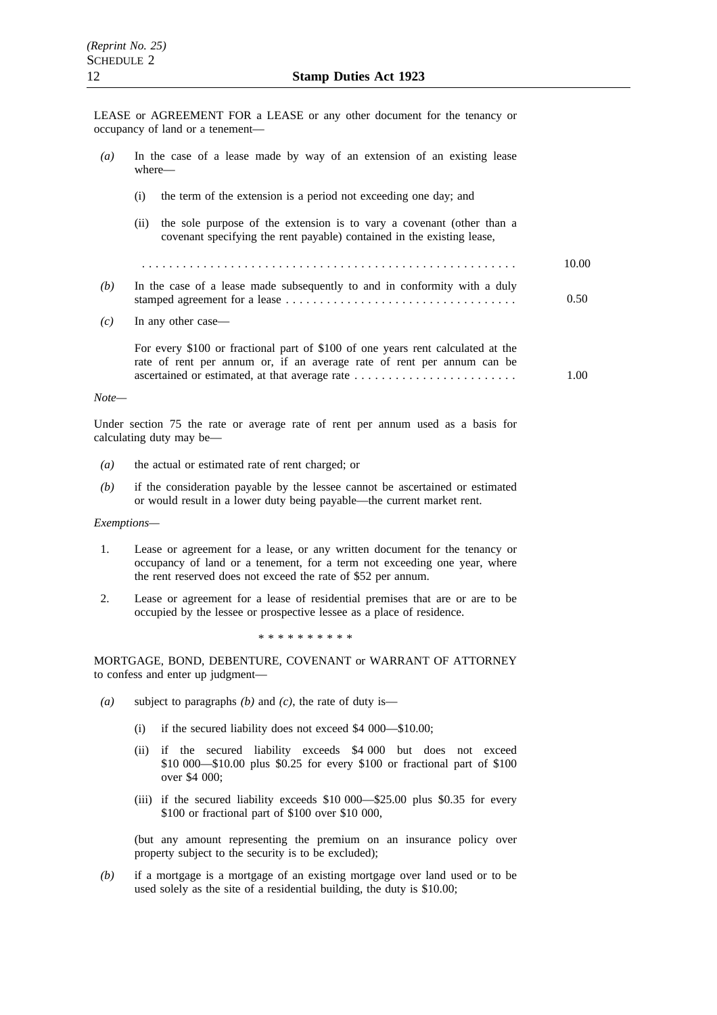LEASE or AGREEMENT FOR a LEASE or any other document for the tenancy or occupancy of land or a tenement—

| $\left(a\right)$ | In the case of a lease made by way of an extension of an existing lease<br>where—                                                                         |       |
|------------------|-----------------------------------------------------------------------------------------------------------------------------------------------------------|-------|
|                  | the term of the extension is a period not exceeding one day; and<br>(i)                                                                                   |       |
|                  | the sole purpose of the extension is to vary a covenant (other than a<br>(11)<br>covenant specifying the rent payable) contained in the existing lease,   |       |
|                  |                                                                                                                                                           | 10.00 |
| (b)              | In the case of a lease made subsequently to and in conformity with a duly                                                                                 | 0.50  |
| (c)              | In any other case—                                                                                                                                        |       |
|                  | For every \$100 or fractional part of \$100 of one years rent calculated at the<br>rate of rent per annum or, if an average rate of rent per annum can be | 1.00  |
| $Note-$          |                                                                                                                                                           |       |
|                  |                                                                                                                                                           |       |

Under section 75 the rate or average rate of rent per annum used as a basis for calculating duty may be—

- *(a)* the actual or estimated rate of rent charged; or
- *(b)* if the consideration payable by the lessee cannot be ascertained or estimated or would result in a lower duty being payable—the current market rent.

#### *Exemptions—*

- 1. Lease or agreement for a lease, or any written document for the tenancy or occupancy of land or a tenement, for a term not exceeding one year, where the rent reserved does not exceed the rate of \$52 per annum.
- 2. Lease or agreement for a lease of residential premises that are or are to be occupied by the lessee or prospective lessee as a place of residence.

\*\*\*\*\*\*\*\*\*\*

MORTGAGE, BOND, DEBENTURE, COVENANT or WARRANT OF ATTORNEY to confess and enter up judgment—

- *(a)* subject to paragraphs *(b)* and *(c)*, the rate of duty is—
	- (i) if the secured liability does not exceed \$4 000—\$10.00;
	- (ii) if the secured liability exceeds \$4 000 but does not exceed \$10 000—\$10.00 plus \$0.25 for every \$100 or fractional part of \$100 over \$4 000;
	- (iii) if the secured liability exceeds \$10 000—\$25.00 plus \$0.35 for every \$100 or fractional part of \$100 over \$10 000,

(but any amount representing the premium on an insurance policy over property subject to the security is to be excluded);

*(b)* if a mortgage is a mortgage of an existing mortgage over land used or to be used solely as the site of a residential building, the duty is \$10.00;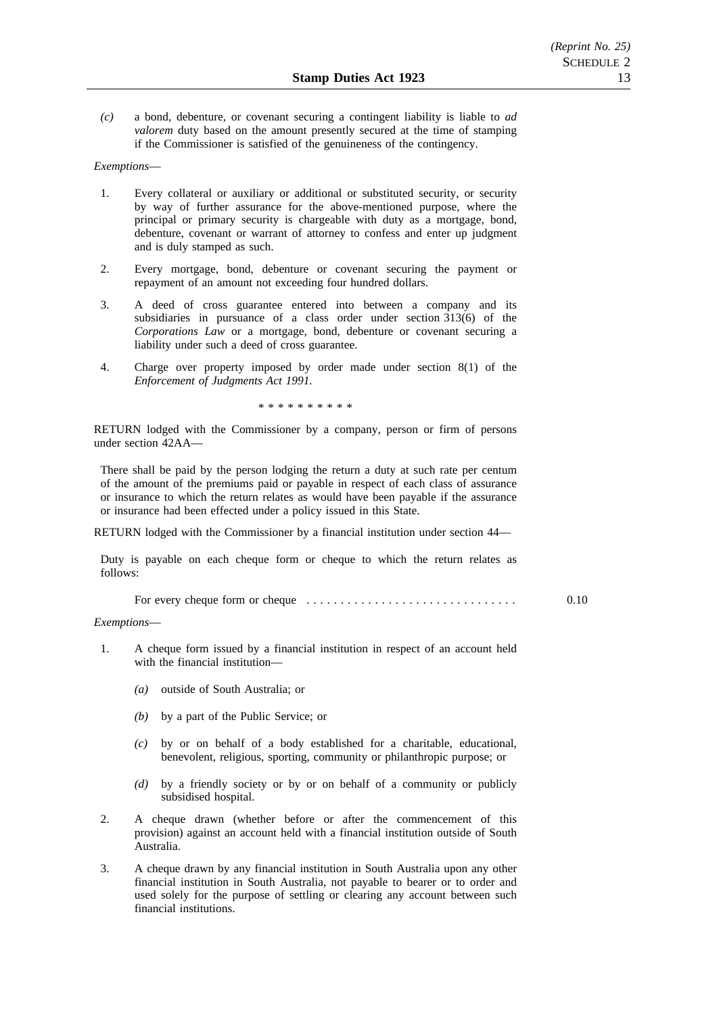*(c)* a bond, debenture, or covenant securing a contingent liability is liable to *ad valorem* duty based on the amount presently secured at the time of stamping if the Commissioner is satisfied of the genuineness of the contingency.

### *Exemptions*—

- 1. Every collateral or auxiliary or additional or substituted security, or security by way of further assurance for the above-mentioned purpose, where the principal or primary security is chargeable with duty as a mortgage, bond, debenture, covenant or warrant of attorney to confess and enter up judgment and is duly stamped as such.
- 2. Every mortgage, bond, debenture or covenant securing the payment or repayment of an amount not exceeding four hundred dollars.
- 3. A deed of cross guarantee entered into between a company and its subsidiaries in pursuance of a class order under section 313(6) of the *Corporations Law* or a mortgage, bond, debenture or covenant securing a liability under such a deed of cross guarantee.
- 4. Charge over property imposed by order made under section 8(1) of the *Enforcement of Judgments Act 1991.*

\*\*\*\*\*\*\*\*\*\*

RETURN lodged with the Commissioner by a company, person or firm of persons under section 42AA—

There shall be paid by the person lodging the return a duty at such rate per centum of the amount of the premiums paid or payable in respect of each class of assurance or insurance to which the return relates as would have been payable if the assurance or insurance had been effected under a policy issued in this State.

RETURN lodged with the Commissioner by a financial institution under section 44—

Duty is payable on each cheque form or cheque to which the return relates as follows:

For every cheque form or cheque ............................... 0.10

#### *Exemptions*—

- 1. A cheque form issued by a financial institution in respect of an account held with the financial institution—
	- *(a)* outside of South Australia; or
	- *(b)* by a part of the Public Service; or
	- *(c)* by or on behalf of a body established for a charitable, educational, benevolent, religious, sporting, community or philanthropic purpose; or
	- *(d)* by a friendly society or by or on behalf of a community or publicly subsidised hospital.
- 2. A cheque drawn (whether before or after the commencement of this provision) against an account held with a financial institution outside of South Australia.
- 3. A cheque drawn by any financial institution in South Australia upon any other financial institution in South Australia, not payable to bearer or to order and used solely for the purpose of settling or clearing any account between such financial institutions.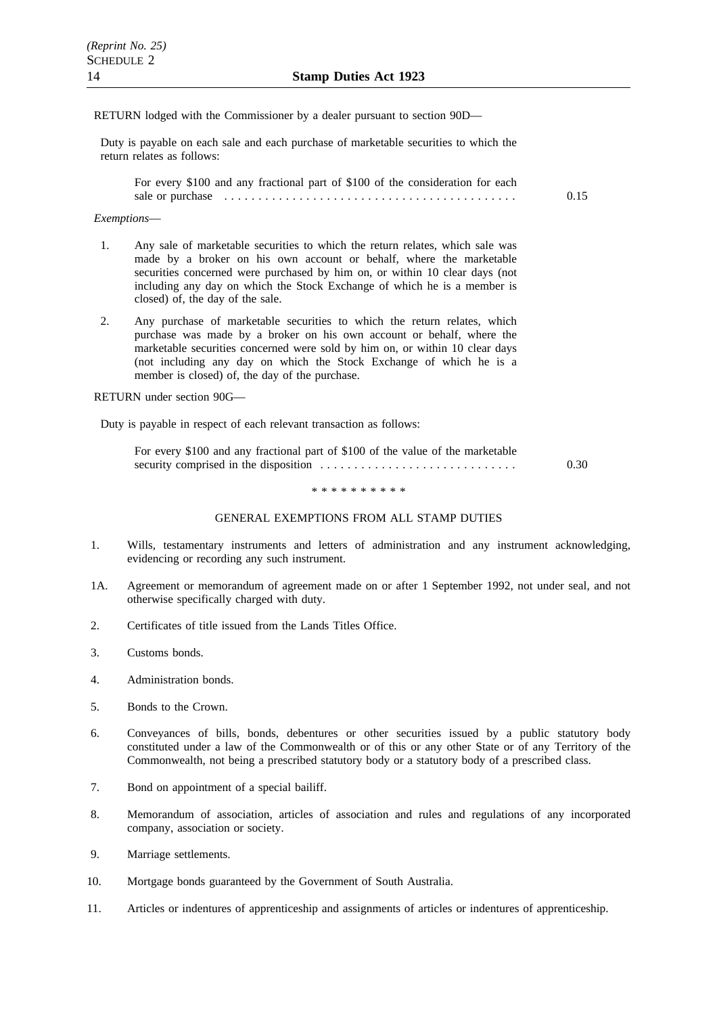#### RETURN lodged with the Commissioner by a dealer pursuant to section 90D—

Duty is payable on each sale and each purchase of marketable securities to which the return relates as follows:

For every \$100 and any fractional part of \$100 of the consideration for each sale or purchase ........................................... 0.15

#### *Exemptions*—

- 1. Any sale of marketable securities to which the return relates, which sale was made by a broker on his own account or behalf, where the marketable securities concerned were purchased by him on, or within 10 clear days (not including any day on which the Stock Exchange of which he is a member is closed) of, the day of the sale.
- 2. Any purchase of marketable securities to which the return relates, which purchase was made by a broker on his own account or behalf, where the marketable securities concerned were sold by him on, or within 10 clear days (not including any day on which the Stock Exchange of which he is a member is closed) of, the day of the purchase.

RETURN under section 90G—

Duty is payable in respect of each relevant transaction as follows:

| For every \$100 and any fractional part of \$100 of the value of the marketable |      |
|---------------------------------------------------------------------------------|------|
|                                                                                 | 0.30 |

\*\*\*\*\*\*\*\*\*\*

#### GENERAL EXEMPTIONS FROM ALL STAMP DUTIES

- 1. Wills, testamentary instruments and letters of administration and any instrument acknowledging, evidencing or recording any such instrument.
- 1A. Agreement or memorandum of agreement made on or after 1 September 1992, not under seal, and not otherwise specifically charged with duty.
- 2. Certificates of title issued from the Lands Titles Office.
- 3. Customs bonds.
- 4. Administration bonds.
- 5. Bonds to the Crown.
- 6. Conveyances of bills, bonds, debentures or other securities issued by a public statutory body constituted under a law of the Commonwealth or of this or any other State or of any Territory of the Commonwealth, not being a prescribed statutory body or a statutory body of a prescribed class.
- 7. Bond on appointment of a special bailiff.
- 8. Memorandum of association, articles of association and rules and regulations of any incorporated company, association or society.
- 9. Marriage settlements.
- 10. Mortgage bonds guaranteed by the Government of South Australia.
- 11. Articles or indentures of apprenticeship and assignments of articles or indentures of apprenticeship.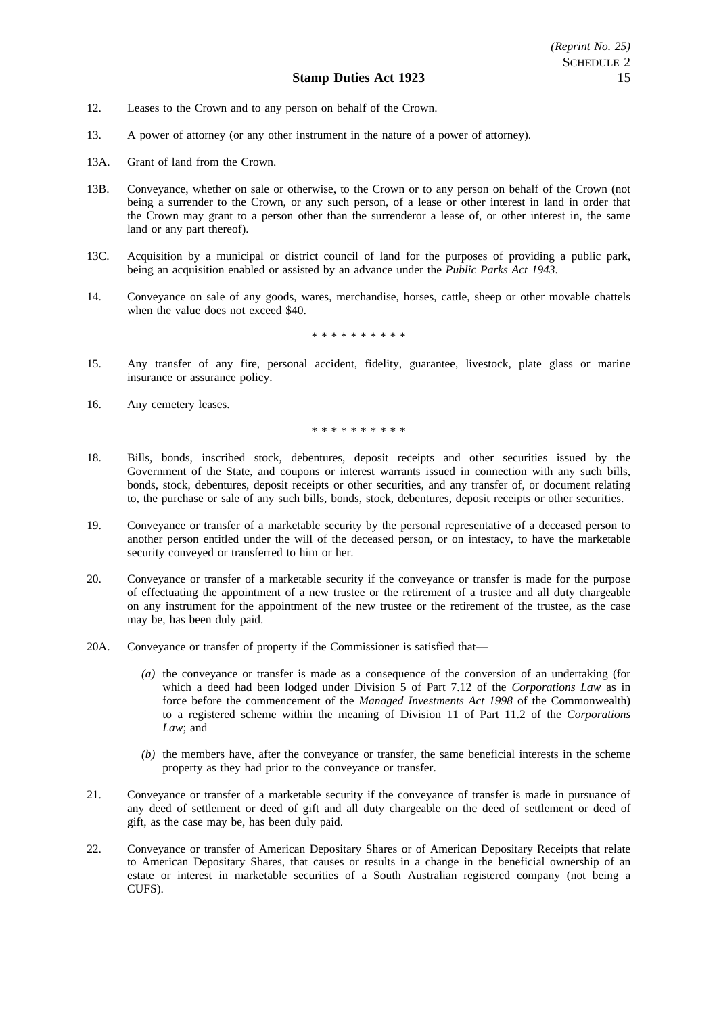- 12. Leases to the Crown and to any person on behalf of the Crown.
- 13. A power of attorney (or any other instrument in the nature of a power of attorney).
- 13A. Grant of land from the Crown.
- 13B. Conveyance, whether on sale or otherwise, to the Crown or to any person on behalf of the Crown (not being a surrender to the Crown, or any such person, of a lease or other interest in land in order that the Crown may grant to a person other than the surrenderor a lease of, or other interest in, the same land or any part thereof).
- 13C. Acquisition by a municipal or district council of land for the purposes of providing a public park, being an acquisition enabled or assisted by an advance under the *Public Parks Act 1943*.
- 14. Conveyance on sale of any goods, wares, merchandise, horses, cattle, sheep or other movable chattels when the value does not exceed \$40.

\*\*\*\*\*\*\*\*\*\*

- 15. Any transfer of any fire, personal accident, fidelity, guarantee, livestock, plate glass or marine insurance or assurance policy.
- 16. Any cemetery leases.

\*\*\*\*\*\*\*\*\*\*

- 18. Bills, bonds, inscribed stock, debentures, deposit receipts and other securities issued by the Government of the State, and coupons or interest warrants issued in connection with any such bills, bonds, stock, debentures, deposit receipts or other securities, and any transfer of, or document relating to, the purchase or sale of any such bills, bonds, stock, debentures, deposit receipts or other securities.
- 19. Conveyance or transfer of a marketable security by the personal representative of a deceased person to another person entitled under the will of the deceased person, or on intestacy, to have the marketable security conveyed or transferred to him or her.
- 20. Conveyance or transfer of a marketable security if the conveyance or transfer is made for the purpose of effectuating the appointment of a new trustee or the retirement of a trustee and all duty chargeable on any instrument for the appointment of the new trustee or the retirement of the trustee, as the case may be, has been duly paid.
- 20A. Conveyance or transfer of property if the Commissioner is satisfied that—
	- *(a)* the conveyance or transfer is made as a consequence of the conversion of an undertaking (for which a deed had been lodged under Division 5 of Part 7.12 of the *Corporations Law* as in force before the commencement of the *Managed Investments Act 1998* of the Commonwealth) to a registered scheme within the meaning of Division 11 of Part 11.2 of the *Corporations Law*; and
	- *(b)* the members have, after the conveyance or transfer, the same beneficial interests in the scheme property as they had prior to the conveyance or transfer.
- 21. Conveyance or transfer of a marketable security if the conveyance of transfer is made in pursuance of any deed of settlement or deed of gift and all duty chargeable on the deed of settlement or deed of gift, as the case may be, has been duly paid.
- 22. Conveyance or transfer of American Depositary Shares or of American Depositary Receipts that relate to American Depositary Shares, that causes or results in a change in the beneficial ownership of an estate or interest in marketable securities of a South Australian registered company (not being a CUFS).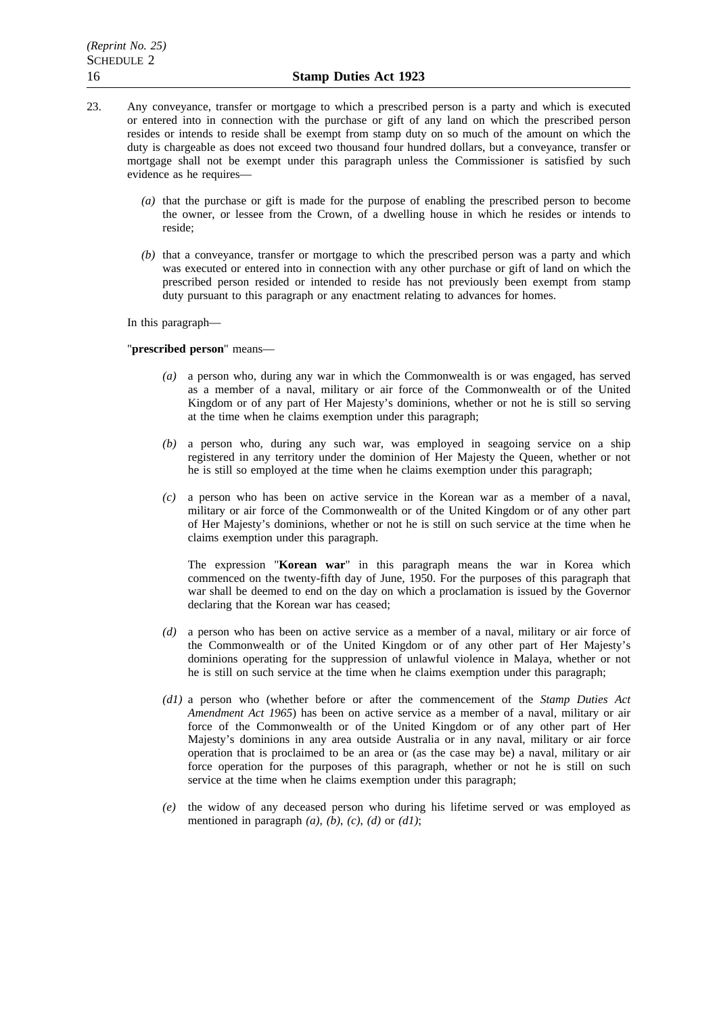- 23. Any conveyance, transfer or mortgage to which a prescribed person is a party and which is executed or entered into in connection with the purchase or gift of any land on which the prescribed person resides or intends to reside shall be exempt from stamp duty on so much of the amount on which the duty is chargeable as does not exceed two thousand four hundred dollars, but a conveyance, transfer or mortgage shall not be exempt under this paragraph unless the Commissioner is satisfied by such evidence as he requires—
	- *(a)* that the purchase or gift is made for the purpose of enabling the prescribed person to become the owner, or lessee from the Crown, of a dwelling house in which he resides or intends to reside;
	- *(b)* that a conveyance, transfer or mortgage to which the prescribed person was a party and which was executed or entered into in connection with any other purchase or gift of land on which the prescribed person resided or intended to reside has not previously been exempt from stamp duty pursuant to this paragraph or any enactment relating to advances for homes.

In this paragraph—

### "**prescribed person**" means—

- *(a)* a person who, during any war in which the Commonwealth is or was engaged, has served as a member of a naval, military or air force of the Commonwealth or of the United Kingdom or of any part of Her Majesty's dominions, whether or not he is still so serving at the time when he claims exemption under this paragraph;
- *(b)* a person who, during any such war, was employed in seagoing service on a ship registered in any territory under the dominion of Her Majesty the Queen, whether or not he is still so employed at the time when he claims exemption under this paragraph;
- *(c)* a person who has been on active service in the Korean war as a member of a naval, military or air force of the Commonwealth or of the United Kingdom or of any other part of Her Majesty's dominions, whether or not he is still on such service at the time when he claims exemption under this paragraph.

The expression "**Korean war**" in this paragraph means the war in Korea which commenced on the twenty-fifth day of June, 1950. For the purposes of this paragraph that war shall be deemed to end on the day on which a proclamation is issued by the Governor declaring that the Korean war has ceased;

- *(d)* a person who has been on active service as a member of a naval, military or air force of the Commonwealth or of the United Kingdom or of any other part of Her Majesty's dominions operating for the suppression of unlawful violence in Malaya, whether or not he is still on such service at the time when he claims exemption under this paragraph;
- *(d1)* a person who (whether before or after the commencement of the *Stamp Duties Act Amendment Act 1965*) has been on active service as a member of a naval, military or air force of the Commonwealth or of the United Kingdom or of any other part of Her Majesty's dominions in any area outside Australia or in any naval, military or air force operation that is proclaimed to be an area or (as the case may be) a naval, military or air force operation for the purposes of this paragraph, whether or not he is still on such service at the time when he claims exemption under this paragraph;
- *(e)* the widow of any deceased person who during his lifetime served or was employed as mentioned in paragraph *(a)*, *(b)*, *(c)*, *(d)* or *(d1)*;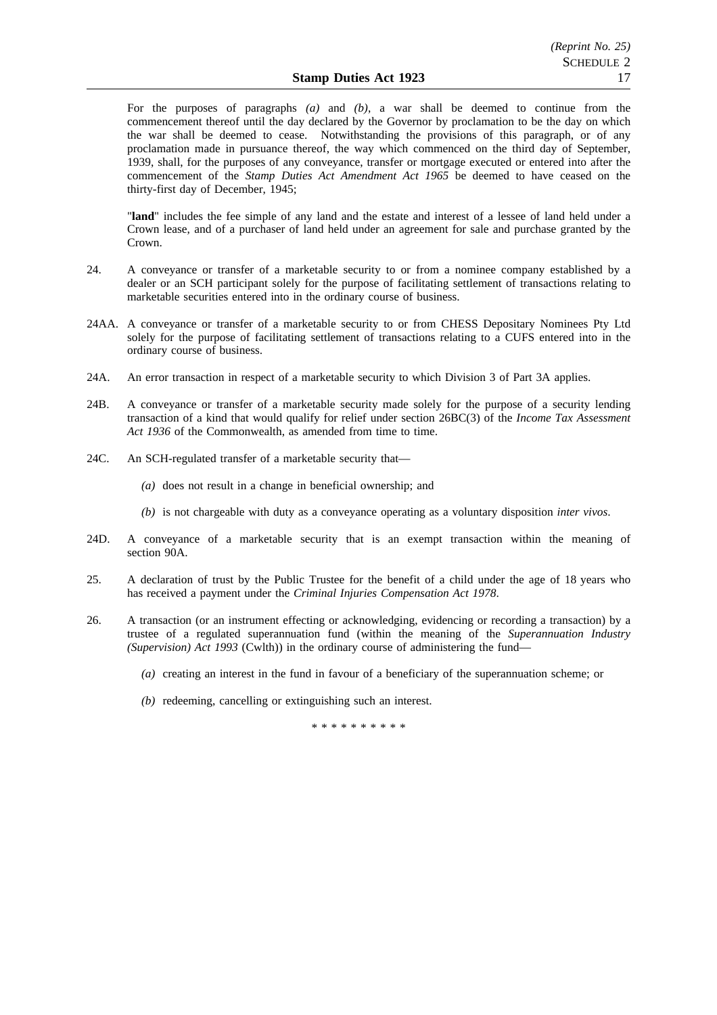For the purposes of paragraphs *(a)* and *(b)*, a war shall be deemed to continue from the commencement thereof until the day declared by the Governor by proclamation to be the day on which the war shall be deemed to cease. Notwithstanding the provisions of this paragraph, or of any proclamation made in pursuance thereof, the way which commenced on the third day of September, 1939, shall, for the purposes of any conveyance, transfer or mortgage executed or entered into after the commencement of the *Stamp Duties Act Amendment Act 1965* be deemed to have ceased on the thirty-first day of December, 1945;

"**land**" includes the fee simple of any land and the estate and interest of a lessee of land held under a Crown lease, and of a purchaser of land held under an agreement for sale and purchase granted by the Crown.

- 24. A conveyance or transfer of a marketable security to or from a nominee company established by a dealer or an SCH participant solely for the purpose of facilitating settlement of transactions relating to marketable securities entered into in the ordinary course of business.
- 24AA. A conveyance or transfer of a marketable security to or from CHESS Depositary Nominees Pty Ltd solely for the purpose of facilitating settlement of transactions relating to a CUFS entered into in the ordinary course of business.
- 24A. An error transaction in respect of a marketable security to which Division 3 of Part 3A applies.
- 24B. A conveyance or transfer of a marketable security made solely for the purpose of a security lending transaction of a kind that would qualify for relief under section 26BC(3) of the *Income Tax Assessment Act 1936* of the Commonwealth, as amended from time to time.
- 24C. An SCH-regulated transfer of a marketable security that—
	- *(a)* does not result in a change in beneficial ownership; and
	- *(b)* is not chargeable with duty as a conveyance operating as a voluntary disposition *inter vivos*.
- 24D. A conveyance of a marketable security that is an exempt transaction within the meaning of section 90A.
- 25. A declaration of trust by the Public Trustee for the benefit of a child under the age of 18 years who has received a payment under the *Criminal Injuries Compensation Act 1978*.
- 26. A transaction (or an instrument effecting or acknowledging, evidencing or recording a transaction) by a trustee of a regulated superannuation fund (within the meaning of the *Superannuation Industry (Supervision) Act 1993* (Cwlth)) in the ordinary course of administering the fund—
	- *(a)* creating an interest in the fund in favour of a beneficiary of the superannuation scheme; or
	- *(b)* redeeming, cancelling or extinguishing such an interest.

\*\*\*\*\*\*\*\*\*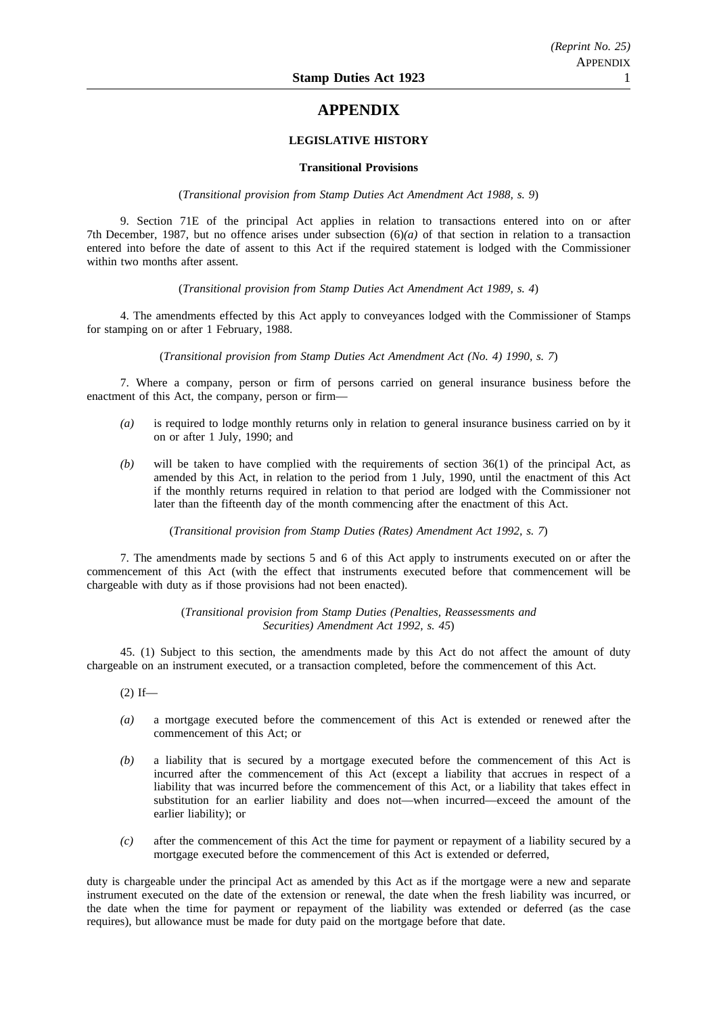# **APPENDIX**

## **LEGISLATIVE HISTORY**

#### **Transitional Provisions**

(*Transitional provision from Stamp Duties Act Amendment Act 1988, s. 9*)

9. Section 71E of the principal Act applies in relation to transactions entered into on or after 7th December, 1987, but no offence arises under subsection (6)*(a)* of that section in relation to a transaction entered into before the date of assent to this Act if the required statement is lodged with the Commissioner within two months after assent.

(*Transitional provision from Stamp Duties Act Amendment Act 1989, s. 4*)

4. The amendments effected by this Act apply to conveyances lodged with the Commissioner of Stamps for stamping on or after 1 February, 1988.

(*Transitional provision from Stamp Duties Act Amendment Act (No. 4) 1990, s. 7*)

7. Where a company, person or firm of persons carried on general insurance business before the enactment of this Act, the company, person or firm—

- *(a)* is required to lodge monthly returns only in relation to general insurance business carried on by it on or after 1 July, 1990; and
- *(b)* will be taken to have complied with the requirements of section 36(1) of the principal Act, as amended by this Act, in relation to the period from 1 July, 1990, until the enactment of this Act if the monthly returns required in relation to that period are lodged with the Commissioner not later than the fifteenth day of the month commencing after the enactment of this Act.

(*Transitional provision from Stamp Duties (Rates) Amendment Act 1992, s. 7*)

7. The amendments made by sections 5 and 6 of this Act apply to instruments executed on or after the commencement of this Act (with the effect that instruments executed before that commencement will be chargeable with duty as if those provisions had not been enacted).

> (*Transitional provision from Stamp Duties (Penalties, Reassessments and Securities) Amendment Act 1992, s. 45*)

45. (1) Subject to this section, the amendments made by this Act do not affect the amount of duty chargeable on an instrument executed, or a transaction completed, before the commencement of this Act.

 $(2)$  If—

- *(a)* a mortgage executed before the commencement of this Act is extended or renewed after the commencement of this Act; or
- *(b)* a liability that is secured by a mortgage executed before the commencement of this Act is incurred after the commencement of this Act (except a liability that accrues in respect of a liability that was incurred before the commencement of this Act, or a liability that takes effect in substitution for an earlier liability and does not—when incurred—exceed the amount of the earlier liability); or
- *(c)* after the commencement of this Act the time for payment or repayment of a liability secured by a mortgage executed before the commencement of this Act is extended or deferred,

duty is chargeable under the principal Act as amended by this Act as if the mortgage were a new and separate instrument executed on the date of the extension or renewal, the date when the fresh liability was incurred, or the date when the time for payment or repayment of the liability was extended or deferred (as the case requires), but allowance must be made for duty paid on the mortgage before that date.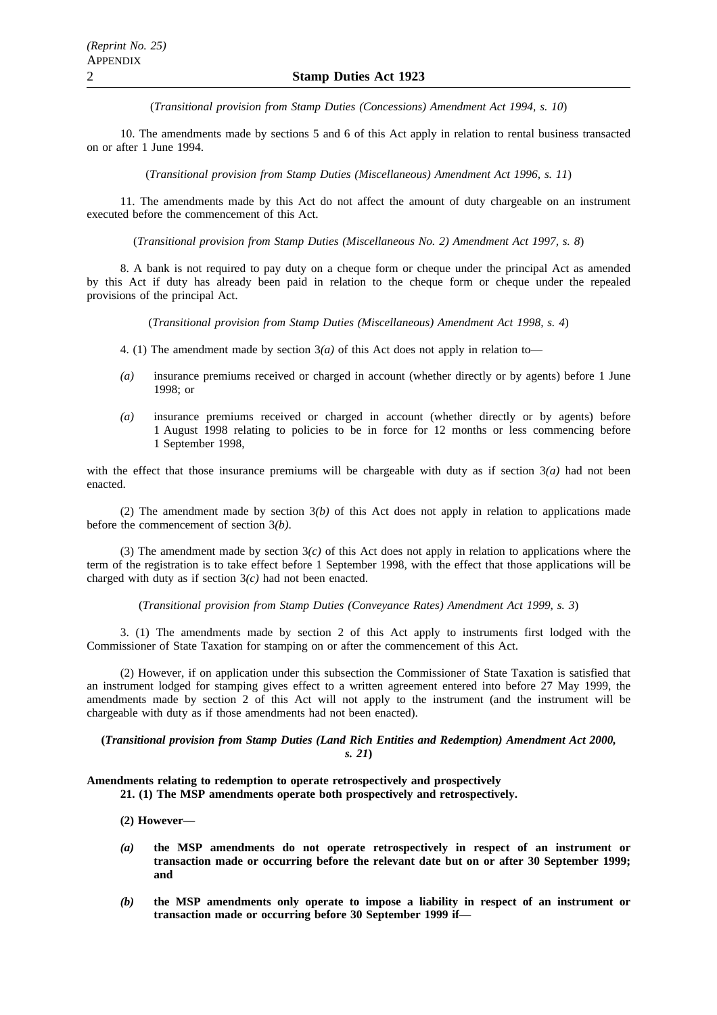(*Transitional provision from Stamp Duties (Concessions) Amendment Act 1994, s. 10*)

10. The amendments made by sections 5 and 6 of this Act apply in relation to rental business transacted on or after 1 June 1994.

(*Transitional provision from Stamp Duties (Miscellaneous) Amendment Act 1996, s. 11*)

11. The amendments made by this Act do not affect the amount of duty chargeable on an instrument executed before the commencement of this Act.

(*Transitional provision from Stamp Duties (Miscellaneous No. 2) Amendment Act 1997, s. 8*)

8. A bank is not required to pay duty on a cheque form or cheque under the principal Act as amended by this Act if duty has already been paid in relation to the cheque form or cheque under the repealed provisions of the principal Act.

(*Transitional provision from Stamp Duties (Miscellaneous) Amendment Act 1998, s. 4*)

- 4. (1) The amendment made by section  $3(a)$  of this Act does not apply in relation to—
- *(a)* insurance premiums received or charged in account (whether directly or by agents) before 1 June 1998; or
- *(a)* insurance premiums received or charged in account (whether directly or by agents) before 1 August 1998 relating to policies to be in force for 12 months or less commencing before 1 September 1998.

with the effect that those insurance premiums will be chargeable with duty as if section  $3(a)$  had not been enacted.

(2) The amendment made by section 3*(b)* of this Act does not apply in relation to applications made before the commencement of section 3*(b)*.

(3) The amendment made by section  $3(c)$  of this Act does not apply in relation to applications where the term of the registration is to take effect before 1 September 1998, with the effect that those applications will be charged with duty as if section 3*(c)* had not been enacted.

(*Transitional provision from Stamp Duties (Conveyance Rates) Amendment Act 1999, s. 3*)

3. (1) The amendments made by section 2 of this Act apply to instruments first lodged with the Commissioner of State Taxation for stamping on or after the commencement of this Act.

(2) However, if on application under this subsection the Commissioner of State Taxation is satisfied that an instrument lodged for stamping gives effect to a written agreement entered into before 27 May 1999, the amendments made by section 2 of this Act will not apply to the instrument (and the instrument will be chargeable with duty as if those amendments had not been enacted).

**(***Transitional provision from Stamp Duties (Land Rich Entities and Redemption) Amendment Act 2000, s. 21***)**

**Amendments relating to redemption to operate retrospectively and prospectively**

**21. (1) The MSP amendments operate both prospectively and retrospectively.**

- **(2) However—**
- *(a)* **the MSP amendments do not operate retrospectively in respect of an instrument or transaction made or occurring before the relevant date but on or after 30 September 1999; and**
- *(b)* **the MSP amendments only operate to impose a liability in respect of an instrument or transaction made or occurring before 30 September 1999 if—**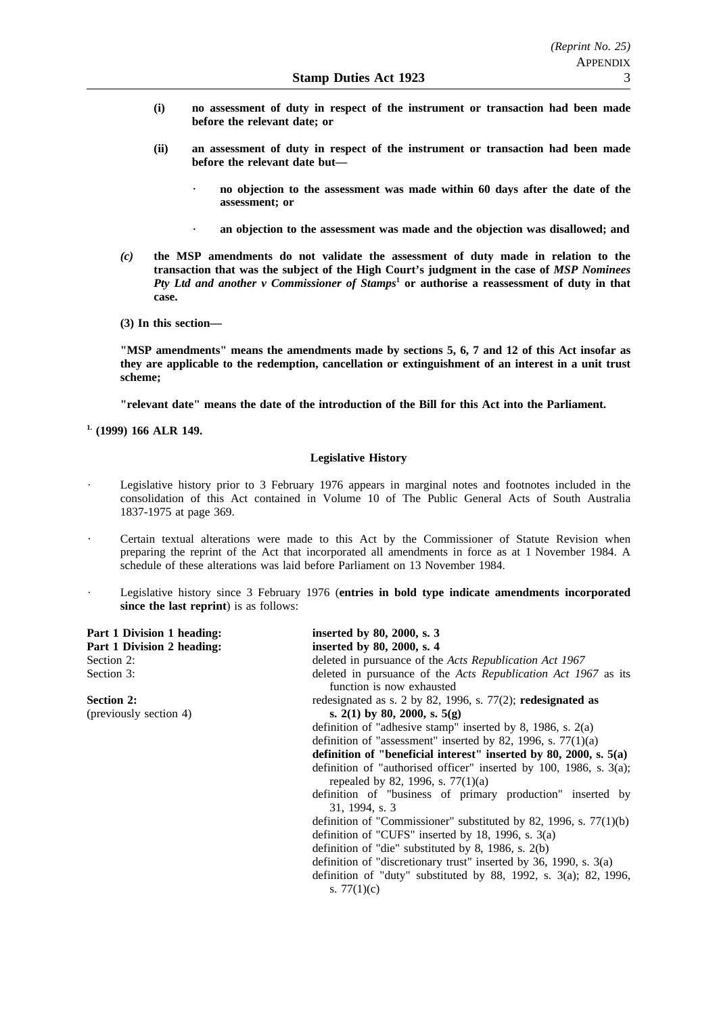- **(i) no assessment of duty in respect of the instrument or transaction had been made before the relevant date; or**
- **(ii) an assessment of duty in respect of the instrument or transaction had been made before the relevant date but**
	- **no objection to the assessment was made within 60 days after the date of the assessment; or**
	- **an objection to the assessment was made and the objection was disallowed; and**
- *(c)* **the MSP amendments do not validate the assessment of duty made in relation to the transaction that was the subject of the High Court's judgment in the case of** *MSP Nominees Pty Ltd and another v Commissioner of Stamps***<sup>1</sup> or authorise a reassessment of duty in that case.**
- **(3) In this section—**

**"MSP amendments" means the amendments made by sections 5, 6, 7 and 12 of this Act insofar as they are applicable to the redemption, cancellation or extinguishment of an interest in a unit trust scheme;**

**"relevant date" means the date of the introduction of the Bill for this Act into the Parliament.**

**1. (1999) 166 ALR 149.**

### **Legislative History**

- Legislative history prior to 3 February 1976 appears in marginal notes and footnotes included in the consolidation of this Act contained in Volume 10 of The Public General Acts of South Australia 1837-1975 at page 369.
- Certain textual alterations were made to this Act by the Commissioner of Statute Revision when preparing the reprint of the Act that incorporated all amendments in force as at 1 November 1984. A schedule of these alterations was laid before Parliament on 13 November 1984.
- Legislative history since 3 February 1976 (**entries in bold type indicate amendments incorporated since the last reprint**) is as follows:

| Part 1 Division 1 heading: | inserted by 80, 2000, s. 3                                                                                   |
|----------------------------|--------------------------------------------------------------------------------------------------------------|
| Part 1 Division 2 heading: | inserted by 80, 2000, s. 4                                                                                   |
| Section 2:                 | deleted in pursuance of the Acts Republication Act 1967                                                      |
| Section 3:                 | deleted in pursuance of the Acts Republication Act 1967 as its<br>function is now exhausted                  |
| <b>Section 2:</b>          | redesignated as s. 2 by 82, 1996, s. $77(2)$ ; redesignated as                                               |
| (previously section 4)     | s. 2(1) by 80, 2000, s. $5(g)$                                                                               |
|                            | definition of "adhesive stamp" inserted by 8, 1986, s. $2(a)$                                                |
|                            | definition of "assessment" inserted by 82, 1996, s. $77(1)(a)$                                               |
|                            | definition of "beneficial interest" inserted by 80, 2000, s. $5(a)$                                          |
|                            | definition of "authorised officer" inserted by 100, 1986, s. $3(a)$ ;<br>repealed by 82, 1996, s. $77(1)(a)$ |
|                            | definition of "business of primary production" inserted by<br>31, 1994, s. 3                                 |
|                            | definition of "Commissioner" substituted by 82, 1996, s. $77(1)(b)$                                          |
|                            | definition of "CUFS" inserted by 18, 1996, s. $3(a)$                                                         |
|                            | definition of "die" substituted by 8, 1986, s. $2(b)$                                                        |
|                            | definition of "discretionary trust" inserted by 36, 1990, s. $3(a)$                                          |
|                            | definition of "duty" substituted by 88, 1992, s. $3(a)$ ; 82, 1996,<br>s. $77(1)(c)$                         |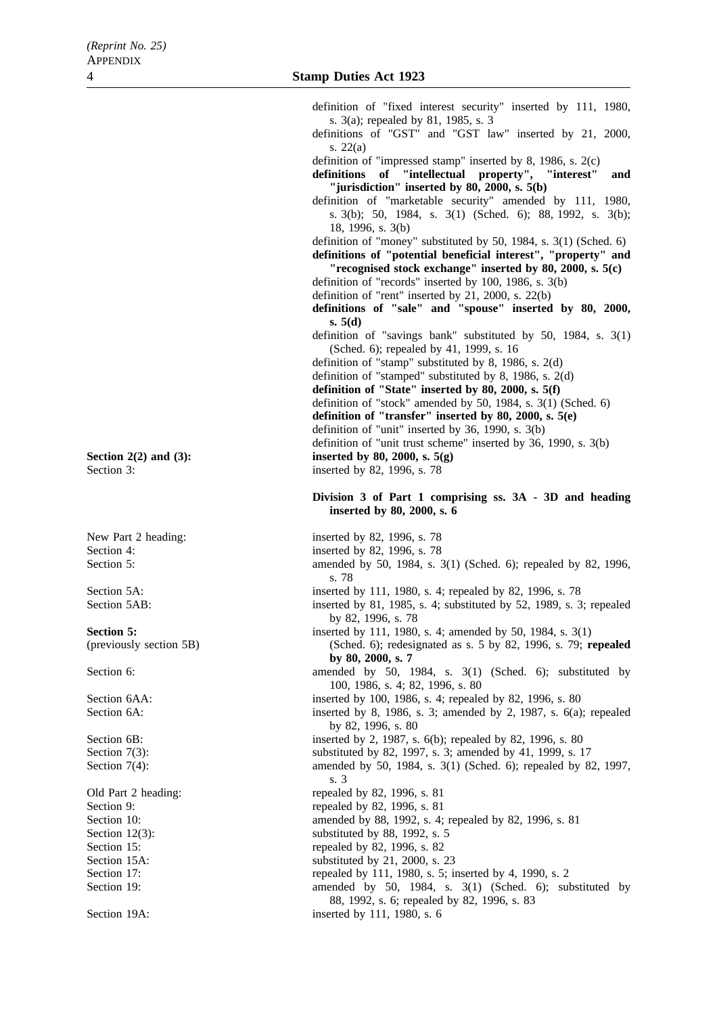Section 19A: inserted by 111, 1980, s. 6

s. 3(a); repealed by 81, 1985, s. 3 definitions of "GST" and "GST law" inserted by 21, 2000, s. 22(a) definition of "impressed stamp" inserted by 8, 1986, s. 2(c) **definitions of "intellectual property", "interest" and "jurisdiction" inserted by 80, 2000, s. 5(b)** definition of "marketable security" amended by 111, 1980, s. 3(b); 50, 1984, s. 3(1) (Sched. 6); 88, 1992, s. 3(b); 18, 1996, s. 3(b) definition of "money" substituted by 50, 1984, s. 3(1) (Sched. 6) **definitions of "potential beneficial interest", "property" and "recognised stock exchange" inserted by 80, 2000, s. 5(c)** definition of "records" inserted by 100, 1986, s. 3(b) definition of "rent" inserted by 21, 2000, s. 22(b) **definitions of "sale" and "spouse" inserted by 80, 2000, s. 5(d)** definition of "savings bank" substituted by 50, 1984, s. 3(1) (Sched. 6); repealed by 41, 1999, s. 16 definition of "stamp" substituted by 8, 1986, s. 2(d) definition of "stamped" substituted by 8, 1986, s. 2(d) **definition of "State" inserted by 80, 2000, s. 5(f)** definition of "stock" amended by 50, 1984, s. 3(1) (Sched. 6) **definition of "transfer" inserted by 80, 2000, s. 5(e)** definition of "unit" inserted by 36, 1990, s. 3(b) definition of "unit trust scheme" inserted by 36, 1990, s. 3(b) **Section 2(2) and (3):** inserted by 80, 2000, s. 5(g) Section 3: inserted by 82, 1996, s. 78 **Division 3 of Part 1 comprising ss. 3A - 3D and heading inserted by 80, 2000, s. 6** New Part 2 heading: inserted by 82, 1996, s. 78 Section 4: inserted by 82, 1996, s. 78 Section 5: amended by 50, 1984, s. 3(1) (Sched. 6); repealed by 82, 1996, s. 78 Section 5A: inserted by 111, 1980, s. 4; repealed by 82, 1996, s. 78 Section 5AB: inserted by 81, 1985, s. 4; substituted by 52, 1989, s. 3; repealed by 82, 1996, s. 78 **Section 5:** inserted by 111, 1980, s. 4; amended by 50, 1984, s. 3(1) (previously section 5B) (Sched. 6); redesignated as s. 5 by 82, 1996, s. 79; **repealed by 80, 2000, s. 7** Section 6: amended by 50, 1984, s. 3(1) (Sched. 6); substituted by 50, 1984, s. 3(1) (Sched. 6); substituted by 100, 1986, s. 4; 82, 1996, s. 80 Section 6AA: inserted by 100, 1986, s. 4; repealed by 82, 1996, s. 80 Section 6A: inserted by 8, 1986, s. 3; amended by 2, 1987, s. 6(a); repealed by 82, 1996, s. 80 Section 6B: inserted by 2, 1987, s. 6(b); repealed by 82, 1996, s. 80 Section 7(3): substituted by 82, 1997, s. 3; amended by 41, 1999, s. 17 Section 7(4): amended by 50, 1984, s. 3(1) (Sched. 6); repealed by 82, 1997, s. 3 Old Part 2 heading: repealed by 82, 1996, s. 81 Section 9: repealed by 82, 1996, s. 81 Section 10: **amended** by 88, 1992, s. 4; repealed by 82, 1996, s. 81 Section 12(3): substituted by 88, 1992, s. 5 Section 15: repealed by 82, 1996, s. 82<br>Section 15A: substituted by 21, 2000, s. substituted by  $21$ ,  $2000$ , s.  $23$ Section 17: repealed by 111, 1980, s. 5; inserted by 4, 1990, s. 2

definition of "fixed interest security" inserted by 111, 1980,

Section 19: amended by 50, 1984, s. 3(1) (Sched. 6); substituted by 88, 1992, s. 6; repealed by 82, 1996, s. 83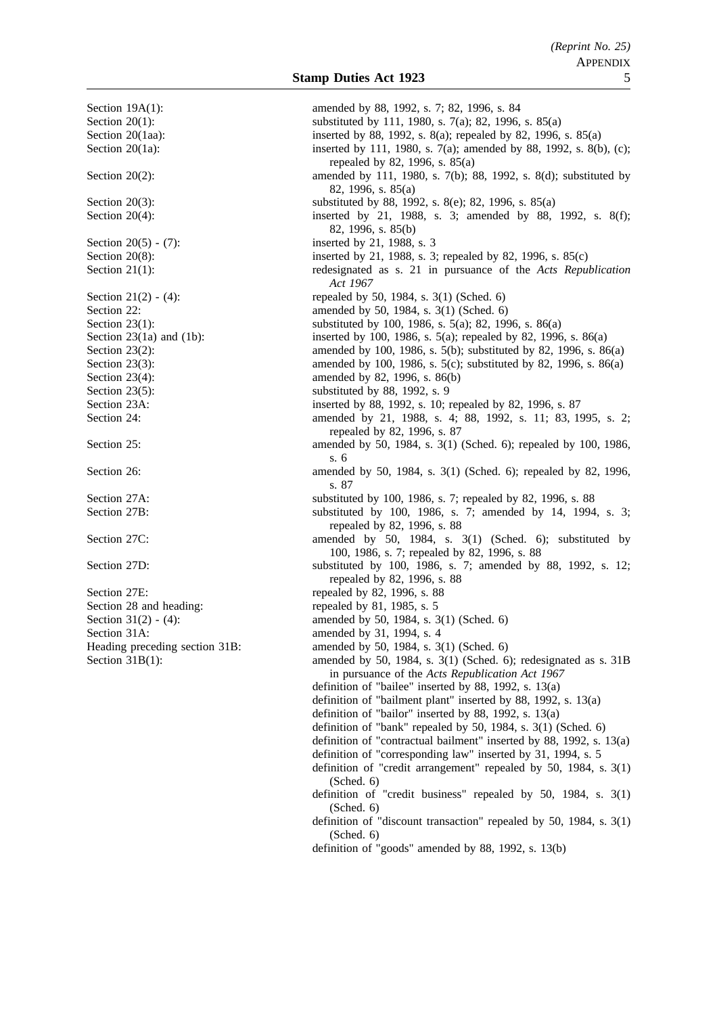Section 20(5) - (7): inserted by 21, 1988, s. 3 Section 23(5): substituted by 88, 1992, s. 9 Section 27E: repealed by 82, 1996, s. 88 Section 28 and heading: repealed by 81, 1985, s. 5 Section 31A: amended by 31, 1994, s. 4

Section 19A(1): amended by 88, 1992, s. 7; 82, 1996, s. 84 Section 20(1): substituted by 111, 1980, s. 7(a); 82, 1996, s. 85(a) Section 20(1aa): inserted by 88, 1992, s. 8(a); repealed by 82, 1996, s. 85(a) Section 20(1a): inserted by 111, 1980, s. 7(a); amended by 88, 1992, s. 8(b), (c); repealed by 82, 1996, s. 85(a) Section 20(2): amended by 111, 1980, s. 7(b); 88, 1992, s. 8(d); substituted by 82, 1996, s. 85(a) Section 20(3): substituted by 88, 1992, s. 8(e); 82, 1996, s. 85(a) Section 20(4): inserted by 21, 1988, s. 3; amended by 88, 1992, s. 8(f); 82, 1996, s. 85(b) Section 20(8): inserted by 21, 1988, s. 3; repealed by 82, 1996, s. 85(c) Section 21(1): redesignated as s. 21 in pursuance of the *Acts Republication Act 1967* Section 21(2) - (4): repealed by 50, 1984, s. 3(1) (Sched. 6) Section 22: **amended** by 50, 1984, s. 3(1) (Sched. 6) Section 23(1): substituted by 100, 1986, s. 5(a); 82, 1996, s. 86(a) Section 23(1a) and (1b): inserted by 100, 1986, s. 5(a); repealed by 82, 1996, s. 86(a) Section 23(2): amended by 100, 1986, s. 5(b); substituted by 82, 1996, s. 86(a) Section 23(3): amended by 100, 1986, s. 5(c); substituted by 82, 1996, s. 86(a) Section 23(4): amended by 82, 1996, s. 86(b) Section 23A: inserted by 88, 1992, s. 10; repealed by 82, 1996, s. 87 Section 24: **amended** by 21, 1988, s. 4; 88, 1992, s. 11; 83, 1995, s. 2; repealed by 82, 1996, s. 87 Section 25: **amended** by 50, 1984, s. 3(1) (Sched. 6); repealed by 100, 1986, s. 6 Section 26: amended by 50, 1984, s. 3(1) (Sched. 6); repealed by 82, 1996, s. 87 Section 27A: substituted by 100, 1986, s. 7; repealed by 82, 1996, s. 88 Section 27B: substituted by 100, 1986, s. 7; amended by 14, 1994, s. 3; repealed by 82, 1996, s. 88 Section 27C: amended by 50, 1984, s. 3(1) (Sched. 6); substituted by 100, 1986, s. 7; repealed by 82, 1996, s. 88 Section 27D: substituted by 100, 1986, s. 7; amended by 88, 1992, s. 12; repealed by 82, 1996, s. 88 Section 31(2) - (4): amended by 50, 1984, s. 3(1) (Sched. 6) Heading preceding section 31B: amended by 50, 1984, s. 3(1) (Sched. 6) Section 31B(1): amended by 50, 1984, s. 3(1) (Sched. 6); redesignated as s. 31B in pursuance of the *Acts Republication Act 1967* definition of "bailee" inserted by 88, 1992, s. 13(a) definition of "bailment plant" inserted by 88, 1992, s. 13(a) definition of "bailor" inserted by 88, 1992, s. 13(a) definition of "bank" repealed by 50, 1984, s. 3(1) (Sched. 6) definition of "contractual bailment" inserted by 88, 1992, s. 13(a) definition of "corresponding law" inserted by 31, 1994, s. 5 definition of "credit arrangement" repealed by 50, 1984, s. 3(1) (Sched. 6) definition of "credit business" repealed by 50, 1984, s. 3(1) (Sched. 6) definition of "discount transaction" repealed by 50, 1984, s. 3(1) (Sched. 6) definition of "goods" amended by 88, 1992, s. 13(b)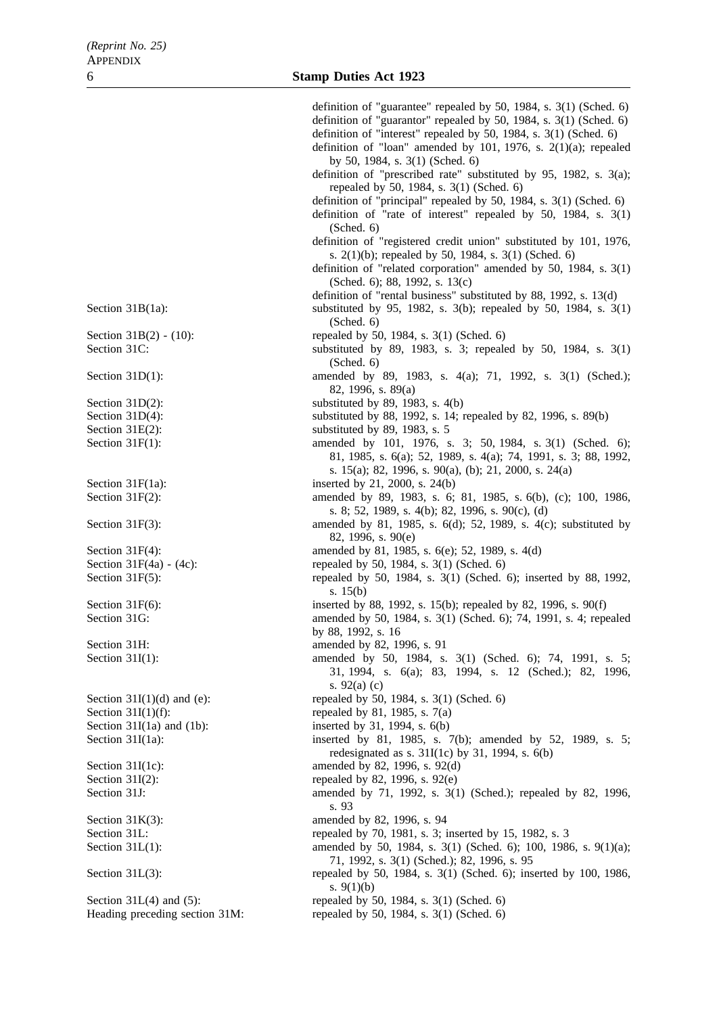Heading preceding section 31M: repealed by 50, 1984, s. 3(1) (Sched. 6)

definition of "guarantee" repealed by 50, 1984, s. 3(1) (Sched. 6) definition of "guarantor" repealed by 50, 1984, s. 3(1) (Sched. 6) definition of "interest" repealed by 50, 1984, s. 3(1) (Sched. 6) definition of "loan" amended by 101, 1976, s. 2(1)(a); repealed by 50, 1984, s. 3(1) (Sched. 6) definition of "prescribed rate" substituted by 95, 1982, s. 3(a); repealed by 50, 1984, s. 3(1) (Sched. 6) definition of "principal" repealed by 50, 1984, s. 3(1) (Sched. 6) definition of "rate of interest" repealed by 50, 1984, s. 3(1) (Sched. 6) definition of "registered credit union" substituted by 101, 1976, s. 2(1)(b); repealed by 50, 1984, s. 3(1) (Sched. 6) definition of "related corporation" amended by 50, 1984, s. 3(1) (Sched. 6); 88, 1992, s. 13(c) definition of "rental business" substituted by 88, 1992, s. 13(d) Section 31B(1a): substituted by 95, 1982, s. 3(b); repealed by 50, 1984, s. 3(1) (Sched. 6) Section 31B(2) - (10): repealed by 50, 1984, s. 3(1) (Sched. 6) Section 31C: substituted by 89, 1983, s. 3; repealed by 50, 1984, s. 3(1) (Sched. 6) Section 31D(1): amended by 89, 1983, s. 4(a); 71, 1992, s. 3(1) (Sched.); 82, 1996, s. 89(a) Section  $31D(2)$ : substituted by 89, 1983, s.  $4(b)$ Section 31D(4): substituted by 88, 1992, s. 14; repealed by 82, 1996, s. 89(b) Section 31E(2): substituted by 89, 1983, s. 5 Section 31F(1): amended by 101, 1976, s. 3; 50, 1984, s. 3(1) (Sched. 6); 81, 1985, s. 6(a); 52, 1989, s. 4(a); 74, 1991, s. 3; 88, 1992, s. 15(a); 82, 1996, s. 90(a), (b); 21, 2000, s. 24(a) Section 31F(1a): inserted by 21, 2000, s. 24(b) Section 31F(2): amended by 89, 1983, s. 6; 81, 1985, s. 6(b), (c); 100, 1986, s. 8; 52, 1989, s. 4(b); 82, 1996, s. 90(c), (d) Section 31F(3): amended by 81, 1985, s. 6(d); 52, 1989, s. 4(c); substituted by 82, 1996, s. 90(e) Section 31F(4): amended by 81, 1985, s. 6(e); 52, 1989, s. 4(d) Section  $31F(4a) - (4c)$ : repealed by 50, 1984, s. 3(1) (Sched. 6) Section 31F(5): repealed by 50, 1984, s. 3(1) (Sched. 6); inserted by 88, 1992, s. 15(b) Section 31F(6): inserted by 88, 1992, s. 15(b); repealed by 82, 1996, s. 90(f) Section 31G: amended by 50, 1984, s. 3(1) (Sched. 6); 74, 1991, s. 4; repealed by 88, 1992, s. 16 Section 31H: amended by 82, 1996, s. 91 Section 31I(1): amended by 50, 1984, s. 3(1) (Sched. 6); 74, 1991, s. 5; 31, 1994, s. 6(a); 83, 1994, s. 12 (Sched.); 82, 1996, s. 92(a) (c) Section  $31I(1)(d)$  and (e): repealed by 50, 1984, s.  $3(1)$  (Sched. 6) Section  $31I(1)(f)$ : repealed by 81, 1985, s. 7(a) Section 31I(1a) and (1b): inserted by 31, 1994, s.  $6(b)$ Section 31I(1a): inserted by 81, 1985, s. 7(b); amended by 52, 1989, s. 5; redesignated as s.  $31I(1c)$  by 31, 1994, s.  $6(b)$ Section 31I(1c): amended by 82, 1996, s. 92(d) Section 31I(2): repealed by 82, 1996, s. 92(e) Section 31J: **amended** by 71, 1992, s. 3(1) (Sched.); repealed by 82, 1996, s. 93 Section 31K(3): amended by 82, 1996, s. 94 Section 31L: repealed by 70, 1981, s. 3; inserted by 15, 1982, s. 3 Section 31L(1): amended by 50, 1984, s. 3(1) (Sched. 6); 100, 1986, s. 9(1)(a); 71, 1992, s. 3(1) (Sched.); 82, 1996, s. 95 Section 31L(3): repealed by 50, 1984, s. 3(1) (Sched. 6); inserted by 100, 1986, s. 9(1)(b) Section 31L(4) and (5): repealed by 50, 1984, s. 3(1) (Sched. 6)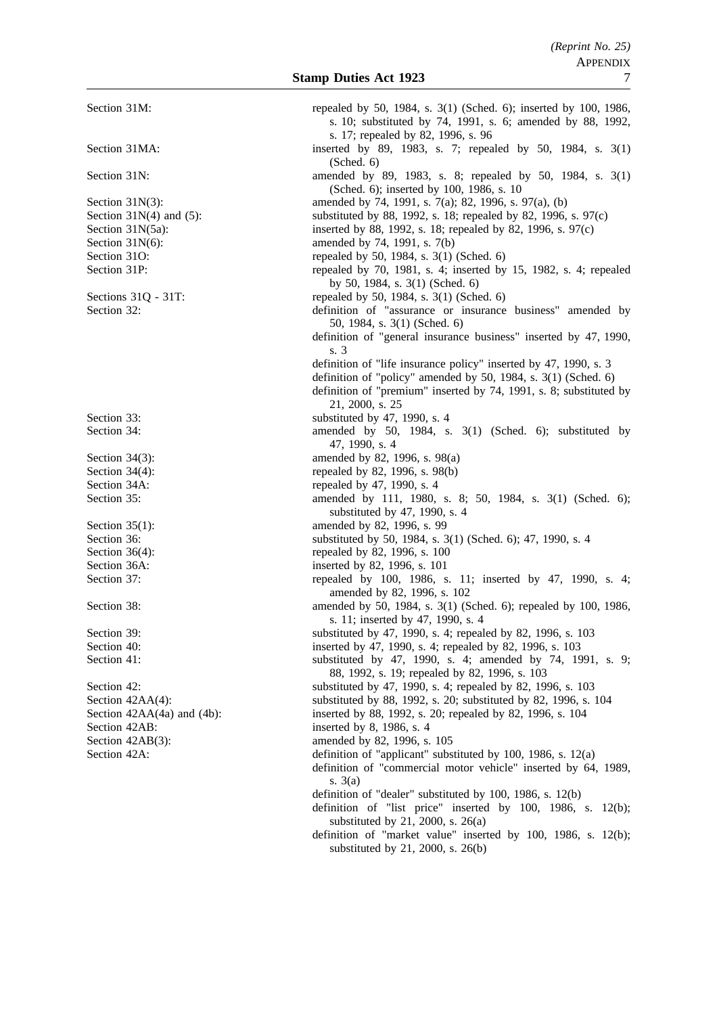| Section 31M:                    | repealed by 50, 1984, s. 3(1) (Sched. 6); inserted by 100, 1986,<br>s. 10; substituted by 74, 1991, s. 6; amended by 88, 1992,<br>s. 17; repealed by 82, 1996, s. 96                                     |
|---------------------------------|----------------------------------------------------------------------------------------------------------------------------------------------------------------------------------------------------------|
| Section 31MA:                   | inserted by 89, 1983, s. 7; repealed by 50, 1984, s. 3(1)<br>(Sched. 6)                                                                                                                                  |
| Section 31N:                    | amended by 89, 1983, s. 8; repealed by 50, 1984, s. 3(1)<br>(Sched. 6); inserted by 100, 1986, s. 10                                                                                                     |
| Section $31N(3)$ :              | amended by 74, 1991, s. 7(a); 82, 1996, s. 97(a), (b)                                                                                                                                                    |
| Section $31N(4)$ and $(5)$ :    | substituted by 88, 1992, s. 18; repealed by 82, 1996, s. 97(c)                                                                                                                                           |
| Section 31N(5a):                | inserted by 88, 1992, s. 18; repealed by 82, 1996, s. 97(c)                                                                                                                                              |
| Section 31N(6):                 | amended by 74, 1991, s. 7(b)                                                                                                                                                                             |
| Section 31O:                    | repealed by 50, 1984, s. 3(1) (Sched. 6)                                                                                                                                                                 |
| Section 31P:                    | repealed by 70, 1981, s. 4; inserted by 15, 1982, s. 4; repealed<br>by 50, 1984, s. 3(1) (Sched. 6)                                                                                                      |
| Sections 31Q - 31T:             | repealed by 50, 1984, s. 3(1) (Sched. 6)                                                                                                                                                                 |
| Section 32:                     | definition of "assurance or insurance business" amended by<br>50, 1984, s. 3(1) (Sched. 6)<br>definition of "general insurance business" inserted by 47, 1990,                                           |
|                                 | s. 3                                                                                                                                                                                                     |
|                                 | definition of "life insurance policy" inserted by 47, 1990, s. 3<br>definition of "policy" amended by 50, 1984, s. 3(1) (Sched. 6)<br>definition of "premium" inserted by 74, 1991, s. 8; substituted by |
|                                 | 21, 2000, s. 25                                                                                                                                                                                          |
| Section 33:                     | substituted by 47, 1990, s. 4                                                                                                                                                                            |
| Section 34:                     | amended by 50, 1984, s. 3(1) (Sched. 6); substituted by<br>47, 1990, s. 4                                                                                                                                |
| Section $34(3)$ :               | amended by 82, 1996, s. 98(a)                                                                                                                                                                            |
| Section $34(4)$ :               | repealed by 82, 1996, s. 98(b)                                                                                                                                                                           |
| Section 34A:                    | repealed by 47, 1990, s. 4                                                                                                                                                                               |
| Section 35:                     | amended by 111, 1980, s. 8; 50, 1984, s. 3(1) (Sched. 6);<br>substituted by 47, 1990, s. 4                                                                                                               |
| Section $35(1)$ :               | amended by 82, 1996, s. 99                                                                                                                                                                               |
| Section 36:                     | substituted by 50, 1984, s. 3(1) (Sched. 6); 47, 1990, s. 4                                                                                                                                              |
| Section $36(4)$ :               | repealed by 82, 1996, s. 100                                                                                                                                                                             |
| Section 36A:                    | inserted by 82, 1996, s. 101                                                                                                                                                                             |
| Section 37:                     | repealed by 100, 1986, s. 11; inserted by 47, 1990, s. 4;<br>amended by 82, 1996, s. 102                                                                                                                 |
| Section 38:                     | amended by 50, 1984, s. 3(1) (Sched. 6); repealed by 100, 1986,                                                                                                                                          |
|                                 | s. 11; inserted by 47, 1990, s. 4                                                                                                                                                                        |
| Section 39:                     | substituted by 47, 1990, s. 4; repealed by 82, 1996, s. 103                                                                                                                                              |
| Section 40:                     | inserted by 47, 1990, s. 4; repealed by 82, 1996, s. 103                                                                                                                                                 |
| Section 41:                     | substituted by 47, 1990, s. 4; amended by 74, 1991, s. 9;<br>88, 1992, s. 19; repealed by 82, 1996, s. 103                                                                                               |
| Section 42:                     | substituted by 47, 1990, s. 4; repealed by 82, 1996, s. 103                                                                                                                                              |
| Section 42AA(4):                | substituted by 88, 1992, s. 20; substituted by 82, 1996, s. 104                                                                                                                                          |
| Section $42AA(4a)$ and $(4b)$ : | inserted by 88, 1992, s. 20; repealed by 82, 1996, s. 104                                                                                                                                                |
| Section 42AB:                   | inserted by 8, 1986, s. 4                                                                                                                                                                                |
| Section 42AB(3):                | amended by 82, 1996, s. 105                                                                                                                                                                              |
| Section 42A:                    | definition of "applicant" substituted by 100, 1986, s. 12(a)<br>definition of "commercial motor vehicle" inserted by 64, 1989,                                                                           |
|                                 | s. $3(a)$                                                                                                                                                                                                |
|                                 | definition of "dealer" substituted by 100, 1986, s. 12(b)<br>definition of "list price" inserted by 100, 1986, s. 12(b);<br>substituted by 21, 2000, s. $26(a)$                                          |
|                                 | definition of "market value" inserted by 100, 1986, s. 12(b);                                                                                                                                            |
|                                 | substituted by 21, 2000, s. 26(b)                                                                                                                                                                        |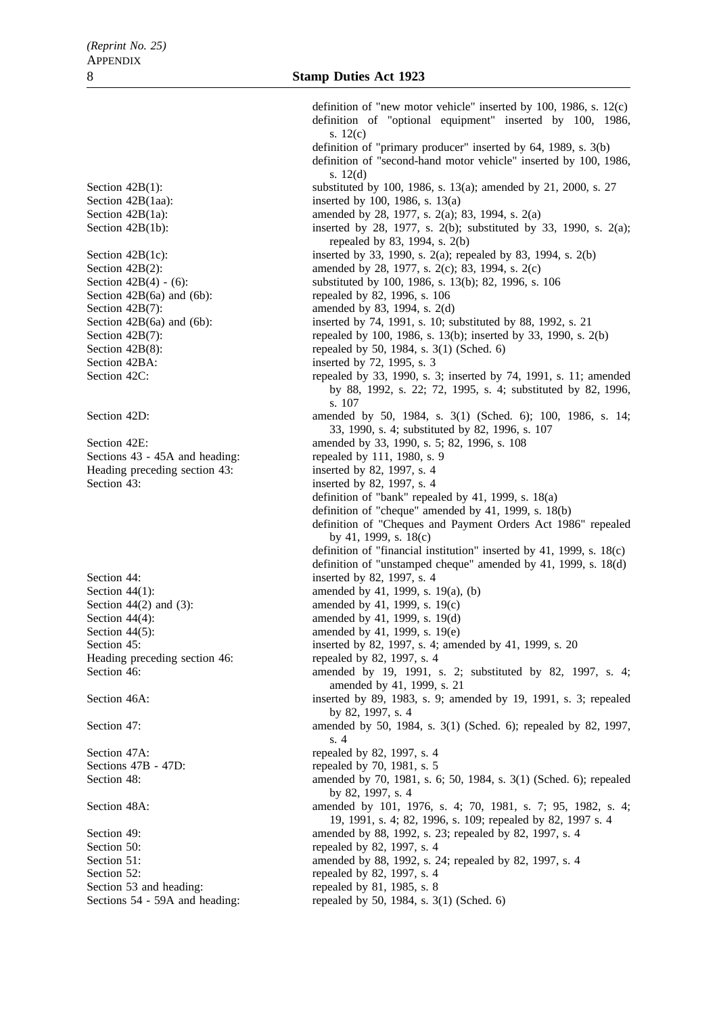Section 42BA: inserted by 72, 1995, s. 3 Sections 43 - 45A and heading: repealed by 111, 1980, s. 9 Heading preceding section 43: inserted by 82, 1997, s. 4 Section 43: inserted by 82, 1997, s. 4 Section 44: inserted by 82, 1997, s. 4 Heading preceding section 46: repealed by 82, 1997, s. 4

Section 50: repealed by 82, 1997, s. 4<br>Section 51: amended by 88, 1992, s. 2 Section 52: repealed by 82, 1997, s. 4 Section 53 and heading: repealed by 81, 1985, s. 8

definition of "new motor vehicle" inserted by 100, 1986, s. 12(c) definition of "optional equipment" inserted by 100, 1986, s. 12(c) definition of "primary producer" inserted by 64, 1989, s. 3(b) definition of "second-hand motor vehicle" inserted by 100, 1986, s. 12(d) Section 42B(1): substituted by 100, 1986, s. 13(a); amended by 21, 2000, s. 27 Section 42B(1aa): inserted by 100, 1986, s. 13(a) Section 42B(1a): amended by 28, 1977, s. 2(a); 83, 1994, s. 2(a) Section 42B(1b): inserted by 28, 1977, s. 2(b); substituted by 33, 1990, s. 2(a); repealed by 83, 1994, s. 2(b) Section 42B(1c): inserted by 33, 1990, s. 2(a); repealed by 83, 1994, s. 2(b) Section 42B(2): amended by 28, 1977, s. 2(c); 83, 1994, s. 2(c) Section 42B(4) - (6): substituted by 100, 1986, s. 13(b); 82, 1996, s. 106 Section 42B(6a) and (6b): repealed by 82, 1996, s. 106 Section 42B(7): amended by 83, 1994, s. 2(d) Section 42B(6a) and (6b): inserted by 74, 1991, s. 10; substituted by 88, 1992, s. 21 Section 42B(7): repealed by 100, 1986, s. 13(b); inserted by 33, 1990, s. 2(b) Section 42B(8): repealed by 50, 1984, s. 3(1) (Sched. 6) Section 42C: repealed by 33, 1990, s. 3; inserted by 74, 1991, s. 11; amended by 88, 1992, s. 22; 72, 1995, s. 4; substituted by 82, 1996, s. 107 Section 42D: **amended** by 50, 1984, s. 3(1) (Sched. 6); 100, 1986, s. 14; 33, 1990, s. 4; substituted by 82, 1996, s. 107 Section 42E: amended by 33, 1990, s. 5; 82, 1996, s. 108 definition of "bank" repealed by 41, 1999, s. 18(a) definition of "cheque" amended by 41, 1999, s. 18(b) definition of "Cheques and Payment Orders Act 1986" repealed by 41, 1999, s. 18(c) definition of "financial institution" inserted by 41, 1999, s. 18(c) definition of "unstamped cheque" amended by 41, 1999, s. 18(d) Section 44(1): amended by 41, 1999, s. 19(a), (b) Section 44(2) and (3): amended by 41, 1999, s. 19(c) Section 44(4): amended by 41, 1999, s. 19(d) Section 44(5): amended by 41, 1999, s. 19(e) Section 45: inserted by 82, 1997, s. 4; amended by 41, 1999, s. 20 Section 46: **amended** by 19, 1991, s. 2; substituted by 82, 1997, s. 4; amended by 41, 1999, s. 21 Section 46A: inserted by 89, 1983, s. 9; amended by 19, 1991, s. 3; repealed by 82, 1997, s. 4 Section 47: **amended** by 50, 1984, s. 3(1) (Sched. 6); repealed by 82, 1997, s. 4 Section 47A: repealed by 82, 1997, s. 4 Sections 47B - 47D: repealed by 70, 1981, s. 5 Section 48: **amended** by 70, 1981, s. 6; 50, 1984, s. 3(1) (Sched. 6); repealed by 82, 1997, s. 4 Section 48A: amended by 101, 1976, s. 4; 70, 1981, s. 7; 95, 1982, s. 4; 9. 19, 1991, s. 4; 82, 1996, s. 109; repealed by 82, 1997 s. 4 Section 49: amended by 88, 1992, s. 23; repealed by 82, 1997, s. 4<br>Section 50: repealed by 82, 1997, s. 4 amended by 88, 1992, s. 24; repealed by 82, 1997, s. 4

Sections 54 - 59A and heading: repealed by 50, 1984, s. 3(1) (Sched. 6)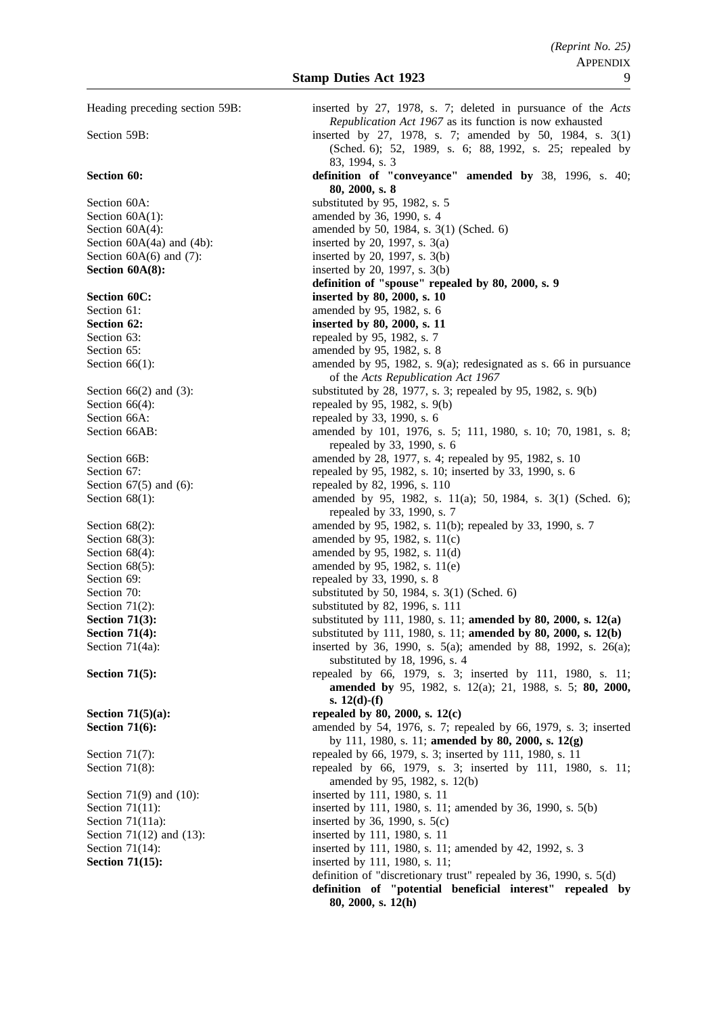Heading preceding section 59B: inserted by 27, 1978, s. 7; deleted in pursuance of the *Acts Republication Act 1967* as its function is now exhausted Section 59B: inserted by 27, 1978, s. 7; amended by 50, 1984, s. 3(1) (Sched. 6); 52, 1989, s. 6; 88, 1992, s. 25; repealed by 83, 1994, s. 3 **Section 60: definition of "conveyance" amended by** 38, 1996, s. 40; **80, 2000, s. 8** Section 60A: substituted by 95, 1982, s. 5 Section 60A(1): amended by 36, 1990, s. 4 Section 60A(4): amended by 50, 1984, s. 3(1) (Sched. 6) Section  $60A(4a)$  and  $(4b)$ : inserted by 20, 1997, s.  $3(a)$ Section  $60A(6)$  and  $(7)$ : inserted by 20, 1997, s. 3(b) **Section 60A(8):** inserted by 20, 1997, s. 3(b) **definition of "spouse" repealed by 80, 2000, s. 9 Section 60C: inserted by 80, 2000, s. 10** Section 61: **amended** by 95, 1982, s. 6 **Section 62: inserted by 80, 2000, s. 11** Section 63: repealed by 95, 1982, s. 7 Section 65: **amended** by 95, 1982, s. 8 Section 66(1): amended by 95, 1982, s. 9(a); redesignated as s. 66 in pursuance of the *Acts Republication Act 1967* Section 66(2) and (3): substituted by 28, 1977, s. 3; repealed by 95, 1982, s. 9(b) Section 66(4): repealed by 95, 1982, s. 9(b) Section 66A: repealed by 33, 1990, s. 6 Section 66AB: amended by 101, 1976, s. 5; 111, 1980, s. 10; 70, 1981, s. 8; repealed by 33, 1990, s. 6 Section 66B: amended by 28, 1977, s. 4; repealed by 95, 1982, s. 10 Section 67: repealed by 95, 1982, s. 10; inserted by 33, 1990, s. 6 Section 67(5) and (6): repealed by 82, 1996, s. 110 Section 68(1): amended by 95, 1982, s. 11(a); 50, 1984, s. 3(1) (Sched. 6); repealed by 33, 1990, s. 7 Section 68(2): amended by 95, 1982, s. 11(b); repealed by 33, 1990, s. 7 Section 68(3): amended by 95, 1982, s. 11(c) Section 68(4): amended by 95, 1982, s. 11(d) Section 68(5): amended by 95, 1982, s. 11(e) Section 69: repealed by 33, 1990, s. 8 Section 70: substituted by 50, 1984, s. 3(1) (Sched. 6)<br>Section 71(2): substituted by 82, 1996, s. 111 substituted by 82, 1996, s. 111 **Section 71(3):** substituted by 111, 1980, s. 11; **amended by 80, 2000, s. 12(a) Section 71(4):** substituted by 111, 1980, s. 11; **amended by 80, 2000, s. 12(b)** Section 71(4a): inserted by 36, 1990, s. 5(a); amended by 88, 1992, s. 26(a); substituted by 18, 1996, s. 4 **Section 71(5):** repealed by 66, 1979, s. 3; inserted by 111, 1980, s. 11; **amended by** 95, 1982, s. 12(a); 21, 1988, s. 5; **80, 2000, s. 12(d)-(f) Section 71(5)(a):** repealed by 80, 2000, s. 12(c) **Section 71(6):** amended by 54, 1976, s. 7; repealed by 66, 1979, s. 3; inserted by 111, 1980, s. 11; **amended by 80, 2000, s. 12(g)** Section 71(7): repealed by 66, 1979, s. 3; inserted by 111, 1980, s. 11 Section 71(8): repealed by 66, 1979, s. 3; inserted by 111, 1980, s. 11; amended by 95, 1982, s. 12(b) Section 71(9) and (10): inserted by 111, 1980, s. 11 Section 71(11): inserted by 111, 1980, s. 11; amended by 36, 1990, s. 5(b) Section 71(11a): inserted by 36, 1990, s. 5(c) Section 71(12) and (13): inserted by 111, 1980, s. 11 Section 71(14): inserted by 111, 1980, s. 11; amended by 42, 1992, s. 3 **Section 71(15):** inserted by 111, 1980, s. 11; definition of "discretionary trust" repealed by 36, 1990, s. 5(d) **definition of "potential beneficial interest" repealed by 80, 2000, s. 12(h)**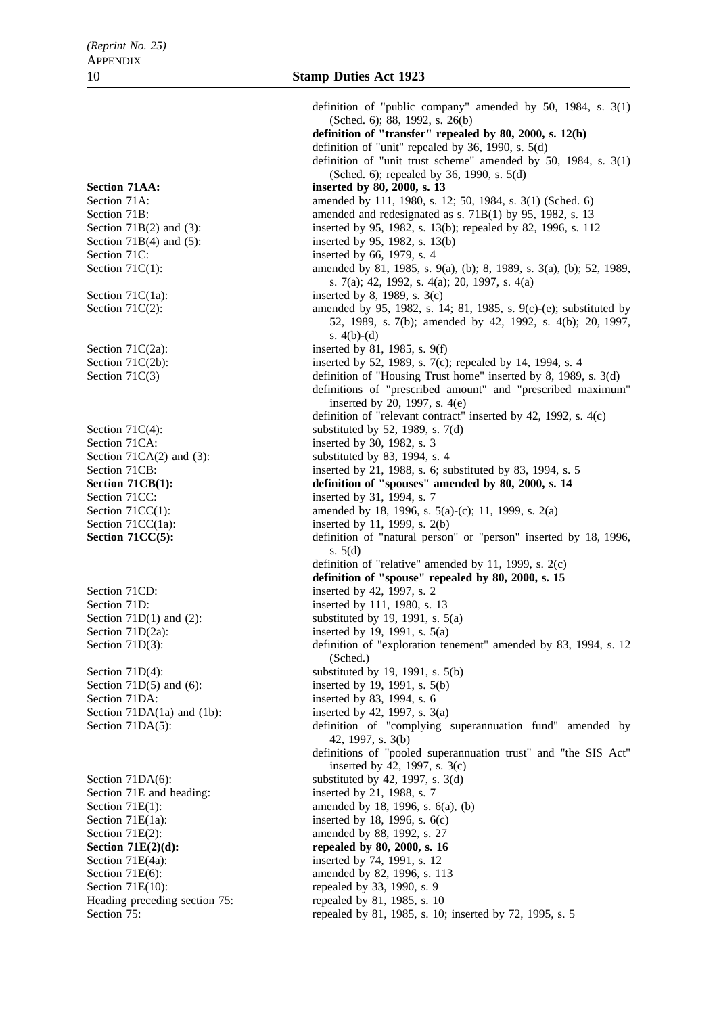Section 71C: inserted by 66, 1979, s. 4 Section 71CA: inserted by 30, 1982, s. 3 Section 71CC: inserted by 31, 1994, s. 7 Section 71CD: inserted by 42, 1997, s. 2 Section 71DA: inserted by 83, 1994, s. 6 Section 71E and heading: inserted by 21, 1988, s. 7 Section 71E(10): repealed by 33, 1990, s. 9

definition of "public company" amended by 50, 1984, s. 3(1) (Sched. 6); 88, 1992, s. 26(b) **definition of "transfer" repealed by 80, 2000, s. 12(h)** definition of "unit" repealed by 36, 1990, s. 5(d) definition of "unit trust scheme" amended by 50, 1984, s. 3(1) (Sched. 6); repealed by 36, 1990, s. 5(d) Section 71AA: inserted by 80, 2000, s. 13 Section 71A: amended by 111, 1980, s. 12; 50, 1984, s. 3(1) (Sched. 6) Section 71B: amended and redesignated as s. 71B(1) by 95, 1982, s. 13 Section 71B(2) and (3): inserted by 95, 1982, s. 13(b); repealed by 82, 1996, s. 112 Section 71B(4) and (5): inserted by 95, 1982, s. 13(b) Section 71C(1): amended by 81, 1985, s. 9(a), (b); 8, 1989, s. 3(a), (b); 52, 1989, s. 7(a); 42, 1992, s. 4(a); 20, 1997, s. 4(a) Section 71C(1a): inserted by 8, 1989, s. 3(c) Section 71C(2): amended by 95, 1982, s. 14; 81, 1985, s. 9(c)-(e); substituted by 52, 1989, s. 7(b); amended by 42, 1992, s. 4(b); 20, 1997, s. 4(b)-(d) Section 71 $C(2a)$ : inserted by 81, 1985, s. 9(f) Section 71C(2b): inserted by 52, 1989, s. 7(c); repealed by 14, 1994, s. 4 Section 71C(3) definition of "Housing Trust home" inserted by 8, 1989, s. 3(d) definitions of "prescribed amount" and "prescribed maximum" inserted by 20, 1997, s. 4(e) definition of "relevant contract" inserted by 42, 1992, s. 4(c) Section 71 $C(4)$ : substituted by 52, 1989, s. 7(d) Section 71CA(2) and (3): substituted by 83, 1994, s. 4 Section 71CB: inserted by 21, 1988, s. 6; substituted by 83, 1994, s. 5 **Section 71CB(1):** definition of "spouses" amended by 80, 2000, s. 14 Section 71CC(1): amended by 18, 1996, s. 5(a)-(c); 11, 1999, s. 2(a) Section  $71CC(1a)$ : inserted by 11, 1999, s. 2(b) **Section 71CC(5):** definition of "natural person" or "person" inserted by 18, 1996, s. 5(d) definition of "relative" amended by 11, 1999, s. 2(c) **definition of "spouse" repealed by 80, 2000, s. 15** Section 71D: inserted by 111, 1980, s. 13 Section 71D(1) and (2): substituted by 19, 1991, s.  $5(a)$ Section 71D(2a): inserted by 19, 1991, s.  $5(a)$ Section 71D(3): definition of "exploration tenement" amended by 83, 1994, s. 12 (Sched.) Section  $71D(4)$ : substituted by 19, 1991, s.  $5(b)$ Section 71D(5) and (6): inserted by 19, 1991, s. 5(b) Section 71DA(1a) and (1b): inserted by 42, 1997, s.  $3(a)$ Section 71DA(5): definition of "complying superannuation fund" amended by 42, 1997, s. 3(b) definitions of "pooled superannuation trust" and "the SIS Act" inserted by 42, 1997, s. 3(c) Section 71DA(6): substituted by 42, 1997, s.  $3(d)$ Section 71E(1): amended by 18, 1996, s. 6(a), (b) Section 71E(1a): inserted by 18, 1996, s. 6(c) Section 71E(2): amended by 88, 1992, s. 27 **Section 71E(2)(d):** repealed by 80, 2000, s. 16<br>Section 71E(4a): inserted by 74, 1991, s. 12 inserted by 74, 1991, s. 12 Section 71E(6): amended by 82, 1996, s. 113 Heading preceding section 75: repealed by 81, 1985, s. 10 Section 75: repealed by 81, 1985, s. 10; inserted by 72, 1995, s. 5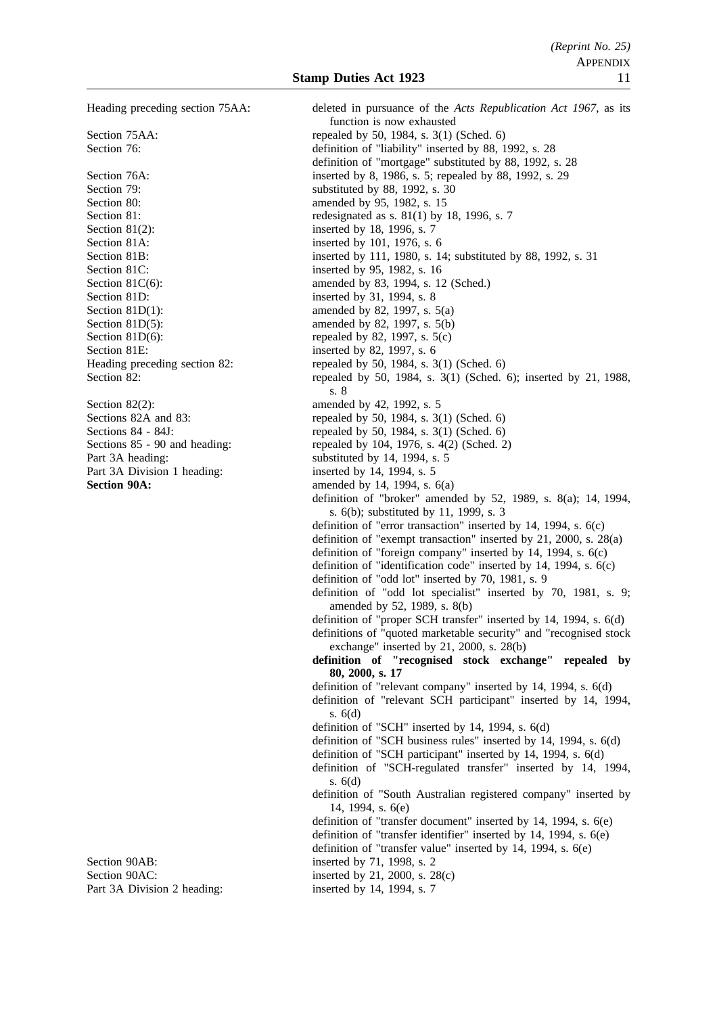Section 80: **amended** by 95, 1982, s. 15 Section 81(2): inserted by 18, 1996, s. 7 Section 81A: inserted by 101, 1976, s. 6 Section 81C: inserted by 95, 1982, s. 16 Section 81D: inserted by 31, 1994, s. 8 Section 81D(1): amended by 82, 1997, s.  $5(a)$ Section 81D(5): amended by 82, 1997, s.  $5(b)$ Section 81D(6): repealed by 82, 1997, s.  $5(c)$ Section 81E: inserted by 82, 1997, s. 6

Section 82(2): amended by 42, 1992, s. 5 Part 3A heading: substituted by 14, 1994, s. 5<br>Part 3A Division 1 heading: substituted by 14, 1994, s. 5 Part 3A Division 1 heading:

Section 90AB: inserted by 71, 1998, s. 2 Section 90AC: inserted by 21, 2000, s. 28(c) Part 3A Division 2 heading: inserted by 14, 1994, s. 7

Heading preceding section 75AA: deleted in pursuance of the *Acts Republication Act 1967*, as its function is now exhausted Section 75AA: repealed by 50, 1984, s. 3(1) (Sched. 6) Section 76: definition of "liability" inserted by 88, 1992, s. 28 definition of "mortgage" substituted by 88, 1992, s. 28 Section 76A: inserted by 8, 1986, s. 5; repealed by 88, 1992, s. 29 Section 79: substituted by 88, 1992, s. 30 Section 81: redesignated as s. 81(1) by 18, 1996, s. 7 Section 81B: inserted by 111, 1980, s. 14; substituted by 88, 1992, s. 31 Section 81C(6): amended by 83, 1994, s. 12 (Sched.) Heading preceding section 82: repealed by 50, 1984, s. 3(1) (Sched. 6) Section 82: repealed by 50, 1984, s. 3(1) (Sched. 6); inserted by 21, 1988, s. 8 Sections 82A and 83: repealed by 50, 1984, s. 3(1) (Sched. 6)<br>Sections 84 - 84J: repealed by 50, 1984, s. 3(1) (Sched. 6) Sections 84 - 84J:<br>Sections 85 - 90 and heading:<br>Sections 85 - 90 and heading:<br>Sections 85 - 90 and heading:<br>Sections 85 - 90 and heading:<br>Sections 85 - 90 and heading: repealed by 104, 1976, s.  $4(2)$  (Sched. 2) **Section 90A:** amended by 14, 1994, s. 6(a) definition of "broker" amended by 52, 1989, s. 8(a); 14, 1994, s. 6(b); substituted by 11, 1999, s. 3 definition of "error transaction" inserted by 14, 1994, s. 6(c) definition of "exempt transaction" inserted by 21, 2000, s. 28(a) definition of "foreign company" inserted by 14, 1994, s. 6(c) definition of "identification code" inserted by 14, 1994, s. 6(c) definition of "odd lot" inserted by 70, 1981, s. 9 definition of "odd lot specialist" inserted by 70, 1981, s. 9; amended by 52, 1989, s. 8(b) definition of "proper SCH transfer" inserted by 14, 1994, s. 6(d) definitions of "quoted marketable security" and "recognised stock exchange" inserted by 21, 2000, s. 28(b) **definition of "recognised stock exchange" repealed by 80, 2000, s. 17** definition of "relevant company" inserted by 14, 1994, s. 6(d) definition of "relevant SCH participant" inserted by 14, 1994, s. 6(d) definition of "SCH" inserted by 14, 1994, s. 6(d) definition of "SCH business rules" inserted by 14, 1994, s. 6(d) definition of "SCH participant" inserted by 14, 1994, s. 6(d) definition of "SCH-regulated transfer" inserted by 14, 1994, s. 6(d) definition of "South Australian registered company" inserted by 14, 1994, s. 6(e) definition of "transfer document" inserted by 14, 1994, s. 6(e) definition of "transfer identifier" inserted by 14, 1994, s. 6(e) definition of "transfer value" inserted by 14, 1994, s. 6(e)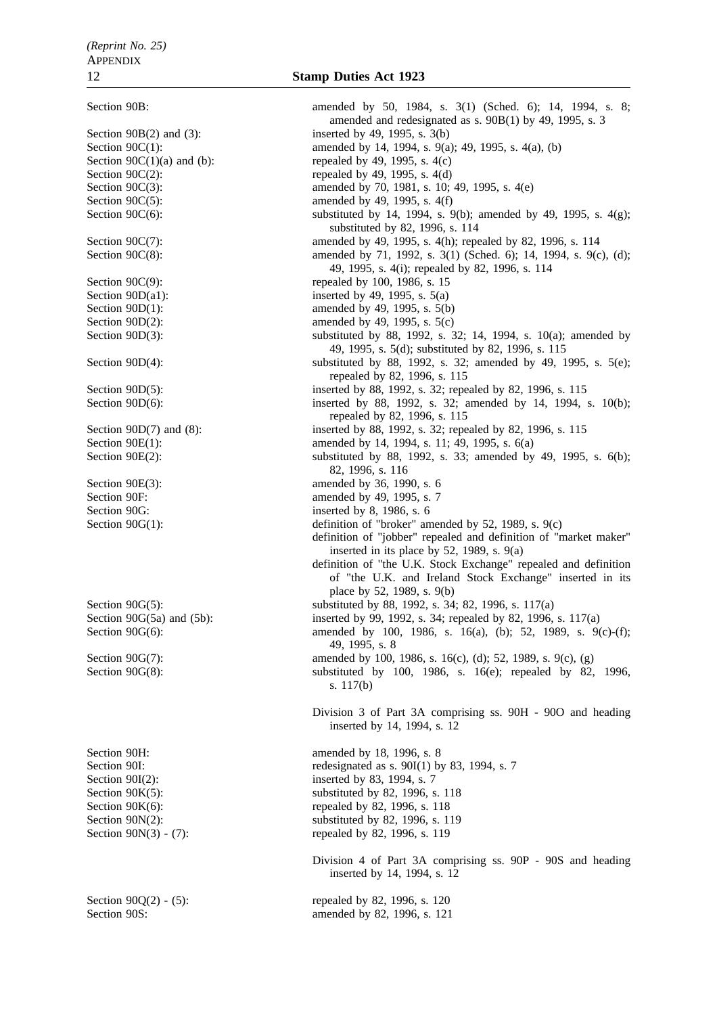Section 90S: amended by 82, 1996, s. 121

Section 90B: amended by 50, 1984, s. 3(1) (Sched. 6); 14, 1994, s. 8; amended and redesignated as s. 90B(1) by 49, 1995, s. 3 Section 90B(2) and (3): inserted by 49, 1995, s. 3(b) Section 90C(1): amended by 14, 1994, s. 9(a); 49, 1995, s. 4(a), (b) Section  $90C(1)(a)$  and (b): repealed by 49, 1995, s. 4(c) Section  $90C(2)$ : repealed by 49, 1995, s. 4(d) Section 90C(3): amended by 70, 1981, s. 10; 49, 1995, s. 4(e) Section  $90C(5)$ : amended by 49, 1995, s. 4(f) Section 90C(6): substituted by 14, 1994, s. 9(b); amended by 49, 1995, s. 4(g); substituted by 82, 1996, s. 114 Section 90C(7): amended by 49, 1995, s. 4(h); repealed by 82, 1996, s. 114 Section 90C(8): amended by 71, 1992, s. 3(1) (Sched. 6); 14, 1994, s. 9(c), (d); 49, 1995, s. 4(i); repealed by 82, 1996, s. 114 Section 90C(9): repealed by 100, 1986, s. 15 Section  $90D(a1)$ : inserted by 49, 1995, s. 5(a) Section 90D(1): amended by 49, 1995, s. 5(b) Section 90D(2): amended by 49, 1995, s.  $5(c)$ Section 90D(3): substituted by 88, 1992, s. 32; 14, 1994, s. 10(a); amended by 49, 1995, s. 5(d); substituted by 82, 1996, s. 115 Section 90D(4): substituted by 88, 1992, s. 32; amended by 49, 1995, s. 5(e); repealed by 82, 1996, s. 115 Section 90D(5): inserted by 88, 1992, s. 32; repealed by 82, 1996, s. 115<br>Section 90D(6): inserted by 88, 1992, s. 32; amended by 14, 1994, inserted by 88, 1992, s. 32; amended by 14, 1994, s.  $10(b)$ ; repealed by 82, 1996, s. 115 Section 90D(7) and (8): inserted by 88, 1992, s. 32; repealed by 82, 1996, s. 115 Section 90E(1): amended by 14, 1994, s. 11; 49, 1995, s. 6(a) Section 90E(2): substituted by 88, 1992, s. 33; amended by 49, 1995, s. 6(b); 82, 1996, s. 116 Section 90E(3): amended by 36, 1990, s. 6 Section 90F: amended by 49, 1995, s. 7 Section 90G: inserted by 8, 1986, s. 6 Section 90G(1): definition of "broker" amended by 52, 1989, s. 9(c) definition of "jobber" repealed and definition of "market maker" inserted in its place by 52, 1989, s. 9(a) definition of "the U.K. Stock Exchange" repealed and definition of "the U.K. and Ireland Stock Exchange" inserted in its place by 52, 1989, s. 9(b) Section 90G(5): substituted by 88, 1992, s. 34; 82, 1996, s. 117(a) Section 90G(5a) and (5b): inserted by 99, 1992, s. 34; repealed by 82, 1996, s. 117(a) Section 90G(6): amended by 100, 1986, s. 16(a), (b); 52, 1989, s. 9(c)-(f); 49, 1995, s. 8 Section 90G(7): amended by 100, 1986, s. 16(c), (d); 52, 1989, s. 9(c), (g) Section 90G(8): substituted by 100, 1986, s. 16(e); repealed by 82, 1996, s. 117(b) Division 3 of Part 3A comprising ss. 90H - 90O and heading inserted by 14, 1994, s. 12 Section 90H: amended by 18, 1996, s. 8 Section 90I: redesignated as s. 90I(1) by 83, 1994, s. 7 Section 90I(2): inserted by 83, 1994, s. 7 Section 90K(5): substituted by 82, 1996, s. 118 Section 90K(6): repealed by 82, 1996, s. 118 Section 90N(2): substituted by 82, 1996, s. 119 Section 90N(3) - (7): repealed by 82, 1996, s. 119 Division 4 of Part 3A comprising ss. 90P - 90S and heading inserted by 14, 1994, s. 12 Section 90Q(2) - (5): repealed by 82, 1996, s. 120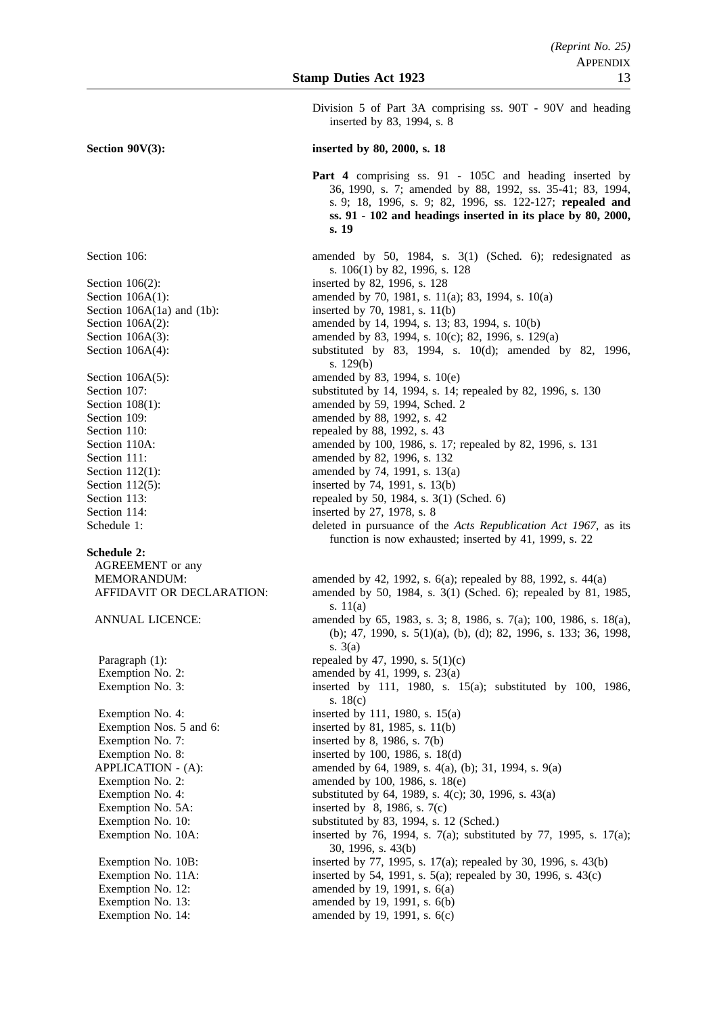Division 5 of Part 3A comprising ss. 90T - 90V and heading inserted by 83, 1994, s. 8

#### **Section 90V(3):** inserted by 80, 2000, s. 18

**Part 4** comprising ss. 91 - 105C and heading inserted by 36, 1990, s. 7; amended by 88, 1992, ss. 35-41; 83, 1994, s. 9; 18, 1996, s. 9; 82, 1996, ss. 122-127; **repealed and ss. 91 - 102 and headings inserted in its place by 80, 2000, s. 19**

Section 106: amended by 50, 1984, s. 3(1) (Sched. 6); redesignated as s. 106(1) by 82, 1996, s. 128 Section 106(2): inserted by 82, 1996, s. 128 Section 106A(1): amended by 70, 1981, s. 11(a); 83, 1994, s. 10(a) Section 106A(1a) and (1b): inserted by 70, 1981, s. 11(b) Section 106A(2): amended by 14, 1994, s. 13; 83, 1994, s. 10(b) Section 106A(3): amended by 83, 1994, s. 10(c); 82, 1996, s. 129(a) Section 106A(4): substituted by 83, 1994, s. 10(d); amended by 82, 1996, s. 129(b) Section 106A(5): amended by 83, 1994, s. 10(e) Section 107: substituted by 14, 1994, s. 14; repealed by 82, 1996, s. 130 Section 108(1): amended by 59, 1994, Sched. 2 Section 109: **amended** by 88, 1992, s. 42 Section 110: repealed by 88, 1992, s. 43 Section 110A: amended by 100, 1986, s. 17; repealed by 82, 1996, s. 131 Section 111: **amended** by 82, 1996, s. 132 Section 112(1): amended by 74, 1991, s. 13(a) Section 112(5): inserted by 74, 1991, s. 13(b) Section 113: repealed by 50, 1984, s. 3(1) (Sched. 6) Section 114: inserted by 27, 1978, s. 8 Schedule 1: deleted in pursuance of the *Acts Republication Act 1967*, as its function is now exhausted; inserted by 41, 1999, s. 22 MEMORANDUM: amended by 42, 1992, s. 6(a); repealed by 88, 1992, s. 44(a) AFFIDAVIT OR DECLARATION: amended by 50, 1984, s. 3(1) (Sched. 6); repealed by 81, 1985, s. 11(a) ANNUAL LICENCE: amended by 65, 1983, s. 3; 8, 1986, s. 7(a); 100, 1986, s. 18(a), (b); 47, 1990, s. 5(1)(a), (b), (d); 82, 1996, s. 133; 36, 1998, s. 3(a) Paragraph (1): repealed by 47, 1990, s.  $5(1)(c)$ Exemption No. 2:  $\qquad \qquad \text{amended by 41, 1999, s. 23(a)}$ Exemption No. 3: inserted by 111, 1980, s. 15(a); substituted by 100, 1986, s. 18(c) Exemption No. 4: inserted by 111, 1980, s.  $15(a)$ Exemption Nos. 5 and 6: inserted by 81, 1985, s. 11(b) Exemption No. 7: inserted by 8, 1986, s. 7(b) Exemption No. 8: inserted by 100, 1986, s. 18(d) APPLICATION - (A): amended by 64, 1989, s. 4(a), (b); 31, 1994, s. 9(a) Exemption No. 2:  $\qquad \qquad \text{amended by 100, 1986, s. 18(e)}$ Exemption No. 4: substituted by 64, 1989, s. 4(c); 30, 1996, s. 43(a) Exemption No.  $5A$ : inserted by 8, 1986, s.  $7(c)$ Exemption No. 10: substituted by 83, 1994, s. 12 (Sched.) Exemption No. 10A: inserted by 76, 1994, s. 7(a); substituted by 77, 1995, s. 17(a); 30, 1996, s. 43(b) Exemption No. 10B: inserted by 77, 1995, s. 17(a); repealed by 30, 1996, s. 43(b) Exemption No. 11A: inserted by 54, 1991, s. 5(a); repealed by 30, 1996, s. 43(c) Exemption No. 12: amended by 19, 1991, s. 6(a) Exemption No. 13: amended by 19, 1991, s. 6(b) Exemption No. 14: amended by 19, 1991, s. 6(c)

**Schedule 2:**

AGREEMENT or any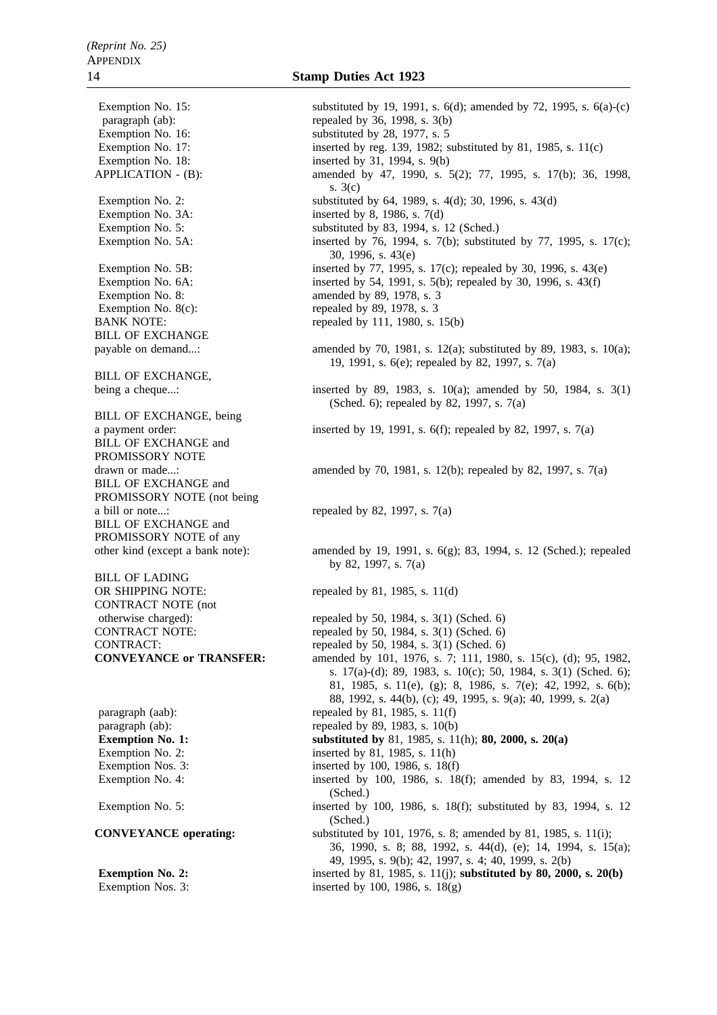Exemption No. 18: inserted by 31, 1994, s. 9(b) Exemption No. 3A: inserted by 8, 1986, s. 7(d) Exemption No. 8: amended by 89, 1978, s. 3 Exemption No.  $8(c)$ : repealed by 89, 1978, s. 3 BILL OF EXCHANGE BILL OF EXCHANGE, BILL OF EXCHANGE, being BILL OF EXCHANGE and PROMISSORY NOTE BILL OF EXCHANGE and PROMISSORY NOTE (not being a bill or note...: repealed by 82, 1997, s.  $7(a)$ BILL OF EXCHANGE and PROMISSORY NOTE of any BILL OF LADING CONTRACT NOTE (not

Exemption No. 15: substituted by 19, 1991, s. 6(d); amended by 72, 1995, s. 6(a)-(c) paragraph (ab): repealed by 36, 1998, s. 3(b)<br>Exemption No. 16: substituted by 28, 1977, s. 5 substituted by 28, 1977, s.  $5$ Exemption No. 17: inserted by reg. 139, 1982; substituted by 81, 1985, s. 11(c) APPLICATION - (B): amended by 47, 1990, s. 5(2); 77, 1995, s. 17(b); 36, 1998, s. 3(c) Exemption No. 2: substituted by 64, 1989, s. 4(d); 30, 1996, s. 43(d) Exemption No. 5: substituted by 83, 1994, s. 12 (Sched.) Exemption No. 5A: inserted by 76, 1994, s. 7(b); substituted by 77, 1995, s. 17(c); 30, 1996, s. 43(e) Exemption No. 5B: inserted by 77, 1995, s. 17(c); repealed by 30, 1996, s. 43(e) Exemption No. 6A: inserted by 54, 1991, s. 5(b); repealed by 30, 1996, s. 43(f) BANK NOTE: repealed by 111, 1980, s. 15(b) payable on demand...: amended by 70, 1981, s. 12(a); substituted by 89, 1983, s. 10(a); 19, 1991, s. 6(e); repealed by 82, 1997, s. 7(a) being a cheque...: inserted by 89, 1983, s. 10(a); amended by 50, 1984, s. 3(1) (Sched. 6); repealed by 82, 1997, s. 7(a) a payment order: inserted by 19, 1991, s. 6(f); repealed by 82, 1997, s. 7(a) drawn or made...: amended by  $70, 1981, s. 12(b)$ ; repealed by  $82, 1997, s. 7(a)$ other kind (except a bank note): amended by 19, 1991, s. 6(g); 83, 1994, s. 12 (Sched.); repealed by 82, 1997, s. 7(a) OR SHIPPING NOTE: repealed by 81, 1985, s. 11(d) otherwise charged): repealed by 50, 1984, s. 3(1) (Sched. 6) CONTRACT NOTE: repealed by 50, 1984, s. 3(1) (Sched. 6) CONTRACT: repealed by 50, 1984, s.  $3(1)$  (Sched. 6) **CONVEYANCE or TRANSFER:** amended by 101, 1976, s. 7; 111, 1980, s. 15(c), (d); 95, 1982, s. 17(a)-(d); 89, 1983, s. 10(c); 50, 1984, s. 3(1) (Sched. 6); 81, 1985, s. 11(e), (g); 8, 1986, s. 7(e); 42, 1992, s. 6(b); 88, 1992, s. 44(b), (c); 49, 1995, s. 9(a); 40, 1999, s. 2(a) paragraph (aab): repealed by 81, 1985, s.  $11(f)$ paragraph (ab): repealed by 89, 1983, s. 10(b) **Exemption No. 1:** substituted by 81, 1985, s. 11(h); **80, 2000, s. 20(a)** Exemption No. 2: inserted by 81, 1985, s. 11(h) Exemption Nos. 3: inserted by 100, 1986, s. 18(f) Exemption No. 4: inserted by 100, 1986, s. 18(f); amended by 83, 1994, s. 12 (Sched.) Exemption No. 5: inserted by 100, 1986, s. 18(f); substituted by 83, 1994, s. 12 (Sched.) **CONVEYANCE operating:** substituted by 101, 1976, s. 8; amended by 81, 1985, s. 11(i); 36, 1990, s. 8; 88, 1992, s. 44(d), (e); 14, 1994, s. 15(a); 49, 1995, s. 9(b); 42, 1997, s. 4; 40, 1999, s. 2(b) **Exemption No. 2:** inserted by 81, 1985, s. 11(j); **substituted by 80, 2000, s. 20(b)** Exemption Nos. 3: inserted by 100, 1986, s.  $18(g)$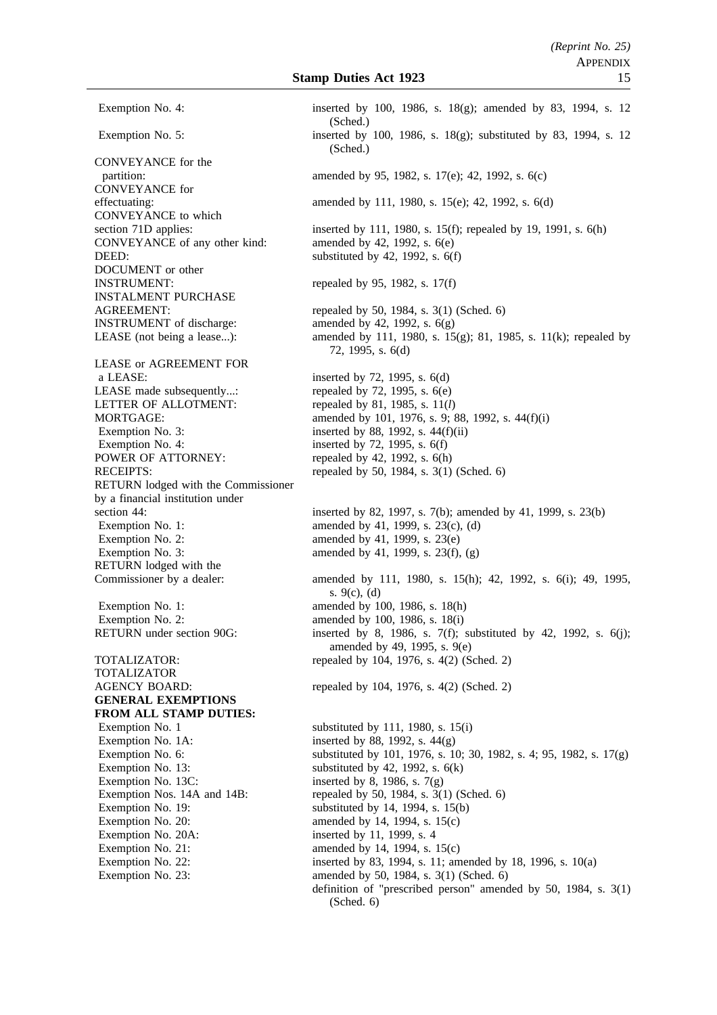CONVEYANCE for the CONVEYANCE for CONVEYANCE to which CONVEYANCE of any other kind: amended by 42, 1992, s. 6(e) DEED: substituted by 42, 1992, s. 6(f) DOCUMENT or other INSTRUMENT: repealed by 95, 1982, s.  $17(f)$ INSTALMENT PURCHASE **INSTRUMENT** of discharge: amended by 42, 1992, s.  $6(g)$ LEASE or AGREEMENT FOR a LEASE: inserted by 72, 1995, s. 6(d) LEASE made subsequently...: repealed by 72, 1995, s.  $6(e)$ LETTER OF ALLOTMENT: repealed by 81, 1985, s.  $11(l)$ Exemption No. 3: inserted by 88, 1992, s.  $44(f)(ii)$ Exemption No. 4: inserted by 72, 1995, s. 6(f)<br>POWER OF ATTORNEY: repealed by 42, 1992, s. 6(h) RETURN lodged with the Commissioner by a financial institution under Exemption No. 2: amended by 41, 1999, s.  $23(e)$ RETURN lodged with the Exemption No. 1: amended by 100, 1986, s. 18(h) Exemption No. 2: amended by 100, 1986, s. 18(i) TOTALIZATOR **GENERAL EXEMPTIONS FROM ALL STAMP DUTIES:** Exemption No. 1A: inserted by 88, 1992, s.  $44(g)$ Exemption No. 13: substituted by 42, 1992, s. 6(k) Exemption No. 13C: inserted by 8, 1986, s.  $7(g)$ Exemption No. 19: substituted by 14, 1994, s. 15(b) Exemption No. 20:  $\qquad \qquad \text{amended by 14, 1994, s. 15(c)}$ Exemption No. 20A: inserted by 11, 1999, s. 4 Exemption No. 21:  $\qquad \qquad \text{amended by 14, 1994, s. 15(c)}$ 

Exemption No. 4: inserted by 100, 1986, s. 18(g); amended by 83, 1994, s. 12 (Sched.) Exemption No. 5: inserted by 100, 1986, s. 18(g); substituted by 83, 1994, s. 12 (Sched.) partition: amended by 95, 1982, s. 17(e); 42, 1992, s. 6(c) effectuating: amended by 111, 1980, s. 15(e); 42, 1992, s. 6(d) section 71D applies: inserted by 111, 1980, s. 15(f); repealed by 19, 1991, s. 6(h) AGREEMENT: repealed by 50, 1984, s. 3(1) (Sched. 6) LEASE (not being a lease...): amended by 111, 1980, s. 15(g); 81, 1985, s. 11(k); repealed by 72, 1995, s. 6(d) MORTGAGE: amended by 101, 1976, s. 9; 88, 1992, s. 44(f)(i) repealed by 42, 1992, s.  $6(h)$ RECEIPTS: repealed by 50, 1984, s. 3(1) (Sched. 6) section 44: inserted by 82, 1997, s. 7(b); amended by 41, 1999, s. 23(b) Exemption No. 1: amended by 41, 1999, s. 23(c), (d) Exemption No. 3: amended by 41, 1999, s.  $23(f)$ , (g) Commissioner by a dealer: amended by 111, 1980, s. 15(h); 42, 1992, s. 6(i); 49, 1995, s. 9(c), (d) RETURN under section 90G: inserted by 8, 1986, s. 7(f); substituted by 42, 1992, s. 6(j); amended by 49, 1995, s. 9(e) TOTALIZATOR: repealed by 104, 1976, s. 4(2) (Sched. 2) AGENCY BOARD: repealed by 104, 1976, s. 4(2) (Sched. 2) Exemption No. 1 substituted by 111, 1980, s. 15(i) Exemption No. 6: substituted by 101, 1976, s. 10; 30, 1982, s. 4; 95, 1982, s. 17(g) Exemption Nos. 14A and 14B: repealed by 50, 1984, s. 3(1) (Sched. 6) Exemption No. 22: inserted by 83, 1994, s. 11; amended by 18, 1996, s. 10(a) Exemption No. 23: amended by 50, 1984, s. 3(1) (Sched. 6) definition of "prescribed person" amended by 50, 1984, s. 3(1) (Sched. 6)